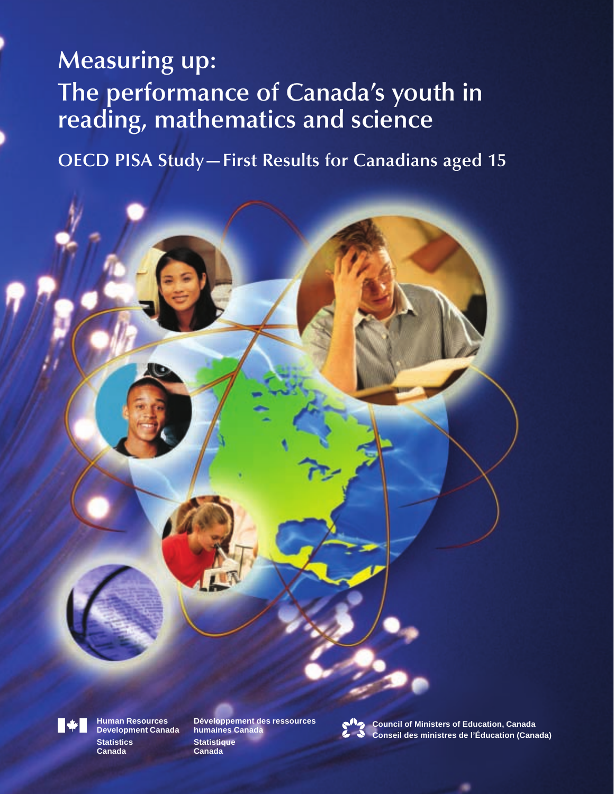# **Measuring up: The performance of Canada's youth in reading, mathematics and science**

**OECD PISA Study—First Results for Canadians aged 15**



**Canada Canada Development Canada** 

**Conseil des ministres de l'Éducation (Canada)**<br>Statistics Statistique Statistique<br>Canada Canada Canada **Human Resources Développement des ressources**



**Council of Ministers of Education, Canada**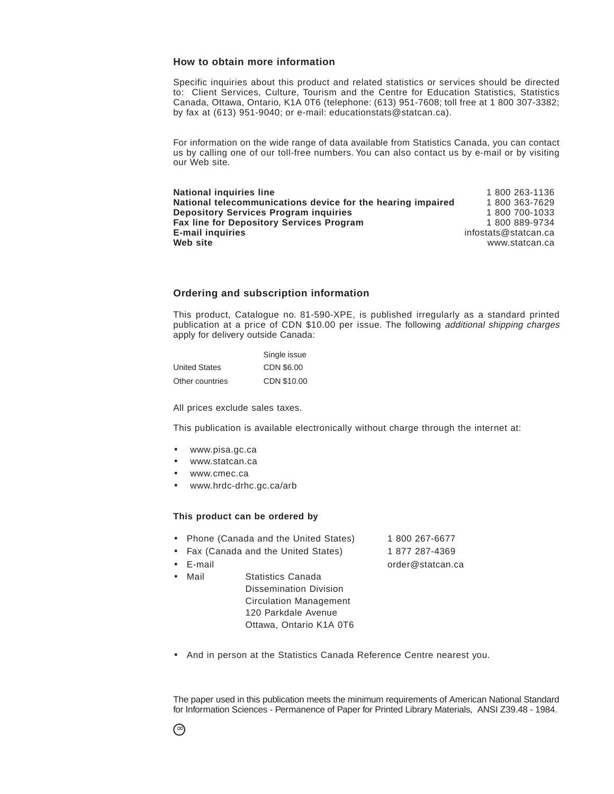#### **How to obtain more information**

Specific inquiries about this product and related statistics or services should be directed to: Client Services, Culture, Tourism and the Centre for Education Statistics, Statistics Canada, Ottawa, Ontario, K1A 0T6 (telephone: (613) 951-7608; toll free at 1 800 307-3382; by fax at (613) 951-9040; or e-mail: educationstats@statcan.ca).

For information on the wide range of data available from Statistics Canada, you can contact us by calling one of our toll-free numbers. You can also contact us by e-mail or by visiting our Web site.

| <b>National inquiries line</b>                              | 1 800 263-1136       |
|-------------------------------------------------------------|----------------------|
| National telecommunications device for the hearing impaired | 1 800 363-7629       |
| <b>Depository Services Program inquiries</b>                | 1 800 700-1033       |
| Fax line for Depository Services Program                    | 1800889-9734         |
| <b>E-mail inquiries</b>                                     | infostats@statcan.ca |
| Web site                                                    | www.statcan.ca       |

#### **Ordering and subscription information**

This product, Catalogue no. 81-590-XPE, is published irregularly as a standard printed publication at a price of CDN \$10.00 per issue. The following additional shipping charges apply for delivery outside Canada:

|                      | Single issue |
|----------------------|--------------|
| <b>United States</b> | CDN \$6.00   |
| Other countries      | CDN \$10.00  |

All prices exclude sales taxes.

This publication is available electronically without charge through the internet at:

- www.pisa.gc.ca
- www.statcan.ca
- www.cmec.ca
- www.hrdc-drhc.gc.ca/arb

#### **This product can be ordered by**

- Phone (Canada and the United States) 1800 267-6677
- Fax (Canada and the United States) 1877 287-4369
- E-mail order@statcan.ca
- 
- 
- Mail Statistics Canada Dissemination Division Circulation Management 120 Parkdale Avenue Ottawa, Ontario K1A 0T6
- And in person at the Statistics Canada Reference Centre nearest you.

The paper used in this publication meets the minimum requirements of American National Standard for Information Sciences - Permanence of Paper for Printed Library Materials, ANSI Z39.48 - 1984.

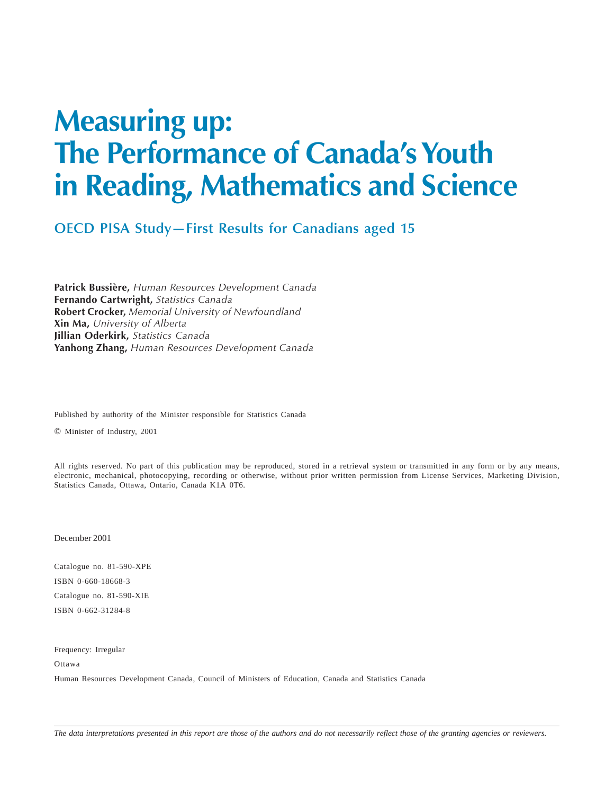# **Measuring up: The Performance of Canada's Youth in Reading, Mathematics and Science**

**OECD PISA Study—First Results for Canadians aged 15**

**Patrick Bussière,** *Human Resources Development Canada* **Fernando Cartwright,** *Statistics Canada* **Robert Crocker,** *Memorial University of Newfoundland* **Xin Ma,** *University of Alberta* **Jillian Oderkirk,** *Statistics Canada* **Yanhong Zhang,** *Human Resources Development Canada*

Published by authority of the Minister responsible for Statistics Canada

© Minister of Industry, 2001

All rights reserved. No part of this publication may be reproduced, stored in a retrieval system or transmitted in any form or by any means, electronic, mechanical, photocopying, recording or otherwise, without prior written permission from License Services, Marketing Division, Statistics Canada, Ottawa, Ontario, Canada K1A 0T6.

December 2001

Catalogue no. 81-590-XPE ISBN 0-660-18668-3 Catalogue no. 81-590-XIE ISBN 0-662-31284-8

Frequency: Irregular

Ottawa

Human Resources Development Canada, Council of Ministers of Education, Canada and Statistics Canada

*The data interpretations presented in this report are those of the authors and do not necessarily reflect those of the granting agencies or reviewers.*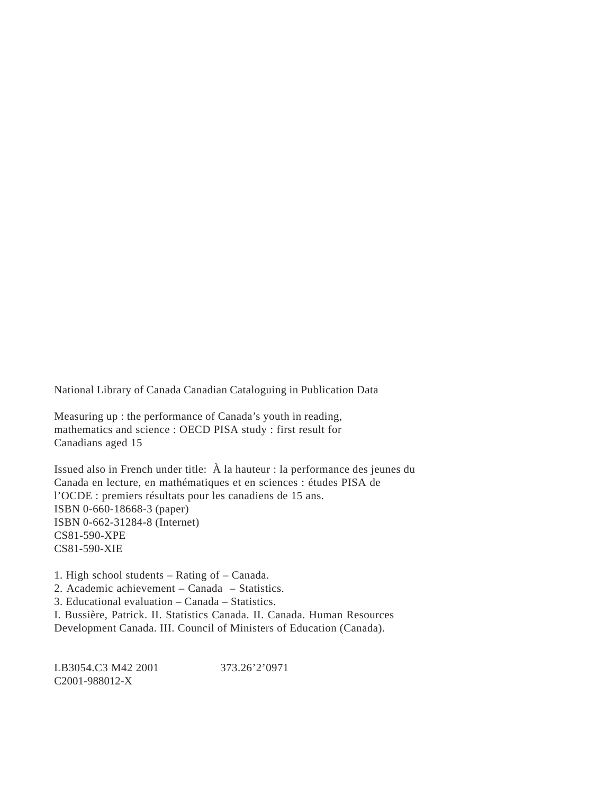National Library of Canada Canadian Cataloguing in Publication Data

Measuring up : the performance of Canada's youth in reading, mathematics and science : OECD PISA study : first result for Canadians aged 15

Issued also in French under title: À la hauteur : la performance des jeunes du Canada en lecture, en mathématiques et en sciences : études PISA de l'OCDE : premiers résultats pour les canadiens de 15 ans. ISBN 0-660-18668-3 (paper) ISBN 0-662-31284-8 (Internet) CS81-590-XPE CS81-590-XIE

1. High school students – Rating of – Canada.

2. Academic achievement – Canada – Statistics.

3. Educational evaluation – Canada – Statistics.

I. Bussière, Patrick. II. Statistics Canada. II. Canada. Human Resources Development Canada. III. Council of Ministers of Education (Canada).

LB3054.C3 M42 2001 373.26'2'0971 C2001-988012-X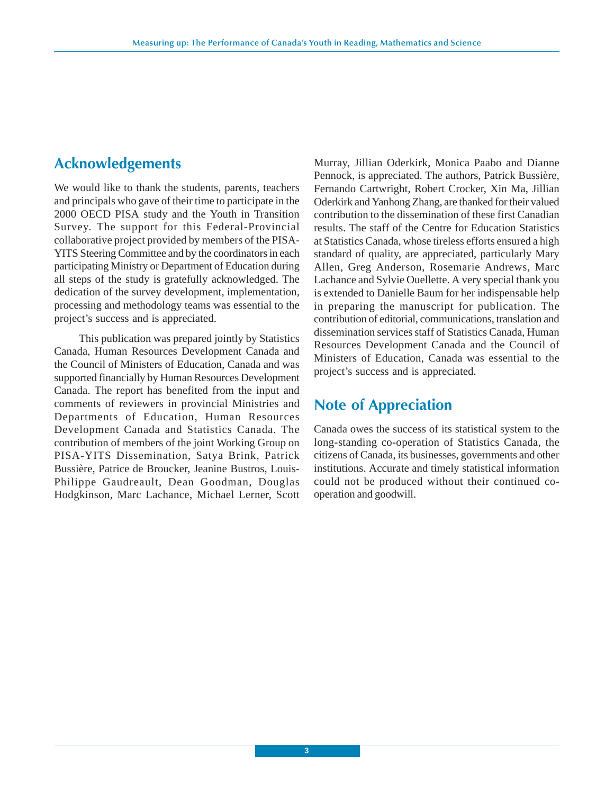# **Acknowledgements**

We would like to thank the students, parents, teachers and principals who gave of their time to participate in the 2000 OECD PISA study and the Youth in Transition Survey. The support for this Federal-Provincial collaborative project provided by members of the PISA-YITS Steering Committee and by the coordinators in each participating Ministry or Department of Education during all steps of the study is gratefully acknowledged. The dedication of the survey development, implementation, processing and methodology teams was essential to the project's success and is appreciated.

This publication was prepared jointly by Statistics Canada, Human Resources Development Canada and the Council of Ministers of Education, Canada and was supported financially by Human Resources Development Canada. The report has benefited from the input and comments of reviewers in provincial Ministries and Departments of Education, Human Resources Development Canada and Statistics Canada. The contribution of members of the joint Working Group on PISA-YITS Dissemination, Satya Brink, Patrick Bussière, Patrice de Broucker, Jeanine Bustros, Louis-Philippe Gaudreault, Dean Goodman, Douglas Hodgkinson, Marc Lachance, Michael Lerner, Scott Murray, Jillian Oderkirk, Monica Paabo and Dianne Pennock, is appreciated. The authors, Patrick Bussière, Fernando Cartwright, Robert Crocker, Xin Ma, Jillian Oderkirk and Yanhong Zhang, are thanked for their valued contribution to the dissemination of these first Canadian results. The staff of the Centre for Education Statistics at Statistics Canada, whose tireless efforts ensured a high standard of quality, are appreciated, particularly Mary Allen, Greg Anderson, Rosemarie Andrews, Marc Lachance and Sylvie Ouellette. A very special thank you is extended to Danielle Baum for her indispensable help in preparing the manuscript for publication. The contribution of editorial, communications, translation and dissemination services staff of Statistics Canada, Human Resources Development Canada and the Council of Ministers of Education, Canada was essential to the project's success and is appreciated.

# **Note of Appreciation**

Canada owes the success of its statistical system to the long-standing co-operation of Statistics Canada, the citizens of Canada, its businesses, governments and other institutions. Accurate and timely statistical information could not be produced without their continued cooperation and goodwill.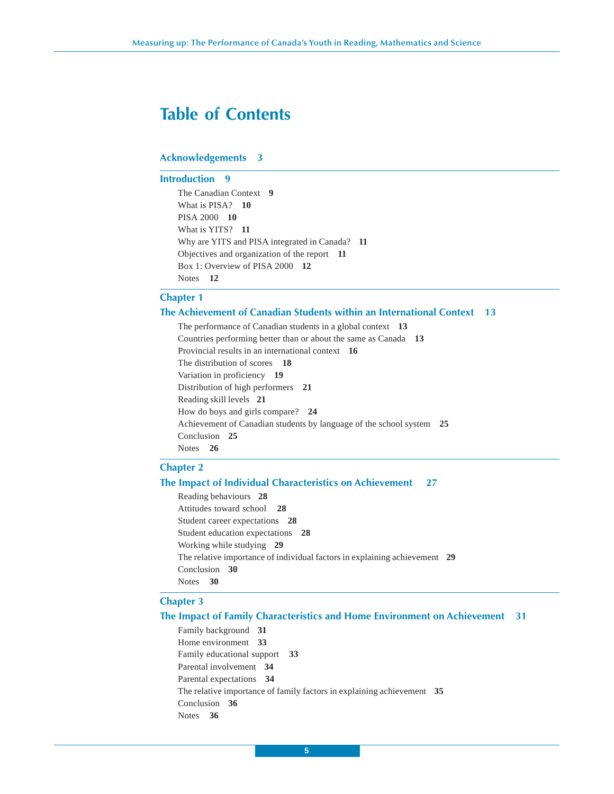# **Table of Contents**

#### **Acknowledgements 3**

### **Introduction 9**

The Canadian Context **9** What is PISA? **10** PISA 2000 **10** What is YITS? **11** Why are YITS and PISA integrated in Canada? **11** Objectives and organization of the report **11** Box 1: Overview of PISA 2000 **12** Notes **12**

## **Chapter 1**

#### **The Achievement of Canadian Students within an International Context 13**

The performance of Canadian students in a global context **13** Countries performing better than or about the same as Canada **13** Provincial results in an international context **16** The distribution of scores **18** Variation in proficiency **19** Distribution of high performers **21** Reading skill levels **21** How do boys and girls compare? **24** Achievement of Canadian students by language of the school system **25** Conclusion **25** Notes **26**

#### **Chapter 2**

#### **The Impact of Individual Characteristics on Achievement 27**

Reading behaviours **28** Attitudes toward school **28** Student career expectations **28** Student education expectations **28** Working while studying **29** The relative importance of individual factors in explaining achievement **29** Conclusion **30** Notes **30**

## **Chapter 3**

#### **The Impact of Family Characteristics and Home Environment on Achievement 31**

Family background **31** Home environment **33** Family educational support **33** Parental involvement **34** Parental expectations **34** The relative importance of family factors in explaining achievement **35** Conclusion **36** Notes **36**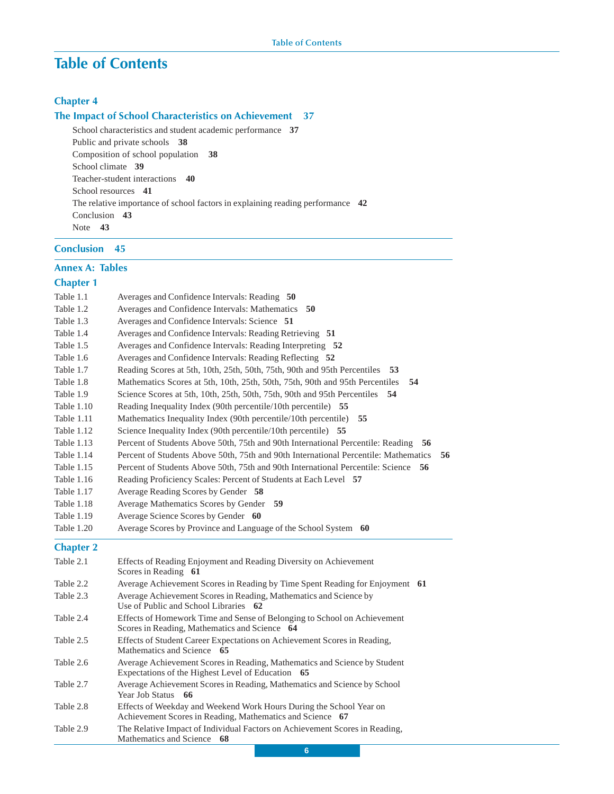# **Table of Contents**

#### **Chapter 4**

#### **The Impact of School Characteristics on Achievement 37**

School characteristics and student academic performance **37** Public and private schools **38** Composition of school population **38** School climate **39** Teacher-student interactions **40** School resources **41** The relative importance of school factors in explaining reading performance **42** Conclusion **43** Note **43**

## **Conclusion 45**

## **Annex A: Tables**

#### **Chapter 1**

| Table 1.1        | Averages and Confidence Intervals: Reading 50                                                                             |
|------------------|---------------------------------------------------------------------------------------------------------------------------|
| Table 1.2        | Averages and Confidence Intervals: Mathematics 50                                                                         |
| Table 1.3        | Averages and Confidence Intervals: Science 51                                                                             |
| Table 1.4        | Averages and Confidence Intervals: Reading Retrieving 51                                                                  |
| Table 1.5        | Averages and Confidence Intervals: Reading Interpreting 52                                                                |
| Table 1.6        | Averages and Confidence Intervals: Reading Reflecting 52                                                                  |
| Table 1.7        | Reading Scores at 5th, 10th, 25th, 50th, 75th, 90th and 95th Percentiles 53                                               |
| Table 1.8        | Mathematics Scores at 5th, 10th, 25th, 50th, 75th, 90th and 95th Percentiles<br>54                                        |
| Table 1.9        | Science Scores at 5th, 10th, 25th, 50th, 75th, 90th and 95th Percentiles 54                                               |
| Table 1.10       | Reading Inequality Index (90th percentile/10th percentile) 55                                                             |
| Table 1.11       | Mathematics Inequality Index (90th percentile/10th percentile)<br>55                                                      |
| Table 1.12       | Science Inequality Index (90th percentile/10th percentile) 55                                                             |
| Table 1.13       | Percent of Students Above 50th, 75th and 90th International Percentile: Reading<br>56                                     |
| Table 1.14       | Percent of Students Above 50th, 75th and 90th International Percentile: Mathematics<br>56                                 |
| Table 1.15       | Percent of Students Above 50th, 75th and 90th International Percentile: Science 56                                        |
| Table 1.16       | Reading Proficiency Scales: Percent of Students at Each Level 57                                                          |
| Table 1.17       | Average Reading Scores by Gender 58                                                                                       |
| Table 1.18       | Average Mathematics Scores by Gender 59                                                                                   |
| Table 1.19       | Average Science Scores by Gender 60                                                                                       |
| Table 1.20       | Average Scores by Province and Language of the School System 60                                                           |
| <b>Chapter 2</b> |                                                                                                                           |
| Table 2.1        | Effects of Reading Enjoyment and Reading Diversity on Achievement<br>Scores in Reading 61                                 |
| Table 2.2        | Average Achievement Scores in Reading by Time Spent Reading for Enjoyment 61                                              |
| Table 2.3        | Average Achievement Scores in Reading, Mathematics and Science by<br>Use of Public and School Libraries 62                |
| Table 2.4        | Effects of Homework Time and Sense of Belonging to School on Achievement<br>Scores in Reading, Mathematics and Science 64 |
|                  |                                                                                                                           |

Table 2.5 Effects of Student Career Expectations on Achievement Scores in Reading, Mathematics and Science **65**

Table 2.6 Average Achievement Scores in Reading, Mathematics and Science by Student Expectations of the Highest Level of Education **65**

- Table 2.7 Average Achievement Scores in Reading, Mathematics and Science by School Year Job Status **66**
- Table 2.8 Effects of Weekday and Weekend Work Hours During the School Year on Achievement Scores in Reading, Mathematics and Science **67**

| Table 2.9 |                            | The Relative Impact of Individual Factors on Achievement Scores in Reading, |
|-----------|----------------------------|-----------------------------------------------------------------------------|
|           | Mathematics and Science 68 |                                                                             |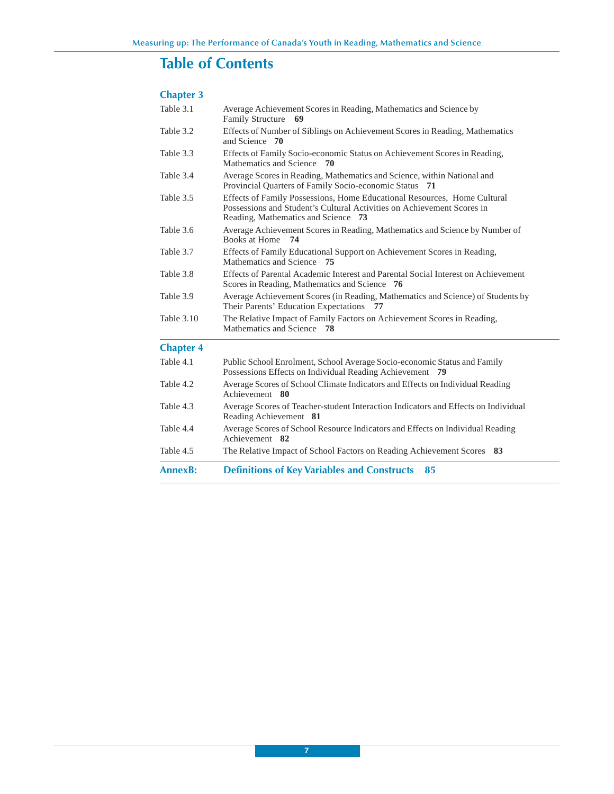# **Table of Contents**

# **Chapter 3**

| <b>AnnexB:</b>   | <b>Definitions of Key Variables and Constructs</b><br>85                                                                                           |  |
|------------------|----------------------------------------------------------------------------------------------------------------------------------------------------|--|
| Table 4.5        | The Relative Impact of School Factors on Reading Achievement Scores<br>83                                                                          |  |
| Table 4.4        | Average Scores of School Resource Indicators and Effects on Individual Reading<br>Achievement 82                                                   |  |
| Table 4.3        | Average Scores of Teacher-student Interaction Indicators and Effects on Individual<br>Reading Achievement 81                                       |  |
| Table 4.2        | Average Scores of School Climate Indicators and Effects on Individual Reading<br>Achievement 80                                                    |  |
| Table 4.1        | Public School Enrolment, School Average Socio-economic Status and Family<br>Possessions Effects on Individual Reading Achievement 79               |  |
| <b>Chapter 4</b> |                                                                                                                                                    |  |
| Table 3.10       | The Relative Impact of Family Factors on Achievement Scores in Reading,<br>Mathematics and Science<br>78                                           |  |
| Table 3.9        | Average Achievement Scores (in Reading, Mathematics and Science) of Students by<br>Their Parents' Education Expectations 77                        |  |
| Table 3.8        | Effects of Parental Academic Interest and Parental Social Interest on Achievement<br>Scores in Reading, Mathematics and Science 76                 |  |
| Table 3.7        | Effects of Family Educational Support on Achievement Scores in Reading,<br>Mathematics and Science 75                                              |  |
|                  | Books at Home<br>74                                                                                                                                |  |
| Table 3.6        | Reading, Mathematics and Science 73<br>Average Achievement Scores in Reading, Mathematics and Science by Number of                                 |  |
| Table 3.5        | Effects of Family Possessions, Home Educational Resources, Home Cultural<br>Possessions and Student's Cultural Activities on Achievement Scores in |  |
| Table 3.4        | Average Scores in Reading, Mathematics and Science, within National and<br>Provincial Quarters of Family Socio-economic Status 71                  |  |
| Table 3.3        | Effects of Family Socio-economic Status on Achievement Scores in Reading,<br>Mathematics and Science 70                                            |  |
| Table 3.2        | Effects of Number of Siblings on Achievement Scores in Reading, Mathematics<br>and Science 70                                                      |  |
| Table 3.1        | Average Achievement Scores in Reading, Mathematics and Science by<br><b>Family Structure</b><br>69                                                 |  |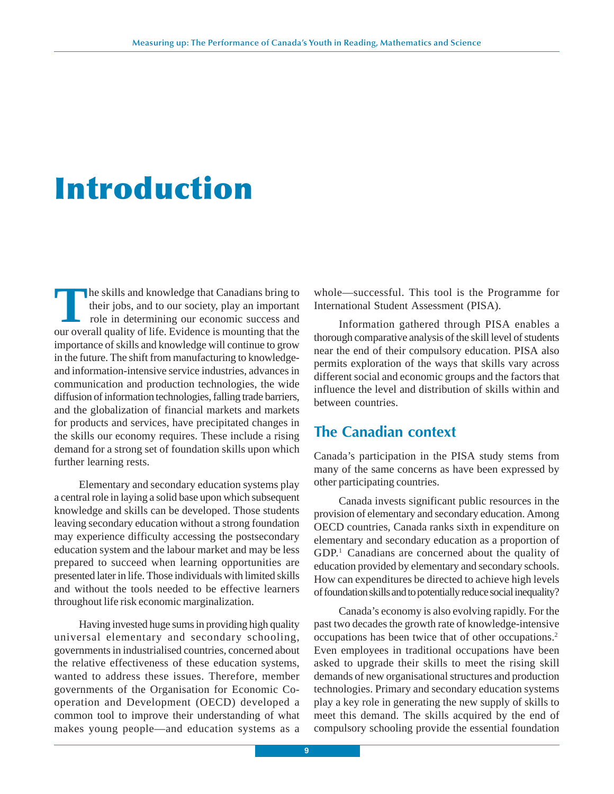# **Introduction**

**T** he skills and knowledge that Canadians bring to their jobs, and to our society, play an important role in determining our economic success and our overall quality of life. Evidence is mounting that the importance of skills and knowledge will continue to grow in the future. The shift from manufacturing to knowledgeand information-intensive service industries, advances in communication and production technologies, the wide diffusion of information technologies, falling trade barriers, and the globalization of financial markets and markets for products and services, have precipitated changes in the skills our economy requires. These include a rising demand for a strong set of foundation skills upon which further learning rests.

Elementary and secondary education systems play a central role in laying a solid base upon which subsequent knowledge and skills can be developed. Those students leaving secondary education without a strong foundation may experience difficulty accessing the postsecondary education system and the labour market and may be less prepared to succeed when learning opportunities are presented later in life. Those individuals with limited skills and without the tools needed to be effective learners throughout life risk economic marginalization.

Having invested huge sums in providing high quality universal elementary and secondary schooling, governments in industrialised countries, concerned about the relative effectiveness of these education systems, wanted to address these issues. Therefore, member governments of the Organisation for Economic Cooperation and Development (OECD) developed a common tool to improve their understanding of what makes young people—and education systems as a

whole—successful. This tool is the Programme for International Student Assessment (PISA).

Information gathered through PISA enables a thorough comparative analysis of the skill level of students near the end of their compulsory education. PISA also permits exploration of the ways that skills vary across different social and economic groups and the factors that influence the level and distribution of skills within and between countries.

## **The Canadian context**

Canada's participation in the PISA study stems from many of the same concerns as have been expressed by other participating countries.

Canada invests significant public resources in the provision of elementary and secondary education. Among OECD countries, Canada ranks sixth in expenditure on elementary and secondary education as a proportion of GDP.1 Canadians are concerned about the quality of education provided by elementary and secondary schools. How can expenditures be directed to achieve high levels of foundation skills and to potentially reduce social inequality?

Canada's economy is also evolving rapidly. For the past two decades the growth rate of knowledge-intensive occupations has been twice that of other occupations.2 Even employees in traditional occupations have been asked to upgrade their skills to meet the rising skill demands of new organisational structures and production technologies. Primary and secondary education systems play a key role in generating the new supply of skills to meet this demand. The skills acquired by the end of compulsory schooling provide the essential foundation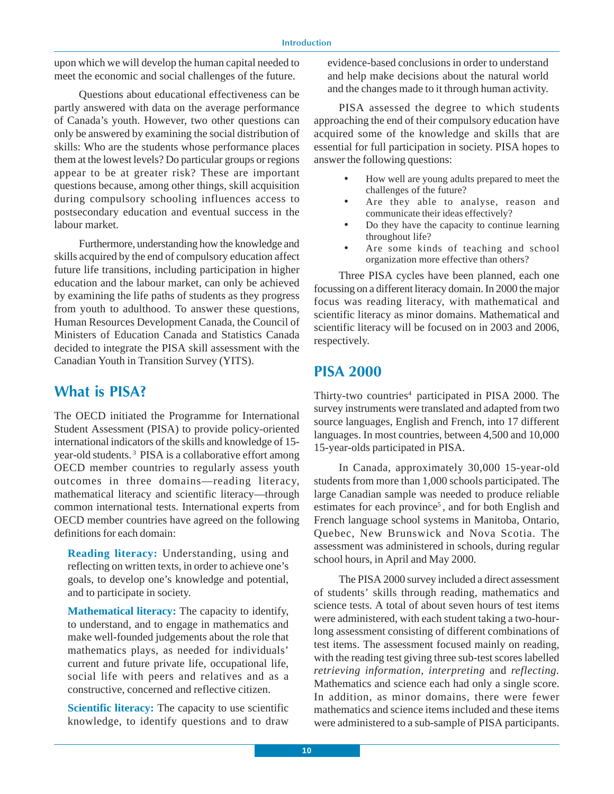upon which we will develop the human capital needed to meet the economic and social challenges of the future.

Questions about educational effectiveness can be partly answered with data on the average performance of Canada's youth. However, two other questions can only be answered by examining the social distribution of skills: Who are the students whose performance places them at the lowest levels? Do particular groups or regions appear to be at greater risk? These are important questions because, among other things, skill acquisition during compulsory schooling influences access to postsecondary education and eventual success in the labour market.

Furthermore, understanding how the knowledge and skills acquired by the end of compulsory education affect future life transitions, including participation in higher education and the labour market, can only be achieved by examining the life paths of students as they progress from youth to adulthood. To answer these questions, Human Resources Development Canada, the Council of Ministers of Education Canada and Statistics Canada decided to integrate the PISA skill assessment with the Canadian Youth in Transition Survey (YITS).

## **What is PISA?**

The OECD initiated the Programme for International Student Assessment (PISA) to provide policy-oriented international indicators of the skills and knowledge of 15 year-old students. 3 PISA is a collaborative effort among OECD member countries to regularly assess youth outcomes in three domains—reading literacy, mathematical literacy and scientific literacy—through common international tests. International experts from OECD member countries have agreed on the following definitions for each domain:

**Reading literacy:** Understanding, using and reflecting on written texts, in order to achieve one's goals, to develop one's knowledge and potential, and to participate in society.

**Mathematical literacy:** The capacity to identify, to understand, and to engage in mathematics and make well-founded judgements about the role that mathematics plays, as needed for individuals' current and future private life, occupational life, social life with peers and relatives and as a constructive, concerned and reflective citizen.

**Scientific literacy:** The capacity to use scientific knowledge, to identify questions and to draw

evidence-based conclusions in order to understand and help make decisions about the natural world and the changes made to it through human activity.

PISA assessed the degree to which students approaching the end of their compulsory education have acquired some of the knowledge and skills that are essential for full participation in society. PISA hopes to answer the following questions:

- How well are young adults prepared to meet the challenges of the future?
- Are they able to analyse, reason and communicate their ideas effectively?
- Do they have the capacity to continue learning throughout life?
- Are some kinds of teaching and school organization more effective than others?

Three PISA cycles have been planned, each one focussing on a different literacy domain. In 2000 the major focus was reading literacy, with mathematical and scientific literacy as minor domains. Mathematical and scientific literacy will be focused on in 2003 and 2006, respectively.

## **PISA 2000**

Thirty-two countries<sup>4</sup> participated in PISA 2000. The survey instruments were translated and adapted from two source languages, English and French, into 17 different languages. In most countries, between 4,500 and 10,000 15-year-olds participated in PISA.

In Canada, approximately 30,000 15-year-old students from more than 1,000 schools participated. The large Canadian sample was needed to produce reliable estimates for each province<sup>5</sup>, and for both English and French language school systems in Manitoba, Ontario, Quebec, New Brunswick and Nova Scotia. The assessment was administered in schools, during regular school hours, in April and May 2000.

The PISA 2000 survey included a direct assessment of students' skills through reading, mathematics and science tests. A total of about seven hours of test items were administered, with each student taking a two-hourlong assessment consisting of different combinations of test items. The assessment focused mainly on reading, with the reading test giving three sub-test scores labelled *retrieving information, interpreting* and *reflecting.* Mathematics and science each had only a single score. In addition, as minor domains, there were fewer mathematics and science items included and these items were administered to a sub-sample of PISA participants.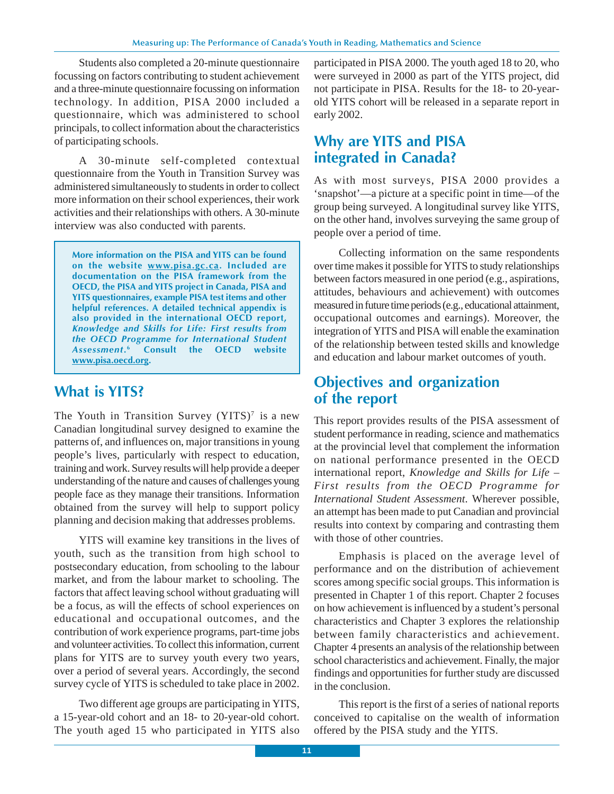Students also completed a 20-minute questionnaire focussing on factors contributing to student achievement and a three-minute questionnaire focussing on information technology. In addition, PISA 2000 included a questionnaire, which was administered to school principals, to collect information about the characteristics of participating schools.

A 30-minute self-completed contextual questionnaire from the Youth in Transition Survey was administered simultaneously to students in order to collect more information on their school experiences, their work activities and their relationships with others. A 30-minute interview was also conducted with parents.

**More information on the PISA and YITS can be found on the website www.pisa.gc.ca. Included are documentation on the PISA framework from the OECD, the PISA and YITS project in Canada, PISA and YITS questionnaires, example PISA test items and other helpful references. A detailed technical appendix is also provided in the international OECD report,** *Knowledge and Skills for Life: First results from the OECD Programme for International Student Assessment***.6 Consult the OECD website www.pisa.oecd.org.**

# **What is YITS?**

The Youth in Transition Survey  $(YITS)^7$  is a new Canadian longitudinal survey designed to examine the patterns of, and influences on, major transitions in young people's lives, particularly with respect to education, training and work. Survey results will help provide a deeper understanding of the nature and causes of challenges young people face as they manage their transitions. Information obtained from the survey will help to support policy planning and decision making that addresses problems.

YITS will examine key transitions in the lives of youth, such as the transition from high school to postsecondary education, from schooling to the labour market, and from the labour market to schooling. The factors that affect leaving school without graduating will be a focus, as will the effects of school experiences on educational and occupational outcomes, and the contribution of work experience programs, part-time jobs and volunteer activities. To collect this information, current plans for YITS are to survey youth every two years, over a period of several years. Accordingly, the second survey cycle of YITS is scheduled to take place in 2002.

Two different age groups are participating in YITS, a 15-year-old cohort and an 18- to 20-year-old cohort. The youth aged 15 who participated in YITS also participated in PISA 2000. The youth aged 18 to 20, who were surveyed in 2000 as part of the YITS project, did not participate in PISA. Results for the 18- to 20-yearold YITS cohort will be released in a separate report in early 2002.

# **Why are YITS and PISA integrated in Canada?**

As with most surveys, PISA 2000 provides a 'snapshot'—a picture at a specific point in time—of the group being surveyed. A longitudinal survey like YITS, on the other hand, involves surveying the same group of people over a period of time.

Collecting information on the same respondents over time makes it possible for YITS to study relationships between factors measured in one period (e.g., aspirations, attitudes, behaviours and achievement) with outcomes measured in future time periods (e.g., educational attainment, occupational outcomes and earnings). Moreover, the integration of YITS and PISA will enable the examination of the relationship between tested skills and knowledge and education and labour market outcomes of youth.

# **Objectives and organization of the report**

This report provides results of the PISA assessment of student performance in reading, science and mathematics at the provincial level that complement the information on national performance presented in the OECD international report, *Knowledge and Skills for Life – First results from the OECD Programme for International Student Assessment*. Wherever possible, an attempt has been made to put Canadian and provincial results into context by comparing and contrasting them with those of other countries.

Emphasis is placed on the average level of performance and on the distribution of achievement scores among specific social groups. This information is presented in Chapter 1 of this report. Chapter 2 focuses on how achievement is influenced by a student's personal characteristics and Chapter 3 explores the relationship between family characteristics and achievement. Chapter 4 presents an analysis of the relationship between school characteristics and achievement. Finally, the major findings and opportunities for further study are discussed in the conclusion.

This report is the first of a series of national reports conceived to capitalise on the wealth of information offered by the PISA study and the YITS.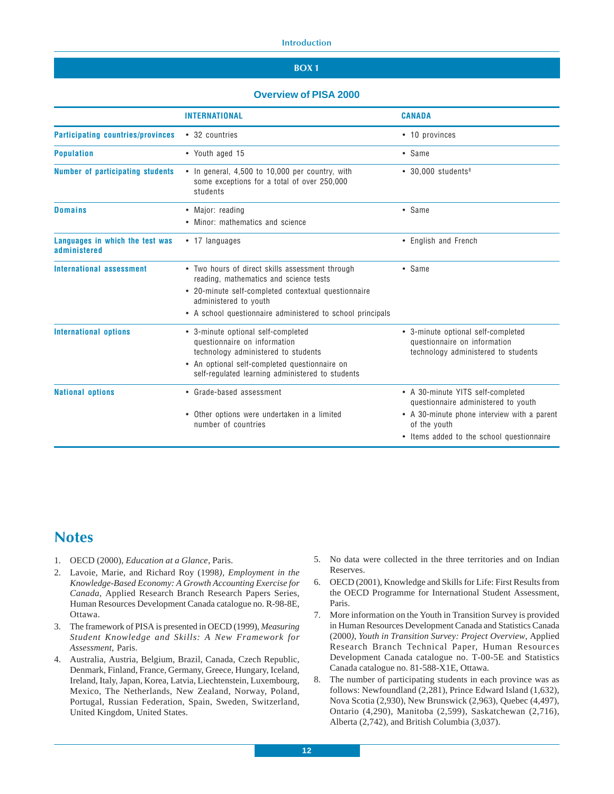#### **Introduction**

#### **BOX 1**

### **Overview of PISA 2000**

|                                                 | <b>INTERNATIONAL</b>                                                                                                                                                                                                                    | <b>CANADA</b>                                                                                                                                                                        |
|-------------------------------------------------|-----------------------------------------------------------------------------------------------------------------------------------------------------------------------------------------------------------------------------------------|--------------------------------------------------------------------------------------------------------------------------------------------------------------------------------------|
| <b>Participating countries/provinces</b>        | • 32 countries                                                                                                                                                                                                                          | • 10 provinces                                                                                                                                                                       |
| <b>Population</b>                               | • Youth aged 15                                                                                                                                                                                                                         | $\bullet$ Same                                                                                                                                                                       |
| Number of participating students                | • In general, $4,500$ to 10,000 per country, with<br>some exceptions for a total of over 250,000<br>students                                                                                                                            | $\bullet$ 30.000 students <sup>8</sup>                                                                                                                                               |
| <b>Domains</b>                                  | • Major: reading<br>• Minor: mathematics and science                                                                                                                                                                                    | $\bullet$ Same                                                                                                                                                                       |
| Languages in which the test was<br>administered | • 17 languages                                                                                                                                                                                                                          | • English and French                                                                                                                                                                 |
| <b>International assessment</b>                 | • Two hours of direct skills assessment through<br>reading, mathematics and science tests<br>• 20-minute self-completed contextual questionnaire<br>administered to youth<br>• A school questionnaire administered to school principals | $\bullet$ Same                                                                                                                                                                       |
| <b>International options</b>                    | • 3-minute optional self-completed<br>questionnaire on information<br>technology administered to students<br>An optional self-completed questionnaire on<br>$\bullet$<br>self-regulated learning administered to students               | • 3-minute optional self-completed<br>questionnaire on information<br>technology administered to students                                                                            |
| <b>National options</b>                         | • Grade-based assessment<br>• Other options were undertaken in a limited<br>number of countries                                                                                                                                         | • A 30-minute YITS self-completed<br>questionnaire administered to youth<br>• A 30-minute phone interview with a parent<br>of the youth<br>• Items added to the school questionnaire |

## **Notes**

- 1. OECD (2000), *Education at a Glance*, Paris.
- 2. Lavoie, Marie, and Richard Roy (1998*), Employment in the Knowledge-Based Economy: A Growth Accounting Exercise for Canada*, Applied Research Branch Research Papers Series, Human Resources Development Canada catalogue no. R-98-8E, Ottawa.
- 3. The framework of PISA is presented in OECD (1999), *Measuring Student Knowledge and Skills: A New Framework for Assessment*, Paris.
- 4. Australia, Austria, Belgium, Brazil, Canada, Czech Republic, Denmark, Finland, France, Germany, Greece, Hungary, Iceland, Ireland, Italy, Japan, Korea, Latvia, Liechtenstein, Luxembourg, Mexico, The Netherlands, New Zealand, Norway, Poland, Portugal, Russian Federation, Spain, Sweden, Switzerland, United Kingdom, United States.
- 5. No data were collected in the three territories and on Indian Reserves.
- 6. OECD (2001), Knowledge and Skills for Life: First Results from the OECD Programme for International Student Assessment, Paris.
- 7. More information on the Youth in Transition Survey is provided in Human Resources Development Canada and Statistics Canada (2000*), Youth in Transition Survey: Project Overview*, Applied Research Branch Technical Paper, Human Resources Development Canada catalogue no. T-00-5E and Statistics Canada catalogue no. 81-588-X1E, Ottawa.
- 8. The number of participating students in each province was as follows: Newfoundland (2,281), Prince Edward Island (1,632), Nova Scotia (2,930), New Brunswick (2,963), Quebec (4,497), Ontario (4,290), Manitoba (2,599), Saskatchewan (2,716), Alberta (2,742), and British Columbia (3,037).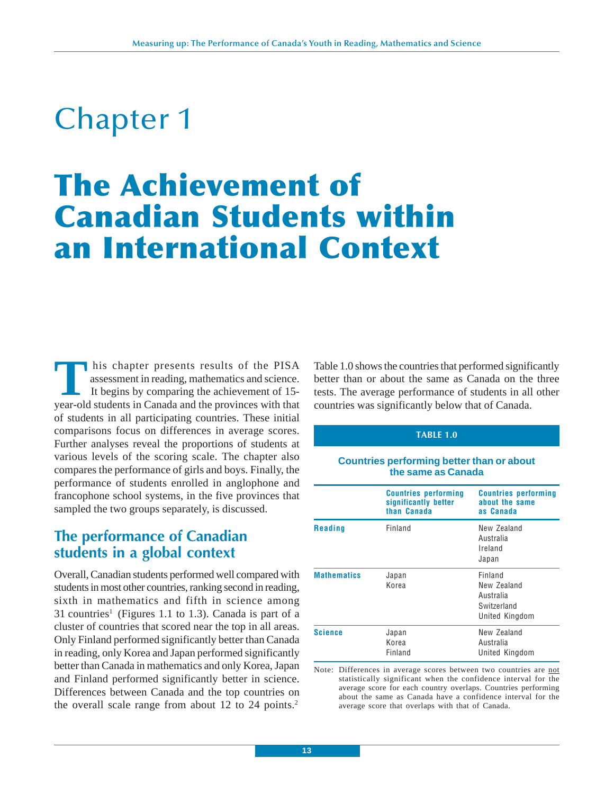# Chapter 1

# **The Achievement of Canadian Students within an International Context**

**T** his chapter presents results of the PISA assessment in reading, mathematics and science. It begins by comparing the achievement of 15 year-old students in Canada and the provinces with that of students in all participating countries. These initial comparisons focus on differences in average scores. Further analyses reveal the proportions of students at various levels of the scoring scale. The chapter also compares the performance of girls and boys. Finally, the performance of students enrolled in anglophone and francophone school systems, in the five provinces that sampled the two groups separately, is discussed.

## **The performance of Canadian students in a global context**

Overall, Canadian students performed well compared with students in most other countries, ranking second in reading, sixth in mathematics and fifth in science among 31 countries<sup>1</sup> (Figures 1.1 to 1.3). Canada is part of a cluster of countries that scored near the top in all areas. Only Finland performed significantly better than Canada in reading, only Korea and Japan performed significantly better than Canada in mathematics and only Korea, Japan and Finland performed significantly better in science. Differences between Canada and the top countries on the overall scale range from about 12 to 24 points.<sup>2</sup>

Table 1.0 shows the countries that performed significantly better than or about the same as Canada on the three tests. The average performance of students in all other countries was significantly below that of Canada.

## **TABLE 1.0**

## **Countries performing better than or about the same as Canada**

|                    | <b>Countries performing</b><br>significantly better<br>than Canada | <b>Countries performing</b><br>about the same<br>as Canada           |
|--------------------|--------------------------------------------------------------------|----------------------------------------------------------------------|
| <b>Reading</b>     | Finland                                                            | New Zealand<br>Australia<br>Ireland<br>Japan                         |
| <b>Mathematics</b> | Japan<br>Korea                                                     | Finland<br>New Zealand<br>Australia<br>Switzerland<br>United Kingdom |
| <b>Science</b>     | Japan<br>Korea<br>Finland                                          | New Zealand<br>Australia<br>United Kingdom                           |

Note: Differences in average scores between two countries are not statistically significant when the confidence interval for the average score for each country overlaps. Countries performing about the same as Canada have a confidence interval for the average score that overlaps with that of Canada.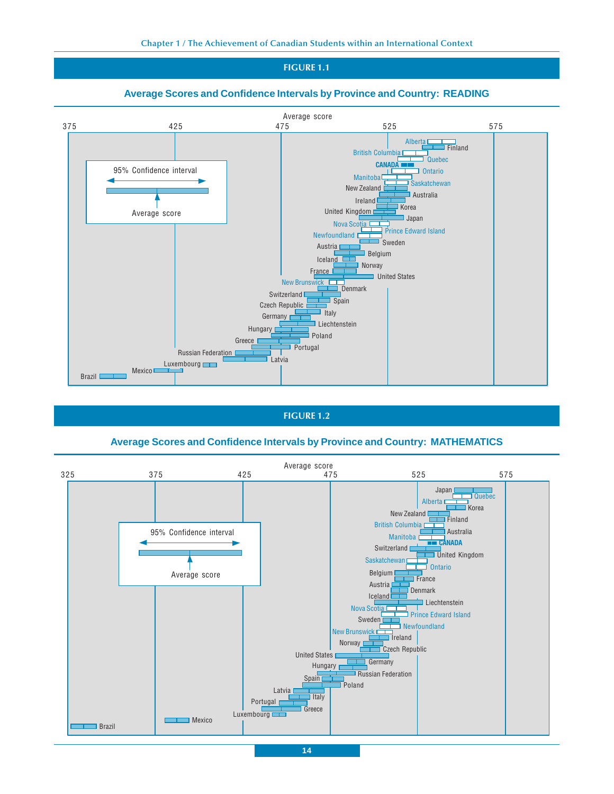#### **Chapter 1 / The Achievement of Canadian Students within an International Context**

## **FIGURE 1.1**



### **Average Scores and Confidence Intervals by Province and Country: READING**

**FIGURE 1.2**

### **Average Scores and Confidence Intervals by Province and Country: MATHEMATICS**



**14**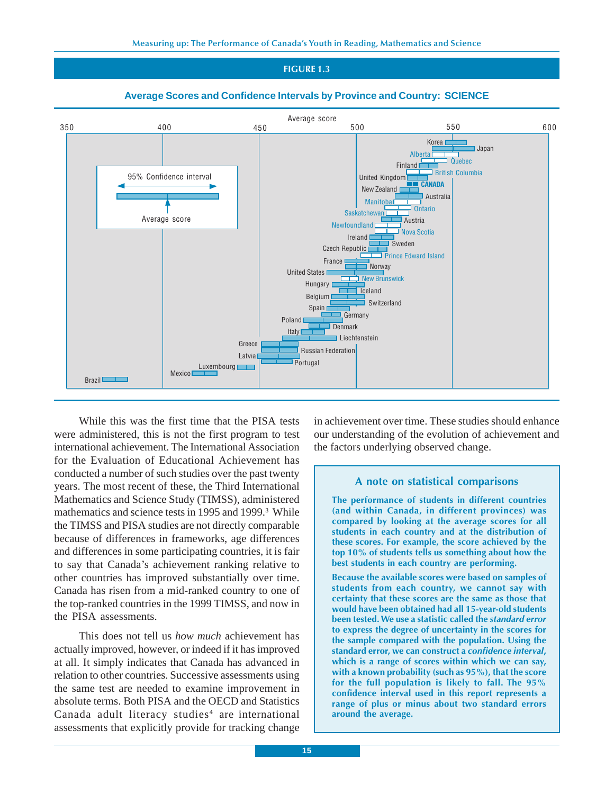#### **FIGURE 1.3**



**Average Scores and Confidence Intervals by Province and Country: SCIENCE**

While this was the first time that the PISA tests were administered, this is not the first program to test international achievement. The International Association for the Evaluation of Educational Achievement has conducted a number of such studies over the past twenty years. The most recent of these, the Third International Mathematics and Science Study (TIMSS), administered mathematics and science tests in 1995 and 1999.<sup>3</sup> While the TIMSS and PISA studies are not directly comparable because of differences in frameworks, age differences and differences in some participating countries, it is fair to say that Canada's achievement ranking relative to other countries has improved substantially over time. Canada has risen from a mid-ranked country to one of the top-ranked countries in the 1999 TIMSS, and now in the PISA assessments.

This does not tell us *how much* achievement has actually improved, however, or indeed if it has improved at all. It simply indicates that Canada has advanced in relation to other countries. Successive assessments using the same test are needed to examine improvement in absolute terms. Both PISA and the OECD and Statistics Canada adult literacy studies $4$  are international assessments that explicitly provide for tracking change in achievement over time. These studies should enhance our understanding of the evolution of achievement and the factors underlying observed change.

#### **A note on statistical comparisons**

**The performance of students in different countries (and within Canada, in different provinces) was compared by looking at the average scores for all students in each country and at the distribution of these scores. For example, the score achieved by the top 10% of students tells us something about how the best students in each country are performing.**

**Because the available scores were based on samples of students from each country, we cannot say with certainty that these scores are the same as those that would have been obtained had all 15-year-old students been tested. We use a statistic called the** *standard error* **to express the degree of uncertainty in the scores for the sample compared with the population. Using the standard error, we can construct a** *confidence interval***, which is a range of scores within which we can say, with a known probability (such as 95%), that the score for the full population is likely to fall. The 95% confidence interval used in this report represents a range of plus or minus about two standard errors around the average.**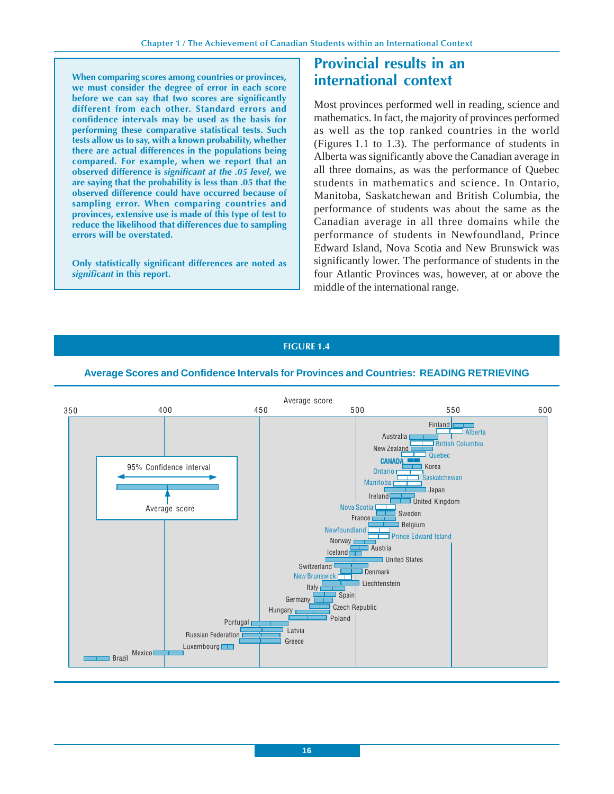**When comparing scores among countries or provinces, we must consider the degree of error in each score before we can say that two scores are significantly different from each other. Standard errors and confidence intervals may be used as the basis for performing these comparative statistical tests. Such tests allow us to say, with a known probability, whether there are actual differences in the populations being compared. For example, when we report that an observed difference is** *significant at the .05 level***, we are saying that the probability is less than .05 that the observed difference could have occurred because of sampling error. When comparing countries and provinces, extensive use is made of this type of test to reduce the likelihood that differences due to sampling errors will be overstated.**

**Only statistically significant differences are noted as** *significant* **in this report.**

# **Provincial results in an international context**

Most provinces performed well in reading, science and mathematics. In fact, the majority of provinces performed as well as the top ranked countries in the world (Figures 1.1 to 1.3). The performance of students in Alberta was significantly above the Canadian average in all three domains, as was the performance of Quebec students in mathematics and science. In Ontario, Manitoba, Saskatchewan and British Columbia, the performance of students was about the same as the Canadian average in all three domains while the performance of students in Newfoundland, Prince Edward Island, Nova Scotia and New Brunswick was significantly lower. The performance of students in the four Atlantic Provinces was, however, at or above the middle of the international range.

**FIGURE 1.4**

## **Average Scores and Confidence Intervals for Provinces and Countries: READING RETRIEVING**

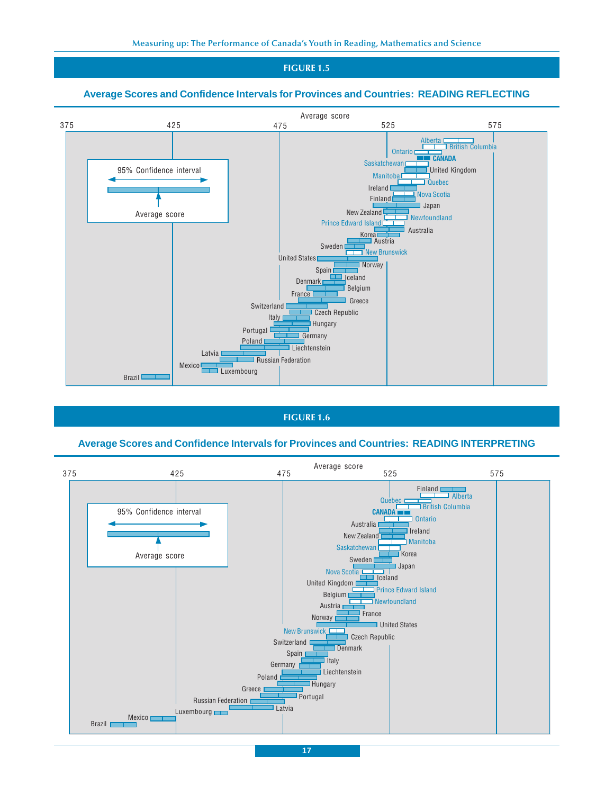**FIGURE 1.5**

### **Average Scores and Confidence Intervals for Provinces and Countries: READING REFLECTING**



**FIGURE 1.6**

## **Average Scores and Confidence Intervals for Provinces and Countries: READING INTERPRETING**

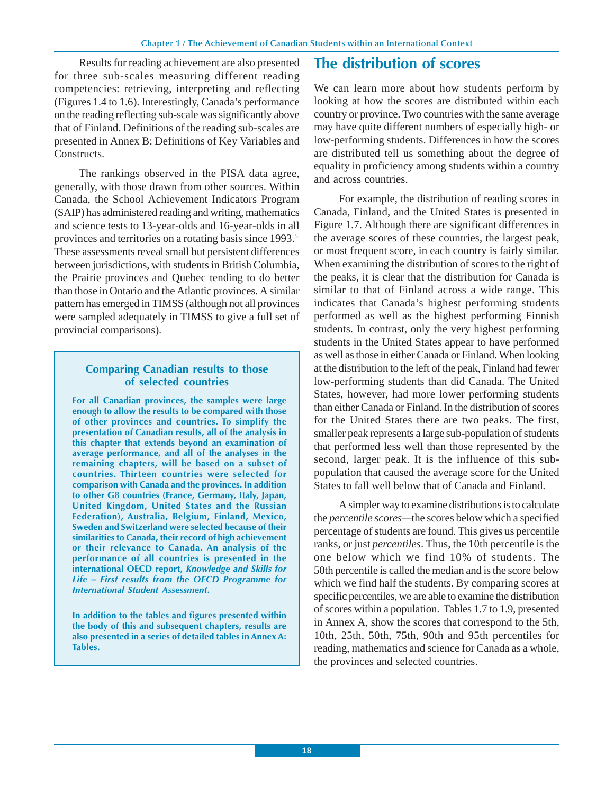Results for reading achievement are also presented for three sub-scales measuring different reading competencies: retrieving, interpreting and reflecting (Figures 1.4 to 1.6). Interestingly, Canada's performance on the reading reflecting sub-scale was significantly above that of Finland. Definitions of the reading sub-scales are presented in Annex B: Definitions of Key Variables and Constructs.

The rankings observed in the PISA data agree, generally, with those drawn from other sources. Within Canada, the School Achievement Indicators Program (SAIP) has administered reading and writing, mathematics and science tests to 13-year-olds and 16-year-olds in all provinces and territories on a rotating basis since 1993.<sup>5</sup> These assessments reveal small but persistent differences between jurisdictions, with students in British Columbia, the Prairie provinces and Quebec tending to do better than those in Ontario and the Atlantic provinces. A similar pattern has emerged in TIMSS (although not all provinces were sampled adequately in TIMSS to give a full set of provincial comparisons).

## **Comparing Canadian results to those of selected countries**

**For all Canadian provinces, the samples were large enough to allow the results to be compared with those of other provinces and countries. To simplify the presentation of Canadian results, all of the analysis in this chapter that extends beyond an examination of average performance, and all of the analyses in the remaining chapters, will be based on a subset of countries. Thirteen countries were selected for comparison with Canada and the provinces. In addition to other G8 countries (France, Germany, Italy, Japan, United Kingdom, United States and the Russian Federation), Australia, Belgium, Finland, Mexico, Sweden and Switzerland were selected because of their similarities to Canada, their record of high achievement or their relevance to Canada. An analysis of the performance of all countries is presented in the international OECD report,** *Knowledge and Skills for Life – First results from the OECD Programme for International Student Assessment***.**

**In addition to the tables and figures presented within the body of this and subsequent chapters, results are also presented in a series of detailed tables in Annex A: Tables.**

## **The distribution of scores**

We can learn more about how students perform by looking at how the scores are distributed within each country or province. Two countries with the same average may have quite different numbers of especially high- or low-performing students. Differences in how the scores are distributed tell us something about the degree of equality in proficiency among students within a country and across countries.

For example, the distribution of reading scores in Canada, Finland, and the United States is presented in Figure 1.7. Although there are significant differences in the average scores of these countries, the largest peak, or most frequent score, in each country is fairly similar. When examining the distribution of scores to the right of the peaks, it is clear that the distribution for Canada is similar to that of Finland across a wide range. This indicates that Canada's highest performing students performed as well as the highest performing Finnish students. In contrast, only the very highest performing students in the United States appear to have performed as well as those in either Canada or Finland. When looking at the distribution to the left of the peak, Finland had fewer low-performing students than did Canada. The United States, however, had more lower performing students than either Canada or Finland. In the distribution of scores for the United States there are two peaks. The first, smaller peak represents a large sub-population of students that performed less well than those represented by the second, larger peak. It is the influence of this subpopulation that caused the average score for the United States to fall well below that of Canada and Finland.

A simpler way to examine distributions is to calculate the *percentile scores—*the scores below which a specified percentage of students are found. This gives us percentile ranks, or just *percentiles*. Thus, the 10th percentile is the one below which we find 10% of students. The 50th percentile is called the median and is the score below which we find half the students. By comparing scores at specific percentiles, we are able to examine the distribution of scores within a population. Tables 1.7 to 1.9, presented in Annex A, show the scores that correspond to the 5th, 10th, 25th, 50th, 75th, 90th and 95th percentiles for reading, mathematics and science for Canada as a whole, the provinces and selected countries.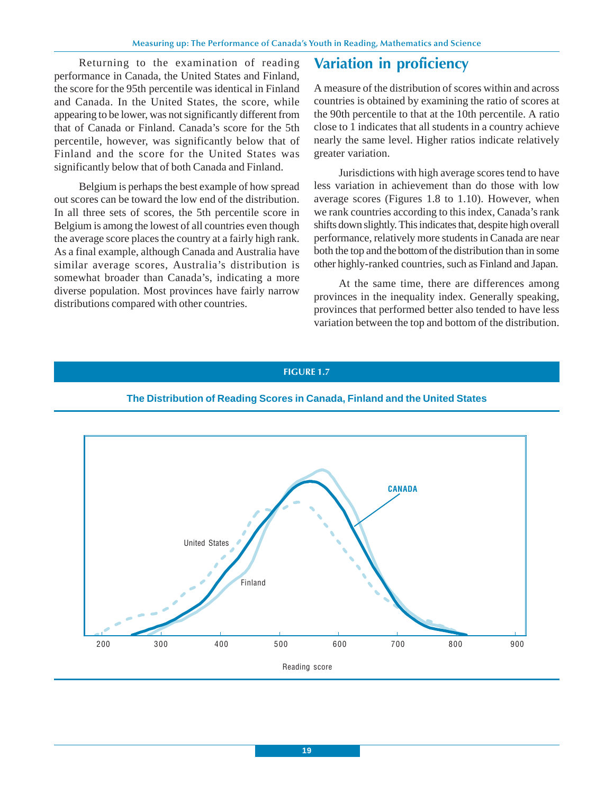Returning to the examination of reading performance in Canada, the United States and Finland, the score for the 95th percentile was identical in Finland and Canada. In the United States, the score, while appearing to be lower, was not significantly different from that of Canada or Finland. Canada's score for the 5th percentile, however, was significantly below that of Finland and the score for the United States was significantly below that of both Canada and Finland.

Belgium is perhaps the best example of how spread out scores can be toward the low end of the distribution. In all three sets of scores, the 5th percentile score in Belgium is among the lowest of all countries even though the average score places the country at a fairly high rank. As a final example, although Canada and Australia have similar average scores, Australia's distribution is somewhat broader than Canada's, indicating a more diverse population. Most provinces have fairly narrow distributions compared with other countries.

## **Variation in proficiency**

A measure of the distribution of scores within and across countries is obtained by examining the ratio of scores at the 90th percentile to that at the 10th percentile. A ratio close to 1 indicates that all students in a country achieve nearly the same level. Higher ratios indicate relatively greater variation.

Jurisdictions with high average scores tend to have less variation in achievement than do those with low average scores (Figures 1.8 to 1.10). However, when we rank countries according to this index, Canada's rank shifts down slightly. This indicates that, despite high overall performance, relatively more students in Canada are near both the top and the bottom of the distribution than in some other highly-ranked countries, such as Finland and Japan.

At the same time, there are differences among provinces in the inequality index. Generally speaking, provinces that performed better also tended to have less variation between the top and bottom of the distribution.





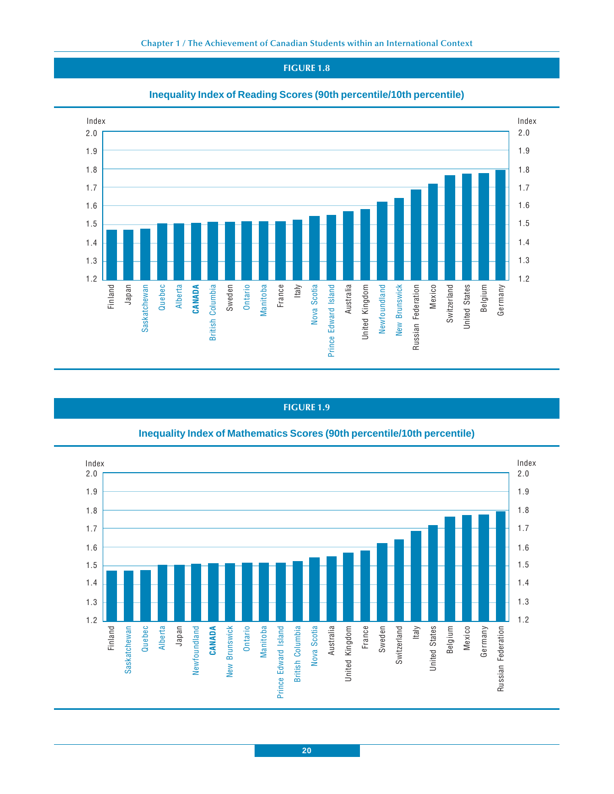## **FIGURE 1.8**

## **Inequality Index of Reading Scores (90th percentile/10th percentile)**



**FIGURE 1.9**



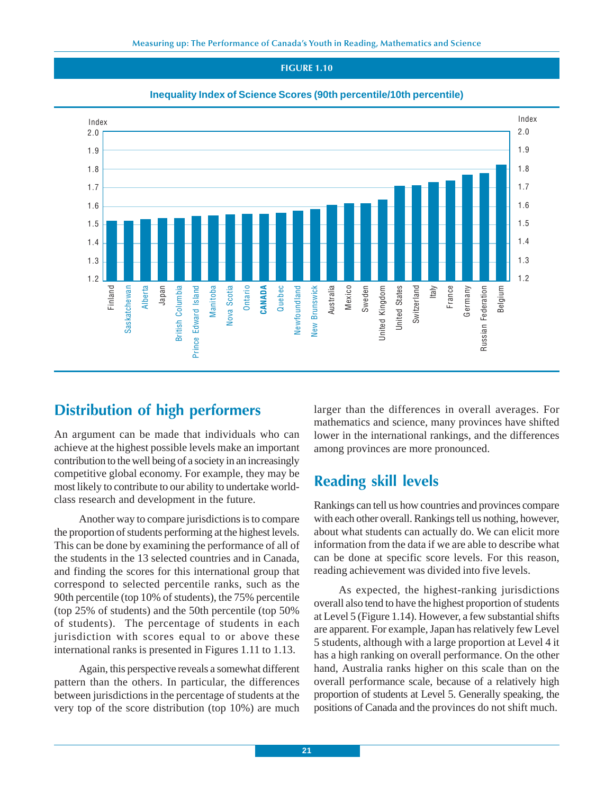#### **FIGURE 1.10**



### **Inequality Index of Science Scores (90th percentile/10th percentile)**

## **Distribution of high performers**

An argument can be made that individuals who can achieve at the highest possible levels make an important contribution to the well being of a society in an increasingly competitive global economy. For example, they may be most likely to contribute to our ability to undertake worldclass research and development in the future.

Another way to compare jurisdictions is to compare the proportion of students performing at the highest levels. This can be done by examining the performance of all of the students in the 13 selected countries and in Canada, and finding the scores for this international group that correspond to selected percentile ranks, such as the 90th percentile (top 10% of students), the 75% percentile (top 25% of students) and the 50th percentile (top 50% of students). The percentage of students in each jurisdiction with scores equal to or above these international ranks is presented in Figures 1.11 to 1.13.

Again, this perspective reveals a somewhat different pattern than the others. In particular, the differences between jurisdictions in the percentage of students at the very top of the score distribution (top 10%) are much larger than the differences in overall averages. For mathematics and science, many provinces have shifted lower in the international rankings, and the differences among provinces are more pronounced.

# **Reading skill levels**

Rankings can tell us how countries and provinces compare with each other overall. Rankings tell us nothing, however, about what students can actually do. We can elicit more information from the data if we are able to describe what can be done at specific score levels. For this reason, reading achievement was divided into five levels.

As expected, the highest-ranking jurisdictions overall also tend to have the highest proportion of students at Level 5 (Figure 1.14). However, a few substantial shifts are apparent. For example, Japan has relatively few Level 5 students, although with a large proportion at Level 4 it has a high ranking on overall performance. On the other hand, Australia ranks higher on this scale than on the overall performance scale, because of a relatively high proportion of students at Level 5. Generally speaking, the positions of Canada and the provinces do not shift much.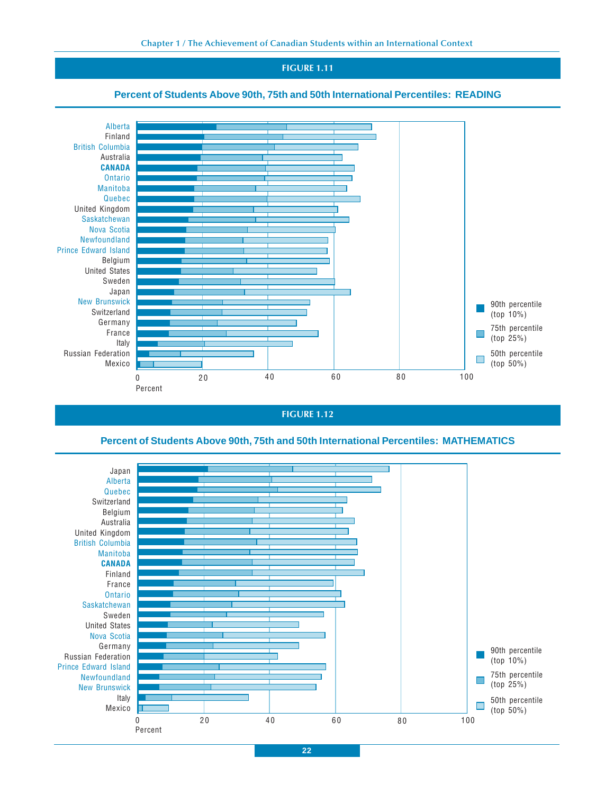#### **Chapter 1 / The Achievement of Canadian Students within an International Context**



**FIGURE 1.12**

## **Percent of Students Above 90th, 75th and 50th International Percentiles: MATHEMATICS**



### **FIGURE 1.11**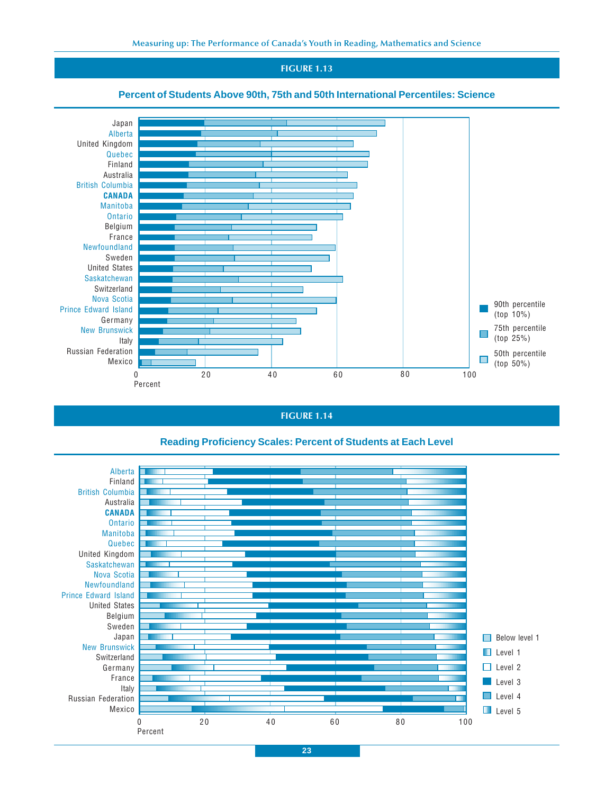

**FIGURE 1.13**

**FIGURE 1.14**



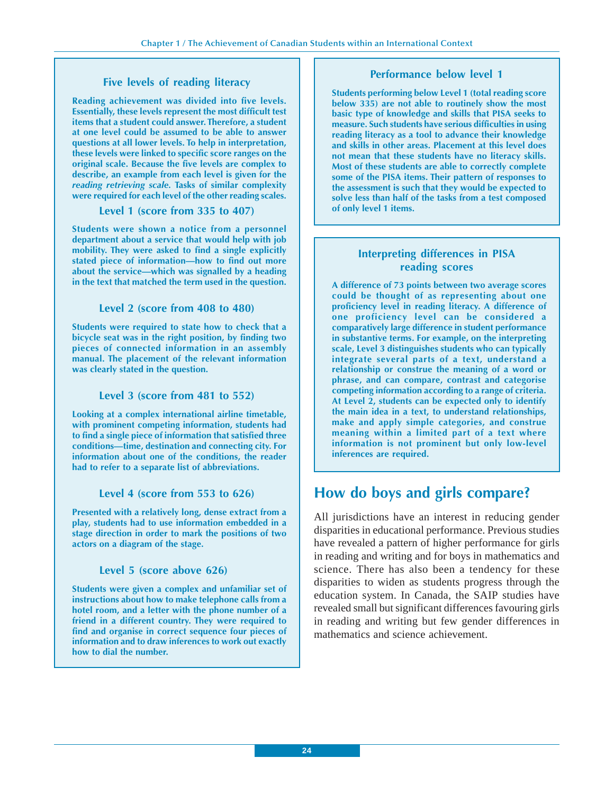## **Five levels of reading literacy**

**Reading achievement was divided into five levels. Essentially, these levels represent the most difficult test items that a student could answer. Therefore, a student at one level could be assumed to be able to answer questions at all lower levels. To help in interpretation, these levels were linked to specific score ranges on the original scale. Because the five levels are complex to describe, an example from each level is given for the** *reading retrieving scale.* **Tasks of similar complexity were required for each level of the other reading scales.**

## **Level 1 (score from 335 to 407)**

**Students were shown a notice from a personnel department about a service that would help with job mobility. They were asked to find a single explicitly stated piece of information—how to find out more about the service—which was signalled by a heading in the text that matched the term used in the question.**

## **Level 2 (score from 408 to 480)**

**Students were required to state how to check that a bicycle seat was in the right position, by finding two pieces of connected information in an assembly manual. The placement of the relevant information was clearly stated in the question.**

## **Level 3 (score from 481 to 552)**

**Looking at a complex international airline timetable, with prominent competing information, students had to find a single piece of information that satisfied three conditions—time, destination and connecting city. For information about one of the conditions, the reader had to refer to a separate list of abbreviations.**

## **Level 4 (score from 553 to 626)**

**Presented with a relatively long, dense extract from a play, students had to use information embedded in a stage direction in order to mark the positions of two actors on a diagram of the stage.**

## **Level 5 (score above 626)**

**Students were given a complex and unfamiliar set of instructions about how to make telephone calls from a hotel room, and a letter with the phone number of a friend in a different country. They were required to find and organise in correct sequence four pieces of information and to draw inferences to work out exactly how to dial the number.**

## **Performance below level 1**

**Students performing below Level 1 (total reading score below 335) are not able to routinely show the most basic type of knowledge and skills that PISA seeks to measure. Such students have serious difficulties in using reading literacy as a tool to advance their knowledge and skills in other areas. Placement at this level does not mean that these students have no literacy skills. Most of these students are able to correctly complete some of the PISA items. Their pattern of responses to the assessment is such that they would be expected to solve less than half of the tasks from a test composed of only level 1 items.**

## **Interpreting differences in PISA reading scores**

**A difference of 73 points between two average scores could be thought of as representing about one proficiency level in reading literacy. A difference of one proficiency level can be considered a comparatively large difference in student performance in substantive terms. For example, on the interpreting scale, Level 3 distinguishes students who can typically integrate several parts of a text, understand a relationship or construe the meaning of a word or phrase, and can compare, contrast and categorise competing information according to a range of criteria. At Level 2, students can be expected only to identify the main idea in a text, to understand relationships, make and apply simple categories, and construe meaning within a limited part of a text where information is not prominent but only low-level inferences are required.**

# **How do boys and girls compare?**

All jurisdictions have an interest in reducing gender disparities in educational performance. Previous studies have revealed a pattern of higher performance for girls in reading and writing and for boys in mathematics and science. There has also been a tendency for these disparities to widen as students progress through the education system. In Canada, the SAIP studies have revealed small but significant differences favouring girls in reading and writing but few gender differences in mathematics and science achievement.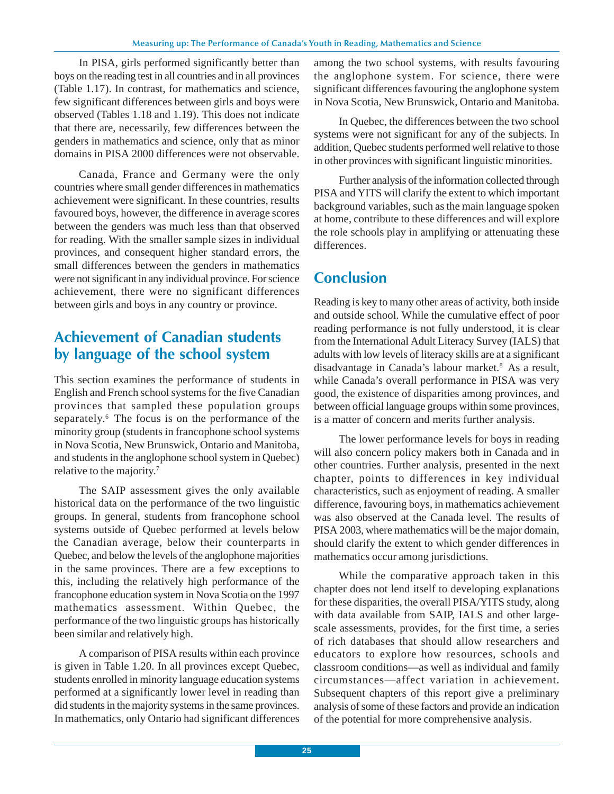In PISA, girls performed significantly better than boys on the reading test in all countries and in all provinces (Table 1.17). In contrast, for mathematics and science, few significant differences between girls and boys were observed (Tables 1.18 and 1.19). This does not indicate that there are, necessarily, few differences between the genders in mathematics and science, only that as minor domains in PISA 2000 differences were not observable.

Canada, France and Germany were the only countries where small gender differences in mathematics achievement were significant. In these countries, results favoured boys, however, the difference in average scores between the genders was much less than that observed for reading. With the smaller sample sizes in individual provinces, and consequent higher standard errors, the small differences between the genders in mathematics were not significant in any individual province. For science achievement, there were no significant differences between girls and boys in any country or province.

# **Achievement of Canadian students by language of the school system**

This section examines the performance of students in English and French school systems for the five Canadian provinces that sampled these population groups separately.<sup>6</sup> The focus is on the performance of the minority group (students in francophone school systems in Nova Scotia, New Brunswick, Ontario and Manitoba, and students in the anglophone school system in Quebec) relative to the majority.7

The SAIP assessment gives the only available historical data on the performance of the two linguistic groups. In general, students from francophone school systems outside of Quebec performed at levels below the Canadian average, below their counterparts in Quebec, and below the levels of the anglophone majorities in the same provinces. There are a few exceptions to this, including the relatively high performance of the francophone education system in Nova Scotia on the 1997 mathematics assessment. Within Quebec, the performance of the two linguistic groups has historically been similar and relatively high.

A comparison of PISA results within each province is given in Table 1.20. In all provinces except Quebec, students enrolled in minority language education systems performed at a significantly lower level in reading than did students in the majority systems in the same provinces. In mathematics, only Ontario had significant differences

among the two school systems, with results favouring the anglophone system. For science, there were significant differences favouring the anglophone system in Nova Scotia, New Brunswick, Ontario and Manitoba.

In Quebec, the differences between the two school systems were not significant for any of the subjects. In addition, Quebec students performed well relative to those in other provinces with significant linguistic minorities.

Further analysis of the information collected through PISA and YITS will clarify the extent to which important background variables, such as the main language spoken at home, contribute to these differences and will explore the role schools play in amplifying or attenuating these differences.

# **Conclusion**

Reading is key to many other areas of activity, both inside and outside school. While the cumulative effect of poor reading performance is not fully understood, it is clear from the International Adult Literacy Survey (IALS) that adults with low levels of literacy skills are at a significant disadvantage in Canada's labour market.<sup>8</sup> As a result, while Canada's overall performance in PISA was very good, the existence of disparities among provinces, and between official language groups within some provinces, is a matter of concern and merits further analysis.

The lower performance levels for boys in reading will also concern policy makers both in Canada and in other countries. Further analysis, presented in the next chapter, points to differences in key individual characteristics, such as enjoyment of reading. A smaller difference, favouring boys, in mathematics achievement was also observed at the Canada level. The results of PISA 2003, where mathematics will be the major domain, should clarify the extent to which gender differences in mathematics occur among jurisdictions.

While the comparative approach taken in this chapter does not lend itself to developing explanations for these disparities, the overall PISA/YITS study, along with data available from SAIP, IALS and other largescale assessments, provides, for the first time, a series of rich databases that should allow researchers and educators to explore how resources, schools and classroom conditions—as well as individual and family circumstances—affect variation in achievement. Subsequent chapters of this report give a preliminary analysis of some of these factors and provide an indication of the potential for more comprehensive analysis.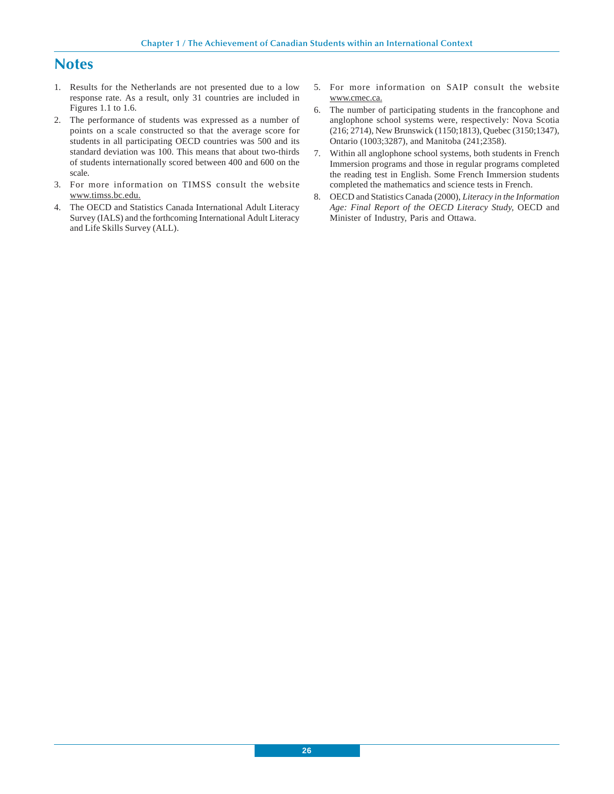## **Notes**

- 1. Results for the Netherlands are not presented due to a low response rate. As a result, only 31 countries are included in Figures 1.1 to 1.6.
- 2. The performance of students was expressed as a number of points on a scale constructed so that the average score for students in all participating OECD countries was 500 and its standard deviation was 100. This means that about two-thirds of students internationally scored between 400 and 600 on the scale.
- 3. For more information on TIMSS consult the website www.timss.bc.edu.
- 4. The OECD and Statistics Canada International Adult Literacy Survey (IALS) and the forthcoming International Adult Literacy and Life Skills Survey (ALL).
- 5. For more information on SAIP consult the website www.cmec.ca.
- 6. The number of participating students in the francophone and anglophone school systems were, respectively: Nova Scotia (216; 2714), New Brunswick (1150;1813), Quebec (3150;1347), Ontario (1003;3287), and Manitoba (241;2358).
- 7. Within all anglophone school systems, both students in French Immersion programs and those in regular programs completed the reading test in English. Some French Immersion students completed the mathematics and science tests in French.
- 8. OECD and Statistics Canada (2000), *Literacy in the Information Age: Final Report of the OECD Literacy Study,* OECD and Minister of Industry, Paris and Ottawa.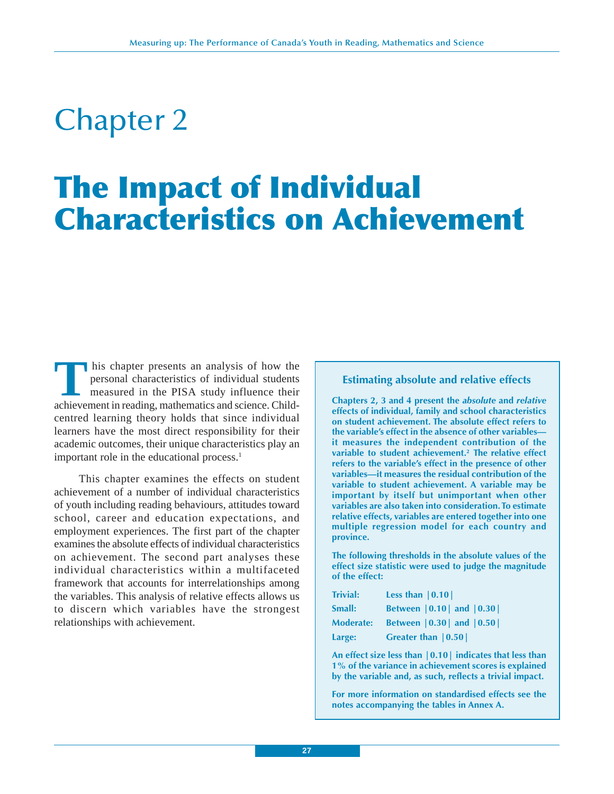# Chapter 2

# **The Impact of Individual Characteristics on Achievement**

**T** his chapter presents an analysis of how the personal characteristics of individual students measured in the PISA study influence their achievement in reading mathematics and science Childpersonal characteristics of individual students measured in the PISA study influence their achievement in reading, mathematics and science. Childcentred learning theory holds that since individual learners have the most direct responsibility for their academic outcomes, their unique characteristics play an important role in the educational process.<sup>1</sup>

This chapter examines the effects on student achievement of a number of individual characteristics of youth including reading behaviours, attitudes toward school, career and education expectations, and employment experiences. The first part of the chapter examines the absolute effects of individual characteristics on achievement. The second part analyses these individual characteristics within a multifaceted framework that accounts for interrelationships among the variables. This analysis of relative effects allows us to discern which variables have the strongest relationships with achievement.

## **Estimating absolute and relative effects**

**Chapters 2, 3 and 4 present the** *absolute* **and** *relative* **effects of individual, family and school characteristics on student achievement. The absolute effect refers to the variable's effect in the absence of other variables it measures the independent contribution of the variable to student achievement.2 The relative effect refers to the variable's effect in the presence of other variables—it measures the residual contribution of the variable to student achievement. A variable may be important by itself but unimportant when other variables are also taken into consideration. To estimate relative effects, variables are entered together into one multiple regression model for each country and province.**

**The following thresholds in the absolute values of the effect size statistic were used to judge the magnitude of the effect:**

| Trivial:         | Less than $ 0.10 $            |
|------------------|-------------------------------|
| Small:           | Between $ 0.10 $ and $ 0.30 $ |
| <b>Moderate:</b> | Between $ 0.30 $ and $ 0.50 $ |
| Large:           | Greater than   0.50           |

**An effect size less than |0.10| indicates that less than 1% of the variance in achievement scores is explained by the variable and, as such, reflects a trivial impact.**

**For more information on standardised effects see the notes accompanying the tables in Annex A.**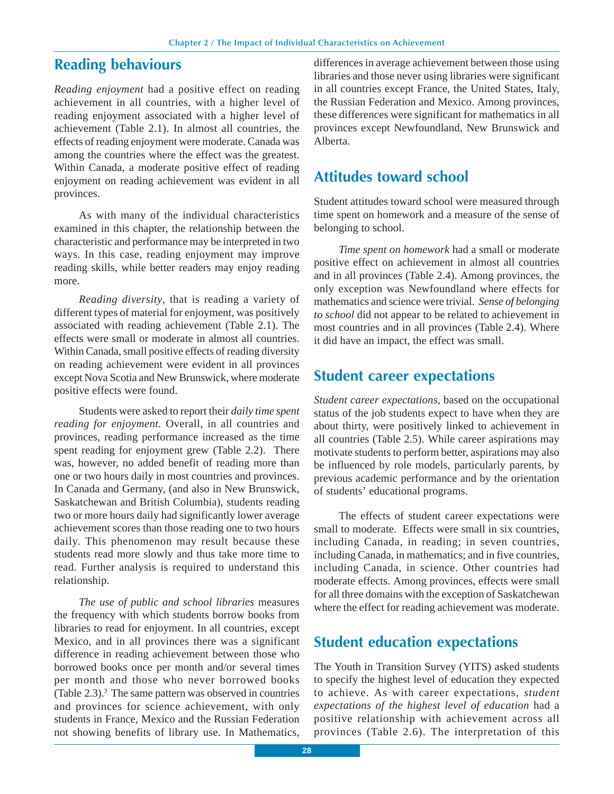# **Reading behaviours**

*Reading enjoyment* had a positive effect on reading achievement in all countries, with a higher level of reading enjoyment associated with a higher level of achievement (Table 2.1). In almost all countries, the effects of reading enjoyment were moderate. Canada was among the countries where the effect was the greatest. Within Canada, a moderate positive effect of reading enjoyment on reading achievement was evident in all provinces.

As with many of the individual characteristics examined in this chapter, the relationship between the characteristic and performance may be interpreted in two ways. In this case, reading enjoyment may improve reading skills, while better readers may enjoy reading more.

*Reading diversity*, that is reading a variety of different types of material for enjoyment, was positively associated with reading achievement (Table 2.1). The effects were small or moderate in almost all countries. Within Canada, small positive effects of reading diversity on reading achievement were evident in all provinces except Nova Scotia and New Brunswick, where moderate positive effects were found.

Students were asked to report their *daily time spent reading for enjoyment.* Overall, in all countries and provinces, reading performance increased as the time spent reading for enjoyment grew (Table 2.2). There was, however, no added benefit of reading more than one or two hours daily in most countries and provinces. In Canada and Germany, (and also in New Brunswick, Saskatchewan and British Columbia), students reading two or more hours daily had significantly lower average achievement scores than those reading one to two hours daily. This phenomenon may result because these students read more slowly and thus take more time to read. Further analysis is required to understand this relationship.

*The use of public and school libraries* measures the frequency with which students borrow books from libraries to read for enjoyment. In all countries, except Mexico, and in all provinces there was a significant difference in reading achievement between those who borrowed books once per month and/or several times per month and those who never borrowed books (Table  $2.3$ ).<sup>3</sup> The same pattern was observed in countries and provinces for science achievement, with only students in France, Mexico and the Russian Federation not showing benefits of library use. In Mathematics,

differences in average achievement between those using libraries and those never using libraries were significant in all countries except France, the United States, Italy, the Russian Federation and Mexico. Among provinces, these differences were significant for mathematics in all provinces except Newfoundland, New Brunswick and Alberta.

# **Attitudes toward school**

Student attitudes toward school were measured through time spent on homework and a measure of the sense of belonging to school.

*Time spent on homework* had a small or moderate positive effect on achievement in almost all countries and in all provinces (Table 2.4). Among provinces, the only exception was Newfoundland where effects for mathematics and science were trivial. *Sense of belonging to school* did not appear to be related to achievement in most countries and in all provinces (Table 2.4). Where it did have an impact, the effect was small.

# **Student career expectations**

*Student career expectations*, based on the occupational status of the job students expect to have when they are about thirty, were positively linked to achievement in all countries (Table 2.5). While career aspirations may motivate students to perform better, aspirations may also be influenced by role models, particularly parents, by previous academic performance and by the orientation of students' educational programs.

The effects of student career expectations were small to moderate. Effects were small in six countries, including Canada, in reading; in seven countries, including Canada, in mathematics; and in five countries, including Canada, in science. Other countries had moderate effects. Among provinces, effects were small for all three domains with the exception of Saskatchewan where the effect for reading achievement was moderate.

# **Student education expectations**

The Youth in Transition Survey (YITS) asked students to specify the highest level of education they expected to achieve. As with career expectations*, student expectations of the highest level of education* had a positive relationship with achievement across all provinces (Table 2.6). The interpretation of this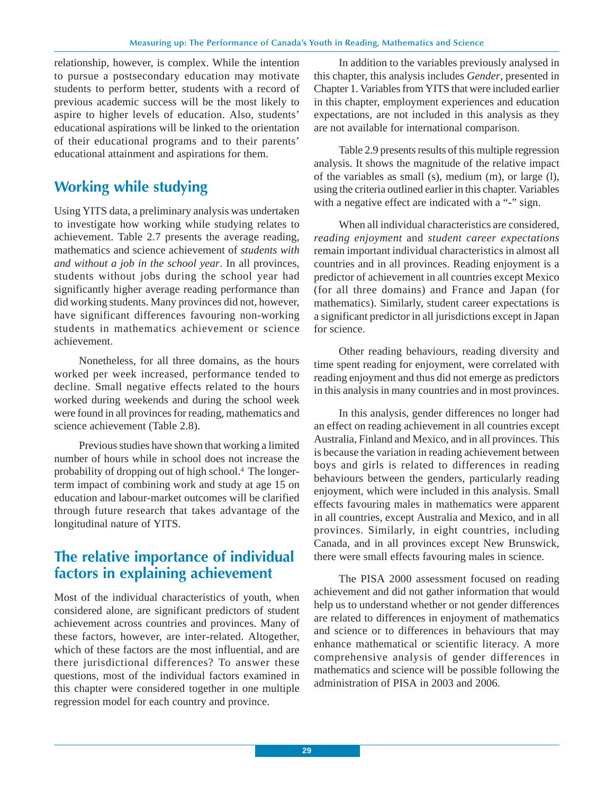relationship, however, is complex. While the intention to pursue a postsecondary education may motivate students to perform better, students with a record of previous academic success will be the most likely to aspire to higher levels of education. Also, students' educational aspirations will be linked to the orientation of their educational programs and to their parents' educational attainment and aspirations for them.

# **Working while studying**

Using YITS data, a preliminary analysis was undertaken to investigate how working while studying relates to achievement. Table 2.7 presents the average reading, mathematics and science achievement of *students with and without a job in the school year*. In all provinces, students without jobs during the school year had significantly higher average reading performance than did working students. Many provinces did not, however, have significant differences favouring non-working students in mathematics achievement or science achievement.

Nonetheless, for all three domains, as the hours worked per week increased, performance tended to decline. Small negative effects related to the hours worked during weekends and during the school week were found in all provinces for reading, mathematics and science achievement (Table 2.8).

Previous studies have shown that working a limited number of hours while in school does not increase the probability of dropping out of high school.4 The longerterm impact of combining work and study at age 15 on education and labour-market outcomes will be clarified through future research that takes advantage of the longitudinal nature of YITS.

# **The relative importance of individual factors in explaining achievement**

Most of the individual characteristics of youth, when considered alone, are significant predictors of student achievement across countries and provinces. Many of these factors, however, are inter-related. Altogether, which of these factors are the most influential, and are there jurisdictional differences? To answer these questions, most of the individual factors examined in this chapter were considered together in one multiple regression model for each country and province.

In addition to the variables previously analysed in this chapter, this analysis includes *Gender*, presented in Chapter 1. Variables from YITS that were included earlier in this chapter, employment experiences and education expectations, are not included in this analysis as they are not available for international comparison.

Table 2.9 presents results of this multiple regression analysis. It shows the magnitude of the relative impact of the variables as small (s), medium (m), or large (l), using the criteria outlined earlier in this chapter. Variables with a negative effect are indicated with a "-" sign.

When all individual characteristics are considered, *reading enjoyment* and *student career expectations* remain important individual characteristics in almost all countries and in all provinces. Reading enjoyment is a predictor of achievement in all countries except Mexico (for all three domains) and France and Japan (for mathematics). Similarly, student career expectations is a significant predictor in all jurisdictions except in Japan for science.

Other reading behaviours, reading diversity and time spent reading for enjoyment, were correlated with reading enjoyment and thus did not emerge as predictors in this analysis in many countries and in most provinces.

In this analysis, gender differences no longer had an effect on reading achievement in all countries except Australia, Finland and Mexico, and in all provinces. This is because the variation in reading achievement between boys and girls is related to differences in reading behaviours between the genders, particularly reading enjoyment, which were included in this analysis. Small effects favouring males in mathematics were apparent in all countries, except Australia and Mexico, and in all provinces. Similarly, in eight countries, including Canada, and in all provinces except New Brunswick, there were small effects favouring males in science.

The PISA 2000 assessment focused on reading achievement and did not gather information that would help us to understand whether or not gender differences are related to differences in enjoyment of mathematics and science or to differences in behaviours that may enhance mathematical or scientific literacy. A more comprehensive analysis of gender differences in mathematics and science will be possible following the administration of PISA in 2003 and 2006.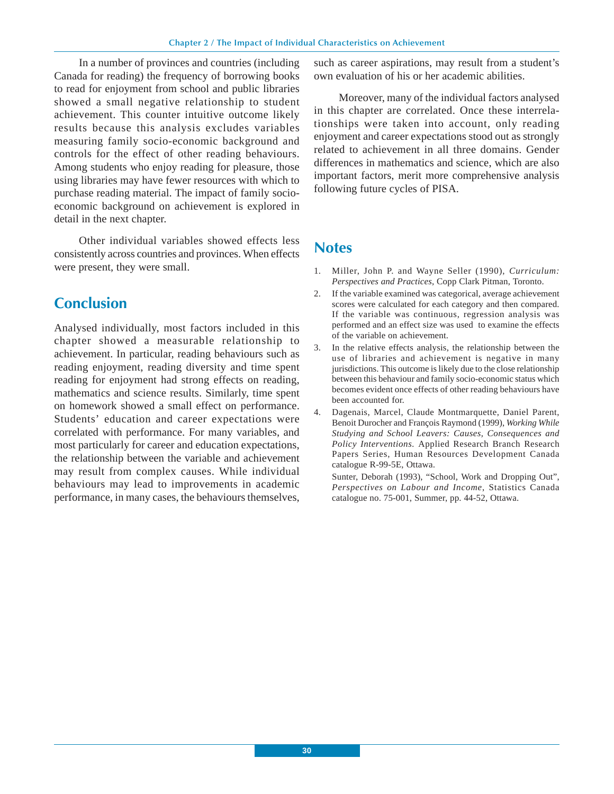In a number of provinces and countries (including Canada for reading) the frequency of borrowing books to read for enjoyment from school and public libraries showed a small negative relationship to student achievement. This counter intuitive outcome likely results because this analysis excludes variables measuring family socio-economic background and controls for the effect of other reading behaviours. Among students who enjoy reading for pleasure, those using libraries may have fewer resources with which to purchase reading material. The impact of family socioeconomic background on achievement is explored in detail in the next chapter.

Other individual variables showed effects less consistently across countries and provinces. When effects were present, they were small.

# **Conclusion**

Analysed individually, most factors included in this chapter showed a measurable relationship to achievement. In particular, reading behaviours such as reading enjoyment, reading diversity and time spent reading for enjoyment had strong effects on reading, mathematics and science results. Similarly, time spent on homework showed a small effect on performance. Students' education and career expectations were correlated with performance. For many variables, and most particularly for career and education expectations, the relationship between the variable and achievement may result from complex causes. While individual behaviours may lead to improvements in academic performance, in many cases, the behaviours themselves, such as career aspirations, may result from a student's own evaluation of his or her academic abilities.

Moreover, many of the individual factors analysed in this chapter are correlated. Once these interrelationships were taken into account, only reading enjoyment and career expectations stood out as strongly related to achievement in all three domains. Gender differences in mathematics and science, which are also important factors, merit more comprehensive analysis following future cycles of PISA.

# **Notes**

- 1. Miller, John P. and Wayne Seller (1990), *Curriculum: Perspectives and Practices*, Copp Clark Pitman, Toronto.
- 2. If the variable examined was categorical, average achievement scores were calculated for each category and then compared. If the variable was continuous, regression analysis was performed and an effect size was used to examine the effects of the variable on achievement.
- 3. In the relative effects analysis, the relationship between the use of libraries and achievement is negative in many jurisdictions. This outcome is likely due to the close relationship between this behaviour and family socio-economic status which becomes evident once effects of other reading behaviours have been accounted for.
- 4. Dagenais, Marcel, Claude Montmarquette, Daniel Parent, Benoit Durocher and François Raymond (1999), *Working While Studying and School Leavers: Causes, Consequences and Policy Interventions.* Applied Research Branch Research Papers Series, Human Resources Development Canada catalogue R-99-5E, Ottawa.

Sunter, Deborah (1993), "School, Work and Dropping Out", *Perspectives on Labour and Income*, Statistics Canada catalogue no. 75-001, Summer, pp. 44-52, Ottawa.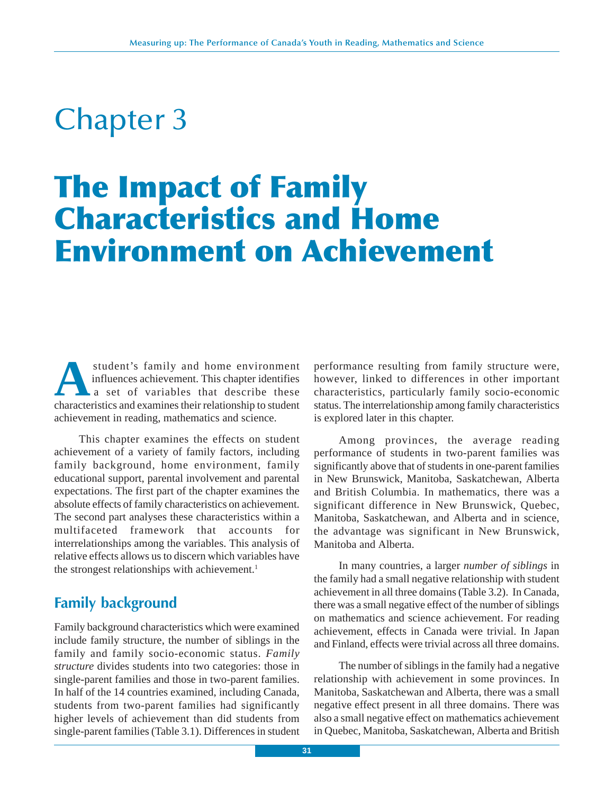# Chapter 3

# **The Impact of Family Characteristics and Home Environment on Achievement**

student's family and home environment<br>influences achievement. This chapter identifies<br>a set of variables that describe these<br>characteristics and examines their relationship to student influences achievement. This chapter identifies a set of variables that describe these characteristics and examines their relationship to student achievement in reading, mathematics and science.

This chapter examines the effects on student achievement of a variety of family factors, including family background, home environment, family educational support, parental involvement and parental expectations. The first part of the chapter examines the absolute effects of family characteristics on achievement. The second part analyses these characteristics within a multifaceted framework that accounts for interrelationships among the variables. This analysis of relative effects allows us to discern which variables have the strongest relationships with achievement.<sup>1</sup>

## **Family background**

Family background characteristics which were examined include family structure, the number of siblings in the family and family socio-economic status. *Family structure* divides students into two categories: those in single-parent families and those in two-parent families. In half of the 14 countries examined, including Canada, students from two-parent families had significantly higher levels of achievement than did students from single-parent families (Table 3.1). Differences in student performance resulting from family structure were, however, linked to differences in other important characteristics, particularly family socio-economic status. The interrelationship among family characteristics is explored later in this chapter.

Among provinces, the average reading performance of students in two-parent families was significantly above that of students in one-parent families in New Brunswick, Manitoba, Saskatchewan, Alberta and British Columbia. In mathematics, there was a significant difference in New Brunswick, Quebec, Manitoba, Saskatchewan, and Alberta and in science, the advantage was significant in New Brunswick, Manitoba and Alberta.

In many countries, a larger *number of siblings* in the family had a small negative relationship with student achievement in all three domains (Table 3.2). In Canada, there was a small negative effect of the number of siblings on mathematics and science achievement. For reading achievement, effects in Canada were trivial. In Japan and Finland, effects were trivial across all three domains.

The number of siblings in the family had a negative relationship with achievement in some provinces. In Manitoba, Saskatchewan and Alberta, there was a small negative effect present in all three domains. There was also a small negative effect on mathematics achievement in Quebec, Manitoba, Saskatchewan, Alberta and British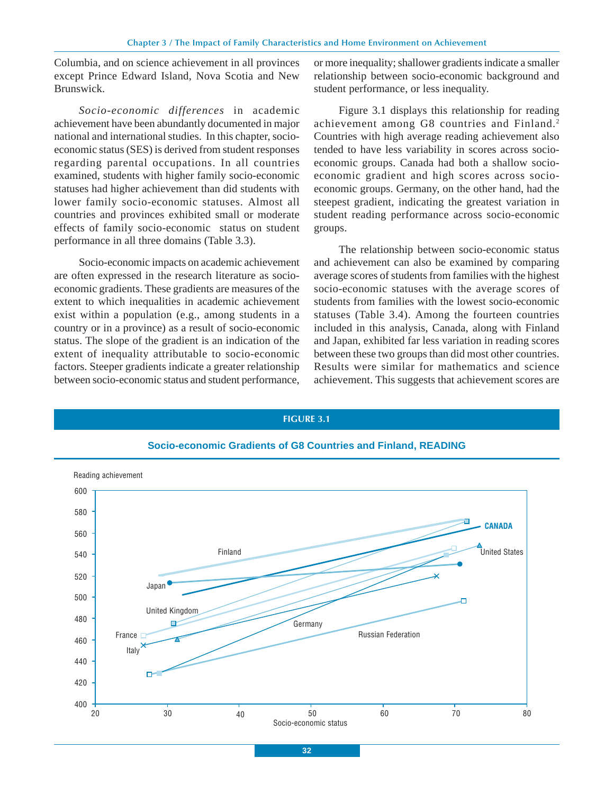Columbia, and on science achievement in all provinces except Prince Edward Island, Nova Scotia and New Brunswick.

*Socio-economic differences* in academic achievement have been abundantly documented in major national and international studies. In this chapter, socioeconomic status (SES) is derived from student responses regarding parental occupations. In all countries examined, students with higher family socio-economic statuses had higher achievement than did students with lower family socio-economic statuses. Almost all countries and provinces exhibited small or moderate effects of family socio-economic status on student performance in all three domains (Table 3.3).

Socio-economic impacts on academic achievement are often expressed in the research literature as socioeconomic gradients. These gradients are measures of the extent to which inequalities in academic achievement exist within a population (e.g., among students in a country or in a province) as a result of socio-economic status. The slope of the gradient is an indication of the extent of inequality attributable to socio-economic factors. Steeper gradients indicate a greater relationship between socio-economic status and student performance, or more inequality; shallower gradients indicate a smaller relationship between socio-economic background and student performance, or less inequality.

Figure 3.1 displays this relationship for reading achievement among G8 countries and Finland.2 Countries with high average reading achievement also tended to have less variability in scores across socioeconomic groups. Canada had both a shallow socioeconomic gradient and high scores across socioeconomic groups. Germany, on the other hand, had the steepest gradient, indicating the greatest variation in student reading performance across socio-economic groups.

The relationship between socio-economic status and achievement can also be examined by comparing average scores of students from families with the highest socio-economic statuses with the average scores of students from families with the lowest socio-economic statuses (Table 3.4). Among the fourteen countries included in this analysis, Canada, along with Finland and Japan, exhibited far less variation in reading scores between these two groups than did most other countries. Results were similar for mathematics and science achievement. This suggests that achievement scores are



**32**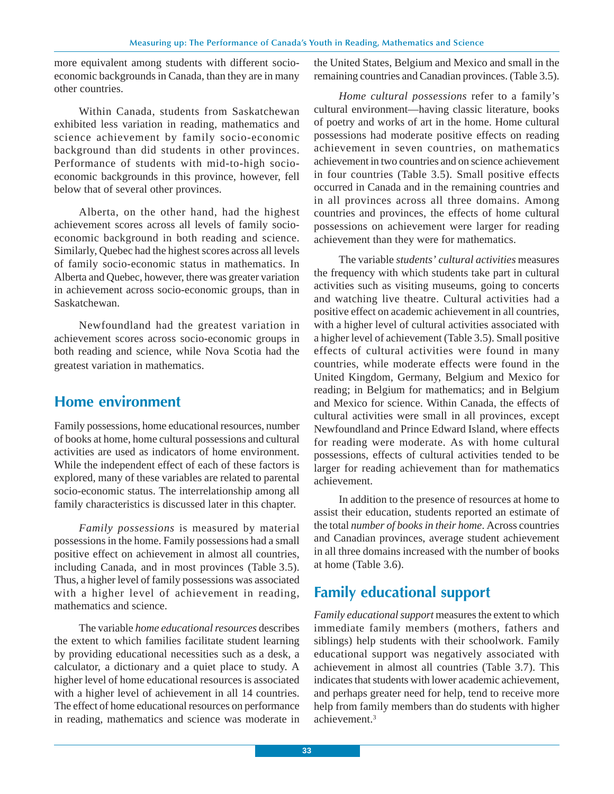more equivalent among students with different socioeconomic backgrounds in Canada, than they are in many other countries.

Within Canada, students from Saskatchewan exhibited less variation in reading, mathematics and science achievement by family socio-economic background than did students in other provinces. Performance of students with mid-to-high socioeconomic backgrounds in this province, however, fell below that of several other provinces.

Alberta, on the other hand, had the highest achievement scores across all levels of family socioeconomic background in both reading and science. Similarly, Quebec had the highest scores across all levels of family socio-economic status in mathematics. In Alberta and Quebec, however, there was greater variation in achievement across socio-economic groups, than in Saskatchewan.

Newfoundland had the greatest variation in achievement scores across socio-economic groups in both reading and science, while Nova Scotia had the greatest variation in mathematics.

## **Home environment**

Family possessions, home educational resources, number of books at home, home cultural possessions and cultural activities are used as indicators of home environment. While the independent effect of each of these factors is explored, many of these variables are related to parental socio-economic status. The interrelationship among all family characteristics is discussed later in this chapter.

*Family possessions* is measured by material possessions in the home. Family possessions had a small positive effect on achievement in almost all countries, including Canada, and in most provinces (Table 3.5). Thus, a higher level of family possessions was associated with a higher level of achievement in reading, mathematics and science.

The variable *home educational resources* describes the extent to which families facilitate student learning by providing educational necessities such as a desk, a calculator, a dictionary and a quiet place to study. A higher level of home educational resources is associated with a higher level of achievement in all 14 countries. The effect of home educational resources on performance in reading, mathematics and science was moderate in the United States, Belgium and Mexico and small in the remaining countries and Canadian provinces. (Table 3.5).

*Home cultural possessions* refer to a family's cultural environment—having classic literature, books of poetry and works of art in the home. Home cultural possessions had moderate positive effects on reading achievement in seven countries, on mathematics achievement in two countries and on science achievement in four countries (Table 3.5). Small positive effects occurred in Canada and in the remaining countries and in all provinces across all three domains. Among countries and provinces, the effects of home cultural possessions on achievement were larger for reading achievement than they were for mathematics.

The variable *students' cultural activities* measures the frequency with which students take part in cultural activities such as visiting museums, going to concerts and watching live theatre. Cultural activities had a positive effect on academic achievement in all countries, with a higher level of cultural activities associated with a higher level of achievement (Table 3.5). Small positive effects of cultural activities were found in many countries, while moderate effects were found in the United Kingdom, Germany, Belgium and Mexico for reading; in Belgium for mathematics; and in Belgium and Mexico for science. Within Canada, the effects of cultural activities were small in all provinces, except Newfoundland and Prince Edward Island, where effects for reading were moderate. As with home cultural possessions, effects of cultural activities tended to be larger for reading achievement than for mathematics achievement.

In addition to the presence of resources at home to assist their education, students reported an estimate of the total *number of books in their home*. Across countries and Canadian provinces, average student achievement in all three domains increased with the number of books at home (Table 3.6).

# **Family educational support**

*Family educational support* measures the extent to which immediate family members (mothers, fathers and siblings) help students with their schoolwork. Family educational support was negatively associated with achievement in almost all countries (Table 3.7). This indicates that students with lower academic achievement, and perhaps greater need for help, tend to receive more help from family members than do students with higher achievement.3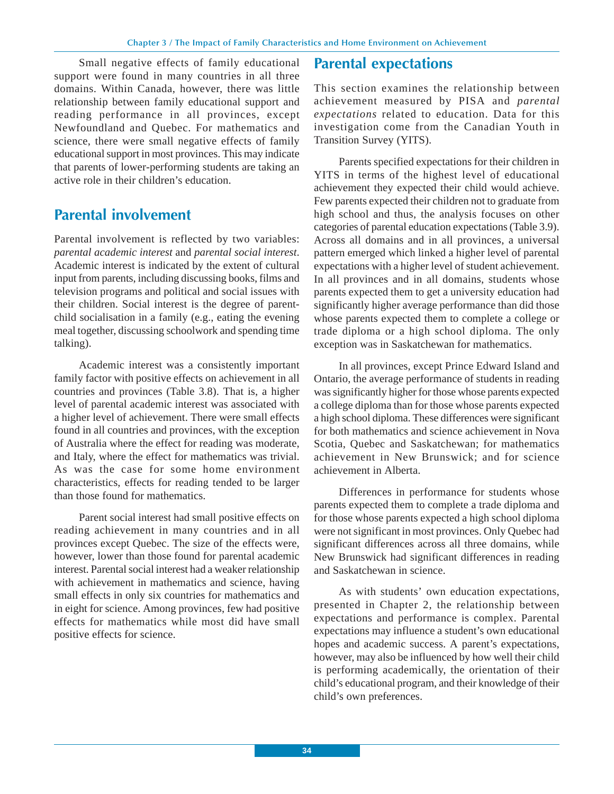Small negative effects of family educational support were found in many countries in all three domains. Within Canada, however, there was little relationship between family educational support and reading performance in all provinces, except Newfoundland and Quebec. For mathematics and science, there were small negative effects of family educational support in most provinces. This may indicate that parents of lower-performing students are taking an active role in their children's education.

# **Parental involvement**

Parental involvement is reflected by two variables: *parental academic interest* and *parental social interest*. Academic interest is indicated by the extent of cultural input from parents, including discussing books, films and television programs and political and social issues with their children. Social interest is the degree of parentchild socialisation in a family (e.g., eating the evening meal together, discussing schoolwork and spending time talking).

Academic interest was a consistently important family factor with positive effects on achievement in all countries and provinces (Table 3.8). That is, a higher level of parental academic interest was associated with a higher level of achievement. There were small effects found in all countries and provinces, with the exception of Australia where the effect for reading was moderate, and Italy, where the effect for mathematics was trivial. As was the case for some home environment characteristics, effects for reading tended to be larger than those found for mathematics.

Parent social interest had small positive effects on reading achievement in many countries and in all provinces except Quebec. The size of the effects were, however, lower than those found for parental academic interest. Parental social interest had a weaker relationship with achievement in mathematics and science, having small effects in only six countries for mathematics and in eight for science. Among provinces, few had positive effects for mathematics while most did have small positive effects for science.

## **Parental expectations**

This section examines the relationship between achievement measured by PISA and *parental expectations* related to education. Data for this investigation come from the Canadian Youth in Transition Survey (YITS).

Parents specified expectations for their children in YITS in terms of the highest level of educational achievement they expected their child would achieve. Few parents expected their children not to graduate from high school and thus, the analysis focuses on other categories of parental education expectations (Table 3.9). Across all domains and in all provinces, a universal pattern emerged which linked a higher level of parental expectations with a higher level of student achievement. In all provinces and in all domains, students whose parents expected them to get a university education had significantly higher average performance than did those whose parents expected them to complete a college or trade diploma or a high school diploma. The only exception was in Saskatchewan for mathematics.

In all provinces, except Prince Edward Island and Ontario, the average performance of students in reading was significantly higher for those whose parents expected a college diploma than for those whose parents expected a high school diploma. These differences were significant for both mathematics and science achievement in Nova Scotia, Quebec and Saskatchewan; for mathematics achievement in New Brunswick; and for science achievement in Alberta.

Differences in performance for students whose parents expected them to complete a trade diploma and for those whose parents expected a high school diploma were not significant in most provinces. Only Quebec had significant differences across all three domains, while New Brunswick had significant differences in reading and Saskatchewan in science.

As with students' own education expectations, presented in Chapter 2, the relationship between expectations and performance is complex. Parental expectations may influence a student's own educational hopes and academic success. A parent's expectations, however, may also be influenced by how well their child is performing academically, the orientation of their child's educational program, and their knowledge of their child's own preferences.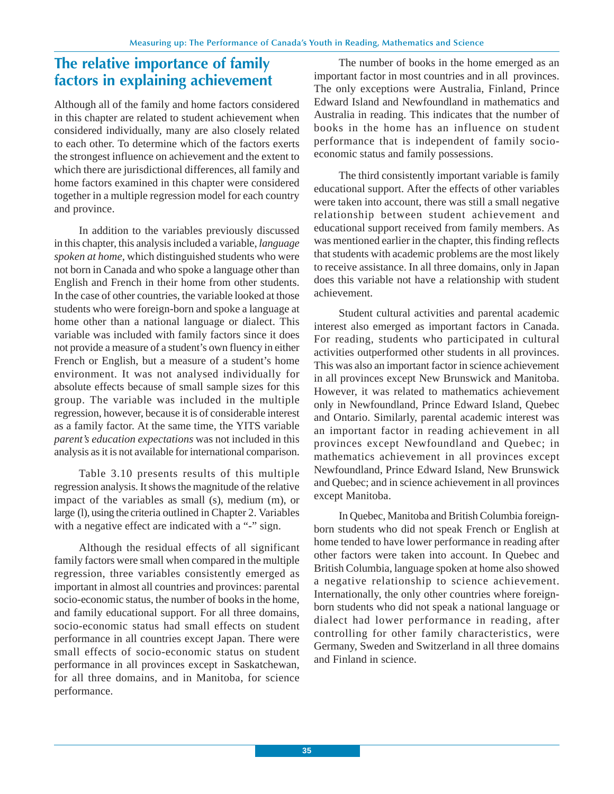# **The relative importance of family factors in explaining achievement**

Although all of the family and home factors considered in this chapter are related to student achievement when considered individually, many are also closely related to each other. To determine which of the factors exerts the strongest influence on achievement and the extent to which there are jurisdictional differences, all family and home factors examined in this chapter were considered together in a multiple regression model for each country and province.

In addition to the variables previously discussed in this chapter, this analysis included a variable, *language spoken at home,* which distinguished students who were not born in Canada and who spoke a language other than English and French in their home from other students. In the case of other countries, the variable looked at those students who were foreign-born and spoke a language at home other than a national language or dialect. This variable was included with family factors since it does not provide a measure of a student's own fluency in either French or English, but a measure of a student's home environment. It was not analysed individually for absolute effects because of small sample sizes for this group. The variable was included in the multiple regression, however, because it is of considerable interest as a family factor. At the same time, the YITS variable *parent's education expectations* was not included in this analysis as it is not available for international comparison.

Table 3.10 presents results of this multiple regression analysis. It shows the magnitude of the relative impact of the variables as small (s), medium (m), or large (l), using the criteria outlined in Chapter 2. Variables with a negative effect are indicated with a "-" sign.

Although the residual effects of all significant family factors were small when compared in the multiple regression, three variables consistently emerged as important in almost all countries and provinces: parental socio-economic status, the number of books in the home, and family educational support. For all three domains, socio-economic status had small effects on student performance in all countries except Japan. There were small effects of socio-economic status on student performance in all provinces except in Saskatchewan, for all three domains, and in Manitoba, for science performance.

The number of books in the home emerged as an important factor in most countries and in all provinces. The only exceptions were Australia, Finland, Prince Edward Island and Newfoundland in mathematics and Australia in reading. This indicates that the number of books in the home has an influence on student performance that is independent of family socioeconomic status and family possessions.

The third consistently important variable is family educational support. After the effects of other variables were taken into account, there was still a small negative relationship between student achievement and educational support received from family members. As was mentioned earlier in the chapter, this finding reflects that students with academic problems are the most likely to receive assistance. In all three domains, only in Japan does this variable not have a relationship with student achievement.

Student cultural activities and parental academic interest also emerged as important factors in Canada. For reading, students who participated in cultural activities outperformed other students in all provinces. This was also an important factor in science achievement in all provinces except New Brunswick and Manitoba. However, it was related to mathematics achievement only in Newfoundland, Prince Edward Island, Quebec and Ontario. Similarly, parental academic interest was an important factor in reading achievement in all provinces except Newfoundland and Quebec; in mathematics achievement in all provinces except Newfoundland, Prince Edward Island, New Brunswick and Quebec; and in science achievement in all provinces except Manitoba.

In Quebec, Manitoba and British Columbia foreignborn students who did not speak French or English at home tended to have lower performance in reading after other factors were taken into account. In Quebec and British Columbia, language spoken at home also showed a negative relationship to science achievement. Internationally, the only other countries where foreignborn students who did not speak a national language or dialect had lower performance in reading, after controlling for other family characteristics, were Germany, Sweden and Switzerland in all three domains and Finland in science.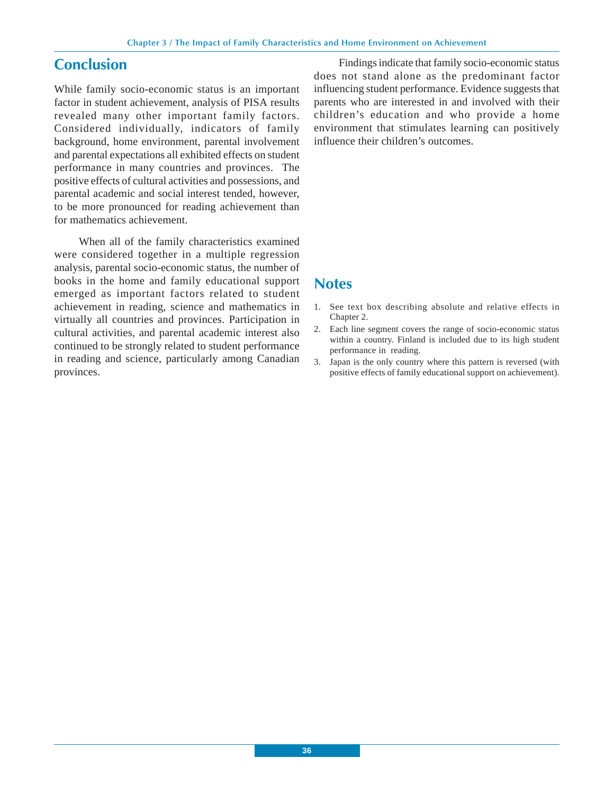# **Conclusion**

While family socio-economic status is an important factor in student achievement, analysis of PISA results revealed many other important family factors. Considered individually, indicators of family background, home environment, parental involvement and parental expectations all exhibited effects on student performance in many countries and provinces. The positive effects of cultural activities and possessions, and parental academic and social interest tended, however, to be more pronounced for reading achievement than for mathematics achievement.

When all of the family characteristics examined were considered together in a multiple regression analysis, parental socio-economic status, the number of books in the home and family educational support emerged as important factors related to student achievement in reading, science and mathematics in virtually all countries and provinces. Participation in cultural activities, and parental academic interest also continued to be strongly related to student performance in reading and science, particularly among Canadian provinces.

Findings indicate that family socio-economic status does not stand alone as the predominant factor influencing student performance. Evidence suggests that parents who are interested in and involved with their children's education and who provide a home environment that stimulates learning can positively influence their children's outcomes.

## **Notes**

- 1. See text box describing absolute and relative effects in Chapter 2.
- 2. Each line segment covers the range of socio-economic status within a country. Finland is included due to its high student performance in reading.
- 3. Japan is the only country where this pattern is reversed (with positive effects of family educational support on achievement).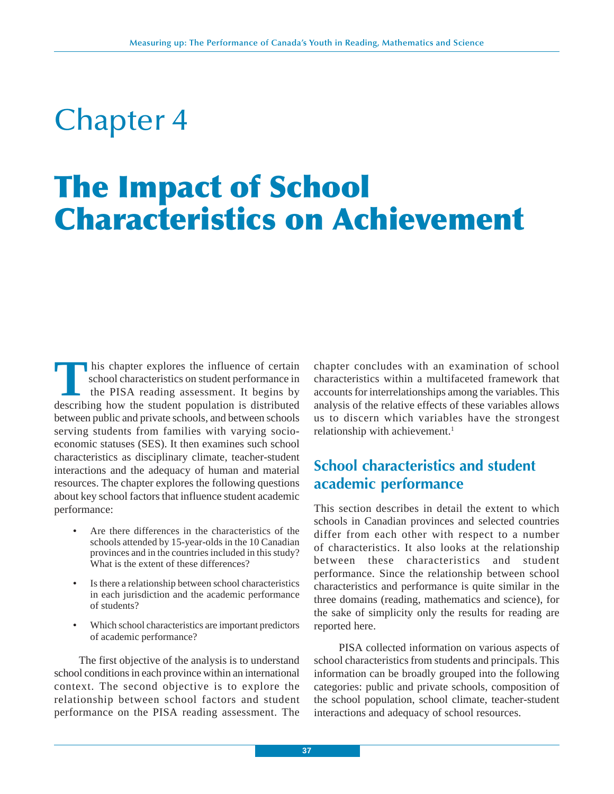# Chapter 4

# **The Impact of School Characteristics on Achievement**

**This chapter explores the influence of certain**  school characteristics on student performance in the PISA reading assessment. It begins by describing how the student population is distributed between public and private schools, and between schools serving students from families with varying socioeconomic statuses (SES). It then examines such school characteristics as disciplinary climate, teacher-student interactions and the adequacy of human and material resources. The chapter explores the following questions about key school factors that influence student academic performance:

- Are there differences in the characteristics of the schools attended by 15-year-olds in the 10 Canadian provinces and in the countries included in this study? What is the extent of these differences?
- Is there a relationship between school characteristics in each jurisdiction and the academic performance of students?
- Which school characteristics are important predictors of academic performance?

The first objective of the analysis is to understand school conditions in each province within an international context. The second objective is to explore the relationship between school factors and student performance on the PISA reading assessment. The

chapter concludes with an examination of school characteristics within a multifaceted framework that accounts for interrelationships among the variables. This analysis of the relative effects of these variables allows us to discern which variables have the strongest relationship with achievement.<sup>1</sup>

# **School characteristics and student academic performance**

This section describes in detail the extent to which schools in Canadian provinces and selected countries differ from each other with respect to a number of characteristics. It also looks at the relationship between these characteristics and student performance. Since the relationship between school characteristics and performance is quite similar in the three domains (reading, mathematics and science), for the sake of simplicity only the results for reading are reported here.

PISA collected information on various aspects of school characteristics from students and principals. This information can be broadly grouped into the following categories: public and private schools, composition of the school population, school climate, teacher-student interactions and adequacy of school resources.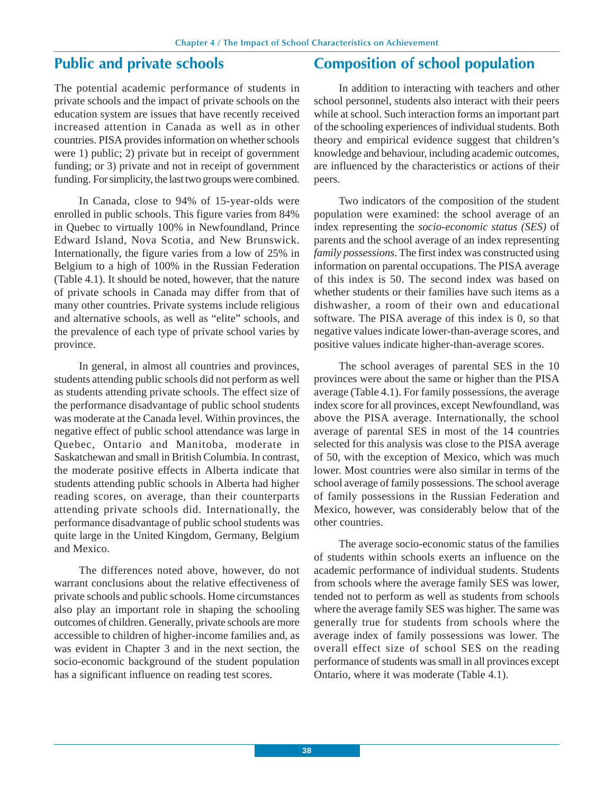## **Public and private schools**

The potential academic performance of students in private schools and the impact of private schools on the education system are issues that have recently received increased attention in Canada as well as in other countries. PISA provides information on whether schools were 1) public; 2) private but in receipt of government funding; or 3) private and not in receipt of government funding. For simplicity, the last two groups were combined.

In Canada, close to 94% of 15-year-olds were enrolled in public schools. This figure varies from 84% in Quebec to virtually 100% in Newfoundland, Prince Edward Island, Nova Scotia, and New Brunswick. Internationally, the figure varies from a low of 25% in Belgium to a high of 100% in the Russian Federation (Table 4.1). It should be noted, however, that the nature of private schools in Canada may differ from that of many other countries. Private systems include religious and alternative schools, as well as "elite" schools, and the prevalence of each type of private school varies by province.

In general, in almost all countries and provinces, students attending public schools did not perform as well as students attending private schools. The effect size of the performance disadvantage of public school students was moderate at the Canada level. Within provinces, the negative effect of public school attendance was large in Quebec, Ontario and Manitoba, moderate in Saskatchewan and small in British Columbia. In contrast, the moderate positive effects in Alberta indicate that students attending public schools in Alberta had higher reading scores, on average, than their counterparts attending private schools did. Internationally, the performance disadvantage of public school students was quite large in the United Kingdom, Germany, Belgium and Mexico.

The differences noted above, however, do not warrant conclusions about the relative effectiveness of private schools and public schools. Home circumstances also play an important role in shaping the schooling outcomes of children. Generally, private schools are more accessible to children of higher-income families and, as was evident in Chapter 3 and in the next section, the socio-economic background of the student population has a significant influence on reading test scores.

# **Composition of school population**

In addition to interacting with teachers and other school personnel, students also interact with their peers while at school. Such interaction forms an important part of the schooling experiences of individual students. Both theory and empirical evidence suggest that children's knowledge and behaviour, including academic outcomes, are influenced by the characteristics or actions of their peers.

Two indicators of the composition of the student population were examined: the school average of an index representing the *socio-economic status (SES)* of parents and the school average of an index representing *family possessions*. The first index was constructed using information on parental occupations. The PISA average of this index is 50. The second index was based on whether students or their families have such items as a dishwasher, a room of their own and educational software. The PISA average of this index is 0, so that negative values indicate lower-than-average scores, and positive values indicate higher-than-average scores.

The school averages of parental SES in the 10 provinces were about the same or higher than the PISA average (Table 4.1). For family possessions, the average index score for all provinces, except Newfoundland, was above the PISA average. Internationally, the school average of parental SES in most of the 14 countries selected for this analysis was close to the PISA average of 50, with the exception of Mexico, which was much lower. Most countries were also similar in terms of the school average of family possessions. The school average of family possessions in the Russian Federation and Mexico, however, was considerably below that of the other countries.

The average socio-economic status of the families of students within schools exerts an influence on the academic performance of individual students. Students from schools where the average family SES was lower, tended not to perform as well as students from schools where the average family SES was higher. The same was generally true for students from schools where the average index of family possessions was lower. The overall effect size of school SES on the reading performance of students was small in all provinces except Ontario, where it was moderate (Table 4.1).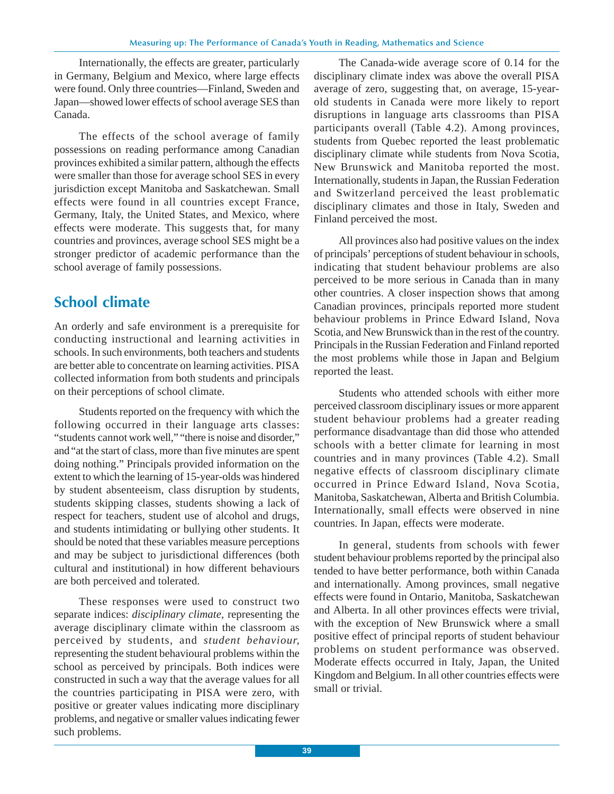Internationally, the effects are greater, particularly in Germany, Belgium and Mexico, where large effects were found. Only three countries—Finland, Sweden and Japan—showed lower effects of school average SES than Canada.

The effects of the school average of family possessions on reading performance among Canadian provinces exhibited a similar pattern, although the effects were smaller than those for average school SES in every jurisdiction except Manitoba and Saskatchewan. Small effects were found in all countries except France, Germany, Italy, the United States, and Mexico, where effects were moderate. This suggests that, for many countries and provinces, average school SES might be a stronger predictor of academic performance than the school average of family possessions.

# **School climate**

An orderly and safe environment is a prerequisite for conducting instructional and learning activities in schools. In such environments, both teachers and students are better able to concentrate on learning activities. PISA collected information from both students and principals on their perceptions of school climate.

Students reported on the frequency with which the following occurred in their language arts classes: "students cannot work well," "there is noise and disorder," and "at the start of class, more than five minutes are spent doing nothing." Principals provided information on the extent to which the learning of 15-year-olds was hindered by student absenteeism, class disruption by students, students skipping classes, students showing a lack of respect for teachers, student use of alcohol and drugs, and students intimidating or bullying other students. It should be noted that these variables measure perceptions and may be subject to jurisdictional differences (both cultural and institutional) in how different behaviours are both perceived and tolerated.

These responses were used to construct two separate indices: *disciplinary climate,* representing the average disciplinary climate within the classroom as perceived by students, and *student behaviour,* representing the student behavioural problems within the school as perceived by principals. Both indices were constructed in such a way that the average values for all the countries participating in PISA were zero, with positive or greater values indicating more disciplinary problems, and negative or smaller values indicating fewer such problems.

The Canada-wide average score of 0.14 for the disciplinary climate index was above the overall PISA average of zero, suggesting that, on average, 15-yearold students in Canada were more likely to report disruptions in language arts classrooms than PISA participants overall (Table 4.2). Among provinces, students from Quebec reported the least problematic disciplinary climate while students from Nova Scotia, New Brunswick and Manitoba reported the most. Internationally, students in Japan, the Russian Federation and Switzerland perceived the least problematic disciplinary climates and those in Italy, Sweden and Finland perceived the most.

All provinces also had positive values on the index of principals' perceptions of student behaviour in schools, indicating that student behaviour problems are also perceived to be more serious in Canada than in many other countries. A closer inspection shows that among Canadian provinces, principals reported more student behaviour problems in Prince Edward Island, Nova Scotia, and New Brunswick than in the rest of the country. Principals in the Russian Federation and Finland reported the most problems while those in Japan and Belgium reported the least.

Students who attended schools with either more perceived classroom disciplinary issues or more apparent student behaviour problems had a greater reading performance disadvantage than did those who attended schools with a better climate for learning in most countries and in many provinces (Table 4.2). Small negative effects of classroom disciplinary climate occurred in Prince Edward Island, Nova Scotia, Manitoba, Saskatchewan, Alberta and British Columbia. Internationally, small effects were observed in nine countries. In Japan, effects were moderate.

In general, students from schools with fewer student behaviour problems reported by the principal also tended to have better performance, both within Canada and internationally. Among provinces, small negative effects were found in Ontario, Manitoba, Saskatchewan and Alberta. In all other provinces effects were trivial, with the exception of New Brunswick where a small positive effect of principal reports of student behaviour problems on student performance was observed. Moderate effects occurred in Italy, Japan, the United Kingdom and Belgium. In all other countries effects were small or trivial.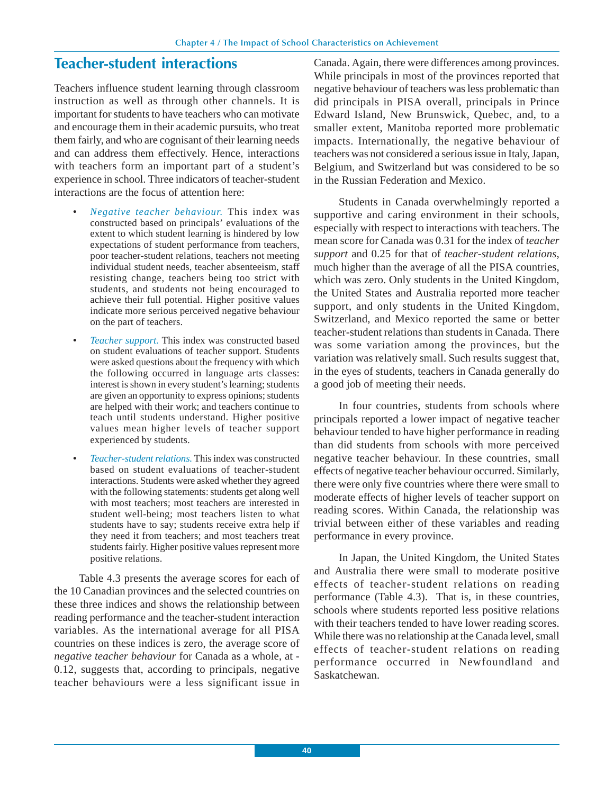## **Teacher-student interactions**

Teachers influence student learning through classroom instruction as well as through other channels. It is important for students to have teachers who can motivate and encourage them in their academic pursuits, who treat them fairly, and who are cognisant of their learning needs and can address them effectively. Hence, interactions with teachers form an important part of a student's experience in school. Three indicators of teacher-student interactions are the focus of attention here:

- *Negative teacher behaviour.* This index was constructed based on principals' evaluations of the extent to which student learning is hindered by low expectations of student performance from teachers, poor teacher-student relations, teachers not meeting individual student needs, teacher absenteeism, staff resisting change, teachers being too strict with students, and students not being encouraged to achieve their full potential. Higher positive values indicate more serious perceived negative behaviour on the part of teachers.
- *Teacher support.* This index was constructed based on student evaluations of teacher support. Students were asked questions about the frequency with which the following occurred in language arts classes: interest is shown in every student's learning; students are given an opportunity to express opinions; students are helped with their work; and teachers continue to teach until students understand. Higher positive values mean higher levels of teacher support experienced by students.
- *Teacher-student relations.* This index was constructed based on student evaluations of teacher-student interactions. Students were asked whether they agreed with the following statements: students get along well with most teachers; most teachers are interested in student well-being; most teachers listen to what students have to say; students receive extra help if they need it from teachers; and most teachers treat students fairly. Higher positive values represent more positive relations.

Table 4.3 presents the average scores for each of the 10 Canadian provinces and the selected countries on these three indices and shows the relationship between reading performance and the teacher-student interaction variables. As the international average for all PISA countries on these indices is zero, the average score of *negative teacher behaviour* for Canada as a whole, at - 0.12, suggests that, according to principals, negative teacher behaviours were a less significant issue in Canada. Again, there were differences among provinces. While principals in most of the provinces reported that negative behaviour of teachers was less problematic than did principals in PISA overall, principals in Prince Edward Island, New Brunswick, Quebec, and, to a smaller extent, Manitoba reported more problematic impacts. Internationally, the negative behaviour of teachers was not considered a serious issue in Italy, Japan, Belgium, and Switzerland but was considered to be so in the Russian Federation and Mexico.

Students in Canada overwhelmingly reported a supportive and caring environment in their schools, especially with respect to interactions with teachers. The mean score for Canada was 0.31 for the index of *teacher support* and 0.25 for that of *teacher-student relations*, much higher than the average of all the PISA countries, which was zero. Only students in the United Kingdom, the United States and Australia reported more teacher support, and only students in the United Kingdom, Switzerland, and Mexico reported the same or better teacher-student relations than students in Canada. There was some variation among the provinces, but the variation was relatively small. Such results suggest that, in the eyes of students, teachers in Canada generally do a good job of meeting their needs.

In four countries, students from schools where principals reported a lower impact of negative teacher behaviour tended to have higher performance in reading than did students from schools with more perceived negative teacher behaviour. In these countries, small effects of negative teacher behaviour occurred. Similarly, there were only five countries where there were small to moderate effects of higher levels of teacher support on reading scores. Within Canada, the relationship was trivial between either of these variables and reading performance in every province.

In Japan, the United Kingdom, the United States and Australia there were small to moderate positive effects of teacher-student relations on reading performance (Table 4.3). That is, in these countries, schools where students reported less positive relations with their teachers tended to have lower reading scores. While there was no relationship at the Canada level, small effects of teacher-student relations on reading performance occurred in Newfoundland and Saskatchewan.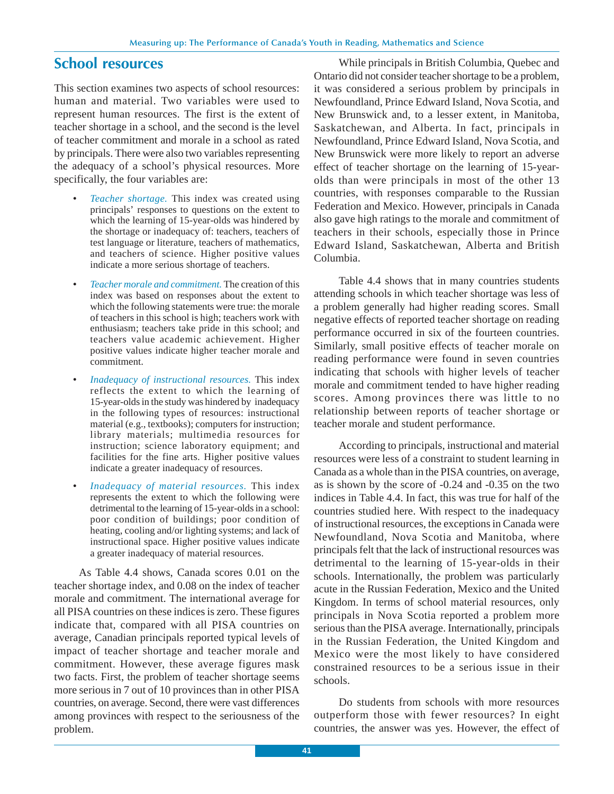# **School resources**

This section examines two aspects of school resources: human and material. Two variables were used to represent human resources. The first is the extent of teacher shortage in a school, and the second is the level of teacher commitment and morale in a school as rated by principals. There were also two variables representing the adequacy of a school's physical resources. More specifically, the four variables are:

- *Teacher shortage.* This index was created using principals' responses to questions on the extent to which the learning of 15-year-olds was hindered by the shortage or inadequacy of: teachers, teachers of test language or literature, teachers of mathematics, and teachers of science. Higher positive values indicate a more serious shortage of teachers.
- *Teacher morale and commitment.* The creation of this index was based on responses about the extent to which the following statements were true: the morale of teachers in this school is high; teachers work with enthusiasm; teachers take pride in this school; and teachers value academic achievement. Higher positive values indicate higher teacher morale and commitment.
- *Inadequacy of instructional resources.* This index reflects the extent to which the learning of 15-year-olds in the study was hindered by inadequacy in the following types of resources: instructional material (e.g., textbooks); computers for instruction; library materials; multimedia resources for instruction; science laboratory equipment; and facilities for the fine arts. Higher positive values indicate a greater inadequacy of resources.
- *Inadequacy of material resources.* This index represents the extent to which the following were detrimental to the learning of 15-year-olds in a school: poor condition of buildings; poor condition of heating, cooling and/or lighting systems; and lack of instructional space. Higher positive values indicate a greater inadequacy of material resources.

As Table 4.4 shows, Canada scores 0.01 on the teacher shortage index, and 0.08 on the index of teacher morale and commitment. The international average for all PISA countries on these indices is zero. These figures indicate that, compared with all PISA countries on average, Canadian principals reported typical levels of impact of teacher shortage and teacher morale and commitment. However, these average figures mask two facts. First, the problem of teacher shortage seems more serious in 7 out of 10 provinces than in other PISA countries, on average. Second, there were vast differences among provinces with respect to the seriousness of the problem.

While principals in British Columbia, Quebec and Ontario did not consider teacher shortage to be a problem, it was considered a serious problem by principals in Newfoundland, Prince Edward Island, Nova Scotia, and New Brunswick and, to a lesser extent, in Manitoba, Saskatchewan, and Alberta. In fact, principals in Newfoundland, Prince Edward Island, Nova Scotia, and New Brunswick were more likely to report an adverse effect of teacher shortage on the learning of 15-yearolds than were principals in most of the other 13 countries, with responses comparable to the Russian Federation and Mexico. However, principals in Canada also gave high ratings to the morale and commitment of teachers in their schools, especially those in Prince Edward Island, Saskatchewan, Alberta and British Columbia.

Table 4.4 shows that in many countries students attending schools in which teacher shortage was less of a problem generally had higher reading scores. Small negative effects of reported teacher shortage on reading performance occurred in six of the fourteen countries. Similarly, small positive effects of teacher morale on reading performance were found in seven countries indicating that schools with higher levels of teacher morale and commitment tended to have higher reading scores. Among provinces there was little to no relationship between reports of teacher shortage or teacher morale and student performance.

According to principals, instructional and material resources were less of a constraint to student learning in Canada as a whole than in the PISA countries, on average, as is shown by the score of -0.24 and -0.35 on the two indices in Table 4.4. In fact, this was true for half of the countries studied here. With respect to the inadequacy of instructional resources, the exceptions in Canada were Newfoundland, Nova Scotia and Manitoba, where principals felt that the lack of instructional resources was detrimental to the learning of 15-year-olds in their schools. Internationally, the problem was particularly acute in the Russian Federation, Mexico and the United Kingdom. In terms of school material resources, only principals in Nova Scotia reported a problem more serious than the PISA average. Internationally, principals in the Russian Federation, the United Kingdom and Mexico were the most likely to have considered constrained resources to be a serious issue in their schools.

Do students from schools with more resources outperform those with fewer resources? In eight countries, the answer was yes. However, the effect of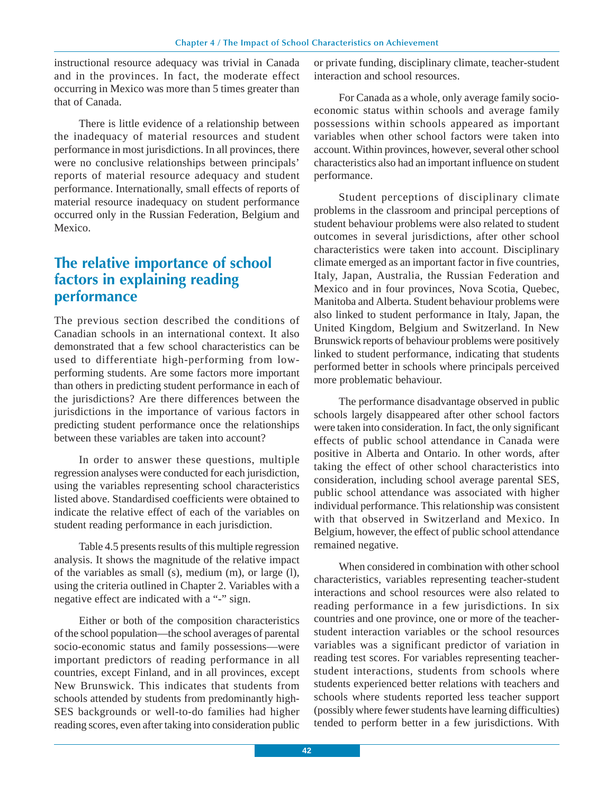instructional resource adequacy was trivial in Canada and in the provinces. In fact, the moderate effect occurring in Mexico was more than 5 times greater than that of Canada.

There is little evidence of a relationship between the inadequacy of material resources and student performance in most jurisdictions. In all provinces, there were no conclusive relationships between principals' reports of material resource adequacy and student performance. Internationally, small effects of reports of material resource inadequacy on student performance occurred only in the Russian Federation, Belgium and Mexico.

# **The relative importance of school factors in explaining reading performance**

The previous section described the conditions of Canadian schools in an international context. It also demonstrated that a few school characteristics can be used to differentiate high-performing from lowperforming students. Are some factors more important than others in predicting student performance in each of the jurisdictions? Are there differences between the jurisdictions in the importance of various factors in predicting student performance once the relationships between these variables are taken into account?

In order to answer these questions, multiple regression analyses were conducted for each jurisdiction, using the variables representing school characteristics listed above. Standardised coefficients were obtained to indicate the relative effect of each of the variables on student reading performance in each jurisdiction.

Table 4.5 presents results of this multiple regression analysis. It shows the magnitude of the relative impact of the variables as small (s), medium (m), or large (l), using the criteria outlined in Chapter 2. Variables with a negative effect are indicated with a "-" sign.

Either or both of the composition characteristics of the school population—the school averages of parental socio-economic status and family possessions—were important predictors of reading performance in all countries, except Finland, and in all provinces, except New Brunswick. This indicates that students from schools attended by students from predominantly high-SES backgrounds or well-to-do families had higher reading scores, even after taking into consideration public

or private funding, disciplinary climate, teacher-student interaction and school resources.

For Canada as a whole, only average family socioeconomic status within schools and average family possessions within schools appeared as important variables when other school factors were taken into account. Within provinces, however, several other school characteristics also had an important influence on student performance.

Student perceptions of disciplinary climate problems in the classroom and principal perceptions of student behaviour problems were also related to student outcomes in several jurisdictions, after other school characteristics were taken into account. Disciplinary climate emerged as an important factor in five countries, Italy, Japan, Australia, the Russian Federation and Mexico and in four provinces, Nova Scotia, Quebec, Manitoba and Alberta. Student behaviour problems were also linked to student performance in Italy, Japan, the United Kingdom, Belgium and Switzerland. In New Brunswick reports of behaviour problems were positively linked to student performance, indicating that students performed better in schools where principals perceived more problematic behaviour.

The performance disadvantage observed in public schools largely disappeared after other school factors were taken into consideration. In fact, the only significant effects of public school attendance in Canada were positive in Alberta and Ontario. In other words, after taking the effect of other school characteristics into consideration, including school average parental SES, public school attendance was associated with higher individual performance. This relationship was consistent with that observed in Switzerland and Mexico. In Belgium, however, the effect of public school attendance remained negative.

When considered in combination with other school characteristics, variables representing teacher-student interactions and school resources were also related to reading performance in a few jurisdictions. In six countries and one province, one or more of the teacherstudent interaction variables or the school resources variables was a significant predictor of variation in reading test scores. For variables representing teacherstudent interactions, students from schools where students experienced better relations with teachers and schools where students reported less teacher support (possibly where fewer students have learning difficulties) tended to perform better in a few jurisdictions. With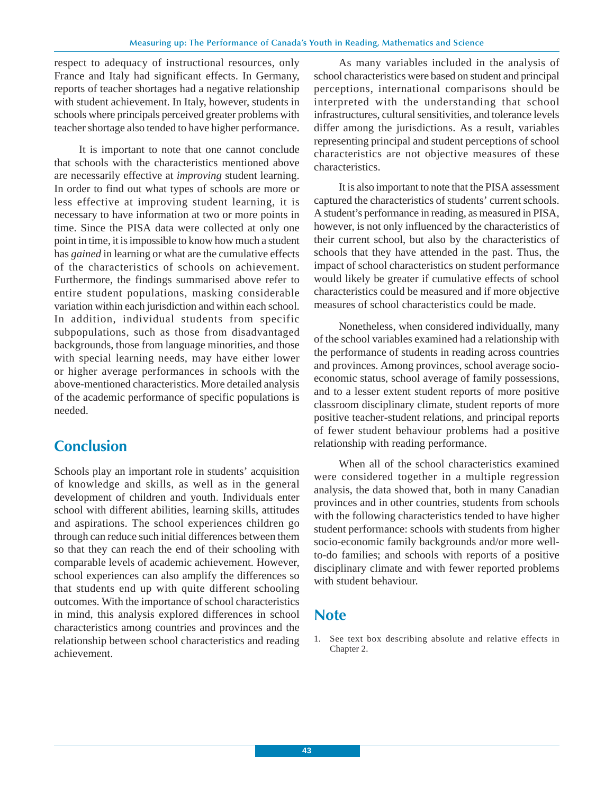respect to adequacy of instructional resources, only France and Italy had significant effects. In Germany, reports of teacher shortages had a negative relationship with student achievement. In Italy, however, students in schools where principals perceived greater problems with teacher shortage also tended to have higher performance.

It is important to note that one cannot conclude that schools with the characteristics mentioned above are necessarily effective at *improving* student learning. In order to find out what types of schools are more or less effective at improving student learning, it is necessary to have information at two or more points in time. Since the PISA data were collected at only one point in time, it is impossible to know how much a student has *gained* in learning or what are the cumulative effects of the characteristics of schools on achievement. Furthermore, the findings summarised above refer to entire student populations, masking considerable variation within each jurisdiction and within each school. In addition, individual students from specific subpopulations, such as those from disadvantaged backgrounds, those from language minorities, and those with special learning needs, may have either lower or higher average performances in schools with the above-mentioned characteristics. More detailed analysis of the academic performance of specific populations is needed.

# **Conclusion**

Schools play an important role in students' acquisition of knowledge and skills, as well as in the general development of children and youth. Individuals enter school with different abilities, learning skills, attitudes and aspirations. The school experiences children go through can reduce such initial differences between them so that they can reach the end of their schooling with comparable levels of academic achievement. However, school experiences can also amplify the differences so that students end up with quite different schooling outcomes. With the importance of school characteristics in mind, this analysis explored differences in school characteristics among countries and provinces and the relationship between school characteristics and reading achievement.

As many variables included in the analysis of school characteristics were based on student and principal perceptions, international comparisons should be interpreted with the understanding that school infrastructures, cultural sensitivities, and tolerance levels differ among the jurisdictions. As a result, variables representing principal and student perceptions of school characteristics are not objective measures of these characteristics.

It is also important to note that the PISA assessment captured the characteristics of students' current schools. A student's performance in reading, as measured in PISA, however, is not only influenced by the characteristics of their current school, but also by the characteristics of schools that they have attended in the past. Thus, the impact of school characteristics on student performance would likely be greater if cumulative effects of school characteristics could be measured and if more objective measures of school characteristics could be made.

Nonetheless, when considered individually, many of the school variables examined had a relationship with the performance of students in reading across countries and provinces. Among provinces, school average socioeconomic status, school average of family possessions, and to a lesser extent student reports of more positive classroom disciplinary climate, student reports of more positive teacher-student relations, and principal reports of fewer student behaviour problems had a positive relationship with reading performance.

When all of the school characteristics examined were considered together in a multiple regression analysis, the data showed that, both in many Canadian provinces and in other countries, students from schools with the following characteristics tended to have higher student performance: schools with students from higher socio-economic family backgrounds and/or more wellto-do families; and schools with reports of a positive disciplinary climate and with fewer reported problems with student behaviour.

## **Note**

1. See text box describing absolute and relative effects in Chapter 2.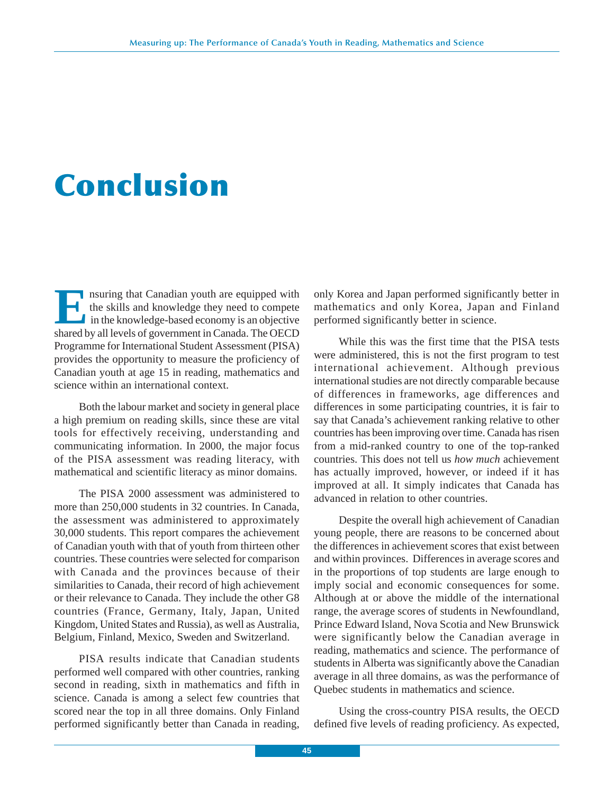# **Conclusion**

**EXECUTE:** It is a natural mean of the skills and knowledge they need to compete in the knowledge-based economy is an objective shared by all levels of government in Canada. The OECD the skills and knowledge they need to compete in the knowledge-based economy is an objective shared by all levels of government in Canada. The OECD Programme for International Student Assessment (PISA) provides the opportunity to measure the proficiency of Canadian youth at age 15 in reading, mathematics and science within an international context.

Both the labour market and society in general place a high premium on reading skills, since these are vital tools for effectively receiving, understanding and communicating information. In 2000, the major focus of the PISA assessment was reading literacy, with mathematical and scientific literacy as minor domains.

The PISA 2000 assessment was administered to more than 250,000 students in 32 countries. In Canada, the assessment was administered to approximately 30,000 students. This report compares the achievement of Canadian youth with that of youth from thirteen other countries. These countries were selected for comparison with Canada and the provinces because of their similarities to Canada, their record of high achievement or their relevance to Canada. They include the other G8 countries (France, Germany, Italy, Japan, United Kingdom, United States and Russia), as well as Australia, Belgium, Finland, Mexico, Sweden and Switzerland.

PISA results indicate that Canadian students performed well compared with other countries, ranking second in reading, sixth in mathematics and fifth in science. Canada is among a select few countries that scored near the top in all three domains. Only Finland performed significantly better than Canada in reading,

only Korea and Japan performed significantly better in mathematics and only Korea, Japan and Finland performed significantly better in science.

While this was the first time that the PISA tests were administered, this is not the first program to test international achievement. Although previous international studies are not directly comparable because of differences in frameworks, age differences and differences in some participating countries, it is fair to say that Canada's achievement ranking relative to other countries has been improving over time. Canada has risen from a mid-ranked country to one of the top-ranked countries. This does not tell us *how much* achievement has actually improved, however, or indeed if it has improved at all. It simply indicates that Canada has advanced in relation to other countries.

Despite the overall high achievement of Canadian young people, there are reasons to be concerned about the differences in achievement scores that exist between and within provinces. Differences in average scores and in the proportions of top students are large enough to imply social and economic consequences for some. Although at or above the middle of the international range, the average scores of students in Newfoundland, Prince Edward Island, Nova Scotia and New Brunswick were significantly below the Canadian average in reading, mathematics and science. The performance of students in Alberta was significantly above the Canadian average in all three domains, as was the performance of Quebec students in mathematics and science.

Using the cross-country PISA results, the OECD defined five levels of reading proficiency. As expected,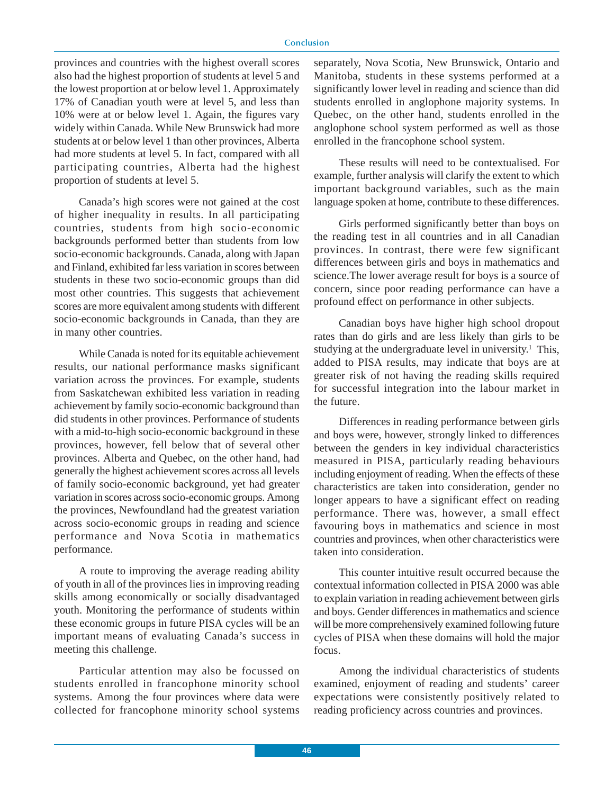provinces and countries with the highest overall scores also had the highest proportion of students at level 5 and the lowest proportion at or below level 1. Approximately 17% of Canadian youth were at level 5, and less than 10% were at or below level 1. Again, the figures vary widely within Canada. While New Brunswick had more students at or below level 1 than other provinces, Alberta had more students at level 5. In fact, compared with all participating countries, Alberta had the highest proportion of students at level 5.

Canada's high scores were not gained at the cost of higher inequality in results. In all participating countries, students from high socio-economic backgrounds performed better than students from low socio-economic backgrounds. Canada, along with Japan and Finland, exhibited far less variation in scores between students in these two socio-economic groups than did most other countries. This suggests that achievement scores are more equivalent among students with different socio-economic backgrounds in Canada, than they are in many other countries.

While Canada is noted for its equitable achievement results, our national performance masks significant variation across the provinces. For example, students from Saskatchewan exhibited less variation in reading achievement by family socio-economic background than did students in other provinces. Performance of students with a mid-to-high socio-economic background in these provinces, however, fell below that of several other provinces. Alberta and Quebec, on the other hand, had generally the highest achievement scores across all levels of family socio-economic background, yet had greater variation in scores across socio-economic groups. Among the provinces, Newfoundland had the greatest variation across socio-economic groups in reading and science performance and Nova Scotia in mathematics performance.

A route to improving the average reading ability of youth in all of the provinces lies in improving reading skills among economically or socially disadvantaged youth. Monitoring the performance of students within these economic groups in future PISA cycles will be an important means of evaluating Canada's success in meeting this challenge.

Particular attention may also be focussed on students enrolled in francophone minority school systems. Among the four provinces where data were collected for francophone minority school systems separately, Nova Scotia, New Brunswick, Ontario and Manitoba, students in these systems performed at a significantly lower level in reading and science than did students enrolled in anglophone majority systems. In Quebec, on the other hand, students enrolled in the anglophone school system performed as well as those enrolled in the francophone school system.

These results will need to be contextualised. For example, further analysis will clarify the extent to which important background variables, such as the main language spoken at home, contribute to these differences.

Girls performed significantly better than boys on the reading test in all countries and in all Canadian provinces. In contrast, there were few significant differences between girls and boys in mathematics and science.The lower average result for boys is a source of concern, since poor reading performance can have a profound effect on performance in other subjects.

Canadian boys have higher high school dropout rates than do girls and are less likely than girls to be studying at the undergraduate level in university.<sup>1</sup> This, added to PISA results, may indicate that boys are at greater risk of not having the reading skills required for successful integration into the labour market in the future.

Differences in reading performance between girls and boys were, however, strongly linked to differences between the genders in key individual characteristics measured in PISA, particularly reading behaviours including enjoyment of reading. When the effects of these characteristics are taken into consideration, gender no longer appears to have a significant effect on reading performance. There was, however, a small effect favouring boys in mathematics and science in most countries and provinces, when other characteristics were taken into consideration.

This counter intuitive result occurred because the contextual information collected in PISA 2000 was able to explain variation in reading achievement between girls and boys. Gender differences in mathematics and science will be more comprehensively examined following future cycles of PISA when these domains will hold the major focus.

Among the individual characteristics of students examined, enjoyment of reading and students' career expectations were consistently positively related to reading proficiency across countries and provinces.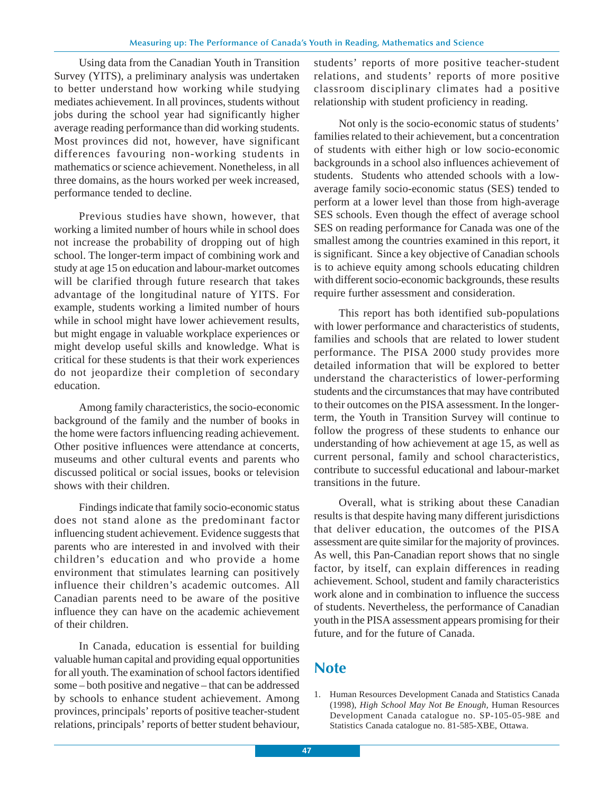Using data from the Canadian Youth in Transition Survey (YITS), a preliminary analysis was undertaken to better understand how working while studying mediates achievement. In all provinces, students without jobs during the school year had significantly higher average reading performance than did working students. Most provinces did not, however, have significant differences favouring non-working students in mathematics or science achievement. Nonetheless, in all three domains, as the hours worked per week increased, performance tended to decline.

Previous studies have shown, however, that working a limited number of hours while in school does not increase the probability of dropping out of high school. The longer-term impact of combining work and study at age 15 on education and labour-market outcomes will be clarified through future research that takes advantage of the longitudinal nature of YITS. For example, students working a limited number of hours while in school might have lower achievement results, but might engage in valuable workplace experiences or might develop useful skills and knowledge. What is critical for these students is that their work experiences do not jeopardize their completion of secondary education.

Among family characteristics, the socio-economic background of the family and the number of books in the home were factors influencing reading achievement. Other positive influences were attendance at concerts, museums and other cultural events and parents who discussed political or social issues, books or television shows with their children.

Findings indicate that family socio-economic status does not stand alone as the predominant factor influencing student achievement. Evidence suggests that parents who are interested in and involved with their children's education and who provide a home environment that stimulates learning can positively influence their children's academic outcomes. All Canadian parents need to be aware of the positive influence they can have on the academic achievement of their children.

In Canada, education is essential for building valuable human capital and providing equal opportunities for all youth. The examination of school factors identified some – both positive and negative – that can be addressed by schools to enhance student achievement. Among provinces, principals' reports of positive teacher-student relations, principals' reports of better student behaviour, students' reports of more positive teacher-student relations, and students' reports of more positive classroom disciplinary climates had a positive relationship with student proficiency in reading.

Not only is the socio-economic status of students' families related to their achievement, but a concentration of students with either high or low socio-economic backgrounds in a school also influences achievement of students. Students who attended schools with a lowaverage family socio-economic status (SES) tended to perform at a lower level than those from high-average SES schools. Even though the effect of average school SES on reading performance for Canada was one of the smallest among the countries examined in this report, it is significant. Since a key objective of Canadian schools is to achieve equity among schools educating children with different socio-economic backgrounds, these results require further assessment and consideration.

This report has both identified sub-populations with lower performance and characteristics of students, families and schools that are related to lower student performance. The PISA 2000 study provides more detailed information that will be explored to better understand the characteristics of lower-performing students and the circumstances that may have contributed to their outcomes on the PISA assessment. In the longerterm, the Youth in Transition Survey will continue to follow the progress of these students to enhance our understanding of how achievement at age 15, as well as current personal, family and school characteristics, contribute to successful educational and labour-market transitions in the future.

Overall, what is striking about these Canadian results is that despite having many different jurisdictions that deliver education, the outcomes of the PISA assessment are quite similar for the majority of provinces. As well, this Pan-Canadian report shows that no single factor, by itself, can explain differences in reading achievement. School, student and family characteristics work alone and in combination to influence the success of students. Nevertheless, the performance of Canadian youth in the PISA assessment appears promising for their future, and for the future of Canada.

## **Note**

1. Human Resources Development Canada and Statistics Canada (1998), *High School May Not Be Enough,* Human Resources Development Canada catalogue no. SP-105-05-98E and Statistics Canada catalogue no. 81-585-XBE, Ottawa.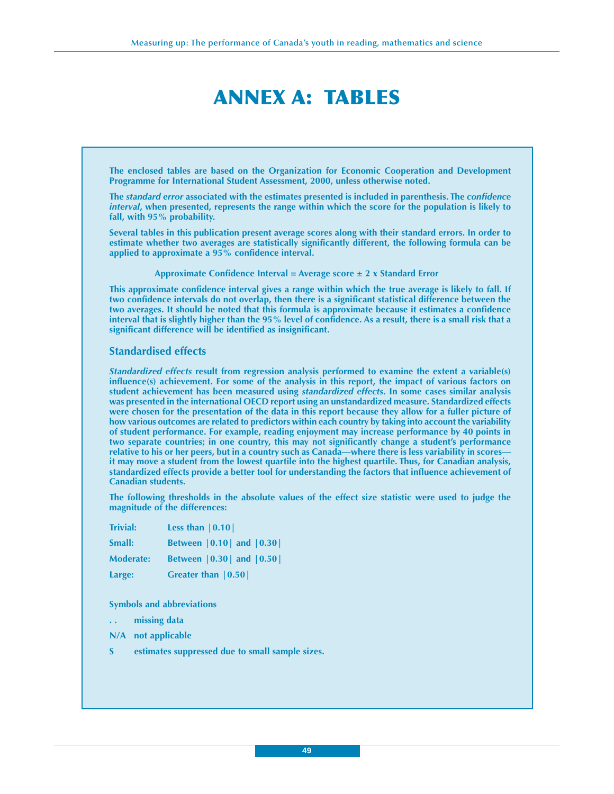# **ANNEX A: TABLES**

**The enclosed tables are based on the Organization for Economic Cooperation and Development Programme for International Student Assessment, 2000, unless otherwise noted.**

**The** *standard error* **associated with the estimates presented is included in parenthesis. The** *confidence interval***, when presented, represents the range within which the score for the population is likely to fall, with 95% probability.**

**Several tables in this publication present average scores along with their standard errors. In order to estimate whether two averages are statistically significantly different, the following formula can be applied to approximate a 95% confidence interval.**

**Approximate Confidence Interval = Average score ± 2 x Standard Error**

**This approximate confidence interval gives a range within which the true average is likely to fall. If two confidence intervals do not overlap, then there is a significant statistical difference between the two averages. It should be noted that this formula is approximate because it estimates a confidence interval that is slightly higher than the 95% level of confidence. As a result, there is a small risk that a significant difference will be identified as insignificant.**

#### **Standardised effects**

*Standardized effects* **result from regression analysis performed to examine the extent a variable(s) influence(s) achievement. For some of the analysis in this report, the impact of various factors on student achievement has been measured using** *standardized effects***. In some cases similar analysis was presented in the international OECD report using an unstandardized measure. Standardized effects were chosen for the presentation of the data in this report because they allow for a fuller picture of how various outcomes are related to predictors within each country by taking into account the variability of student performance. For example, reading enjoyment may increase performance by 40 points in two separate countries; in one country, this may not significantly change a student's performance relative to his or her peers, but in a country such as Canada—where there is less variability in scores it may move a student from the lowest quartile into the highest quartile. Thus, for Canadian analysis, standardized effects provide a better tool for understanding the factors that influence achievement of Canadian students.**

**The following thresholds in the absolute values of the effect size statistic were used to judge the magnitude of the differences:**

| <b>Trivial:</b>  | Less than $ 0.10 $            |
|------------------|-------------------------------|
| Small:           | Between $ 0.10 $ and $ 0.30 $ |
| <b>Moderate:</b> | Between $ 0.30 $ and $ 0.50 $ |
| Large:           | Greater than   0.50           |

**Symbols and abbreviations**

**. . missing data**

**N/A not applicable**

**S estimates suppressed due to small sample sizes.**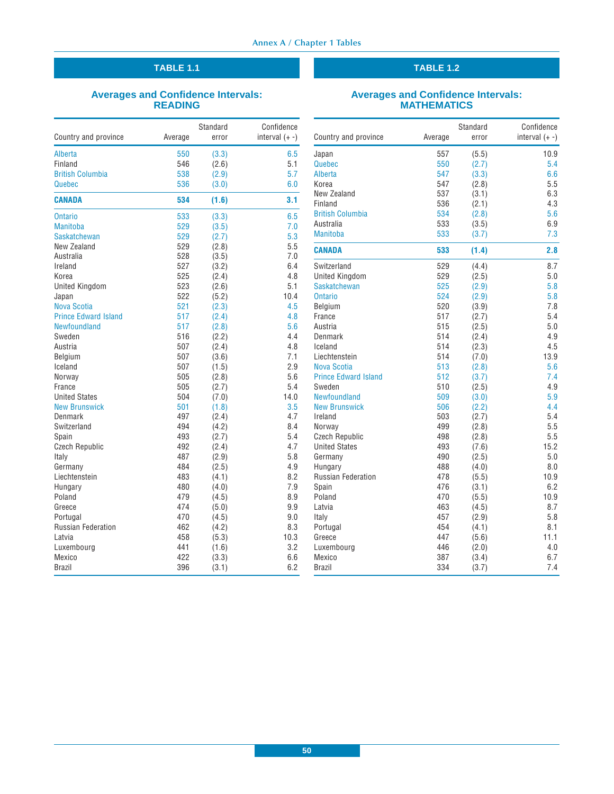#### **Averages and Confidence Intervals: READING**

| Country and province        | Average    | Standard<br>error | Confidence<br>interval $(+ -)$ |
|-----------------------------|------------|-------------------|--------------------------------|
| Alberta                     | 550        | (3.3)             | 6.5                            |
| Finland                     | 546        | (2.6)             | 5.1                            |
| <b>British Columbia</b>     | 538        | (2.9)             | 5.7                            |
| Quebec                      | 536        | (3.0)             | 6.0                            |
| <b>CANADA</b>               | 534        | (1.6)             | 3.1                            |
| <b>Ontario</b>              | 533        | (3.3)             | 6.5                            |
| <b>Manitoba</b>             | 529        | (3.5)             | 7.0                            |
| <b>Saskatchewan</b>         | 529        | (2.7)             | 5.3                            |
| New Zealand                 | 529        | (2.8)             | 5.5                            |
| Australia                   | 528        | (3.5)             | 7.0                            |
| Ireland                     | 527        | (3.2)             | 6.4                            |
| Korea                       | 525        | (2.4)             | 4.8                            |
| <b>United Kingdom</b>       | 523        | (2.6)             | 5.1                            |
| Japan                       | 522        | (5.2)             | 10.4                           |
| <b>Nova Scotia</b>          | 521        | (2.3)             | 4.5                            |
| <b>Prince Edward Island</b> | 517        | (2.4)             | 4.8                            |
| <b>Newfoundland</b>         | 517        | (2.8)             | 5.6                            |
| Sweden                      | 516        | (2.2)             | 4.4                            |
| Austria                     | 507        | (2.4)             | 4.8                            |
| Belgium                     | 507        | (3.6)             | 7.1                            |
| Iceland                     | 507        | (1.5)             | 2.9                            |
| Norway                      | 505        | (2.8)             | 5.6                            |
| France                      | 505        | (2.7)             | 5.4                            |
| <b>United States</b>        | 504        | (7.0)             | 14.0                           |
| <b>New Brunswick</b>        | 501        | (1.8)             | 3.5                            |
| Denmark                     | 497        | (2.4)             | 4.7                            |
| Switzerland                 | 494        | (4.2)             | 8.4                            |
| Spain                       | 493        | (2.7)             | 5.4                            |
| <b>Czech Republic</b>       | 492        | (2.4)             | 4.7                            |
| Italy                       | 487        | (2.9)             | 5.8                            |
| Germany                     | 484        | (2.5)             | 4.9                            |
| Liechtenstein               | 483        | (4.1)             | 8.2                            |
| Hungary                     | 480        | (4.0)             | 7.9                            |
| Poland                      | 479        | (4.5)             | 8.9                            |
| Greece<br>Portugal          | 474<br>470 | (5.0)             | 9.9<br>9.0                     |
| <b>Russian Federation</b>   | 462        | (4.5)             | 8.3                            |
| Latvia                      | 458        | (4.2)<br>(5.3)    | 10.3                           |
| Luxembourg                  | 441        | (1.6)             | 3.2                            |
| Mexico                      | 422        | (3.3)             | 6.6                            |
| <b>Brazil</b>               | 396        | (3.1)             | 6.2                            |

## **TABLE 1.2**

#### **Averages and Confidence Intervals: MATHEMATICS**

| Country and province        | Average    | Standard<br>error | Confidence<br>interval $(+ -)$ |
|-----------------------------|------------|-------------------|--------------------------------|
| Japan                       | 557        | (5.5)             | 10.9                           |
| Quebec                      | 550        | (2.7)             | 5.4                            |
| Alberta                     | 547        | (3.3)             | 6.6                            |
| Korea                       | 547        | (2.8)             | 5.5                            |
| New Zealand                 | 537        | (3.1)             | 6.3                            |
| Finland                     | 536        | (2.1)             | 4.3                            |
| <b>British Columbia</b>     | 534        | (2.8)             | 5.6                            |
| Australia                   | 533        | (3.5)             | 6.9                            |
| <b>Manitoba</b>             | 533        | (3.7)             | 7.3                            |
| <b>CANADA</b>               | 533        | (1.4)             | 2.8                            |
| Switzerland                 | 529        | (4.4)             | 8.7                            |
| <b>United Kingdom</b>       | 529        | (2.5)             | 5.0                            |
| <b>Saskatchewan</b>         | 525        | (2.9)             | 5.8                            |
| <b>Ontario</b>              | 524        | (2.9)             | 5.8                            |
| Belgium                     | 520        | (3.9)             | 7.8                            |
| France                      | 517        | (2.7)             | 5.4                            |
| Austria                     | 515        | (2.5)             | 5.0                            |
| Denmark                     | 514        | (2.4)             | 4.9                            |
| Iceland                     | 514        | (2.3)             | 4.5                            |
| Liechtenstein               | 514        | (7.0)             | 13.9                           |
| <b>Nova Scotia</b>          | 513        | (2.8)             | 5.6                            |
| <b>Prince Edward Island</b> | 512        | (3.7)             | 7.4                            |
| Sweden                      | 510        | (2.5)             | 4.9                            |
| <b>Newfoundland</b>         | 509        | (3.0)             | 5.9                            |
| <b>New Brunswick</b>        | 506        | (2.2)             | 4.4                            |
| Ireland                     | 503        | (2.7)             | 5.4                            |
| Norway                      | 499        | (2.8)             | 5.5<br>5.5                     |
| <b>Czech Republic</b>       | 498        | (2.8)             |                                |
| <b>United States</b>        | 493        | (7.6)             | 15.2                           |
| Germany                     | 490        | (2.5)             | 5.0                            |
| Hungary                     | 488        | (4.0)             | 8.0                            |
| <b>Russian Federation</b>   | 478        | (5.5)             | 10.9                           |
| Spain                       | 476<br>470 | (3.1)             | 6.2<br>10.9                    |
| Poland                      |            | (5.5)             |                                |
| Latvia                      | 463<br>457 | (4.5)             | 8.7<br>5.8                     |
| Italy                       |            | (2.9)             |                                |
| Portugal                    | 454<br>447 | (4.1)             | 8.1<br>11.1                    |
| Greece                      | 446        | (5.6)             | 4.0                            |
| Luxembourg<br>Mexico        | 387        | (2.0)<br>(3.4)    | 6.7                            |
| <b>Brazil</b>               | 334        | (3.7)             | 7.4                            |
|                             |            |                   |                                |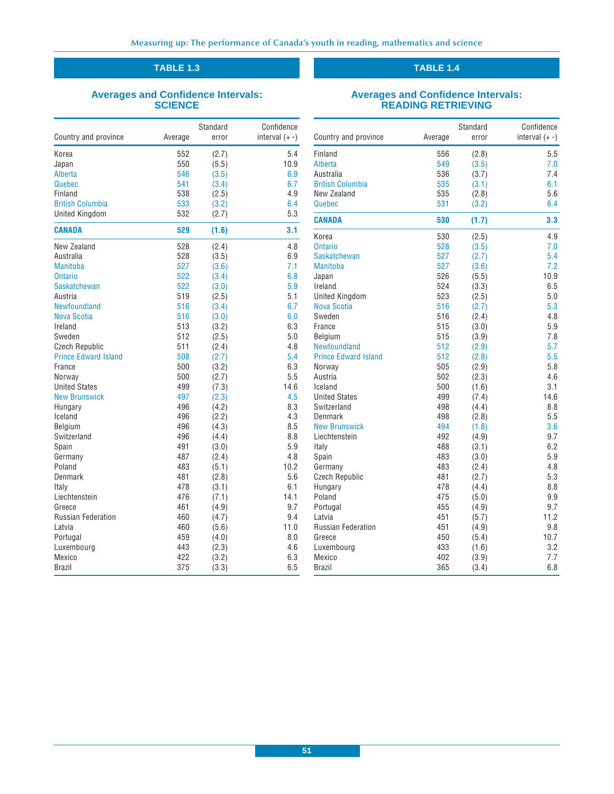#### **Averages and Confidence Intervals: SCIENCE**

|                             |         | Standard | Confidence       |
|-----------------------------|---------|----------|------------------|
| Country and province        | Average | error    | interval $(+ -)$ |
| Korea                       | 552     | (2.7)    | 5.4              |
| Japan                       | 550     | (5.5)    | 10.9             |
| Alberta                     | 546     | (3.5)    | 6.9              |
| Quebec                      | 541     | (3.4)    | 6.7              |
| Finland                     | 538     | (2.5)    | 4.9              |
| <b>British Columbia</b>     | 533     | (3.2)    | 6.4              |
| <b>United Kingdom</b>       | 532     | (2.7)    | 5.3              |
| <b>CANADA</b>               | 529     | (1.6)    | 3.1              |
| New Zealand                 | 528     | (2.4)    | 4.8              |
| Australia                   | 528     | (3.5)    | 6.9              |
| <b>Manitoba</b>             | 527     | (3.6)    | 7.1              |
| Ontario                     | 522     | (3.4)    | 6.8              |
| Saskatchewan                | 522     | (3.0)    | 5.9              |
| Austria                     | 519     | (2.5)    | 5.1              |
| Newfoundland                | 516     | (3.4)    | 6.7              |
| <b>Nova Scotia</b>          | 516     | (3.0)    | 6.0              |
| Ireland                     | 513     | (3.2)    | 6.3              |
| Sweden                      | 512     | (2.5)    | 5.0              |
| <b>Czech Republic</b>       | 511     | (2.4)    | 4.8              |
| <b>Prince Edward Island</b> | 508     | (2.7)    | 5.4              |
| France                      | 500     | (3.2)    | 6.3              |
| Norway                      | 500     | (2.7)    | 5.5              |
| <b>United States</b>        | 499     | (7.3)    | 14.6             |
| <b>New Brunswick</b>        | 497     | (2.3)    | 4.5              |
| Hungary                     | 496     | (4.2)    | 8.3              |
| Iceland                     | 496     | (2.2)    | 4.3              |
| Belgium                     | 496     | (4.3)    | 8.5              |
| Switzerland                 | 496     | (4.4)    | 8.8              |
| Spain                       | 491     | (3.0)    | 5.9              |
| Germany                     | 487     | (2.4)    | 4.8              |
| Poland                      | 483     | (5.1)    | 10.2             |
| Denmark                     | 481     | (2.8)    | 5.6              |
| Italy                       | 478     | (3.1)    | 6.1              |
| Liechtenstein               | 476     | (7.1)    | 14.1             |
| Greece                      | 461     | (4.9)    | 9.7              |
| <b>Russian Federation</b>   | 460     | (4.7)    | 9.4              |
| Latvia                      | 460     | (5.6)    | 11.0             |
| Portugal                    | 459     | (4.0)    | 8.0              |
| Luxembourg                  | 443     | (2.3)    | 4.6              |
| Mexico                      | 422     | (3.2)    | 6.3              |
| <b>Brazil</b>               | 375     | (3.3)    | 6.5              |

### **TABLE 1.4**

#### **Averages and Confidence Intervals: READING RETRIEVING**

| Country and province             | Average    | Standard<br>error | Confidence<br>interval $(+ -)$ |
|----------------------------------|------------|-------------------|--------------------------------|
| Finland                          | 556        | (2.8)             | 5.5                            |
| Alberta                          | 549        | (3.5)             | 7.0                            |
| Australia                        | 536        | (3.7)             | 7.4                            |
| <b>British Columbia</b>          | 535        | (3.1)             | 6.1                            |
| New Zealand                      | 535        | (2.8)             | 5.6                            |
| Quebec                           | 531        | (3.2)             | 6.4                            |
| CANADA                           | 530        | (1.7)             | 3.3                            |
| Korea                            | 530        | (2.5)             | 4.9                            |
| Ontario                          | 528        | (3.5)             | 7.0                            |
| <b>Saskatchewan</b>              | 527        | (2.7)             | 5.4                            |
| <b>Manitoba</b>                  | 527        | (3.6)             | 7.2                            |
| Japan                            | 526        | (5.5)             | 10.9                           |
| Ireland                          | 524        | (3.3)             | 6.5                            |
| <b>United Kingdom</b>            | 523        | (2.5)             | 5.0                            |
| <b>Nova Scotia</b>               | 516        | (2.7)             | 5.3                            |
| Sweden                           | 516        | (2.4)             | 4.8                            |
| France                           | 515        | (3.0)             | 5.9                            |
| Belgium                          | 515        | (3.9)             | 7.8                            |
| <b>Newfoundland</b>              | 512        | (2.9)             | 5.7                            |
| <b>Prince Edward Island</b>      | 512        | (2.8)             | 5.5                            |
| Norway                           | 505        | (2.9)             | 5.8                            |
| Austria                          | 502        | (2.3)             | 4.6                            |
| Iceland                          | 500        | (1.6)             | 3.1                            |
| <b>United States</b>             | 499        | (7.4)             | 14.6                           |
| Switzerland                      | 498        | (4.4)             | 8.8                            |
| Denmark                          | 498        | (2.8)             | 5.5                            |
| <b>New Brunswick</b>             | 494        | (1.8)             | 3.6                            |
| Liechtenstein                    | 492        | (4.9)             | 9.7                            |
| Italy                            | 488        | (3.1)             | 6.2                            |
| Spain                            | 483<br>483 | (3.0)             | 5.9<br>4.8                     |
| Germany<br><b>Czech Republic</b> | 481        | (2.4)             | 5.3                            |
|                                  | 478        | (2.7)             | 8.8                            |
| Hungary<br>Poland                | 475        | (4.4)<br>(5.0)    | 9.9                            |
| Portugal                         | 455        | (4.9)             | 9.7                            |
| Latvia                           | 451        | (5.7)             | 11.2                           |
| <b>Russian Federation</b>        | 451        | (4.9)             | 9.8                            |
| Greece                           | 450        | (5.4)             | 10.7                           |
| Luxembourg                       | 433        | (1.6)             | 3.2                            |
| Mexico                           | 402        | (3.9)             | 7.7                            |
| <b>Brazil</b>                    | 365        | (3.4)             | 6.8                            |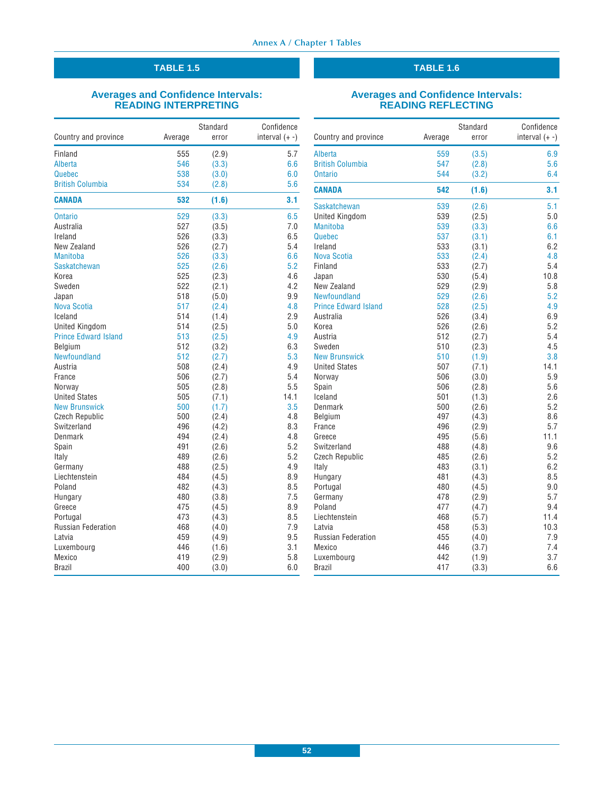#### **Averages and Confidence Intervals: READING INTERPRETING**

|                             |         | Standard | Confidence       |
|-----------------------------|---------|----------|------------------|
| Country and province        | Average | error    | interval $(+ -)$ |
| Finland                     | 555     | (2.9)    | 5.7              |
| Alberta                     | 546     | (3.3)    | 6.6              |
| Quebec                      | 538     | (3.0)    | 6.0              |
| <b>British Columbia</b>     | 534     | (2.8)    | 5.6              |
| <b>CANADA</b>               | 532     | (1.6)    | 3.1              |
| Ontario                     | 529     | (3.3)    | 6.5              |
| Australia                   | 527     | (3.5)    | 7.0              |
| Ireland                     | 526     | (3.3)    | 6.5              |
| New Zealand                 | 526     | (2.7)    | 5.4              |
| <b>Manitoba</b>             | 526     | (3.3)    | 6.6              |
| <b>Saskatchewan</b>         | 525     | (2.6)    | 5.2              |
| Korea                       | 525     | (2.3)    | 4.6              |
| Sweden                      | 522     | (2.1)    | 4.2              |
| Japan                       | 518     | (5.0)    | 9.9              |
| <b>Nova Scotia</b>          | 517     | (2.4)    | 4.8              |
| Iceland                     | 514     | (1.4)    | 2.9              |
| <b>United Kingdom</b>       | 514     | (2.5)    | 5.0              |
| <b>Prince Edward Island</b> | 513     | (2.5)    | 4.9              |
| Belgium                     | 512     | (3.2)    | 6.3              |
| <b>Newfoundland</b>         | 512     | (2.7)    | 5.3              |
| Austria                     | 508     | (2.4)    | 4.9              |
| France                      | 506     | (2.7)    | 5.4              |
| Norway                      | 505     | (2.8)    | 5.5              |
| <b>United States</b>        | 505     | (7.1)    | 14.1             |
| <b>New Brunswick</b>        | 500     | (1.7)    | 3.5              |
| <b>Czech Republic</b>       | 500     | (2.4)    | 4.8              |
| Switzerland                 | 496     | (4.2)    | 8.3              |
| Denmark                     | 494     | (2.4)    | 4.8              |
| Spain                       | 491     | (2.6)    | 5.2              |
| Italy                       | 489     | (2.6)    | 5.2              |
| Germany                     | 488     | (2.5)    | 4.9              |
| Liechtenstein               | 484     | (4.5)    | 8.9              |
| Poland                      | 482     | (4.3)    | 8.5              |
| Hungary                     | 480     | (3.8)    | 7.5              |
| Greece                      | 475     | (4.5)    | 8.9              |
| Portugal                    | 473     | (4.3)    | 8.5              |
| <b>Russian Federation</b>   | 468     | (4.0)    | 7.9              |
| Latvia                      | 459     | (4.9)    | 9.5              |
| Luxembourg                  | 446     | (1.6)    | 3.1              |
| Mexico                      | 419     | (2.9)    | 5.8              |
| <b>Brazil</b>               | 400     | (3.0)    | 6.0              |

## **TABLE 1.6**

#### **Averages and Confidence Intervals: READING REFLECTING**

| Country and province        | Average | Standard<br>error | Confidence<br>interval $(+ -)$ |
|-----------------------------|---------|-------------------|--------------------------------|
| Alberta                     | 559     | (3.5)             | 6.9                            |
| <b>British Columbia</b>     | 547     | (2.8)             | 5.6                            |
| Ontario                     | 544     | (3.2)             | 6.4                            |
| <b>CANADA</b>               | 542     | (1.6)             | 3.1                            |
| Saskatchewan                | 539     | (2.6)             | 5.1                            |
| <b>United Kingdom</b>       | 539     | (2.5)             | 5.0                            |
| <b>Manitoba</b>             | 539     | (3.3)             | 6.6                            |
| Quebec                      | 537     | (3.1)             | 6.1                            |
| Ireland                     | 533     | (3.1)             | 6.2                            |
| <b>Nova Scotia</b>          | 533     | (2.4)             | 4.8                            |
| Finland                     | 533     | (2.7)             | 5.4                            |
| Japan                       | 530     | (5.4)             | 10.8                           |
| New Zealand                 | 529     | (2.9)             | 5.8                            |
| Newfoundland                | 529     | (2.6)             | 5.2                            |
| <b>Prince Edward Island</b> | 528     | (2.5)             | 4.9                            |
| Australia                   | 526     | (3.4)             | 6.9                            |
| Korea                       | 526     | (2.6)             | 5.2                            |
| Austria                     | 512     | (2.7)             | 5.4                            |
| Sweden                      | 510     | (2.3)             | 4.5                            |
| <b>New Brunswick</b>        | 510     | (1.9)             | 3.8                            |
| <b>United States</b>        | 507     | (7.1)             | 14.1                           |
| Norway                      | 506     | (3.0)             | 5.9                            |
| Spain                       | 506     | (2.8)             | 5.6                            |
| Iceland                     | 501     | (1.3)             | 2.6                            |
| Denmark                     | 500     | (2.6)             | 5.2                            |
| Belgium                     | 497     | (4.3)             | 8.6                            |
| France                      | 496     | (2.9)             | 5.7                            |
| Greece                      | 495     | (5.6)             | 11.1                           |
| Switzerland                 | 488     | (4.8)             | 9.6                            |
| <b>Czech Republic</b>       | 485     | (2.6)             | 5.2                            |
| Italy                       | 483     | (3.1)             | 6.2                            |
| Hungary                     | 481     | (4.3)             | 8.5                            |
| Portugal                    | 480     | (4.5)             | 9.0                            |
| Germany                     | 478     | (2.9)             | 5.7                            |
| Poland                      | 477     | (4.7)             | 9.4                            |
| Liechtenstein               | 468     | (5.7)             | 11.4                           |
| Latvia                      | 458     | (5.3)             | 10.3                           |
| <b>Russian Federation</b>   | 455     | (4.0)             | 7.9                            |
| Mexico                      | 446     | (3.7)             | 7.4                            |
| Luxembourg                  | 442     | (1.9)             | 3.7                            |
| <b>Brazil</b>               | 417     | (3.3)             | 6.6                            |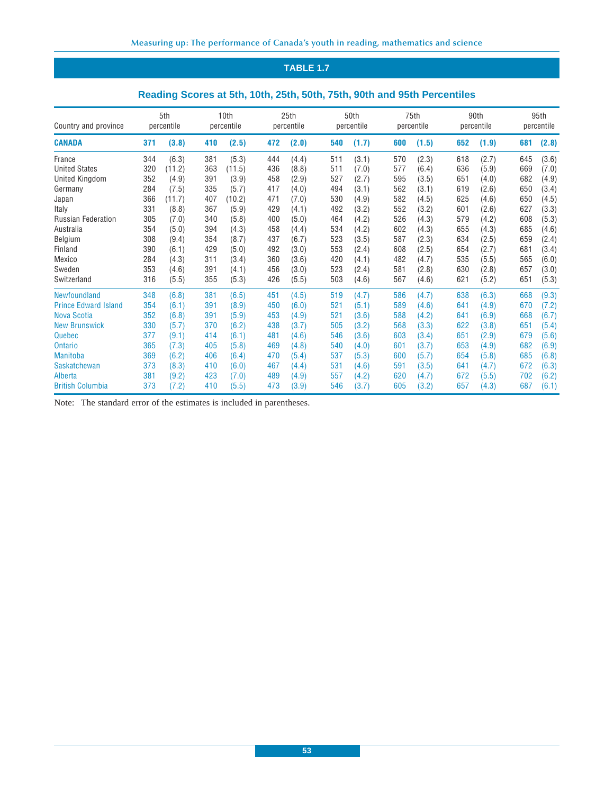| Reading Scores at 5th, 10th, 25th, 50th, 75th, 90th and 95th Percentiles |  |  |  |  |
|--------------------------------------------------------------------------|--|--|--|--|
|--------------------------------------------------------------------------|--|--|--|--|

| Country and province        |     | 5th<br>percentile |     | 10 <sub>th</sub><br>percentile |     | 25th<br>percentile |     | 50th<br>percentile |     | 75th<br>percentile |     | 90th<br>percentile |     | 95th<br>percentile |
|-----------------------------|-----|-------------------|-----|--------------------------------|-----|--------------------|-----|--------------------|-----|--------------------|-----|--------------------|-----|--------------------|
| <b>CANADA</b>               | 371 | (3.8)             | 410 | (2.5)                          | 472 | (2.0)              | 540 | (1.7)              | 600 | (1.5)              | 652 | (1.9)              | 681 | (2.8)              |
| France                      | 344 | (6.3)             | 381 | (5.3)                          | 444 | (4.4)              | 511 | (3.1)              | 570 | (2.3)              | 618 | (2.7)              | 645 | (3.6)              |
| <b>United States</b>        | 320 | (11.2)            | 363 | (11.5)                         | 436 | (8.8)              | 511 | (7.0)              | 577 | (6.4)              | 636 | (5.9)              | 669 | (7.0)              |
| United Kingdom              | 352 | (4.9)             | 391 | (3.9)                          | 458 | (2.9)              | 527 | (2.7)              | 595 | (3.5)              | 651 | (4.0)              | 682 | (4.9)              |
| Germany                     | 284 | (7.5)             | 335 | (5.7)                          | 417 | (4.0)              | 494 | (3.1)              | 562 | (3.1)              | 619 | (2.6)              | 650 | (3.4)              |
| Japan                       | 366 | (11.7)            | 407 | (10.2)                         | 471 | (7.0)              | 530 | (4.9)              | 582 | (4.5)              | 625 | (4.6)              | 650 | (4.5)              |
| Italy                       | 331 | (8.8)             | 367 | (5.9)                          | 429 | (4.1)              | 492 | (3.2)              | 552 | (3.2)              | 601 | (2.6)              | 627 | (3.3)              |
| <b>Russian Federation</b>   | 305 | (7.0)             | 340 | (5.8)                          | 400 | (5.0)              | 464 | (4.2)              | 526 | (4.3)              | 579 | (4.2)              | 608 | (5.3)              |
| Australia                   | 354 | (5.0)             | 394 | (4.3)                          | 458 | (4.4)              | 534 | (4.2)              | 602 | (4.3)              | 655 | (4.3)              | 685 | (4.6)              |
| Belgium                     | 308 | (9.4)             | 354 | (8.7)                          | 437 | (6.7)              | 523 | (3.5)              | 587 | (2.3)              | 634 | (2.5)              | 659 | (2.4)              |
| Finland                     | 390 | (6.1)             | 429 | (5.0)                          | 492 | (3.0)              | 553 | (2.4)              | 608 | (2.5)              | 654 | (2.7)              | 681 | (3.4)              |
| Mexico                      | 284 | (4.3)             | 311 | (3.4)                          | 360 | (3.6)              | 420 | (4.1)              | 482 | (4.7)              | 535 | (5.5)              | 565 | (6.0)              |
| Sweden                      | 353 | (4.6)             | 391 | (4.1)                          | 456 | (3.0)              | 523 | (2.4)              | 581 | (2.8)              | 630 | (2.8)              | 657 | (3.0)              |
| Switzerland                 | 316 | (5.5)             | 355 | (5.3)                          | 426 | (5.5)              | 503 | (4.6)              | 567 | (4.6)              | 621 | (5.2)              | 651 | (5.3)              |
| Newfoundland                | 348 | (6.8)             | 381 | (6.5)                          | 451 | (4.5)              | 519 | (4.7)              | 586 | (4.7)              | 638 | (6.3)              | 668 | (9.3)              |
| <b>Prince Edward Island</b> | 354 | (6.1)             | 391 | (8.9)                          | 450 | (6.0)              | 521 | (5.1)              | 589 | (4.6)              | 641 | (4.9)              | 670 | (7.2)              |
| <b>Nova Scotia</b>          | 352 | (6.8)             | 391 | (5.9)                          | 453 | (4.9)              | 521 | (3.6)              | 588 | (4.2)              | 641 | (6.9)              | 668 | (6.7)              |
| <b>New Brunswick</b>        | 330 | (5.7)             | 370 | (6.2)                          | 438 | (3.7)              | 505 | (3.2)              | 568 | (3.3)              | 622 | (3.8)              | 651 | (5.4)              |
| Quebec                      | 377 | (9.1)             | 414 | (6.1)                          | 481 | (4.6)              | 546 | (3.6)              | 603 | (3.4)              | 651 | (2.9)              | 679 | (5.6)              |
| <b>Ontario</b>              | 365 | (7.3)             | 405 | (5.8)                          | 469 | (4.8)              | 540 | (4.0)              | 601 | (3.7)              | 653 | (4.9)              | 682 | (6.9)              |
| <b>Manitoba</b>             | 369 | (6.2)             | 406 | (6.4)                          | 470 | (5.4)              | 537 | (5.3)              | 600 | (5.7)              | 654 | (5.8)              | 685 | (6.8)              |
| Saskatchewan                | 373 | (8.3)             | 410 | (6.0)                          | 467 | (4.4)              | 531 | (4.6)              | 591 | (3.5)              | 641 | (4.7)              | 672 | (6.3)              |
| Alberta                     | 381 | (9.2)             | 423 | (7.0)                          | 489 | (4.9)              | 557 | (4.2)              | 620 | (4.7)              | 672 | (5.5)              | 702 | (6.2)              |
| <b>British Columbia</b>     | 373 | (7.2)             | 410 | (5.5)                          | 473 | (3.9)              | 546 | (3.7)              | 605 | (3.2)              | 657 | (4.3)              | 687 | (6.1)              |

Note: The standard error of the estimates is included in parentheses.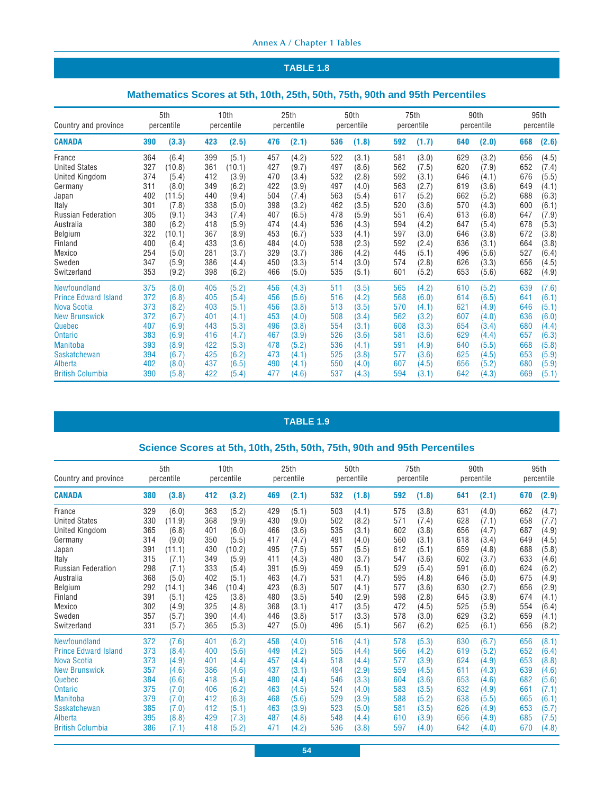## **Mathematics Scores at 5th, 10th, 25th, 50th, 75th, 90th and 95th Percentiles**

| Country and province        |     | 5th<br>percentile |     | 10 <sub>th</sub><br>percentile |     | 25 <sub>th</sub><br>percentile |     | 50th<br>percentile |     | 75th<br>percentile |     | 90th<br>percentile |     | 95th<br>percentile |
|-----------------------------|-----|-------------------|-----|--------------------------------|-----|--------------------------------|-----|--------------------|-----|--------------------|-----|--------------------|-----|--------------------|
| <b>CANADA</b>               | 390 | (3.3)             | 423 | (2.5)                          | 476 | (2.1)                          | 536 | (1.8)              | 592 | (1.7)              | 640 | (2.0)              | 668 | (2.6)              |
| France                      | 364 | (6.4)             | 399 | (5.1)                          | 457 | (4.2)                          | 522 | (3.1)              | 581 | (3.0)              | 629 | (3.2)              | 656 | (4.5)              |
| <b>United States</b>        | 327 | (10.8)            | 361 | (10.1)                         | 427 | (9.7)                          | 497 | (8.6)              | 562 | (7.5)              | 620 | (7.9)              | 652 | (7.4)              |
| United Kingdom              | 374 | (5.4)             | 412 | (3.9)                          | 470 | (3.4)                          | 532 | (2.8)              | 592 | (3.1)              | 646 | (4.1)              | 676 | (5.5)              |
| Germany                     | 311 | (8.0)             | 349 | (6.2)                          | 422 | (3.9)                          | 497 | (4.0)              | 563 | (2.7)              | 619 | (3.6)              | 649 | (4.1)              |
| Japan                       | 402 | (11.5)            | 440 | (9.4)                          | 504 | (7.4)                          | 563 | (5.4)              | 617 | (5.2)              | 662 | (5.2)              | 688 | (6.3)              |
| Italy                       | 301 | (7.8)             | 338 | (5.0)                          | 398 | (3.2)                          | 462 | (3.5)              | 520 | (3.6)              | 570 | (4.3)              | 600 | (6.1)              |
| <b>Russian Federation</b>   | 305 | (9.1)             | 343 | (7.4)                          | 407 | (6.5)                          | 478 | (5.9)              | 551 | (6.4)              | 613 | (6.8)              | 647 | (7.9)              |
| Australia                   | 380 | (6.2)             | 418 | (5.9)                          | 474 | (4.4)                          | 536 | (4.3)              | 594 | (4.2)              | 647 | (5.4)              | 678 | (5.3)              |
| Belgium                     | 322 | (10.1)            | 367 | (8.9)                          | 453 | (6.7)                          | 533 | (4.1)              | 597 | (3.0)              | 646 | (3.8)              | 672 | (3.8)              |
| Finland                     | 400 | (6.4)             | 433 | (3.6)                          | 484 | (4.0)                          | 538 | (2.3)              | 592 | (2.4)              | 636 | (3.1)              | 664 | (3.8)              |
| Mexico                      | 254 | (5.0)             | 281 | (3.7)                          | 329 | (3.7)                          | 386 | (4.2)              | 445 | (5.1)              | 496 | (5.6)              | 527 | (6.4)              |
| Sweden                      | 347 | (5.9)             | 386 | (4.4)                          | 450 | (3.3)                          | 514 | (3.0)              | 574 | (2.8)              | 626 | (3.3)              | 656 | (4.5)              |
| Switzerland                 | 353 | (9.2)             | 398 | (6.2)                          | 466 | (5.0)                          | 535 | (5.1)              | 601 | (5.2)              | 653 | (5.6)              | 682 | (4.9)              |
| <b>Newfoundland</b>         | 375 | (8.0)             | 405 | (5.2)                          | 456 | (4.3)                          | 511 | (3.5)              | 565 | (4.2)              | 610 | (5.2)              | 639 | (7.6)              |
| <b>Prince Edward Island</b> | 372 | (6.8)             | 405 | (5.4)                          | 456 | (5.6)                          | 516 | (4.2)              | 568 | (6.0)              | 614 | (6.5)              | 641 | (6.1)              |
| <b>Nova Scotia</b>          | 373 | (8.2)             | 403 | (5.1)                          | 456 | (3.8)                          | 513 | (3.5)              | 570 | (4.1)              | 621 | (4.9)              | 646 | (5.1)              |
| <b>New Brunswick</b>        | 372 | (6.7)             | 401 | (4.1)                          | 453 | (4.0)                          | 508 | (3.4)              | 562 | (3.2)              | 607 | (4.0)              | 636 | (6.0)              |
| Quebec                      | 407 | (6.9)             | 443 | (5.3)                          | 496 | (3.8)                          | 554 | (3.1)              | 608 | (3.3)              | 654 | (3.4)              | 680 | (4.4)              |
| <b>Ontario</b>              | 383 | (6.9)             | 416 | (4.7)                          | 467 | (3.9)                          | 526 | (3.6)              | 581 | (3.6)              | 629 | (4.4)              | 657 | (6.3)              |
| <b>Manitoba</b>             | 393 | (8.9)             | 422 | (5.3)                          | 478 | (5.2)                          | 536 | (4.1)              | 591 | (4.9)              | 640 | (5.5)              | 668 | (5.8)              |
| Saskatchewan                | 394 | (6.7)             | 425 | (6.2)                          | 473 | (4.1)                          | 525 | (3.8)              | 577 | (3.6)              | 625 | (4.5)              | 653 | (5.9)              |
| Alberta                     | 402 | (8.0)             | 437 | (6.5)                          | 490 | (4.1)                          | 550 | (4.0)              | 607 | (4.5)              | 656 | (5.2)              | 680 | (5.9)              |
| <b>British Columbia</b>     | 390 | (5.8)             | 422 | (5.4)                          | 477 | (4.6)                          | 537 | (4.3)              | 594 | (3.1)              | 642 | (4.3)              | 669 | (5.1)              |

#### **TABLE 1.9**

## **Science Scores at 5th, 10th, 25th, 50th, 75th, 90th and 95th Percentiles**

| Country and province        |     | 5th<br>percentile |     | 10 <sub>th</sub><br>percentile |     | 25 <sub>th</sub><br>percentile |     | 50th<br>percentile |     | 75th<br>percentile |     | 90th<br>percentile |     | 95th<br>percentile |
|-----------------------------|-----|-------------------|-----|--------------------------------|-----|--------------------------------|-----|--------------------|-----|--------------------|-----|--------------------|-----|--------------------|
| <b>CANADA</b>               | 380 | (3.8)             | 412 | (3.2)                          | 469 | (2.1)                          | 532 | (1.8)              | 592 | (1.8)              | 641 | (2.1)              | 670 | (2.9)              |
| France                      | 329 | (6.0)             | 363 | (5.2)                          | 429 | (5.1)                          | 503 | (4.1)              | 575 | (3.8)              | 631 | (4.0)              | 662 | (4.7)              |
| <b>United States</b>        | 330 | (11.9)            | 368 | (9.9)                          | 430 | (9.0)                          | 502 | (8.2)              | 571 | (7.4)              | 628 | (7.1)              | 658 | (7.7)              |
| United Kingdom              | 365 | (6.8)             | 401 | (6.0)                          | 466 | (3.6)                          | 535 | (3.1)              | 602 | (3.8)              | 656 | (4.7)              | 687 | (4.9)              |
| Germany                     | 314 | (9.0)             | 350 | (5.5)                          | 417 | (4.7)                          | 491 | (4.0)              | 560 | (3.1)              | 618 | (3.4)              | 649 | (4.5)              |
| Japan                       | 391 | (11.1)            | 430 | (10.2)                         | 495 | (7.5)                          | 557 | (5.5)              | 612 | (5.1)              | 659 | (4.8)              | 688 | (5.8)              |
| Italy                       | 315 | (7.1)             | 349 | (5.9)                          | 411 | (4.3)                          | 480 | (3.7)              | 547 | (3.6)              | 602 | (3.7)              | 633 | (4.6)              |
| <b>Russian Federation</b>   | 298 | (7.1)             | 333 | (5.4)                          | 391 | (5.9)                          | 459 | (5.1)              | 529 | (5.4)              | 591 | (6.0)              | 624 | (6.2)              |
| Australia                   | 368 | (5.0)             | 402 | (5.1)                          | 463 | (4.7)                          | 531 | (4.7)              | 595 | (4.8)              | 646 | (5.0)              | 675 | (4.9)              |
| Belgium                     | 292 | (14.1)            | 346 | (10.4)                         | 423 | (6.3)                          | 507 | (4.1)              | 577 | (3.6)              | 630 | (2.7)              | 656 | (2.9)              |
| Finland                     | 391 | (5.1)             | 425 | (3.8)                          | 480 | (3.5)                          | 540 | (2.9)              | 598 | (2.8)              | 645 | (3.9)              | 674 | (4.1)              |
| Mexico                      | 302 | (4.9)             | 325 | (4.8)                          | 368 | (3.1)                          | 417 | (3.5)              | 472 | (4.5)              | 525 | (5.9)              | 554 | (6.4)              |
| Sweden                      | 357 | (5.7)             | 390 | (4.4)                          | 446 | (3.8)                          | 517 | (3.3)              | 578 | (3.0)              | 629 | (3.2)              | 659 | (4.1)              |
| Switzerland                 | 331 | (5.7)             | 365 | (5.3)                          | 427 | (5.0)                          | 496 | (5.1)              | 567 | (6.2)              | 625 | (6.1)              | 656 | (8.2)              |
| Newfoundland                | 372 | (7.6)             | 401 | (6.2)                          | 458 | (4.0)                          | 516 | (4.1)              | 578 | (5.3)              | 630 | (6.7)              | 656 | (8.1)              |
| <b>Prince Edward Island</b> | 373 | (8.4)             | 400 | (5.6)                          | 449 | (4.2)                          | 505 | (4.4)              | 566 | (4.2)              | 619 | (5.2)              | 652 | (6.4)              |
| <b>Nova Scotia</b>          | 373 | (4.9)             | 401 | (4.4)                          | 457 | (4.4)                          | 518 | (4.4)              | 577 | (3.9)              | 624 | (4.9)              | 653 | (8.8)              |
| <b>New Brunswick</b>        | 357 | (4.6)             | 386 | (4.6)                          | 437 | (3.1)                          | 494 | (2.9)              | 559 | (4.5)              | 611 | (4.3)              | 639 | (4.6)              |
| Quebec                      | 384 | (6.6)             | 418 | (5.4)                          | 480 | (4.4)                          | 546 | (3.3)              | 604 | (3.6)              | 653 | (4.6)              | 682 | (5.6)              |
| <b>Ontario</b>              | 375 | (7.0)             | 406 | (6.2)                          | 463 | (4.5)                          | 524 | (4.0)              | 583 | (3.5)              | 632 | (4.9)              | 661 | (7.1)              |
| <b>Manitoba</b>             | 379 | (7.0)             | 412 | (6.3)                          | 468 | (5.6)                          | 529 | (3.9)              | 588 | (5.2)              | 638 | (5.5)              | 665 | (6.1)              |
| <b>Saskatchewan</b>         | 385 | (7.0)             | 412 | (5.1)                          | 463 | (3.9)                          | 523 | (5.0)              | 581 | (3.5)              | 626 | (4.9)              | 653 | (5.7)              |
| Alberta                     | 395 | (8.8)             | 429 | (7.3)                          | 487 | (4.8)                          | 548 | (4.4)              | 610 | (3.9)              | 656 | (4.9)              | 685 | (7.5)              |
| <b>British Columbia</b>     | 386 | (7.1)             | 418 | (5.2)                          | 471 | (4.2)                          | 536 | (3.8)              | 597 | (4.0)              | 642 | (4.0)              | 670 | (4.8)              |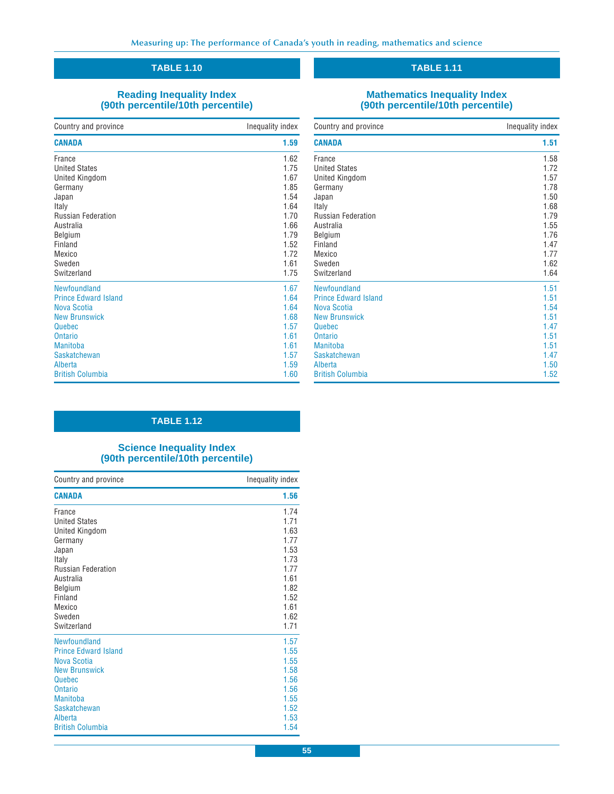#### **Reading Inequality Index (90th percentile/10th percentile)**

| Country and province        | Inequality index |
|-----------------------------|------------------|
| <b>CANADA</b>               | 1.59             |
| France                      | 1.62             |
| <b>United States</b>        | 1.75             |
| United Kingdom              | 1.67             |
| Germany                     | 1.85             |
| Japan                       | 1.54             |
| Italy                       | 1.64             |
| <b>Russian Federation</b>   | 1.70             |
| Australia                   | 1.66             |
| Belgium                     | 1.79             |
| Finland                     | 1.52             |
| Mexico                      | 1.72             |
| Sweden                      | 1.61             |
| Switzerland                 | 1.75             |
| Newfoundland                | 1.67             |
| <b>Prince Edward Island</b> | 1.64             |
| <b>Nova Scotia</b>          | 1.64             |
| <b>New Brunswick</b>        | 1.68             |
| Quebec                      | 1.57             |
| <b>Ontario</b>              | 1.61             |
| <b>Manitoba</b>             | 1.61             |
| <b>Saskatchewan</b>         | 1.57             |
| <b>Alberta</b>              | 1.59             |
| <b>British Columbia</b>     | 1.60             |

## **TABLE 1.11**

#### **Mathematics Inequality Index (90th percentile/10th percentile)**

| Country and province        | Inequality index |
|-----------------------------|------------------|
| <b>CANADA</b>               | 1.51             |
| France                      | 1.58             |
| <b>United States</b>        | 1.72             |
| <b>United Kingdom</b>       | 1.57             |
| Germany                     | 1.78             |
| Japan                       | 1.50             |
| Italy                       | 1.68             |
| <b>Russian Federation</b>   | 1.79             |
| Australia                   | 1.55             |
| <b>Belgium</b>              | 1.76             |
| Finland                     | 1.47             |
| Mexico                      | 1.77             |
| Sweden                      | 1.62             |
| Switzerland                 | 1.64             |
| <b>Newfoundland</b>         | 1.51             |
| <b>Prince Edward Island</b> | 1.51             |
| <b>Nova Scotia</b>          | 1.54             |
| <b>New Brunswick</b>        | 1.51             |
| Quebec                      | 1.47             |
| Ontario                     | 1.51             |
| <b>Manitoba</b>             | 1.51             |
| <b>Saskatchewan</b>         | 1.47             |
| Alberta                     | 1.50             |
| <b>British Columbia</b>     | 1.52             |

## **TABLE 1.12**

#### **Science Inequality Index (90th percentile/10th percentile)**

| Country and province        | Inequality index |
|-----------------------------|------------------|
| <b>CANADA</b>               | 1.56             |
| France                      | 1.74             |
| <b>United States</b>        | 1.71             |
| United Kingdom              | 1.63             |
| Germany                     | 1.77             |
| Japan                       | 1.53             |
| Italy                       | 1.73             |
| <b>Russian Federation</b>   | 1.77             |
| Australia                   | 1.61             |
| Belgium                     | 1.82             |
| Finland                     | 1.52             |
| Mexico                      | 1.61             |
| Sweden<br>Switzerland       | 1.62<br>1.71     |
|                             |                  |
| Newfoundland                | 1.57             |
| <b>Prince Edward Island</b> | 1.55             |
| <b>Nova Scotia</b>          | 1.55             |
| <b>New Brunswick</b>        | 1.58             |
| Quebec                      | 1.56             |
| Ontario                     | 1.56             |
| <b>Manitoba</b>             | 1.55             |
| <b>Saskatchewan</b>         | 1.52             |
| Alberta                     | 1.53             |
| <b>British Columbia</b>     | 1.54             |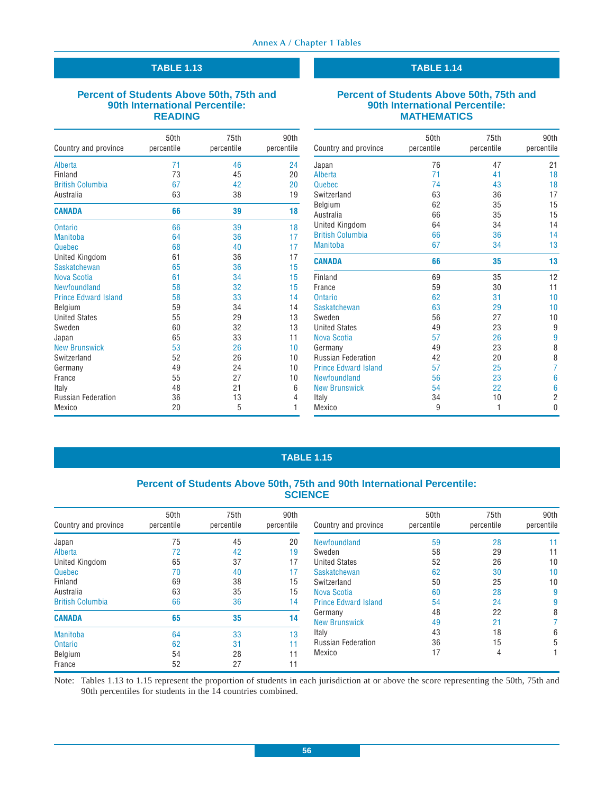#### **Percent of Students Above 50th, 75th and 90th International Percentile: READING**

| Country and province        | 50th<br>percentile | 75th<br>percentile | 90th<br>percentile |
|-----------------------------|--------------------|--------------------|--------------------|
| Alberta                     | 71                 | 46                 | 24                 |
| Finland                     | 73                 | 45                 | 20                 |
| <b>British Columbia</b>     | 67                 | 42                 | 20                 |
| Australia                   | 63                 | 38                 | 19                 |
| <b>CANADA</b>               | 66                 | 39                 | 18                 |
| <b>Ontario</b>              | 66                 | 39                 | 18                 |
| <b>Manitoba</b>             | 64                 | 36                 | 17                 |
| Quebec                      | 68                 | 40                 | 17                 |
| <b>United Kingdom</b>       | 61                 | 36                 | 17                 |
| <b>Saskatchewan</b>         | 65                 | 36                 | 15                 |
| <b>Nova Scotia</b>          | 61                 | 34                 | 15                 |
| Newfoundland                | 58                 | 32                 | 15                 |
| <b>Prince Edward Island</b> | 58                 | 33                 | 14                 |
| <b>Belgium</b>              | 59                 | 34                 | 14                 |
| <b>United States</b>        | 55                 | 29                 | 13                 |
| Sweden                      | 60                 | 32                 | 13                 |
| Japan                       | 65                 | 33                 | 11                 |
| <b>New Brunswick</b>        | 53                 | 26                 | 10                 |
| Switzerland                 | 52                 | 26                 | 10                 |
| Germany                     | 49                 | 24                 | 10                 |
| France                      | 55                 | 27                 | 10                 |
| Italy                       | 48                 | 21                 | 6                  |
| <b>Russian Federation</b>   | 36                 | 13                 | 4                  |
| Mexico                      | 20                 | 5                  | 1                  |

#### **TABLE 1.14**

#### **Percent of Students Above 50th, 75th and 90th International Percentile: MATHEMATICS**

| Country and province        | 50th<br>percentile | 75th<br>percentile | 90th<br>percentile |
|-----------------------------|--------------------|--------------------|--------------------|
| Japan                       | 76                 | 47                 | 21                 |
| Alberta                     | 71                 | 41                 | 18                 |
| Quebec                      | 74                 | 43                 | 18                 |
| Switzerland                 | 63                 | 36                 | 17                 |
| Belgium                     | 62                 | 35                 | 15                 |
| Australia                   | 66                 | 35                 | 15                 |
| United Kingdom              | 64                 | 34                 | 14                 |
| <b>British Columbia</b>     | 66                 | 36                 | 14                 |
| <b>Manitoba</b>             | 67                 | 34                 | 13                 |
| <b>CANADA</b>               | 66                 | 35                 | 13                 |
| Finland                     | 69                 | 35                 | 12                 |
| France                      | 59                 | 30                 | 11                 |
| <b>Ontario</b>              | 62                 | 31                 | 10                 |
| <b>Saskatchewan</b>         | 63                 | 29                 | 10                 |
| Sweden                      | 56                 | 27                 | 10                 |
| <b>United States</b>        | 49                 | 23                 | 9                  |
| Nova Scotia                 | 57                 | 26                 | 9                  |
| Germany                     | 49                 | 23                 | 8                  |
| <b>Russian Federation</b>   | 42                 | 20                 | 8                  |
| <b>Prince Edward Island</b> | 57                 | 25                 | $\overline{7}$     |
| Newfoundland                | 56                 | 23                 | 6                  |
| <b>New Brunswick</b>        | 54                 | 22                 | 6                  |
| Italy                       | 34                 | 10                 | $\overline{2}$     |
| Mexico                      | 9                  | 1                  | 0                  |

## **TABLE 1.15**

#### **Percent of Students Above 50th, 75th and 90th International Percentile: SCIENCE**

| Country and province    | 50th<br>percentile | 75th<br>percentile | 90th<br>percentile | Country and province        | 50th<br>percentile | 75th<br>percentile | 90th<br>percentile |
|-------------------------|--------------------|--------------------|--------------------|-----------------------------|--------------------|--------------------|--------------------|
| Japan                   | 75                 | 45                 | 20                 | Newfoundland                | 59                 | 28                 |                    |
| Alberta                 | 72                 | 42                 | 19                 | Sweden                      | 58                 | 29                 | 11                 |
| <b>United Kingdom</b>   | 65                 | 37                 | 17                 | <b>United States</b>        | 52                 | 26                 | 10                 |
| Quebec                  | 70                 | 40                 | 17                 | <b>Saskatchewan</b>         | 62                 | 30                 | 10                 |
| Finland                 | 69                 | 38                 | 15                 | Switzerland                 | 50                 | 25                 | 10                 |
| Australia               | 63                 | 35                 | 15                 | Nova Scotia                 | 60                 | 28                 | 9                  |
| <b>British Columbia</b> | 66                 | 36                 | 14                 | <b>Prince Edward Island</b> | 54                 | 24                 | 9                  |
| <b>CANADA</b>           | 65                 | 35                 | 14                 | Germany                     | 48                 | 22                 | 8                  |
|                         |                    |                    |                    | <b>New Brunswick</b>        | 49                 | 21                 |                    |
| <b>Manitoba</b>         | 64                 | 33                 | 13                 | Italy                       | 43                 | 18                 | 6                  |
| <b>Ontario</b>          | 62                 | 31                 | 11                 | <b>Russian Federation</b>   | 36                 | 15                 | 5                  |
| Belgium                 | 54                 | 28                 | 11                 | Mexico                      | 17                 | 4                  |                    |
| France                  | 52                 | 27                 | 11                 |                             |                    |                    |                    |

Note: Tables 1.13 to 1.15 represent the proportion of students in each jurisdiction at or above the score representing the 50th, 75th and 90th percentiles for students in the 14 countries combined.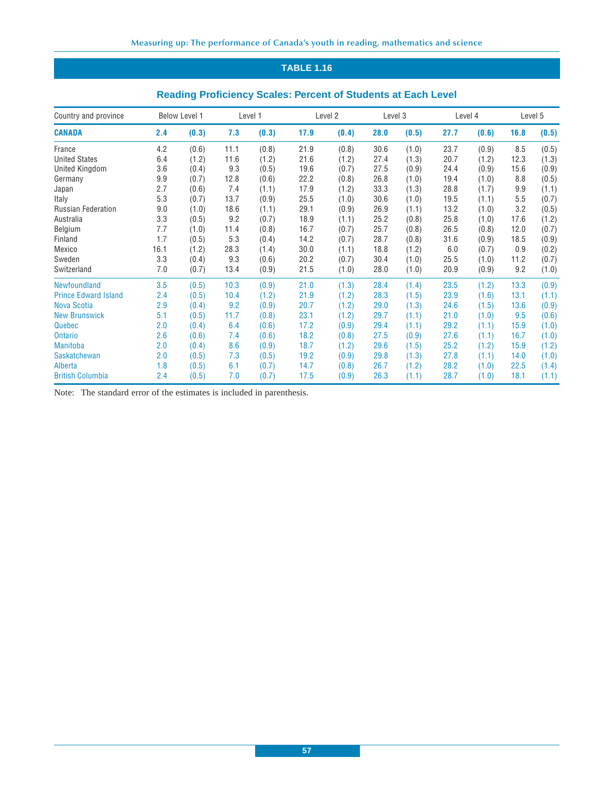| Country and province        |      | <b>Below Level 1</b> |      | Level 1 |      | Level 2 | Level 3 |       | Level 4 |       |      | Level 5 |
|-----------------------------|------|----------------------|------|---------|------|---------|---------|-------|---------|-------|------|---------|
| <b>CANADA</b>               | 2.4  | (0.3)                | 7.3  | (0.3)   | 17.9 | (0.4)   | 28.0    | (0.5) | 27.7    | (0.6) | 16.8 | (0.5)   |
| France                      | 4.2  | (0.6)                | 11.1 | (0.8)   | 21.9 | (0.8)   | 30.6    | (1.0) | 23.7    | (0.9) | 8.5  | (0.5)   |
| <b>United States</b>        | 6.4  | (1.2)                | 11.6 | (1.2)   | 21.6 | (1.2)   | 27.4    | (1.3) | 20.7    | (1.2) | 12.3 | (1.3)   |
| <b>United Kingdom</b>       | 3.6  | (0.4)                | 9.3  | (0.5)   | 19.6 | (0.7)   | 27.5    | (0.9) | 24.4    | (0.9) | 15.6 | (0.9)   |
| Germany                     | 9.9  | (0.7)                | 12.8 | (0.6)   | 22.2 | (0.8)   | 26.8    | (1.0) | 19.4    | (1.0) | 8.8  | (0.5)   |
| Japan                       | 2.7  | (0.6)                | 7.4  | (1.1)   | 17.9 | (1.2)   | 33.3    | (1.3) | 28.8    | (1.7) | 9.9  | (1.1)   |
| Italy                       | 5.3  | (0.7)                | 13.7 | (0.9)   | 25.5 | (1.0)   | 30.6    | (1.0) | 19.5    | (1.1) | 5.5  | (0.7)   |
| <b>Russian Federation</b>   | 9.0  | (1.0)                | 18.6 | (1.1)   | 29.1 | (0.9)   | 26.9    | (1.1) | 13.2    | (1.0) | 3.2  | (0.5)   |
| Australia                   | 3.3  | (0.5)                | 9.2  | (0.7)   | 18.9 | (1.1)   | 25.2    | (0.8) | 25.8    | (1.0) | 17.6 | (1.2)   |
| Belgium                     | 7.7  | (1.0)                | 11.4 | (0.8)   | 16.7 | (0.7)   | 25.7    | (0.8) | 26.5    | (0.8) | 12.0 | (0.7)   |
| Finland                     | 1.7  | (0.5)                | 5.3  | (0.4)   | 14.2 | (0.7)   | 28.7    | (0.8) | 31.6    | (0.9) | 18.5 | (0.9)   |
| Mexico                      | 16.1 | (1.2)                | 28.3 | (1.4)   | 30.0 | (1.1)   | 18.8    | (1.2) | 6.0     | (0.7) | 0.9  | (0.2)   |
| Sweden                      | 3.3  | (0.4)                | 9.3  | (0.6)   | 20.2 | (0.7)   | 30.4    | (1.0) | 25.5    | (1.0) | 11.2 | (0.7)   |
| Switzerland                 | 7.0  | (0.7)                | 13.4 | (0.9)   | 21.5 | (1.0)   | 28.0    | (1.0) | 20.9    | (0.9) | 9.2  | (1.0)   |
| Newfoundland                | 3.5  | (0.5)                | 10.3 | (0.9)   | 21.0 | (1.3)   | 28.4    | (1.4) | 23.5    | (1.2) | 13.3 | (0.9)   |
| <b>Prince Edward Island</b> | 2.4  | (0.5)                | 10.4 | (1.2)   | 21.9 | (1.2)   | 28.3    | (1.5) | 23.9    | (1.6) | 13.1 | (1.1)   |
| <b>Nova Scotia</b>          | 2.9  | (0.4)                | 9.2  | (0.9)   | 20.7 | (1.2)   | 29.0    | (1.3) | 24.6    | (1.5) | 13.6 | (0.9)   |
| <b>New Brunswick</b>        | 5.1  | (0.5)                | 11.7 | (0.8)   | 23.1 | (1.2)   | 29.7    | (1.1) | 21.0    | (1.0) | 9.5  | (0.6)   |
| Quebec                      | 2.0  | (0.4)                | 6.4  | (0.6)   | 17.2 | (0.9)   | 29.4    | (1.1) | 29.2    | (1.1) | 15.9 | (1.0)   |
| <b>Ontario</b>              | 2.6  | (0.6)                | 7.4  | (0.6)   | 18.2 | (0.8)   | 27.5    | (0.9) | 27.6    | (1.1) | 16.7 | (1.0)   |
| <b>Manitoba</b>             | 2.0  | (0.4)                | 8.6  | (0.9)   | 18.7 | (1.2)   | 29.6    | (1.5) | 25.2    | (1.2) | 15.9 | (1.2)   |
| <b>Saskatchewan</b>         | 2.0  | (0.5)                | 7.3  | (0.5)   | 19.2 | (0.9)   | 29.8    | (1.3) | 27.8    | (1.1) | 14.0 | (1.0)   |
| Alberta                     | 1.8  | (0.5)                | 6.1  | (0.7)   | 14.7 | (0.8)   | 26.7    | (1.2) | 28.2    | (1.0) | 22.5 | (1.4)   |
| <b>British Columbia</b>     | 2.4  | (0.5)                | 7.0  | (0.7)   | 17.5 | (0.9)   | 26.3    | (1.1) | 28.7    | (1.0) | 18.1 | (1.1)   |

Note: The standard error of the estimates is included in parenthesis.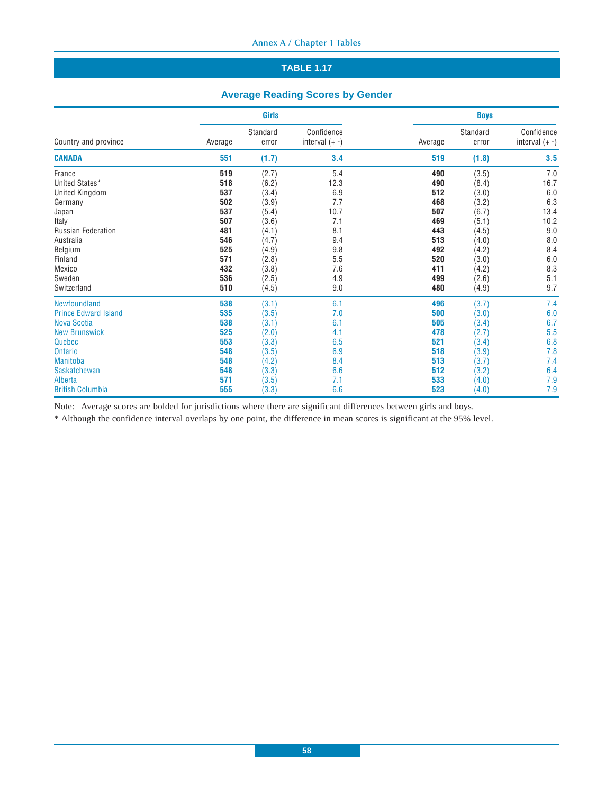## **Average Reading Scores by Gender**

|                             |         | Girls             |                                | <b>Boys</b> |                   |                                |  |  |
|-----------------------------|---------|-------------------|--------------------------------|-------------|-------------------|--------------------------------|--|--|
| Country and province        | Average | Standard<br>error | Confidence<br>interval $(+ -)$ | Average     | Standard<br>error | Confidence<br>interval $(+ -)$ |  |  |
| <b>CANADA</b>               | 551     | (1.7)             | 3.4                            | 519         | (1.8)             | 3.5                            |  |  |
| France                      | 519     | (2.7)             | 5.4                            | 490         | (3.5)             | $7.0$                          |  |  |
| United States*              | 518     | (6.2)             | 12.3                           | 490         | (8.4)             | 16.7                           |  |  |
| <b>United Kingdom</b>       | 537     | (3.4)             | 6.9                            | 512         | (3.0)             | $6.0\,$                        |  |  |
| Germany                     | 502     | (3.9)             | 7.7                            | 468         | (3.2)             | 6.3                            |  |  |
| Japan                       | 537     | (5.4)             | 10.7                           | 507         | (6.7)             | 13.4                           |  |  |
| Italy                       | 507     | (3.6)             | 7.1                            | 469         | (5.1)             | 10.2                           |  |  |
| <b>Russian Federation</b>   | 481     | (4.1)             | 8.1                            | 443         | (4.5)             | 9.0                            |  |  |
| Australia                   | 546     | (4.7)             | 9.4                            | 513         | (4.0)             | 8.0                            |  |  |
| Belgium                     | 525     | (4.9)             | 9.8                            | 492         | (4.2)             | 8.4                            |  |  |
| Finland                     | 571     | (2.8)             | 5.5                            | 520         | (3.0)             | $6.0\,$                        |  |  |
| Mexico                      | 432     | (3.8)             | 7.6                            | 411         | (4.2)             | 8.3                            |  |  |
| Sweden                      | 536     | (2.5)             | 4.9                            | 499         | (2.6)             | 5.1                            |  |  |
| Switzerland                 | 510     | (4.5)             | 9.0                            | 480         | (4.9)             | 9.7                            |  |  |
| Newfoundland                | 538     | (3.1)             | 6.1                            | 496         | (3.7)             | 7.4                            |  |  |
| <b>Prince Edward Island</b> | 535     | (3.5)             | 7.0                            | 500         | (3.0)             | 6.0                            |  |  |
| <b>Nova Scotia</b>          | 538     | (3.1)             | 6.1                            | 505         | (3.4)             | 6.7                            |  |  |
| <b>New Brunswick</b>        | 525     | (2.0)             | 4.1                            | 478         | (2.7)             | 5.5                            |  |  |
| Quebec                      | 553     | (3.3)             | 6.5                            | 521         | (3.4)             | 6.8                            |  |  |
| <b>Ontario</b>              | 548     | (3.5)             | 6.9                            | 518         | (3.9)             | 7.8                            |  |  |
| <b>Manitoba</b>             | 548     | (4.2)             | 8.4                            | 513         | (3.7)             | 7.4                            |  |  |
| Saskatchewan                | 548     | (3.3)             | 6.6                            | 512         | (3.2)             | 6.4                            |  |  |
| Alberta                     | 571     | (3.5)             | 7.1                            | 533         | (4.0)             | 7.9                            |  |  |
| <b>British Columbia</b>     | 555     | (3.3)             | 6.6                            | 523         | (4.0)             | 7.9                            |  |  |

Note: Average scores are bolded for jurisdictions where there are significant differences between girls and boys.

\* Although the confidence interval overlaps by one point, the difference in mean scores is significant at the 95% level.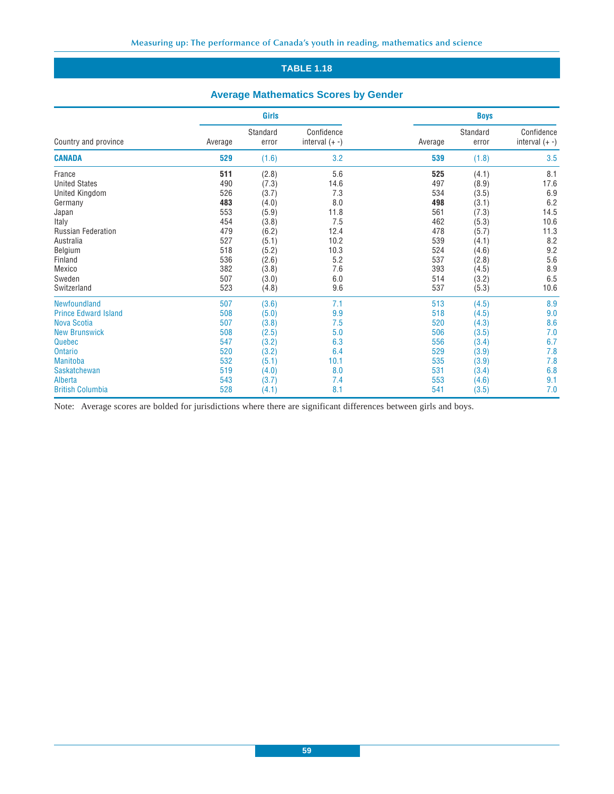## **Average Mathematics Scores by Gender**

|                             |         | Girls             |                                | <b>Boys</b> |                   |                                |  |  |
|-----------------------------|---------|-------------------|--------------------------------|-------------|-------------------|--------------------------------|--|--|
| Country and province        | Average | Standard<br>error | Confidence<br>interval $(+ -)$ | Average     | Standard<br>error | Confidence<br>interval $(+ -)$ |  |  |
| <b>CANADA</b>               | 529     | (1.6)             | 3.2                            | 539         | (1.8)             | 3.5                            |  |  |
| France                      | 511     | (2.8)             | 5.6                            | 525         | (4.1)             | 8.1                            |  |  |
| <b>United States</b>        | 490     | (7.3)             | 14.6                           | 497         | (8.9)             | 17.6                           |  |  |
| <b>United Kingdom</b>       | 526     | (3.7)             | 7.3                            | 534         | (3.5)             | 6.9                            |  |  |
| Germany                     | 483     | (4.0)             | 8.0                            | 498         | (3.1)             | 6.2                            |  |  |
| Japan                       | 553     | (5.9)             | 11.8                           | 561         | (7.3)             | 14.5                           |  |  |
| Italy                       | 454     | (3.8)             | 7.5                            | 462         | (5.3)             | 10.6                           |  |  |
| <b>Russian Federation</b>   | 479     | (6.2)             | 12.4                           | 478         | (5.7)             | 11.3                           |  |  |
| Australia                   | 527     | (5.1)             | 10.2                           | 539         | (4.1)             | 8.2                            |  |  |
| Belgium                     | 518     | (5.2)             | 10.3                           | 524         | (4.6)             | 9.2                            |  |  |
| Finland                     | 536     | (2.6)             | 5.2                            | 537         | (2.8)             | 5.6                            |  |  |
| Mexico                      | 382     | (3.8)             | 7.6                            | 393         | (4.5)             | 8.9                            |  |  |
| Sweden                      | 507     | (3.0)             | 6.0                            | 514         | (3.2)             | 6.5                            |  |  |
| Switzerland                 | 523     | (4.8)             | 9.6                            | 537         | (5.3)             | 10.6                           |  |  |
| <b>Newfoundland</b>         | 507     | (3.6)             | 7.1                            | 513         | (4.5)             | 8.9                            |  |  |
| <b>Prince Edward Island</b> | 508     | (5.0)             | 9.9                            | 518         | (4.5)             | 9.0                            |  |  |
| <b>Nova Scotia</b>          | 507     | (3.8)             | 7.5                            | 520         | (4.3)             | 8.6                            |  |  |
| <b>New Brunswick</b>        | 508     | (2.5)             | 5.0                            | 506         | (3.5)             | 7.0                            |  |  |
| Quebec                      | 547     | (3.2)             | 6.3                            | 556         | (3.4)             | 6.7                            |  |  |
| <b>Ontario</b>              | 520     | (3.2)             | 6.4                            | 529         | (3.9)             | 7.8                            |  |  |
| <b>Manitoba</b>             | 532     | (5.1)             | 10.1                           | 535         | (3.9)             | 7.8                            |  |  |
| Saskatchewan                | 519     | (4.0)             | 8.0                            | 531         | (3.4)             | 6.8                            |  |  |
| Alberta                     | 543     | (3.7)             | 7.4                            | 553         | (4.6)             | 9.1                            |  |  |
| <b>British Columbia</b>     | 528     | (4.1)             | 8.1                            | 541         | (3.5)             | 7.0                            |  |  |

Note: Average scores are bolded for jurisdictions where there are significant differences between girls and boys.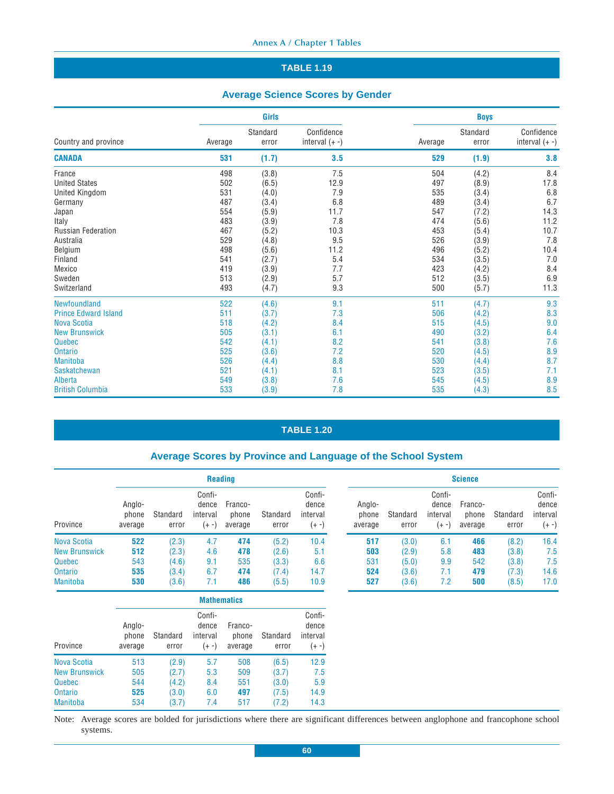## **Average Science Scores by Gender**

|                             |         | Girls             |                                | <b>Boys</b> |                   |                                |  |  |
|-----------------------------|---------|-------------------|--------------------------------|-------------|-------------------|--------------------------------|--|--|
| Country and province        | Average | Standard<br>error | Confidence<br>interval $(+ -)$ | Average     | Standard<br>error | Confidence<br>interval $(+ -)$ |  |  |
| <b>CANADA</b>               | 531     | (1.7)             | 3.5                            | 529         | (1.9)             | 3.8                            |  |  |
| France                      | 498     | (3.8)             | 7.5                            | 504         | (4.2)             | 8.4                            |  |  |
| <b>United States</b>        | 502     | (6.5)             | 12.9                           | 497         | (8.9)             | 17.8                           |  |  |
| <b>United Kingdom</b>       | 531     | (4.0)             | 7.9                            | 535         | (3.4)             | 6.8                            |  |  |
| Germany                     | 487     | (3.4)             | 6.8                            | 489         | (3.4)             | 6.7                            |  |  |
| Japan                       | 554     | (5.9)             | 11.7                           | 547         | (7.2)             | 14.3                           |  |  |
| Italy                       | 483     | (3.9)             | 7.8                            | 474         | (5.6)             | 11.2                           |  |  |
| <b>Russian Federation</b>   | 467     | (5.2)             | 10.3                           | 453         | (5.4)             | 10.7                           |  |  |
| Australia                   | 529     | (4.8)             | 9.5                            | 526         | (3.9)             | 7.8                            |  |  |
| Belgium                     | 498     | (5.6)             | 11.2                           | 496         | (5.2)             | 10.4                           |  |  |
| Finland                     | 541     | (2.7)             | 5.4                            | 534         | (3.5)             | 7.0                            |  |  |
| Mexico                      | 419     | (3.9)             | 7.7                            | 423         | (4.2)             | 8.4                            |  |  |
| Sweden                      | 513     | (2.9)             | 5.7                            | 512         | (3.5)             | 6.9                            |  |  |
| Switzerland                 | 493     | (4.7)             | 9.3                            | 500         | (5.7)             | 11.3                           |  |  |
| Newfoundland                | 522     | (4.6)             | 9.1                            | 511         | (4.7)             | 9.3                            |  |  |
| <b>Prince Edward Island</b> | 511     | (3.7)             | 7.3                            | 506         | (4.2)             | 8.3                            |  |  |
| <b>Nova Scotia</b>          | 518     | (4.2)             | 8.4                            | 515         | (4.5)             | 9.0                            |  |  |
| <b>New Brunswick</b>        | 505     | (3.1)             | 6.1                            | 490         | (3.2)             | 6.4                            |  |  |
| Quebec                      | 542     | (4.1)             | 8.2                            | 541         | (3.8)             | 7.6                            |  |  |
| <b>Ontario</b>              | 525     | (3.6)             | 7.2                            | 520         | (4.5)             | 8.9                            |  |  |
| <b>Manitoba</b>             | 526     | (4.4)             | 8.8                            | 530         | (4.4)             | 8.7                            |  |  |
| <b>Saskatchewan</b>         | 521     | (4.1)             | 8.1                            | 523         | (3.5)             | 7.1                            |  |  |
| Alberta                     | 549     | (3.8)             | 7.6                            | 545         | (4.5)             | 8.9                            |  |  |
| <b>British Columbia</b>     | 533     | (3.9)             | 7.8                            | 535         | (4.3)             | 8.5                            |  |  |

## **TABLE 1.20**

## **Average Scores by Province and Language of the School System**

| <b>Reading</b>       |                            |                   |                                        |                             |                   |                                      | <b>Science</b>             |                   |                                        |                             |                   |                                      |
|----------------------|----------------------------|-------------------|----------------------------------------|-----------------------------|-------------------|--------------------------------------|----------------------------|-------------------|----------------------------------------|-----------------------------|-------------------|--------------------------------------|
| Province             | Anglo-<br>phone<br>average | Standard<br>error | Confi-<br>dence<br>interval<br>$(+ -)$ | Franco-<br>phone<br>average | Standard<br>error | Confi-<br>dence<br>interval<br>(+ -) | Anglo-<br>phone<br>average | Standard<br>error | Confi-<br>dence<br>interval<br>$(+ -)$ | Franco-<br>phone<br>average | Standard<br>error | Confi-<br>dence<br>interval<br>(+ -) |
| Nova Scotia          | 522                        | (2.3)             | 4.7                                    | 474                         | (5.2)             | 10.4                                 | 517                        | (3.0)             | 6.1                                    | 466                         | (8.2)             | 16.4                                 |
| <b>New Brunswick</b> | 512                        | (2.3)             | 4.6                                    | 478                         | (2.6)             | 5.1                                  | 503                        | (2.9)             | 5.8                                    | 483                         | (3.8)             | 7.5                                  |
| Quebec               | 543                        | (4.6)             | 9.1                                    | 535                         | (3.3)             | 6.6                                  | 531                        | (5.0)             | 9.9                                    | 542                         | (3.8)             | 7.5                                  |
| <b>Ontario</b>       | 535                        | (3.4)             | 6.7                                    | 474                         | (7.4)             | 14.7                                 | 524                        | (3.6)             | 7.1                                    | 479                         | (7.3)             | 14.6                                 |
| <b>Manitoba</b>      | 530                        | (3.6)             | 7.1                                    | 486                         | (5.5)             | 10.9                                 | 527                        | (3.6)             | 7.2                                    | 500                         | (8.5)             | 17.0                                 |

|                      |                            | Mathematics       |                                        |                             |                   |                                        |  |  |  |  |  |  |
|----------------------|----------------------------|-------------------|----------------------------------------|-----------------------------|-------------------|----------------------------------------|--|--|--|--|--|--|
| Province             | Anglo-<br>phone<br>average | Standard<br>error | Confi-<br>dence<br>interval<br>$(+ -)$ | Franco-<br>phone<br>average | Standard<br>error | Confi-<br>dence<br>interval<br>$(+ -)$ |  |  |  |  |  |  |
| Nova Scotia          | 513                        | (2.9)             | 5.7                                    | 508                         | (6.5)             | 12.9                                   |  |  |  |  |  |  |
| <b>New Brunswick</b> | 505                        | (2.7)             | 5.3                                    | 509                         | (3.7)             | 7.5                                    |  |  |  |  |  |  |
| Quebec               | 544                        | (4.2)             | 8.4                                    | 551                         | (3.0)             | 5.9                                    |  |  |  |  |  |  |
| <b>Ontario</b>       | 525                        | (3.0)             | 6.0                                    | 497                         | (7.5)             | 14.9                                   |  |  |  |  |  |  |
| <b>Manitoba</b>      | 534                        | (3.7)             | 7.4                                    | 517                         | (7.2)             | 14.3                                   |  |  |  |  |  |  |

Note: Average scores are bolded for jurisdictions where there are significant differences between anglophone and francophone school systems.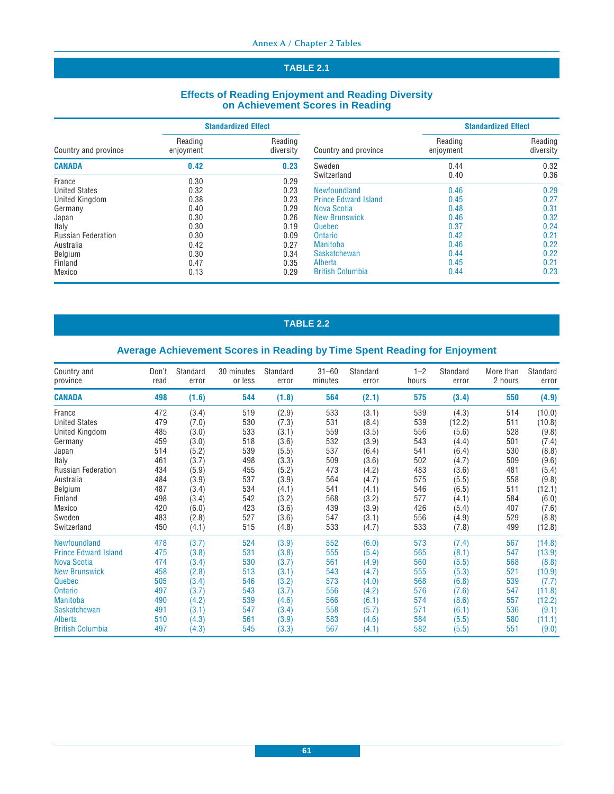#### **Annex A / Chapter 2 Tables**

## **TABLE 2.1**

#### **Effects of Reading Enjoyment and Reading Diversity on Achievement Scores in Reading**

|                           |                      | <b>Standardized Effect</b> |                             | <b>Standardized Effect</b> |                      |  |
|---------------------------|----------------------|----------------------------|-----------------------------|----------------------------|----------------------|--|
| Country and province      | Reading<br>enjoyment | Reading<br>diversity       | Country and province        | Reading<br>enjoyment       | Reading<br>diversity |  |
| <b>CANADA</b>             | 0.42                 | 0.23                       | Sweden                      | 0.44                       | 0.32                 |  |
| France                    | 0.30                 | 0.29                       | Switzerland                 | 0.40                       | 0.36                 |  |
| <b>United States</b>      | 0.32                 | 0.23                       | <b>Newfoundland</b>         | 0.46                       | 0.29                 |  |
| United Kingdom            | 0.38                 | 0.23                       | <b>Prince Edward Island</b> | 0.45                       | 0.27                 |  |
| Germany                   | 0.40                 | 0.29                       | Nova Scotia                 | 0.48                       | 0.31                 |  |
| Japan                     | 0.30                 | 0.26                       | <b>New Brunswick</b>        | 0.46                       | 0.32                 |  |
| Italy                     | 0.30                 | 0.19                       | Quebec                      | 0.37                       | 0.24                 |  |
| <b>Russian Federation</b> | 0.30                 | 0.09                       | Ontario                     | 0.42                       | 0.21                 |  |
| Australia                 | 0.42                 | 0.27                       | <b>Manitoba</b>             | 0.46                       | 0.22                 |  |
| Belgium                   | 0.30                 | 0.34                       | <b>Saskatchewan</b>         | 0.44                       | 0.22                 |  |
| Finland                   | 0.47                 | 0.35                       | Alberta                     | 0.45                       | 0.21                 |  |
| Mexico                    | 0.13                 | 0.29                       | <b>British Columbia</b>     | 0.44                       | 0.23                 |  |

## **TABLE 2.2**

## **Average Achievement Scores in Reading by Time Spent Reading for Enjoyment**

| Country and<br>province     | Don't<br>read | Standard<br>error | 30 minutes<br>or less | Standard<br>error | $31 - 60$<br>minutes | Standard<br>error | $1 - 2$<br>hours | Standard<br>error | More than<br>2 hours | Standard<br>error |
|-----------------------------|---------------|-------------------|-----------------------|-------------------|----------------------|-------------------|------------------|-------------------|----------------------|-------------------|
| <b>CANADA</b>               | 498           | (1.6)             | 544                   | (1.8)             | 564                  | (2.1)             | 575              | (3.4)             | 550                  | (4.9)             |
| France                      | 472           | (3.4)             | 519                   | (2.9)             | 533                  | (3.1)             | 539              | (4.3)             | 514                  | (10.0)            |
| <b>United States</b>        | 479           | (7.0)             | 530                   | (7.3)             | 531                  | (8.4)             | 539              | (12.2)            | 511                  | (10.8)            |
| <b>United Kingdom</b>       | 485           | (3.0)             | 533                   | (3.1)             | 559                  | (3.5)             | 556              | (5.6)             | 528                  | (9.8)             |
| Germany                     | 459           | (3.0)             | 518                   | (3.6)             | 532                  | (3.9)             | 543              | (4.4)             | 501                  | (7.4)             |
| Japan                       | 514           | (5.2)             | 539                   | (5.5)             | 537                  | (6.4)             | 541              | (6.4)             | 530                  | (8.8)             |
| Italy                       | 461           | (3.7)             | 498                   | (3.3)             | 509                  | (3.6)             | 502              | (4.7)             | 509                  | (9.6)             |
| <b>Russian Federation</b>   | 434           | (5.9)             | 455                   | (5.2)             | 473                  | (4.2)             | 483              | (3.6)             | 481                  | (5.4)             |
| Australia                   | 484           | (3.9)             | 537                   | (3.9)             | 564                  | (4.7)             | 575              | (5.5)             | 558                  | (9.8)             |
| Belgium                     | 487           | (3.4)             | 534                   | (4.1)             | 541                  | (4.1)             | 546              | (6.5)             | 511                  | (12.1)            |
| Finland                     | 498           | (3.4)             | 542                   | (3.2)             | 568                  | (3.2)             | 577              | (4.1)             | 584                  | (6.0)             |
| Mexico                      | 420           | (6.0)             | 423                   | (3.6)             | 439                  | (3.9)             | 426              | (5.4)             | 407                  | (7.6)             |
| Sweden                      | 483           | (2.8)             | 527                   | (3.6)             | 547                  | (3.1)             | 556              | (4.9)             | 529                  | (8.8)             |
| Switzerland                 | 450           | (4.1)             | 515                   | (4.8)             | 533                  | (4.7)             | 533              | (7.8)             | 499                  | (12.8)            |
| <b>Newfoundland</b>         | 478           | (3.7)             | 524                   | (3.9)             | 552                  | (6.0)             | 573              | (7.4)             | 567                  | (14.8)            |
| <b>Prince Edward Island</b> | 475           | (3.8)             | 531                   | (3.8)             | 555                  | (5.4)             | 565              | (8.1)             | 547                  | (13.9)            |
| <b>Nova Scotia</b>          | 474           | (3.4)             | 530                   | (3.7)             | 561                  | (4.9)             | 560              | (5.5)             | 568                  | (8.8)             |
| <b>New Brunswick</b>        | 458           | (2.8)             | 513                   | (3.1)             | 543                  | (4.7)             | 555              | (5.3)             | 521                  | (10.9)            |
| Quebec                      | 505           | (3.4)             | 546                   | (3.2)             | 573                  | (4.0)             | 568              | (6.8)             | 539                  | (7.7)             |
| <b>Ontario</b>              | 497           | (3.7)             | 543                   | (3.7)             | 556                  | (4.2)             | 576              | (7.6)             | 547                  | (11.8)            |
| <b>Manitoba</b>             | 490           | (4.2)             | 539                   | (4.6)             | 566                  | (6.1)             | 574              | (8.6)             | 557                  | (12.2)            |
| <b>Saskatchewan</b>         | 491           | (3.1)             | 547                   | (3.4)             | 558                  | (5.7)             | 571              | (6.1)             | 536                  | (9.1)             |
| Alberta                     | 510           | (4.3)             | 561                   | (3.9)             | 583                  | (4.6)             | 584              | (5.5)             | 580                  | (11.1)            |
| <b>British Columbia</b>     | 497           | (4.3)             | 545                   | (3.3)             | 567                  | (4.1)             | 582              | (5.5)             | 551                  | (9.0)             |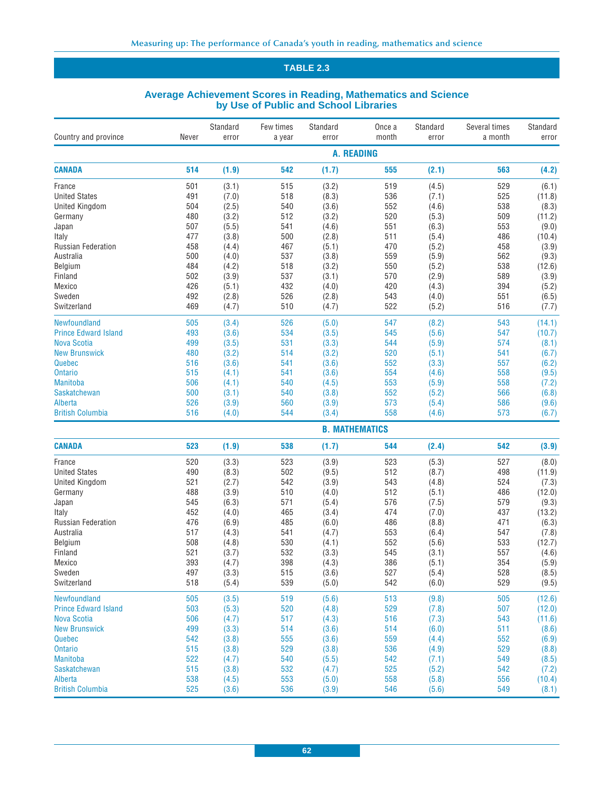## **TABLE 2.3**

|                             |       | Standard | Few times | Standard | Once a                     | Standard | Several times | Standard |
|-----------------------------|-------|----------|-----------|----------|----------------------------|----------|---------------|----------|
| Country and province        | Never | error    | a year    | error    | month<br><b>A. READING</b> | error    | a month       | error    |
|                             |       |          |           |          |                            |          |               |          |
| <b>CANADA</b>               | 514   | (1.9)    | 542       | (1.7)    | 555                        | (2.1)    | 563           | (4.2)    |
| France                      | 501   | (3.1)    | 515       | (3.2)    | 519                        | (4.5)    | 529           | (6.1)    |
| <b>United States</b>        | 491   | (7.0)    | 518       | (8.3)    | 536                        | (7.1)    | 525           | (11.8)   |
| <b>United Kingdom</b>       | 504   | (2.5)    | 540       | (3.6)    | 552                        | (4.6)    | 538           | (8.3)    |
| Germany                     | 480   | (3.2)    | 512       | (3.2)    | 520                        | (5.3)    | 509           | (11.2)   |
| Japan                       | 507   | (5.5)    | 541       | (4.6)    | 551                        | (6.3)    | 553           | (9.0)    |
| Italy                       | 477   | (3.8)    | 500       | (2.8)    | 511                        | (5.4)    | 486           | (10.4)   |
| <b>Russian Federation</b>   | 458   | (4.4)    | 467       | (5.1)    | 470                        | (5.2)    | 458           | (3.9)    |
| Australia                   | 500   | (4.0)    | 537       | (3.8)    | 559                        | (5.9)    | 562           | (9.3)    |
| Belgium                     | 484   | (4.2)    | 518       | (3.2)    | 550                        | (5.2)    | 538           | (12.6)   |
| Finland                     | 502   | (3.9)    | 537       | (3.1)    | 570                        | (2.9)    | 589           | (3.9)    |
| Mexico                      | 426   | (5.1)    | 432       | (4.0)    | 420                        | (4.3)    | 394           | (5.2)    |
| Sweden                      | 492   | (2.8)    | 526       | (2.8)    | 543                        | (4.0)    | 551           | (6.5)    |
| Switzerland                 | 469   | (4.7)    | 510       | (4.7)    | 522                        | (5.2)    | 516           | (7.7)    |
| <b>Newfoundland</b>         | 505   | (3.4)    | 526       | (5.0)    | 547                        | (8.2)    | 543           | (14.1)   |
| <b>Prince Edward Island</b> | 493   | (3.6)    | 534       | (3.5)    | 545                        | (5.6)    | 547           | (10.7)   |
| <b>Nova Scotia</b>          | 499   | (3.5)    | 531       | (3.3)    | 544                        | (5.9)    | 574           | (8.1)    |
| <b>New Brunswick</b>        | 480   | (3.2)    | 514       | (3.2)    | 520                        | (5.1)    | 541           | (6.7)    |
| Quebec                      | 516   | (3.6)    | 541       | (3.6)    | 552                        | (3.3)    | 557           | (6.2)    |
| <b>Ontario</b>              | 515   | (4.1)    | 541       | (3.6)    | 554                        | (4.6)    | 558           | (9.5)    |
| <b>Manitoba</b>             | 506   | (4.1)    | 540       | (4.5)    | 553                        | (5.9)    | 558           | (7.2)    |
| Saskatchewan                | 500   | (3.1)    | 540       | (3.8)    | 552                        | (5.2)    | 566           | (6.8)    |
| Alberta                     | 526   | (3.9)    | 560       | (3.9)    | 573                        | (5.4)    | 586           | (9.6)    |
| <b>British Columbia</b>     | 516   | (4.0)    | 544       | (3.4)    | 558                        | (4.6)    | 573           | (6.7)    |
|                             |       |          |           |          | <b>B. MATHEMATICS</b>      |          |               |          |
| <b>CANADA</b>               | 523   | (1.9)    | 538       | (1.7)    | 544                        | (2.4)    | 542           | (3.9)    |
| France                      | 520   | (3.3)    | 523       | (3.9)    | 523                        | (5.3)    | 527           | (8.0)    |
| <b>United States</b>        | 490   | (8.3)    | 502       | (9.5)    | 512                        | (8.7)    | 498           | (11.9)   |
| <b>United Kingdom</b>       | 521   | (2.7)    | 542       | (3.9)    | 543                        | (4.8)    | 524           | (7.3)    |
| Germany                     | 488   | (3.9)    | 510       | (4.0)    | 512                        | (5.1)    | 486           | (12.0)   |
| Japan                       | 545   | (6.3)    | 571       | (5.4)    | 576                        | (7.5)    | 579           | (9.3)    |
| Italy                       | 452   | (4.0)    | 465       | (3.4)    | 474                        | (7.0)    | 437           | (13.2)   |
| <b>Russian Federation</b>   | 476   | (6.9)    | 485       | (6.0)    | 486                        | (8.8)    | 471           | (6.3)    |
| Australia                   | 517   | (4.3)    | 541       | (4.7)    | 553                        | (6.4)    | 547           | (7.8)    |
| Belgium                     | 508   | (4.8)    | 530       | (4.1)    | 552                        | (5.6)    | 533           | (12.7)   |
| Finland                     | 521   | (3.7)    | 532       | (3.3)    | 545                        | (3.1)    | 557           | (4.6)    |
| Mexico                      | 393   | (4.7)    | 398       | (4.3)    | 386                        | (5.1)    | 354           | (5.9)    |
| Sweden                      | 497   | (3.3)    | 515       | (3.6)    | 527                        | (5.4)    | 528           | (8.5)    |
| Switzerland                 | 518   | (5.4)    | 539       | (5.0)    | 542                        | (6.0)    | 529           | (9.5)    |
| Newfoundland                | 505   | (3.5)    | 519       | (5.6)    | 513                        | (9.8)    | 505           | (12.6)   |
| <b>Prince Edward Island</b> | 503   | (5.3)    | 520       | (4.8)    | 529                        | (7.8)    | 507           | (12.0)   |
| <b>Nova Scotia</b>          | 506   | (4.7)    | 517       | (4.3)    | 516                        | (7.3)    | 543           | (11.6)   |
| <b>New Brunswick</b>        | 499   | (3.3)    | 514       | (3.6)    | 514                        | (6.0)    | 511           | (8.6)    |
| Quebec                      | 542   | (3.8)    | 555       | (3.6)    | 559                        | (4.4)    | 552           | (6.9)    |
| <b>Ontario</b>              | 515   | (3.8)    | 529       | (3.8)    | 536                        | (4.9)    | 529           | (8.8)    |
| <b>Manitoba</b>             | 522   | (4.7)    | 540       | (5.5)    | 542                        | (7.1)    | 549           | (8.5)    |
| Saskatchewan                | 515   | (3.8)    | 532       | (4.7)    | 525                        | (5.2)    | 542           | (7.2)    |
| Alberta                     | 538   | (4.5)    | 553       | (5.0)    | 558                        | (5.8)    | 556           | (10.4)   |
| <b>British Columbia</b>     | 525   | (3.6)    | 536       | (3.9)    | 546                        | (5.6)    | 549           | (8.1)    |

#### **Average Achievement Scores in Reading, Mathematics and Science by Use of Public and School Libraries**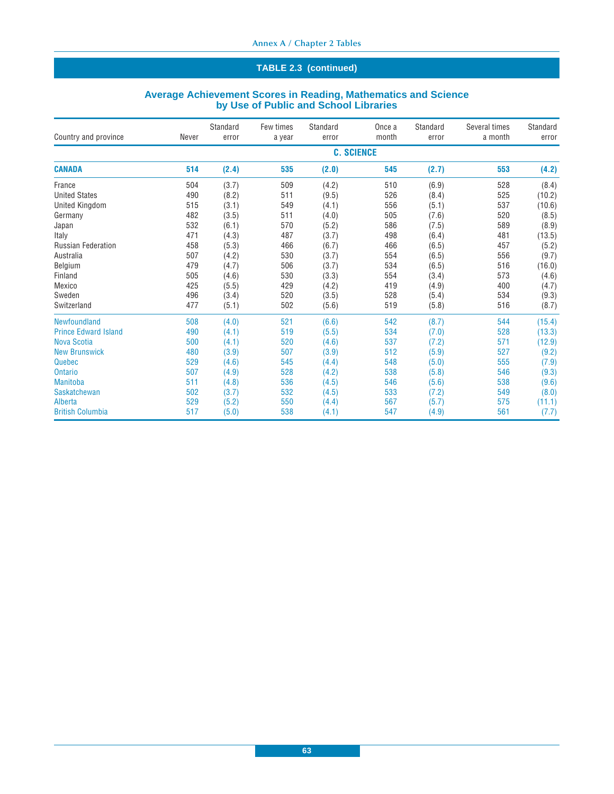## **TABLE 2.3 (continued)**

#### **Average Achievement Scores in Reading, Mathematics and Science by Use of Public and School Libraries**

| Country and province        | Never | Standard<br>error | Few times<br>a year | Standard<br>error | Once a<br>month   | Standard<br>error | Several times<br>a month | Standard<br>error |
|-----------------------------|-------|-------------------|---------------------|-------------------|-------------------|-------------------|--------------------------|-------------------|
|                             |       |                   |                     |                   | <b>C. SCIENCE</b> |                   |                          |                   |
| <b>CANADA</b>               | 514   | (2.4)             | 535                 | (2.0)             | 545               | (2.7)             | 553                      | (4.2)             |
| France                      | 504   | (3.7)             | 509                 | (4.2)             | 510               | (6.9)             | 528                      | (8.4)             |
| <b>United States</b>        | 490   | (8.2)             | 511                 | (9.5)             | 526               | (8.4)             | 525                      | (10.2)            |
| <b>United Kingdom</b>       | 515   | (3.1)             | 549                 | (4.1)             | 556               | (5.1)             | 537                      | (10.6)            |
| Germany                     | 482   | (3.5)             | 511                 | (4.0)             | 505               | (7.6)             | 520                      | (8.5)             |
| Japan                       | 532   | (6.1)             | 570                 | (5.2)             | 586               | (7.5)             | 589                      | (8.9)             |
| Italy                       | 471   | (4.3)             | 487                 | (3.7)             | 498               | (6.4)             | 481                      | (13.5)            |
| <b>Russian Federation</b>   | 458   | (5.3)             | 466                 | (6.7)             | 466               | (6.5)             | 457                      | (5.2)             |
| Australia                   | 507   | (4.2)             | 530                 | (3.7)             | 554               | (6.5)             | 556                      | (9.7)             |
| Belgium                     | 479   | (4.7)             | 506                 | (3.7)             | 534               | (6.5)             | 516                      | (16.0)            |
| Finland                     | 505   | (4.6)             | 530                 | (3.3)             | 554               | (3.4)             | 573                      | (4.6)             |
| Mexico                      | 425   | (5.5)             | 429                 | (4.2)             | 419               | (4.9)             | 400                      | (4.7)             |
| Sweden                      | 496   | (3.4)             | 520                 | (3.5)             | 528               | (5.4)             | 534                      | (9.3)             |
| Switzerland                 | 477   | (5.1)             | 502                 | (5.6)             | 519               | (5.8)             | 516                      | (8.7)             |
| Newfoundland                | 508   | (4.0)             | 521                 | (6.6)             | 542               | (8.7)             | 544                      | (15.4)            |
| <b>Prince Edward Island</b> | 490   | (4.1)             | 519                 | (5.5)             | 534               | (7.0)             | 528                      | (13.3)            |
| <b>Nova Scotia</b>          | 500   | (4.1)             | 520                 | (4.6)             | 537               | (7.2)             | 571                      | (12.9)            |
| <b>New Brunswick</b>        | 480   | (3.9)             | 507                 | (3.9)             | 512               | (5.9)             | 527                      | (9.2)             |
| Quebec                      | 529   | (4.6)             | 545                 | (4.4)             | 548               | (5.0)             | 555                      | (7.9)             |
| <b>Ontario</b>              | 507   | (4.9)             | 528                 | (4.2)             | 538               | (5.8)             | 546                      | (9.3)             |
| <b>Manitoba</b>             | 511   | (4.8)             | 536                 | (4.5)             | 546               | (5.6)             | 538                      | (9.6)             |
| <b>Saskatchewan</b>         | 502   | (3.7)             | 532                 | (4.5)             | 533               | (7.2)             | 549                      | (8.0)             |
| Alberta                     | 529   | (5.2)             | 550                 | (4.4)             | 567               | (5.7)             | 575                      | (11.1)            |
| <b>British Columbia</b>     | 517   | (5.0)             | 538                 | (4.1)             | 547               | (4.9)             | 561                      | (7.7)             |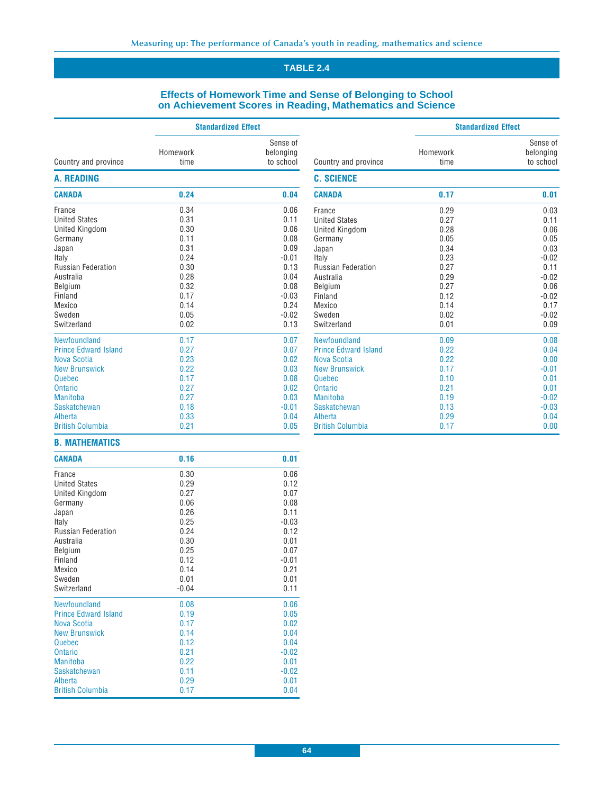## **TABLE 2.4**

#### **Effects of Homework Time and Sense of Belonging to School on Achievement Scores in Reading, Mathematics and Science**

|                                                                                                                                                                                                       | <b>Standardized Effect</b>                                                                              |                                                                                                               |  |  |
|-------------------------------------------------------------------------------------------------------------------------------------------------------------------------------------------------------|---------------------------------------------------------------------------------------------------------|---------------------------------------------------------------------------------------------------------------|--|--|
| Country and province                                                                                                                                                                                  | Homework<br>time                                                                                        | Sense of<br>belonging<br>to school                                                                            |  |  |
| A. READING                                                                                                                                                                                            |                                                                                                         |                                                                                                               |  |  |
| <b>CANADA</b>                                                                                                                                                                                         | 0.24                                                                                                    | 0.04                                                                                                          |  |  |
| France<br><b>United States</b><br><b>United Kingdom</b><br>Germany<br>Japan<br>Italy<br><b>Russian Federation</b><br>Australia<br>Belgium<br>Finland<br>Mexico<br>Sweden<br>Switzerland               | 0.34<br>0.31<br>0.30<br>0.11<br>0.31<br>0.24<br>0.30<br>0.28<br>0.32<br>0.17<br>0.14<br>0.05<br>0.02    | 0.06<br>0.11<br>0.06<br>0.08<br>0.09<br>$-0.01$<br>0.13<br>0.04<br>0.08<br>$-0.03$<br>0.24<br>$-0.02$<br>0.13 |  |  |
| <b>Newfoundland</b><br><b>Prince Edward Island</b><br><b>Nova Scotia</b><br><b>New Brunswick</b><br>Quebec<br><b>Ontario</b><br><b>Manitoba</b><br>Saskatchewan<br>Alberta<br><b>British Columbia</b> | 0.17<br>0.27<br>0.23<br>0.22<br>0.17<br>0.27<br>0.27<br>0.18<br>0.33<br>0.21                            | 0.07<br>0.07<br>0.02<br>0.03<br>0.08<br>0.02<br>0.03<br>$-0.01$<br>0.04<br>0.05                               |  |  |
| <b>B. MATHEMATICS</b>                                                                                                                                                                                 |                                                                                                         |                                                                                                               |  |  |
| <b>CANADA</b>                                                                                                                                                                                         | 0.16                                                                                                    | 0.01                                                                                                          |  |  |
| France<br><b>United States</b><br><b>United Kingdom</b><br>Germany<br>Japan<br>Italy<br><b>Russian Federation</b><br>Australia<br>Belgium<br>Finland<br>Mexico<br>Sweden<br>Switzerland               | 0.30<br>0.29<br>0.27<br>0.06<br>0.26<br>0.25<br>0.24<br>0.30<br>0.25<br>0.12<br>0.14<br>0.01<br>$-0.04$ | 0.06<br>0.12<br>0.07<br>0.08<br>0.11<br>$-0.03$<br>0.12<br>0.01<br>0.07<br>$-0.01$<br>0.21<br>0.01<br>0.11    |  |  |
| Newfoundland<br><b>Prince Edward Island</b><br><b>Nova Scotia</b><br><b>New Brunswick</b><br>Quebec<br><b>Ontario</b><br><b>Manitoba</b>                                                              | 0.08<br>0.19<br>0.17<br>0.14<br>0.12<br>0.21<br>0.22                                                    | 0.06<br>0.05<br>0.02<br>0.04<br>0.04<br>$-0.02$<br>0.01                                                       |  |  |

|                             | <b>Standardized Effect</b> |                                    |  |  |  |
|-----------------------------|----------------------------|------------------------------------|--|--|--|
| Country and province        | Homework<br>time           | Sense of<br>belonging<br>to school |  |  |  |
| <b>C. SCIENCE</b>           |                            |                                    |  |  |  |
| <b>CANADA</b>               | 0.17                       | 0.01                               |  |  |  |
| France                      | 0.29                       | 0.03                               |  |  |  |
| <b>United States</b>        | 0.27                       | 0.11                               |  |  |  |
| United Kingdom              | 0.28                       | 0.06                               |  |  |  |
| Germany                     | 0.05                       | 0.05                               |  |  |  |
| Japan                       | 0.34                       | 0.03                               |  |  |  |
| Italy                       | 0.23                       | $-0.02$                            |  |  |  |
| <b>Russian Federation</b>   | 0.27                       | 0.11                               |  |  |  |
| Australia                   | 0.29                       | $-0.02$                            |  |  |  |
| <b>Belgium</b>              | 0.27                       | 0.06                               |  |  |  |
| Finland                     | 0.12                       | $-0.02$                            |  |  |  |
| Mexico                      | 0.14                       | 0.17                               |  |  |  |
| Sweden                      | 0.02                       | $-0.02$                            |  |  |  |
| Switzerland                 | 0.01                       | 0.09                               |  |  |  |
| Newfoundland                | 0.09                       | 0.08                               |  |  |  |
| <b>Prince Edward Island</b> | 0.22                       | 0.04                               |  |  |  |
| Nova Scotia                 | 0.22                       | 0.00                               |  |  |  |
| <b>New Brunswick</b>        | 0.17                       | $-0.01$                            |  |  |  |
| Quebec                      | 0.10                       | 0.01                               |  |  |  |
| Ontario                     | 0.21                       | 0.01                               |  |  |  |
| <b>Manitoba</b>             | 0.19                       | $-0.02$                            |  |  |  |
| <b>Saskatchewan</b>         | 0.13                       | $-0.03$                            |  |  |  |
| Alberta                     | 0.29                       | 0.04                               |  |  |  |
| <b>British Columbia</b>     | 0.17                       | 0.00                               |  |  |  |

| <b>CANADA</b>               | 0.16    | 0.01    |
|-----------------------------|---------|---------|
| France                      | 0.30    | 0.06    |
| <b>United States</b>        | 0.29    | 0.12    |
| United Kingdom              | 0.27    | 0.07    |
| Germany                     | 0.06    | 0.08    |
| Japan                       | 0.26    | 0.11    |
| Italy                       | 0.25    | $-0.03$ |
| <b>Russian Federation</b>   | 0.24    | 0.12    |
| Australia                   | 0.30    | 0.01    |
| Belgium                     | 0.25    | 0.07    |
| Finland                     | 0.12    | $-0.01$ |
| Mexico                      | 0.14    | 0.21    |
| Sweden                      | 0.01    | 0.01    |
| Switzerland                 | $-0.04$ | 0.11    |
| Newfoundland                | 0.08    | 0.06    |
| <b>Prince Edward Island</b> | 0.19    | 0.05    |
| <b>Nova Scotia</b>          | 0.17    | 0.02    |
| <b>New Brunswick</b>        | 0.14    | 0.04    |
| Quebec                      | 0.12    | 0.04    |
| Ontario                     | 0.21    | $-0.02$ |
| <b>Manitoba</b>             | 0.22    | 0.01    |
| <b>Saskatchewan</b>         | 0.11    | $-0.02$ |
| Alberta                     | 0.29    | 0.01    |
| <b>British Columbia</b>     | 0.17    | 0.04    |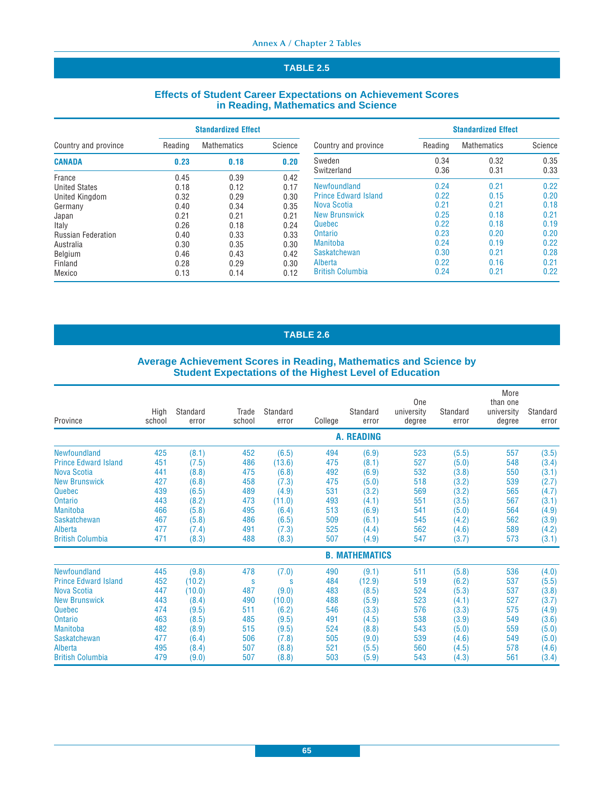#### **Annex A / Chapter 2 Tables**

## **TABLE 2.5**

#### **Effects of Student Career Expectations on Achievement Scores in Reading, Mathematics and Science**

|                           |         | <b>Standardized Effect</b> |         |                             | <b>Standardized Effect</b> |                    |         |  |
|---------------------------|---------|----------------------------|---------|-----------------------------|----------------------------|--------------------|---------|--|
| Country and province      | Reading | <b>Mathematics</b>         | Science | Country and province        | Reading                    | <b>Mathematics</b> | Science |  |
| <b>CANADA</b>             | 0.23    | 0.18                       | 0.20    | Sweden                      | 0.34                       | 0.32               | 0.35    |  |
| France                    | 0.45    | 0.39                       | 0.42    | Switzerland                 | 0.36                       | 0.31               | 0.33    |  |
| <b>United States</b>      | 0.18    | 0.12                       | 0.17    | <b>Newfoundland</b>         | 0.24                       | 0.21               | 0.22    |  |
| United Kingdom            | 0.32    | 0.29                       | 0.30    | <b>Prince Edward Island</b> | 0.22                       | 0.15               | 0.20    |  |
| Germany                   | 0.40    | 0.34                       | 0.35    | Nova Scotia                 | 0.21                       | 0.21               | 0.18    |  |
| Japan                     | 0.21    | 0.21                       | 0.21    | <b>New Brunswick</b>        | 0.25                       | 0.18               | 0.21    |  |
| Italy                     | 0.26    | 0.18                       | 0.24    | Quebec                      | 0.22                       | 0.18               | 0.19    |  |
| <b>Russian Federation</b> | 0.40    | 0.33                       | 0.33    | Ontario                     | 0.23                       | 0.20               | 0.20    |  |
| Australia                 | 0.30    | 0.35                       | 0.30    | <b>Manitoba</b>             | 0.24                       | 0.19               | 0.22    |  |
| Belgium                   | 0.46    | 0.43                       | 0.42    | <b>Saskatchewan</b>         | 0.30                       | 0.21               | 0.28    |  |
| Finland                   | 0.28    | 0.29                       | 0.30    | Alberta                     | 0.22                       | 0.16               | 0.21    |  |
| Mexico                    | 0.13    | 0.14                       | 0.12    | <b>British Columbia</b>     | 0.24                       | 0.21               | 0.22    |  |

#### **TABLE 2.6**

#### **Average Achievement Scores in Reading, Mathematics and Science by Student Expectations of the Highest Level of Education**

| Province                    | High<br>school | Standard<br>error | Trade<br>school | Standard<br>error | College | Standard<br>error     | One<br>university<br>degree | Standard<br>error | More<br>than one<br>university<br>degree | Standard<br>error |
|-----------------------------|----------------|-------------------|-----------------|-------------------|---------|-----------------------|-----------------------------|-------------------|------------------------------------------|-------------------|
|                             |                |                   |                 |                   |         | A. READING            |                             |                   |                                          |                   |
| Newfoundland                | 425            | (8.1)             | 452             | (6.5)             | 494     | (6.9)                 | 523                         | (5.5)             | 557                                      | (3.5)             |
| <b>Prince Edward Island</b> | 451            | (7.5)             | 486             | (13.6)            | 475     | (8.1)                 | 527                         | (5.0)             | 548                                      | (3.4)             |
| Nova Scotia                 | 441            | (8.8)             | 475             | (6.8)             | 492     | (6.9)                 | 532                         | (3.8)             | 550                                      | (3.1)             |
| <b>New Brunswick</b>        | 427            | (6.8)             | 458             | (7.3)             | 475     | (5.0)                 | 518                         | (3.2)             | 539                                      | (2.7)             |
| Quebec                      | 439            | (6.5)             | 489             | (4.9)             | 531     | (3.2)                 | 569                         | (3.2)             | 565                                      | (4.7)             |
| <b>Ontario</b>              | 443            | (8.2)             | 473             | (11.0)            | 493     | (4.1)                 | 551                         | (3.5)             | 567                                      | (3.1)             |
| <b>Manitoba</b>             | 466            | (5.8)             | 495             | (6.4)             | 513     | (6.9)                 | 541                         | (5.0)             | 564                                      | (4.9)             |
| Saskatchewan                | 467            | (5.8)             | 486             | (6.5)             | 509     | (6.1)                 | 545                         | (4.2)             | 562                                      | (3.9)             |
| Alberta                     | 477            | (7.4)             | 491             | (7.3)             | 525     | (4.4)                 | 562                         | (4.6)             | 589                                      | (4.2)             |
| <b>British Columbia</b>     | 471            | (8.3)             | 488             | (8.3)             | 507     | (4.9)                 | 547                         | (3.7)             | 573                                      | (3.1)             |
|                             |                |                   |                 |                   |         | <b>B. MATHEMATICS</b> |                             |                   |                                          |                   |
| Newfoundland                | 445            | (9.8)             | 478             | (7.0)             | 490     | (9.1)                 | 511                         | (5.8)             | 536                                      | (4.0)             |
| <b>Prince Edward Island</b> | 452            | (10.2)            | S               | S                 | 484     | (12.9)                | 519                         | (6.2)             | 537                                      | (5.5)             |
| Nova Scotia                 | 447            | (10.0)            | 487             | (9.0)             | 483     | (8.5)                 | 524                         | (5.3)             | 537                                      | (3.8)             |
| <b>New Brunswick</b>        | 443            | (8.4)             | 490             | (10.0)            | 488     | (5.9)                 | 523                         | (4.1)             | 527                                      | (3.7)             |
| Quebec                      | 474            | (9.5)             | 511             | (6.2)             | 546     | (3.3)                 | 576                         | (3.3)             | 575                                      | (4.9)             |
| <b>Ontario</b>              | 463            | (8.5)             | 485             | (9.5)             | 491     | (4.5)                 | 538                         | (3.9)             | 549                                      | (3.6)             |
| <b>Manitoba</b>             | 482            | (8.9)             | 515             | (9.5)             | 524     | (8.8)                 | 543                         | (5.0)             | 559                                      | (5.0)             |
| Saskatchewan                | 477            | (6.4)             | 506             | (7.8)             | 505     | (9.0)                 | 539                         | (4.6)             | 549                                      | (5.0)             |
| Alberta                     | 495            | (8.4)             | 507             | (8.8)             | 521     | (5.5)                 | 560                         | (4.5)             | 578                                      | (4.6)             |
| <b>British Columbia</b>     | 479            | (9.0)             | 507             | (8.8)             | 503     | (5.9)                 | 543                         | (4.3)             | 561                                      | (3.4)             |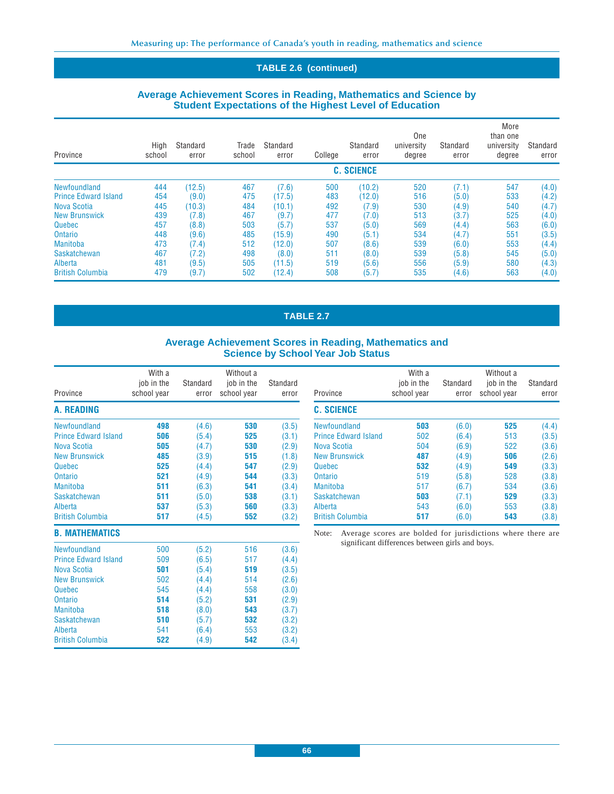#### **TABLE 2.6 (continued)**

#### **Average Achievement Scores in Reading, Mathematics and Science by Student Expectations of the Highest Level of Education**

| Province                    | High<br>school | Standard<br>error | Trade<br>school | Standard<br>error | College | Standard<br>error | One<br>university<br>degree | Standard<br>error | More<br>than one<br>university<br>degree | Standard<br>error |
|-----------------------------|----------------|-------------------|-----------------|-------------------|---------|-------------------|-----------------------------|-------------------|------------------------------------------|-------------------|
|                             |                |                   |                 |                   |         | <b>C. SCIENCE</b> |                             |                   |                                          |                   |
| Newfoundland                | 444            | (12.5)            | 467             | (7.6)             | 500     | (10.2)            | 520                         | (7.1)             | 547                                      | (4.0)             |
| <b>Prince Edward Island</b> | 454            | (9.0)             | 475             | (17.5)            | 483     | (12.0)            | 516                         | (5.0)             | 533                                      | (4.2)             |
| Nova Scotia                 | 445            | (10.3)            | 484             | (10.1)            | 492     | (7.9)             | 530                         | (4.9)             | 540                                      | (4.7)             |
| <b>New Brunswick</b>        | 439            | (7.8)             | 467             | (9.7)             | 477     | (7.0)             | 513                         | (3.7)             | 525                                      | (4.0)             |
| Quebec                      | 457            | (8.8)             | 503             | (5.7)             | 537     | (5.0)             | 569                         | (4.4)             | 563                                      | (6.0)             |
| <b>Ontario</b>              | 448            | (9.6)             | 485             | (15.9)            | 490     | (5.1)             | 534                         | (4.7              | 551                                      | (3.5)             |
| <b>Manitoba</b>             | 473            | (7.4)             | 512             | (12.0)            | 507     | (8.6)             | 539                         | (6.0)             | 553                                      | (4.4)             |
| <b>Saskatchewan</b>         | 467            | (7.2)             | 498             | (8.0)             | 511     | (8.0)             | 539                         | (5.8)             | 545                                      | (5.0)             |
| Alberta                     | 481            | (9.5)             | 505             | (11.5)            | 519     | (5.6)             | 556                         | (5.9)             | 580                                      | (4.3)             |
| <b>British Columbia</b>     | 479            | (9.7)             | 502             | (12.4)            | 508     | (5.7)             | 535                         | (4.6)             | 563                                      | (4.0)             |

#### **TABLE 2.7**

#### **Average Achievement Scores in Reading, Mathematics and Science by School Year Job Status**

|                             | With a<br>job in the | Standard | Without a<br>job in the | Standard |
|-----------------------------|----------------------|----------|-------------------------|----------|
| Province                    | school year          | error    | school year             | error    |
| A. READING                  |                      |          |                         |          |
| Newfoundland                | 498                  | (4.6)    | 530                     | (3.5)    |
| <b>Prince Edward Island</b> | 506                  | (5.4)    | 525                     | (3.1)    |
| Nova Scotia                 | 505                  | (4.7)    | 530                     | (2.9)    |
| <b>New Brunswick</b>        | 485                  | (3.9)    | 515                     | (1.8)    |
| Quebec                      | 525                  | (4.4)    | 547                     | (2.9)    |
| Ontario                     | 521                  | (4.9)    | 544                     | (3.3)    |
| <b>Manitoba</b>             | 511                  | (6.3)    | 541                     | (3.4)    |
| Saskatchewan                | 511                  | (5.0)    | 538                     | (3.1)    |
| Alberta                     | 537                  | (5.3)    | 560                     | (3.3)    |
| <b>British Columbia</b>     | 517                  | (4.5)    | 552                     | (3.2)    |
| <b>B. MATHEMATICS</b>       |                      |          |                         |          |
| Newfoundland                | 500                  | (5.2)    | 516                     | (3.6)    |
| <b>Prince Edward Island</b> | 509                  | (6.5)    | 517                     | (4.4)    |
| Nova Scotia                 | 501                  | (5.4)    | 519                     | (3.5)    |
| <b>New Brunswick</b>        | 502                  | (4.4)    | 514                     | (2.6)    |
| Quebec                      | 545                  | (4.4)    | 558                     | (3.0)    |
| <b>Ontario</b>              | 514                  | (5.2)    | 531                     | (2.9)    |
| <b>Manitoba</b>             | 518                  | (8.0)    | 543                     | (3.7)    |
| <b>Saskatchewan</b>         | 510                  | (5.7)    | 532                     | (3.2)    |
| Alberta                     | 541                  | (6.4)    | 553                     | (3.2)    |
| <b>British Columbia</b>     | 522                  | (4.9)    | 542                     | (3.4)    |

| Province                    | With a<br>iob in the<br>school year | Standard<br>error | Without a<br>iob in the<br>school year | Standard<br>error |
|-----------------------------|-------------------------------------|-------------------|----------------------------------------|-------------------|
| <b>C. SCIENCE</b>           |                                     |                   |                                        |                   |
| Newfoundland                | 503                                 | (6.0)             | 525                                    | (4.4)             |
| <b>Prince Edward Island</b> | 502                                 | (6.4)             | 513                                    | (3.5)             |
| Nova Scotia                 | 504                                 | (6.9)             | 522                                    | (3.6)             |
| <b>New Brunswick</b>        | 487                                 | (4.9)             | 506                                    | (2.6)             |
| Quebec                      | 532                                 | (4.9)             | 549                                    | (3.3)             |
| <b>Ontario</b>              | 519                                 | (5.8)             | 528                                    | (3.8)             |
| <b>Manitoba</b>             | 517                                 | (6.7)             | 534                                    | (3.6)             |
| <b>Saskatchewan</b>         | 503                                 | (7.1)             | 529                                    | (3.3)             |
| Alberta                     | 543                                 | (6.0)             | 553                                    | (3.8)             |
| <b>British Columbia</b>     | 517                                 | (6.0)             | 543                                    | (3.8)             |

Note: Average scores are bolded for jurisdictions where there are significant differences between girls and boys.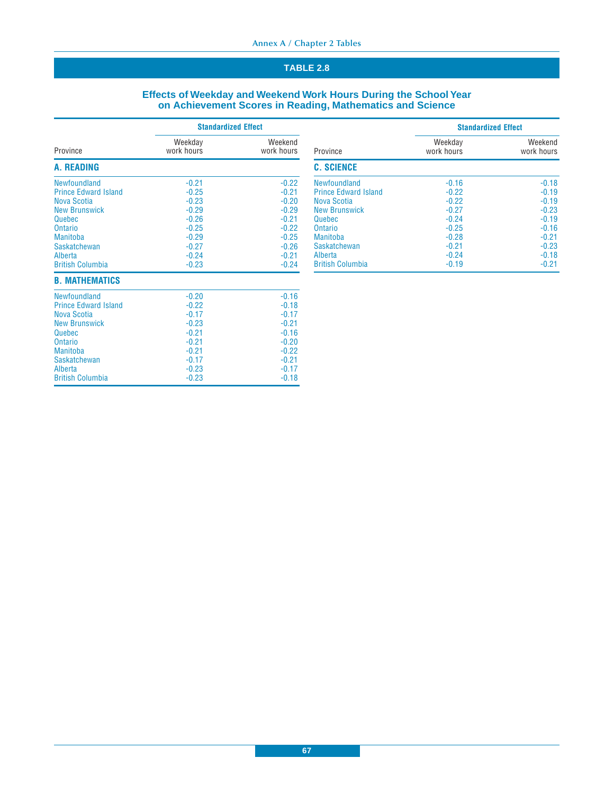## **TABLE 2.8**

#### **Effects of Weekday and Weekend Work Hours During the School Year on Achievement Scores in Reading, Mathematics and Science**

|                             | <b>Standardized Effect</b> |                       |  |  |  |  |  |
|-----------------------------|----------------------------|-----------------------|--|--|--|--|--|
| Province                    | Weekday<br>work hours      | Weekend<br>work hours |  |  |  |  |  |
| A. READING                  |                            |                       |  |  |  |  |  |
| Newfoundland                | $-0.21$                    | $-0.22$               |  |  |  |  |  |
| <b>Prince Edward Island</b> | $-0.25$                    | $-0.21$               |  |  |  |  |  |
| Nova Scotia                 | $-0.23$                    | $-0.20$               |  |  |  |  |  |
| <b>New Brunswick</b>        | $-0.29$                    | $-0.29$               |  |  |  |  |  |
| Quebec                      | $-0.26$                    | $-0.21$               |  |  |  |  |  |
| Ontario                     | $-0.25$                    | $-0.22$               |  |  |  |  |  |
| <b>Manitoba</b>             | $-0.29$                    | $-0.25$               |  |  |  |  |  |
| <b>Saskatchewan</b>         | $-0.27$                    | $-0.26$               |  |  |  |  |  |
| Alberta                     | $-0.24$                    | $-0.21$               |  |  |  |  |  |
| <b>British Columbia</b>     | $-0.23$                    | $-0.24$               |  |  |  |  |  |
| <b>B. MATHEMATICS</b>       |                            |                       |  |  |  |  |  |
| Newfoundland                | $-0.20$                    | $-0.16$               |  |  |  |  |  |
| <b>Prince Edward Island</b> | $-0.22$                    | $-0.18$               |  |  |  |  |  |
| Nova Scotia                 | $-0.17$                    | $-0.17$               |  |  |  |  |  |
| <b>New Brunswick</b>        | $-0.23$                    | $-0.21$               |  |  |  |  |  |
| Quebec                      | $-0.21$                    | $-0.16$               |  |  |  |  |  |
| Ontario                     | $-0.21$                    | $-0.20$               |  |  |  |  |  |
| <b>Manitoba</b>             | $-0.21$                    | $-0.22$               |  |  |  |  |  |
| <b>Saskatchewan</b>         | $-0.17$                    | $-0.21$               |  |  |  |  |  |
| Alberta                     | $-0.23$                    | $-0.17$               |  |  |  |  |  |
| <b>British Columbia</b>     | $-0.23$                    | $-0.18$               |  |  |  |  |  |

|                             | <b>Standardized Effect</b> |                       |
|-----------------------------|----------------------------|-----------------------|
| Province                    | Weekday<br>work hours      | Weekend<br>work hours |
| <b>C. SCIENCE</b>           |                            |                       |
| Newfoundland                | $-0.16$                    | $-0.18$               |
| <b>Prince Edward Island</b> | $-0.22$                    | $-0.19$               |
| Nova Scotia                 | $-0.22$                    | $-0.19$               |
| <b>New Brunswick</b>        | $-0.27$                    | $-0.23$               |
| Quebec                      | $-0.24$                    | $-0.19$               |
| Ontario                     | $-0.25$                    | $-0.16$               |
| <b>Manitoba</b>             | $-0.28$                    | $-0.21$               |
| <b>Saskatchewan</b>         | $-0.21$                    | $-0.23$               |
| Alberta                     | $-0.24$                    | $-0.18$               |
| <b>British Columbia</b>     | $-0.19$                    | $-0.21$               |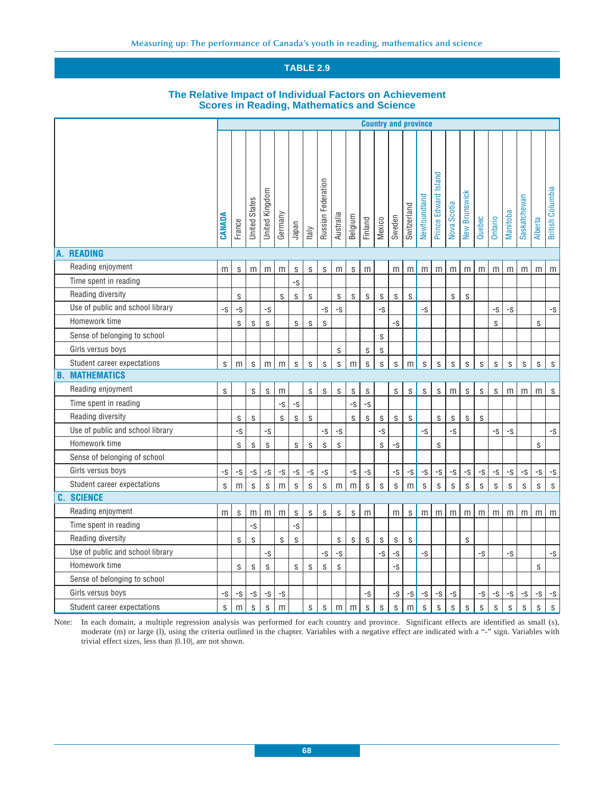## **TABLE 2.9**

## **The Relative Impact of Individual Factors on Achievement Scores in Reading, Mathematics and Science**

|                                                                                                                                                                                                                                                                                                                                                                          | <b>Country and province</b> |             |                      |                |         |       |               |                            |                            |             |               |             |                            |                            |                            |                            |                            |               |             |             |             |                |             |                            |
|--------------------------------------------------------------------------------------------------------------------------------------------------------------------------------------------------------------------------------------------------------------------------------------------------------------------------------------------------------------------------|-----------------------------|-------------|----------------------|----------------|---------|-------|---------------|----------------------------|----------------------------|-------------|---------------|-------------|----------------------------|----------------------------|----------------------------|----------------------------|----------------------------|---------------|-------------|-------------|-------------|----------------|-------------|----------------------------|
|                                                                                                                                                                                                                                                                                                                                                                          | <b>CANADA</b>               | France      | <b>United States</b> | United Kingdom | Germany | Japan | Italy         | Russian Federation         | Australia                  | Belgium     | Finland       | Mexico      | Sweden                     | Switzerland                | Newfoundland               | Island<br>Prince Edward    | Nova Scotia                | New Brunswick | Quebec      | Ontario     | Manitoba    | Saskatchewan   | Alberta     | <b>British Columbia</b>    |
| <b>READING</b><br>A.                                                                                                                                                                                                                                                                                                                                                     |                             |             |                      |                |         |       |               |                            |                            |             |               |             |                            |                            |                            |                            |                            |               |             |             |             |                |             |                            |
| Reading enjoyment                                                                                                                                                                                                                                                                                                                                                        | m                           | S           | m                    | m              | m       | S     | S             | ${\mathbb S}$              | m                          | S           | m             |             | m                          | m                          | m                          | m                          | m                          | m             | m           | m           | m           | m              | $m \mid m$  |                            |
| Time spent in reading                                                                                                                                                                                                                                                                                                                                                    |                             |             |                      |                |         | $-S$  |               |                            |                            |             |               |             |                            |                            |                            |                            |                            |               |             |             |             |                |             |                            |
| Reading diversity                                                                                                                                                                                                                                                                                                                                                        |                             | S           |                      |                | S       | S     | S             |                            | S                          | $\mathbb S$ | $\mathsf S$   | $\mathsf S$ | ${\sf S}$                  | $\mathsf S$                |                            |                            | S                          | S             |             |             |             |                |             |                            |
| Use of public and school library                                                                                                                                                                                                                                                                                                                                         | $-S$                        | -S          |                      | -S             |         |       |               | $\textnormal{\texttt{-S}}$ | -S                         |             |               | -S          |                            |                            | $-S$                       |                            |                            |               |             | $-S$        | $-S$        |                |             | $\textnormal{\texttt{-S}}$ |
| Homework time                                                                                                                                                                                                                                                                                                                                                            |                             | S           | S                    | S              |         | S     | S             | S                          |                            |             |               |             | $-S$                       |                            |                            |                            |                            |               |             | S           |             |                | S           |                            |
| Sense of belonging to school                                                                                                                                                                                                                                                                                                                                             |                             |             |                      |                |         |       |               |                            |                            |             |               | $\mathsf S$ |                            |                            |                            |                            |                            |               |             |             |             |                |             |                            |
| Girls versus boys                                                                                                                                                                                                                                                                                                                                                        |                             |             |                      |                |         |       |               |                            | S                          |             | S             | $\mathsf S$ |                            |                            |                            |                            |                            |               |             |             |             |                |             |                            |
| Student career expectations                                                                                                                                                                                                                                                                                                                                              | S                           | m           | S                    | m              | m       | S     | S             | S                          | $\mathsf S$                | m           | S             | $\mathsf S$ | $\mathsf S$                | m                          | S                          | S                          | S                          | S             | S           | S           | S           | S              | $\mathsf S$ | S                          |
| <b>B. MATHEMATICS</b>                                                                                                                                                                                                                                                                                                                                                    |                             |             |                      |                |         |       |               |                            |                            |             |               |             |                            |                            |                            |                            |                            |               |             |             |             |                |             |                            |
| Reading enjoyment                                                                                                                                                                                                                                                                                                                                                        | S                           |             | S                    | S              | m       |       | S             | S                          | $\mathsf S$                | S           | ${\mathbb S}$ |             | S                          | S                          | S                          | S                          | m                          | S             | S           | S           | m           | m              | m           | ${\sf S}$                  |
| Time spent in reading                                                                                                                                                                                                                                                                                                                                                    |                             |             |                      |                | $-S$    | $-S$  |               |                            |                            | $-S$        | $-S$          |             |                            |                            |                            |                            |                            |               |             |             |             |                |             |                            |
| Reading diversity                                                                                                                                                                                                                                                                                                                                                        |                             | S           | S                    |                | S       | S     | S             |                            |                            | S           | S             | S           | S                          | S                          |                            | S                          | S                          | S             | S           |             |             |                |             |                            |
| Use of public and school library                                                                                                                                                                                                                                                                                                                                         |                             | -S          |                      | $\texttt{-S}$  |         |       |               | -S                         | $\textnormal{\texttt{-S}}$ |             |               | -s          |                            |                            | $-S$                       |                            | $-S$                       |               |             | -S          | $-S$        |                |             | $\texttt{-S}$              |
| Homework time                                                                                                                                                                                                                                                                                                                                                            |                             | S           | S                    | S              |         | S     | S             | S                          | S                          |             |               | S           | $-S$                       |                            |                            | $\mathsf S$                |                            |               |             |             |             |                | S           |                            |
| Sense of belonging of school                                                                                                                                                                                                                                                                                                                                             |                             |             |                      |                |         |       |               |                            |                            |             |               |             |                            |                            |                            |                            |                            |               |             |             |             |                |             |                            |
| Girls versus boys                                                                                                                                                                                                                                                                                                                                                        | $-S$                        | $-S$        | $-S$                 | $-S$           | $-S$    | $-S$  | $\texttt{-S}$ | $-S$                       |                            | $-S$        | $-S$          |             | $-S$                       | $-S$                       | $-S$                       | $-S$                       | $-S$                       | $\texttt{-S}$ | $-S$        | $-$ S       | $-S$        | $-S$           | $-S$        | $-S$                       |
| Student career expectations                                                                                                                                                                                                                                                                                                                                              | $\mathsf S$                 | m           | $\mathsf S$          | $\mathbb S$    | m       | S     | S             | $\mathbb S$                | m                          | m           | $\mathsf S$   | $\mathsf S$ | S                          | m                          | S                          | S                          | $\mathsf S$                | $\mathsf S$   | $\mathsf S$ | $\mathsf S$ | $\mathsf S$ | $\mathsf S$    | $\mathbb S$ | $\mathsf{s}$               |
| <b>C. SCIENCE</b>                                                                                                                                                                                                                                                                                                                                                        |                             |             |                      |                |         |       |               |                            |                            |             |               |             |                            |                            |                            |                            |                            |               |             |             |             |                |             |                            |
| Reading enjoyment                                                                                                                                                                                                                                                                                                                                                        | m                           | S           | m                    | m              | m       | S     | S             | S                          | $\mathsf S$                | S           | m             |             | m                          | $\mathbb S$                | m                          | m                          | m                          | m             | m           | m           | m           | m <sub>l</sub> | m           | m                          |
| Time spent in reading                                                                                                                                                                                                                                                                                                                                                    |                             |             | $\texttt{-S}$        |                |         | $-S$  |               |                            |                            |             |               |             |                            |                            |                            |                            |                            |               |             |             |             |                |             |                            |
| Reading diversity                                                                                                                                                                                                                                                                                                                                                        |                             | S           | S                    |                | S       | S     |               |                            | S                          | S           | S             | S           | S                          | S                          |                            |                            |                            | S             |             |             |             |                |             |                            |
| Use of public and school library                                                                                                                                                                                                                                                                                                                                         |                             |             |                      | $-S$           |         |       |               | $\textnormal{\texttt{-S}}$ | -S                         |             |               | -S          | $-S$                       |                            | $\textnormal{\texttt{-S}}$ |                            |                            |               | $-S$        |             | -S          |                |             | $\textnormal{\texttt{-S}}$ |
| Homework time                                                                                                                                                                                                                                                                                                                                                            |                             | $\mathsf S$ | $\mathsf{s}$         | $\mathsf{s}$   |         | S     | ${\mathbb S}$ | $\mathsf{s}$               | S                          |             |               |             | ۰S                         |                            |                            |                            |                            |               |             |             |             |                | S           |                            |
| Sense of belonging to school                                                                                                                                                                                                                                                                                                                                             |                             |             |                      |                |         |       |               |                            |                            |             |               |             |                            |                            |                            |                            |                            |               |             |             |             |                |             |                            |
| Girls versus boys                                                                                                                                                                                                                                                                                                                                                        | $-S$                        | $-S$        | $-S$                 | $-S$           | $-S$    |       |               |                            |                            |             | -S            |             | $\textnormal{\texttt{-S}}$ | $\textnormal{\texttt{-S}}$ | $\textnormal{\texttt{-S}}$ | $\textnormal{\texttt{-S}}$ | $\textnormal{\texttt{-S}}$ |               | -S          | $-S$        | $-S$        | $-S$           | $-S$        | -s                         |
| Student career expectations                                                                                                                                                                                                                                                                                                                                              | S                           | m           | $\mathsf S$          | ${\mathbb S}$  | m       |       | S             | ${\sf S}$                  | m                          | m           | S             | $\mathsf S$ | $\mathsf S$                | m                          | S                          | S                          | S                          | S             | S           | S           | S           | S              | S           | S                          |
| In each domain, a multiple regression analysis was performed for each country and province. Significant effects are identified as small (s),<br>Note:<br>moderate (m) or large (l), using the criteria outlined in the chapter. Variables with a negative effect are indicated with a "-" sign. Variables with<br>trivial effect sizes, less than [0.10], are not shown. |                             |             |                      |                |         |       |               |                            |                            |             |               |             |                            |                            |                            |                            |                            |               |             |             |             |                |             |                            |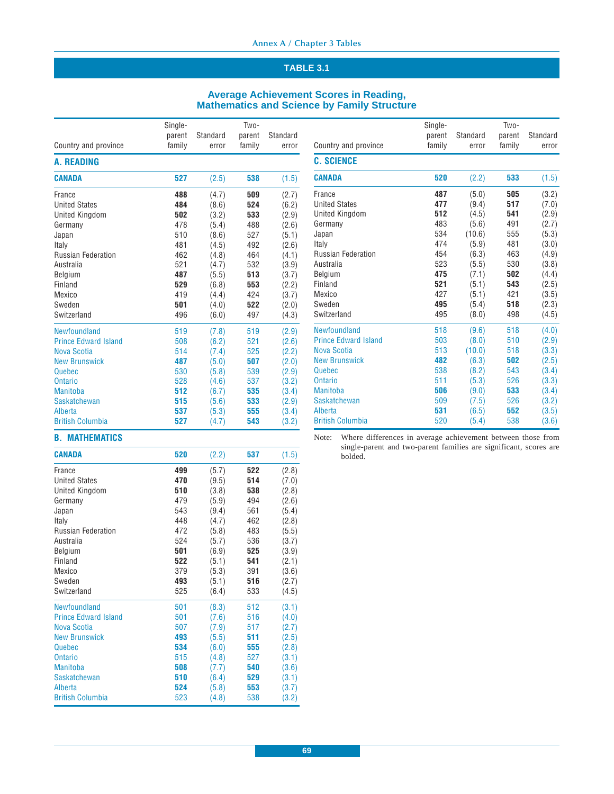### **TABLE 3.1**

#### **Average Achievement Scores in Reading, Mathematics and Science by Family Structure**

|                             | Single- |          | Two-   |          |
|-----------------------------|---------|----------|--------|----------|
|                             | parent  | Standard | parent | Standard |
| Country and province        | family  | error    | family | error    |
| A. READING                  |         |          |        |          |
| <b>CANADA</b>               | 527     | (2.5)    | 538    | (1.5)    |
| France                      | 488     | (4.7)    | 509    | (2.7)    |
| <b>United States</b>        | 484     | (8.6)    | 524    | (6.2)    |
| United Kingdom              | 502     | (3.2)    | 533    | (2.9)    |
| Germany                     | 478     | (5.4)    | 488    | (2.6)    |
| Japan                       | 510     | (8.6)    | 527    | (5.1)    |
| Italy                       | 481     | (4.5)    | 492    | (2.6)    |
| <b>Russian Federation</b>   | 462     | (4.8)    | 464    | (4.1)    |
| Australia                   | 521     | (4.7)    | 532    | (3.9)    |
| <b>Belgium</b>              | 487     | (5.5)    | 513    | (3.7)    |
| Finland                     | 529     | (6.8)    | 553    | (2.2)    |
| Mexico                      | 419     | (4.4)    | 424    | (3.7)    |
| Sweden                      | 501     | (4.0)    | 522    | (2.0)    |
| Switzerland                 | 496     | (6.0)    | 497    | (4.3)    |
| Newfoundland                | 519     | (7.8)    | 519    | (2.9)    |
| <b>Prince Edward Island</b> | 508     | (6.2)    | 521    | (2.6)    |
| Nova Scotia                 | 514     | (7.4)    | 525    | (2.2)    |
| <b>New Brunswick</b>        | 487     | (5.0)    | 507    | (2.0)    |
| Quebec                      | 530     | (5.8)    | 539    | (2.9)    |
| <b>Ontario</b>              | 528     | (4.6)    | 537    | (3.2)    |
| <b>Manitoba</b>             | 512     | (6.7)    | 535    | (3.4)    |
| <b>Saskatchewan</b>         | 515     | (5.6)    | 533    | (2.9)    |
| Alberta                     | 537     | (5.3)    | 555    | (3.4)    |
| <b>British Columbia</b>     | 527     | (4.7)    | 543    | (3.2)    |

## **B. MATHEMATICS**

| <b>CANADA</b>               | 520 | (2.2) | 537 | (1.5) |
|-----------------------------|-----|-------|-----|-------|
| France                      | 499 | (5.7) | 522 | (2.8) |
| <b>United States</b>        | 470 | (9.5) | 514 | (7.0) |
| United Kingdom              | 510 | (3.8) | 538 | (2.8) |
| Germany                     | 479 | (5.9) | 494 | (2.6) |
| Japan                       | 543 | (9.4) | 561 | (5.4) |
| Italy                       | 448 | (4.7) | 462 | (2.8) |
| <b>Russian Federation</b>   | 472 | (5.8) | 483 | (5.5) |
| Australia                   | 524 | (5.7) | 536 | (3.7) |
| Belgium                     | 501 | (6.9) | 525 | (3.9) |
| Finland                     | 522 | (5.1) | 541 | (2.1) |
| Mexico                      | 379 | (5.3) | 391 | (3.6) |
| Sweden                      | 493 | (5.1) | 516 | (2.7) |
| Switzerland                 | 525 | (6.4) | 533 | (4.5) |
| <b>Newfoundland</b>         | 501 | (8.3) | 512 | (3.1) |
| <b>Prince Edward Island</b> | 501 | (7.6) | 516 | (4.0) |
| <b>Nova Scotia</b>          | 507 | (7.9) | 517 | (2.7) |
| <b>New Brunswick</b>        | 493 | (5.5) | 511 | (2.5) |
| Quebec                      | 534 | (6.0) | 555 | (2.8) |
| <b>Ontario</b>              | 515 | (4.8) | 527 | (3.1) |
| <b>Manitoba</b>             | 508 | (7.7) | 540 | (3.6) |
| <b>Saskatchewan</b>         | 510 | (6.4) | 529 | (3.1) |
| Alberta                     | 524 | (5.8) | 553 | (3.7) |
| <b>British Columbia</b>     | 523 | (4.8) | 538 | (3.2) |

|                             | Single- |          | Two-   |          |
|-----------------------------|---------|----------|--------|----------|
|                             | parent  | Standard | parent | Standard |
| Country and province        | family  | error    | family | error    |
| <b>C. SCIENCE</b>           |         |          |        |          |
| <b>CANADA</b>               | 520     | (2.2)    | 533    | (1.5)    |
| France                      | 487     | (5.0)    | 505    | (3.2)    |
| <b>United States</b>        | 477     | (9.4)    | 517    | (7.0)    |
| <b>United Kingdom</b>       | 512     | (4.5)    | 541    | (2.9)    |
| Germany                     | 483     | (5.6)    | 491    | (2.7)    |
| Japan                       | 534     | (10.6)   | 555    | (5.3)    |
| Italy                       | 474     | (5.9)    | 481    | (3.0)    |
| <b>Russian Federation</b>   | 454     | (6.3)    | 463    | (4.9)    |
| Australia                   | 523     | (5.5)    | 530    | (3.8)    |
| Belgium                     | 475     | (7.1)    | 502    | (4.4)    |
| Finland                     | 521     | (5.1)    | 543    | (2.5)    |
| Mexico                      | 427     | (5.1)    | 421    | (3.5)    |
| Sweden                      | 495     | (5.4)    | 518    | (2.3)    |
| Switzerland                 | 495     | (8.0)    | 498    | (4.5)    |
| Newfoundland                | 518     | (9.6)    | 518    | (4.0)    |
| <b>Prince Edward Island</b> | 503     | (8.0)    | 510    | (2.9)    |
| <b>Nova Scotia</b>          | 513     | (10.0)   | 518    | (3.3)    |
| <b>New Brunswick</b>        | 482     | (6.3)    | 502    | (2.5)    |
| Quebec                      | 538     | (8.2)    | 543    | (3.4)    |
| <b>Ontario</b>              | 511     | (5.3)    | 526    | (3.3)    |
| <b>Manitoba</b>             | 506     | (9.0)    | 533    | (3.4)    |
| <b>Saskatchewan</b>         | 509     | (7.5)    | 526    | (3.2)    |
| Alberta                     | 531     | (6.5)    | 552    | (3.5)    |
| <b>British Columbia</b>     | 520     | (5.4)    | 538    | (3.6)    |

Note: Where differences in average achievement between those from single-parent and two-parent families are significant, scores are bolded.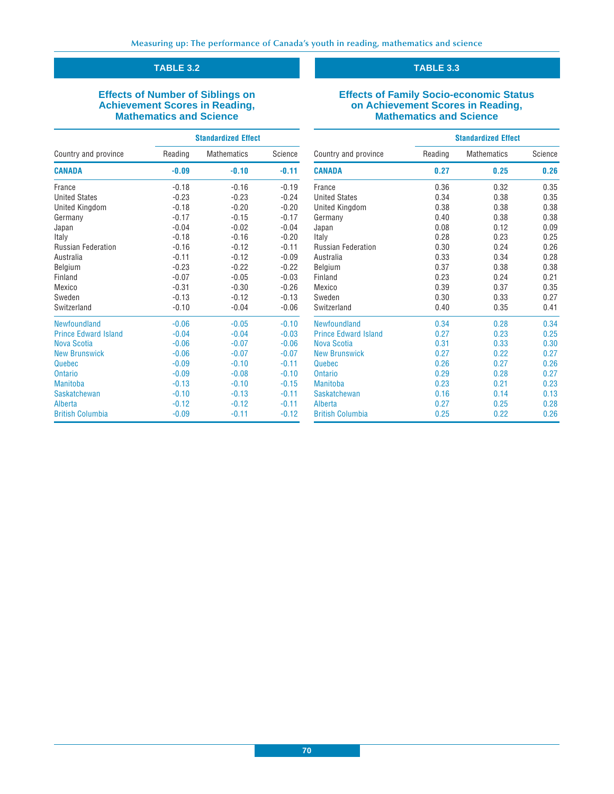### **TABLE 3.2**

#### **Effects of Number of Siblings on Achievement Scores in Reading, Mathematics and Science**

|                             |         | <b>Standardized Effect</b> |         |  |  |  |
|-----------------------------|---------|----------------------------|---------|--|--|--|
| Country and province        | Reading | <b>Mathematics</b>         | Science |  |  |  |
| <b>CANADA</b>               | $-0.09$ | $-0.10$                    | $-0.11$ |  |  |  |
| France                      | $-0.18$ | $-0.16$                    | $-0.19$ |  |  |  |
| <b>United States</b>        | $-0.23$ | $-0.23$                    | $-0.24$ |  |  |  |
| United Kingdom              | $-0.18$ | $-0.20$                    | $-0.20$ |  |  |  |
| Germany                     | $-0.17$ | $-0.15$                    | $-0.17$ |  |  |  |
| Japan                       | $-0.04$ | $-0.02$                    | $-0.04$ |  |  |  |
| Italy                       | $-0.18$ | $-0.16$                    | $-0.20$ |  |  |  |
| <b>Russian Federation</b>   | $-0.16$ | $-0.12$                    | $-0.11$ |  |  |  |
| Australia                   | $-0.11$ | $-0.12$                    | $-0.09$ |  |  |  |
| Belgium                     | $-0.23$ | $-0.22$                    | $-0.22$ |  |  |  |
| Finland                     | $-0.07$ | $-0.05$                    | $-0.03$ |  |  |  |
| Mexico                      | $-0.31$ | $-0.30$                    | $-0.26$ |  |  |  |
| Sweden                      | $-0.13$ | $-0.12$                    | $-0.13$ |  |  |  |
| Switzerland                 | $-0.10$ | $-0.04$                    | $-0.06$ |  |  |  |
| Newfoundland                | $-0.06$ | $-0.05$                    | $-0.10$ |  |  |  |
| <b>Prince Edward Island</b> | $-0.04$ | $-0.04$                    | $-0.03$ |  |  |  |
| <b>Nova Scotia</b>          | $-0.06$ | $-0.07$                    | $-0.06$ |  |  |  |
| <b>New Brunswick</b>        | $-0.06$ | $-0.07$                    | $-0.07$ |  |  |  |
| Quebec                      | $-0.09$ | $-0.10$                    | $-0.11$ |  |  |  |
| <b>Ontario</b>              | $-0.09$ | $-0.08$                    | $-0.10$ |  |  |  |
| <b>Manitoba</b>             | $-0.13$ | $-0.10$                    | $-0.15$ |  |  |  |
| <b>Saskatchewan</b>         | $-0.10$ | $-0.13$                    | $-0.11$ |  |  |  |
| Alberta                     | $-0.12$ | $-0.12$                    | $-0.11$ |  |  |  |
| <b>British Columbia</b>     | $-0.09$ | $-0.11$                    | $-0.12$ |  |  |  |

### **TABLE 3.3**

#### **Effects of Family Socio-economic Status on Achievement Scores in Reading, Mathematics and Science**

|                             | <b>Standardized Effect</b> |                    |         |  |  |
|-----------------------------|----------------------------|--------------------|---------|--|--|
| Country and province        | Reading                    | <b>Mathematics</b> | Science |  |  |
| <b>CANADA</b>               | 0.27                       | 0.25               | 0.26    |  |  |
| <b>France</b>               | 0.36                       | 0.32               | 0.35    |  |  |
| <b>United States</b>        | 0.34                       | 0.38               | 0.35    |  |  |
| United Kingdom              | 0.38                       | 0.38               | 0.38    |  |  |
| Germany                     | 0.40                       | 0.38               | 0.38    |  |  |
| Japan                       | 0.08                       | 0.12               | 0.09    |  |  |
| Italy                       | 0.28                       | 0.23               | 0.25    |  |  |
| <b>Russian Federation</b>   | 0.30                       | 0.24               | 0.26    |  |  |
| Australia                   | 0.33                       | 0.34               | 0.28    |  |  |
| <b>Belgium</b>              | 0.37                       | 0.38               | 0.38    |  |  |
| Finland                     | 0.23                       | 0.24               | 0.21    |  |  |
| Mexico                      | 0.39                       | 0.37               | 0.35    |  |  |
| Sweden                      | 0.30                       | 0.33               | 0.27    |  |  |
| Switzerland                 | 0.40                       | 0.35               | 0.41    |  |  |
| Newfoundland                | 0.34                       | 0.28               | 0.34    |  |  |
| <b>Prince Edward Island</b> | 0.27                       | 0.23               | 0.25    |  |  |
| Nova Scotia                 | 0.31                       | 0.33               | 0.30    |  |  |
| <b>New Brunswick</b>        | 0.27                       | 0.22               | 0.27    |  |  |
| Quebec                      | 0.26                       | 0.27               | 0.26    |  |  |
| <b>Ontario</b>              | 0.29                       | 0.28               | 0.27    |  |  |
| <b>Manitoba</b>             | 0.23                       | 0.21               | 0.23    |  |  |
| <b>Saskatchewan</b>         | 0.16                       | 0.14               | 0.13    |  |  |
| Alberta                     | 0.27                       | 0.25               | 0.28    |  |  |
| <b>British Columbia</b>     | 0.25                       | 0.22               | 0.26    |  |  |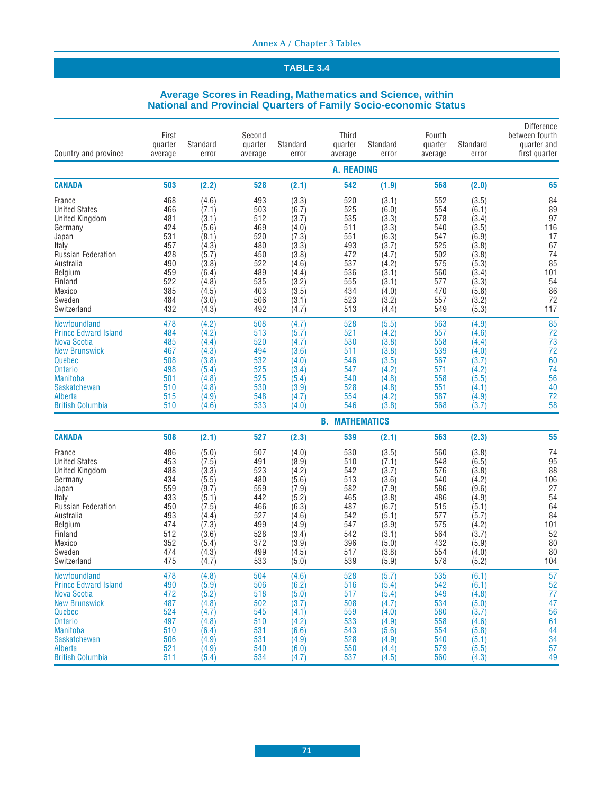#### **Average Scores in Reading, Mathematics and Science, within National and Provincial Quarters of Family Socio-economic Status**

| Country and province                       | First<br>quarter<br>average | Standard<br>error | Second<br>quarter<br>average | Standard<br>error | Third<br>quarter<br>average | Standard<br>error | Fourth<br>quarter<br>average | Standard<br>error | Difference<br>between fourth<br>quarter and<br>first quarter |
|--------------------------------------------|-----------------------------|-------------------|------------------------------|-------------------|-----------------------------|-------------------|------------------------------|-------------------|--------------------------------------------------------------|
|                                            |                             |                   |                              |                   | A. READING                  |                   |                              |                   |                                                              |
| <b>CANADA</b>                              | 503                         | (2.2)             | 528                          | (2.1)             | 542                         | (1.9)             | 568                          | (2.0)             | 65                                                           |
| France                                     | 468                         | (4.6)             | 493                          | (3.3)             | 520                         | (3.1)             | 552                          | (3.5)             | 84                                                           |
| <b>United States</b>                       | 466                         | (7.1)             | 503                          | (6.7)             | 525                         | (6.0)             | 554                          | (6.1)             | 89                                                           |
| United Kingdom<br>Germany                  | 481<br>424                  | (3.1)<br>(5.6)    | 512<br>469                   | (3.7)<br>(4.0)    | 535<br>511                  | (3.3)<br>(3.3)    | 578<br>540                   | (3.4)<br>(3.5)    | 97<br>116                                                    |
| Japan                                      | 531                         | (8.1)             | 520                          | (7.3)             | 551                         | (6.3)             | 547                          | (6.9)             | 17                                                           |
| Italy                                      | 457                         | (4.3)             | 480                          | (3.3)             | 493                         | (3.7)             | 525                          | (3.8)             | 67                                                           |
| <b>Russian Federation</b>                  | 428                         | (5.7)             | 450                          | (3.8)             | 472                         | (4.7)             | 502                          | (3.8)             | 74                                                           |
| Australia                                  | 490<br>459                  | (3.8)             | 522<br>489                   | (4.6)             | 537<br>536                  | (4.2)             | 575<br>560                   | (5.3)             | 85                                                           |
| Belgium<br>Finland                         | 522                         | (6.4)<br>(4.8)    | 535                          | (4.4)<br>(3.2)    | 555                         | (3.1)<br>(3.1)    | 577                          | (3.4)<br>(3.3)    | 101<br>54                                                    |
| Mexico                                     | 385                         | (4.5)             | 403                          | (3.5)             | 434                         | (4.0)             | 470                          | (5.8)             | 86                                                           |
| Sweden                                     | 484                         | (3.0)             | 506                          | (3.1)             | 523                         | (3.2)             | 557                          | (3.2)             | 72                                                           |
| Switzerland                                | 432                         | (4.3)             | 492                          | (4.7)             | 513                         | (4.4)             | 549                          | (5.3)             | 117                                                          |
| Newfoundland                               | 478                         | (4.2)             | 508                          | (4.7)             | 528                         | (5.5)             | 563                          | (4.9)             | 85                                                           |
| <b>Prince Edward Island</b>                | 484                         | (4.2)             | 513                          | (5.7)             | 521                         | (4.2)             | 557                          | (4.6)             | 72                                                           |
| <b>Nova Scotia</b><br><b>New Brunswick</b> | 485<br>467                  | (4.4)             | 520<br>494                   | (4.7)             | 530<br>511                  | (3.8)             | 558<br>539                   | (4.4)             | 73<br>72                                                     |
| Quebec                                     | 508                         | (4.3)<br>(3.8)    | 532                          | (3.6)<br>(4.0)    | 546                         | (3.8)<br>(3.5)    | 567                          | (4.0)<br>(3.7)    | 60                                                           |
| <b>Ontario</b>                             | 498                         | (5.4)             | 525                          | (3.4)             | 547                         | (4.2)             | 571                          | (4.2)             | 74                                                           |
| <b>Manitoba</b>                            | 501                         | (4.8)             | 525                          | (5.4)             | 540                         | (4.8)             | 558                          | (5.5)             | 56                                                           |
| <b>Saskatchewan</b>                        | 510                         | (4.8)             | 530                          | (3.9)             | 528                         | (4.8)             | 551                          | (4.1)             | 40                                                           |
| Alberta<br><b>British Columbia</b>         | 515<br>510                  | (4.9)<br>(4.6)    | 548<br>533                   | (4.7)<br>(4.0)    | 554<br>546                  | (4.2)<br>(3.8)    | 587<br>568                   | (4.9)<br>(3.7)    | 72<br>58                                                     |
|                                            |                             |                   |                              |                   |                             |                   |                              |                   |                                                              |
|                                            |                             |                   |                              |                   | <b>B. MATHEMATICS</b>       |                   |                              |                   |                                                              |
| <b>CANADA</b>                              | 508                         | (2.1)             | 527                          | (2.3)             | 539                         | (2.1)             | 563                          | (2.3)             | 55                                                           |
| France                                     | 486                         | (5.0)             | 507                          | (4.0)             | 530                         | (3.5)             | 560                          | (3.8)             | 74                                                           |
| <b>United States</b>                       | 453                         | (7.5)             | 491                          | (8.9)             | 510                         | (7.1)             | 548                          | (6.5)             | 95                                                           |
| United Kingdom<br>Germany                  | 488<br>434                  | (3.3)<br>(5.5)    | 523<br>480                   | (4.2)<br>(5.6)    | 542<br>513                  | (3.7)<br>(3.6)    | 576<br>540                   | (3.8)<br>(4.2)    | 88<br>106                                                    |
| Japan                                      | 559                         | (9.7)             | 559                          | (7.9)             | 582                         | (7.9)             | 586                          | (9.6)             | 27                                                           |
| Italy                                      | 433                         | (5.1)             | 442                          | (5.2)             | 465                         | (3.8)             | 486                          | (4.9)             | 54                                                           |
| <b>Russian Federation</b>                  | 450                         | (7.5)             | 466                          | (6.3)             | 487                         | (6.7)             | 515                          | (5.1)             | 64                                                           |
| Australia<br>Belgium                       | 493<br>474                  | (4.4)             | 527<br>499                   | (4.6)             | 542<br>547                  | (5.1)             | 577<br>575                   | (5.7)             | 84<br>101                                                    |
| Finland                                    | 512                         | (7.3)<br>(3.6)    | 528                          | (4.9)<br>(3.4)    | 542                         | (3.9)<br>(3.1)    | 564                          | (4.2)<br>(3.7)    | 52                                                           |
| Mexico                                     | 352                         | (5.4)             | 372                          | (3.9)             | 396                         | (5.0)             | 432                          | (5.9)             | 80                                                           |
| Sweden                                     | 474                         | (4.3)             | 499                          | (4.5)             | 517                         | (3.8)             | 554                          | (4.0)             | 80                                                           |
| Switzerland                                | 475                         | (4.7)             | 533                          | (5.0)             | 539                         | (5.9)             | 578                          | (5.2)             | 104                                                          |
| Newfoundland                               | 478                         | (4.8)             | 504                          | (4.6)             | 528                         | (5.7)             | 535                          | (6.1)             | 57                                                           |
| <b>Prince Edward Island</b>                | 490                         | (5.9)             | 506                          | (6.2)             | 516                         | (5.4)             | 542                          | (6.1)             | 52                                                           |
| <b>Nova Scotia</b><br><b>New Brunswick</b> | 472                         | (5.2)             | 518<br>502                   | (5.0)             | 517                         | (5.4)             | 549                          | (4.8)             | 77<br>47                                                     |
| Quebec                                     | 487<br>524                  | (4.8)<br>(4.7)    | 545                          | (3.7)<br>(4.1)    | 508<br>559                  | (4.7)<br>(4.0)    | 534<br>580                   | (5.0)<br>(3.7)    | 56                                                           |
| <b>Ontario</b>                             | 497                         | (4.8)             | 510                          | (4.2)             | 533                         | (4.9)             | 558                          | (4.6)             | 61                                                           |
| Manitoba                                   | 510                         | (6.4)             | 531                          | (6.6)             | 543                         | (5.6)             | 554                          | (5.8)             | 44                                                           |
| Saskatchewan                               | 506                         | (4.9)             | 531                          | (4.9)             | 528                         | (4.9)             | 540                          | (5.1)             | 34                                                           |
| Alberta<br><b>British Columbia</b>         | 521<br>511                  | (4.9)<br>(5.4)    | 540<br>534                   | (6.0)<br>(4.7)    | 550<br>537                  | (4.4)<br>(4.5)    | 579<br>560                   | (5.5)<br>(4.3)    | 57<br>49                                                     |
|                                            |                             |                   |                              |                   |                             |                   |                              |                   |                                                              |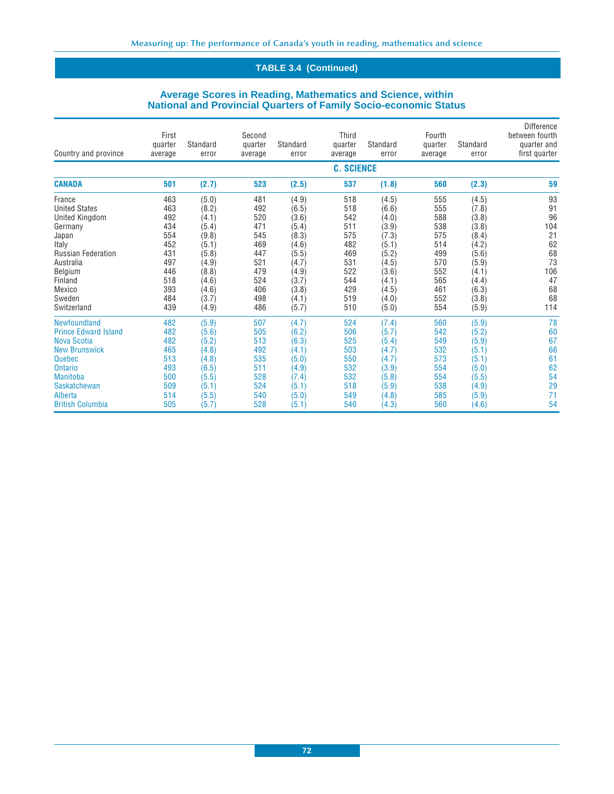## **TABLE 3.4 (Continued)**

#### **Average Scores in Reading, Mathematics and Science, within National and Provincial Quarters of Family Socio-economic Status**

| Country and province                                                                                                                                                                    | First<br>quarter<br>average                                                             | Standard<br>error                                                                                                 | Second<br>quarter<br>average                                                            | Standard<br>error                                                                                                 | Third<br>quarter<br>average                                                             | Standard<br>error                                                                                                 | Fourth<br>quarter<br>average                                                            | Standard<br>error                                                                                                 | <b>Difference</b><br>between fourth<br>quarter and<br>first quarter           |
|-----------------------------------------------------------------------------------------------------------------------------------------------------------------------------------------|-----------------------------------------------------------------------------------------|-------------------------------------------------------------------------------------------------------------------|-----------------------------------------------------------------------------------------|-------------------------------------------------------------------------------------------------------------------|-----------------------------------------------------------------------------------------|-------------------------------------------------------------------------------------------------------------------|-----------------------------------------------------------------------------------------|-------------------------------------------------------------------------------------------------------------------|-------------------------------------------------------------------------------|
|                                                                                                                                                                                         |                                                                                         |                                                                                                                   |                                                                                         |                                                                                                                   | <b>C. SCIENCE</b>                                                                       |                                                                                                                   |                                                                                         |                                                                                                                   |                                                                               |
| <b>CANADA</b>                                                                                                                                                                           | 501                                                                                     | (2.7)                                                                                                             | 523                                                                                     | (2.5)                                                                                                             | 537                                                                                     | (1.8)                                                                                                             | 560                                                                                     | (2.3)                                                                                                             | 59                                                                            |
| France<br><b>United States</b><br>United Kingdom<br>Germany<br>Japan<br>Italy<br><b>Russian Federation</b><br>Australia<br>Belgium<br>Finland<br>Mexico<br>Sweden<br>Switzerland        | 463<br>463<br>492<br>434<br>554<br>452<br>431<br>497<br>446<br>518<br>393<br>484<br>439 | (5.0)<br>(8.2)<br>(4.1)<br>(5.4)<br>(9.8)<br>(5.1)<br>(5.8)<br>(4.9)<br>(8.8)<br>(4.6)<br>(4.6)<br>(3.7)<br>(4.9) | 481<br>492<br>520<br>471<br>545<br>469<br>447<br>521<br>479<br>524<br>406<br>498<br>486 | (4.9)<br>(6.5)<br>(3.6)<br>(5.4)<br>(8.3)<br>(4.6)<br>(5.5)<br>(4.7)<br>(4.9)<br>(3.7)<br>(3.8)<br>(4.1)<br>(5.7) | 518<br>518<br>542<br>511<br>575<br>482<br>469<br>531<br>522<br>544<br>429<br>519<br>510 | (4.5)<br>(6.6)<br>(4.0)<br>(3.9)<br>(7.3)<br>(5.1)<br>(5.2)<br>(4.5)<br>(3.6)<br>(4.1)<br>(4.5)<br>(4.0)<br>(5.0) | 555<br>555<br>588<br>538<br>575<br>514<br>499<br>570<br>552<br>565<br>461<br>552<br>554 | (4.5)<br>(7.8)<br>(3.8)<br>(3.8)<br>(8.4)<br>(4.2)<br>(5.6)<br>(5.9)<br>(4.1)<br>(4.4)<br>(6.3)<br>(3.8)<br>(5.9) | 93<br>91<br>96<br>104<br>21<br>62<br>68<br>73<br>106<br>47<br>68<br>68<br>114 |
| Newfoundland<br><b>Prince Edward Island</b><br>Nova Scotia<br><b>New Brunswick</b><br>Quebec<br><b>Ontario</b><br><b>Manitoba</b><br>Saskatchewan<br>Alberta<br><b>British Columbia</b> | 482<br>482<br>482<br>465<br>513<br>493<br>500<br>509<br>514<br>505                      | (5.9)<br>(5.6)<br>(5.2)<br>(4.8)<br>(4.8)<br>(6.5)<br>(5.5)<br>(5.1)<br>(5.5)<br>(5.7)                            | 507<br>505<br>513<br>492<br>535<br>511<br>528<br>524<br>540<br>528                      | (4.7)<br>(6.2)<br>(6.3)<br>(4.1)<br>(5.0)<br>(4.9)<br>(7.4)<br>(5.1)<br>(5.0)<br>(5.1)                            | 524<br>506<br>525<br>503<br>550<br>532<br>532<br>518<br>549<br>540                      | (7.4)<br>(5.7)<br>(5.4)<br>(4.7)<br>(4.7)<br>(3.9)<br>(5.8)<br>(5.9)<br>(4.8)<br>(4.3)                            | 560<br>542<br>549<br>532<br>573<br>554<br>554<br>538<br>585<br>560                      | (5.9)<br>(5.2)<br>(5.9)<br>(5.1)<br>(5.1)<br>(5.0)<br>(5.5)<br>(4.9)<br>(5.9)<br>(4.6)                            | 78<br>60<br>67<br>66<br>61<br>62<br>54<br>29<br>71<br>54                      |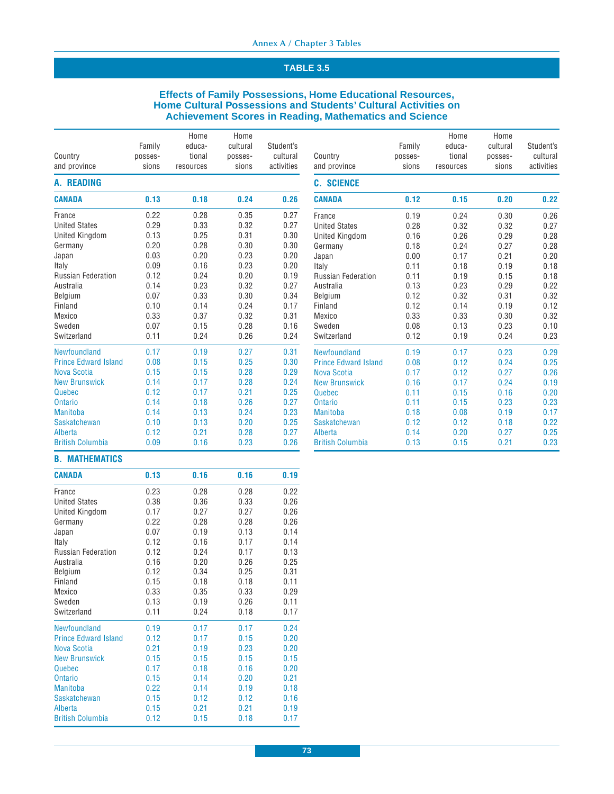#### **Effects of Family Possessions, Home Educational Resources, Home Cultural Possessions and Students' Cultural Activities on Achievement Scores in Reading, Mathematics and Science**

|                             |         | Home      | Home     |            |                             |         | Home      | Home     |            |
|-----------------------------|---------|-----------|----------|------------|-----------------------------|---------|-----------|----------|------------|
|                             | Family  | educa-    | cultural | Student's  |                             | Family  | educa-    | cultural | Student's  |
| Country                     | posses- | tional    | posses-  | cultural   | Country                     | posses- | tional    | posses-  | cultural   |
| and province                | sions   | resources | sions    | activities | and province                | sions   | resources | sions    | activities |
| A. READING                  |         |           |          |            | <b>C. SCIENCE</b>           |         |           |          |            |
| <b>CANADA</b>               | 0.13    | 0.18      | 0.24     | 0.26       | <b>CANADA</b>               | 0.12    | 0.15      | 0.20     | 0.22       |
| France                      | 0.22    | 0.28      | 0.35     | 0.27       | France                      | 0.19    | 0.24      | 0.30     | 0.26       |
| <b>United States</b>        | 0.29    | 0.33      | 0.32     | 0.27       | <b>United States</b>        | 0.28    | 0.32      | 0.32     | 0.27       |
| United Kingdom              | 0.13    | 0.25      | 0.31     | 0.30       | <b>United Kingdom</b>       | 0.16    | 0.26      | 0.29     | 0.28       |
| Germany                     | 0.20    | 0.28      | 0.30     | 0.30       | Germany                     | 0.18    | 0.24      | 0.27     | 0.28       |
| Japan                       | 0.03    | 0.20      | 0.23     | 0.20       | Japan                       | 0.00    | 0.17      | 0.21     | 0.20       |
| Italy                       | 0.09    | 0.16      | 0.23     | 0.20       | Italy                       | 0.11    | 0.18      | 0.19     | 0.18       |
| <b>Russian Federation</b>   | 0.12    | 0.24      | 0.20     | 0.19       | <b>Russian Federation</b>   | 0.11    | 0.19      | 0.15     | 0.18       |
| Australia                   | 0.14    | 0.23      | 0.32     | 0.27       | Australia                   | 0.13    | 0.23      | 0.29     | 0.22       |
| Belgium                     | 0.07    | 0.33      | 0.30     | 0.34       | Belgium                     | 0.12    | 0.32      | 0.31     | 0.32       |
| Finland                     | 0.10    | 0.14      | 0.24     | 0.17       | Finland                     | 0.12    | 0.14      | 0.19     | 0.12       |
| Mexico                      | 0.33    | 0.37      | 0.32     | 0.31       | Mexico                      | 0.33    | 0.33      | 0.30     | 0.32       |
| Sweden                      | 0.07    | 0.15      | 0.28     | 0.16       | Sweden                      | 0.08    | 0.13      | 0.23     | 0.10       |
| Switzerland                 | 0.11    | 0.24      | 0.26     | 0.24       | Switzerland                 | 0.12    | 0.19      | 0.24     | 0.23       |
| <b>Newfoundland</b>         | 0.17    | 0.19      | 0.27     | 0.31       | <b>Newfoundland</b>         | 0.19    | 0.17      | 0.23     | 0.29       |
| <b>Prince Edward Island</b> | 0.08    | 0.15      | 0.25     | 0.30       | <b>Prince Edward Island</b> | 0.08    | 0.12      | 0.24     | 0.25       |
| <b>Nova Scotia</b>          | 0.15    | 0.15      | 0.28     | 0.29       | <b>Nova Scotia</b>          | 0.17    | 0.12      | 0.27     | 0.26       |
| <b>New Brunswick</b>        | 0.14    | 0.17      | 0.28     | 0.24       | <b>New Brunswick</b>        | 0.16    | 0.17      | 0.24     | 0.19       |
| Quebec                      | 0.12    | 0.17      | 0.21     | 0.25       | Quebec                      | 0.11    | 0.15      | 0.16     | 0.20       |
| <b>Ontario</b>              | 0.14    | 0.18      | 0.26     | 0.27       | <b>Ontario</b>              | 0.11    | 0.15      | 0.23     | 0.23       |
| <b>Manitoba</b>             | 0.14    | 0.13      | 0.24     | 0.23       | <b>Manitoba</b>             | 0.18    | 0.08      | 0.19     | 0.17       |
| <b>Saskatchewan</b>         | 0.10    | 0.13      | 0.20     | 0.25       | <b>Saskatchewan</b>         | 0.12    | 0.12      | 0.18     | 0.22       |
| Alberta                     | 0.12    | 0.21      | 0.28     | 0.27       | Alberta                     | 0.14    | 0.20      | 0.27     | 0.25       |
| <b>British Columbia</b>     | 0.09    | 0.16      | 0.23     | 0.26       | <b>British Columbia</b>     | 0.13    | 0.15      | 0.21     | 0.23       |
| <b>B. MATHEMATICS</b>       |         |           |          |            |                             |         |           |          |            |
| CANADA                      | 0.49    | 0.46      | 0.4C     | 0.10       |                             |         |           |          |            |

| <b>CANADA</b>               | 0.13 | 0.16 | 0.16 | 0.19 |
|-----------------------------|------|------|------|------|
| France                      | 0.23 | 0.28 | 0.28 | 0.22 |
| <b>United States</b>        | 0.38 | 0.36 | 0.33 | 0.26 |
| United Kingdom              | 0.17 | 0.27 | 0.27 | 0.26 |
| Germany                     | 0.22 | 0.28 | 0.28 | 0.26 |
| Japan                       | 0.07 | 0.19 | 0.13 | 0.14 |
| Italy                       | 0.12 | 0.16 | 0.17 | 0.14 |
| <b>Russian Federation</b>   | 0.12 | 0.24 | 0.17 | 0.13 |
| Australia                   | 0.16 | 0.20 | 0.26 | 0.25 |
| Belgium                     | 0.12 | 0.34 | 0.25 | 0.31 |
| Finland                     | 0.15 | 0.18 | 0.18 | 0.11 |
| Mexico                      | 0.33 | 0.35 | 0.33 | 0.29 |
| Sweden                      | 0.13 | 0.19 | 0.26 | 0.11 |
| Switzerland                 | 0.11 | 0.24 | 0.18 | 0.17 |
| Newfoundland                | 0.19 | 0.17 | 0.17 | 0.24 |
| <b>Prince Edward Island</b> | 0.12 | 0.17 | 0.15 | 0.20 |
| Nova Scotia                 | 0.21 | 0.19 | 0.23 | 0.20 |
| <b>New Brunswick</b>        | 0.15 | 0.15 | 0.15 | 0.15 |
| Quebec                      | 0.17 | 0.18 | 0.16 | 0.20 |
| <b>Ontario</b>              | 0.15 | 0.14 | 0.20 | 0.21 |
| <b>Manitoba</b>             | 0.22 | 0.14 | 0.19 | 0.18 |
| <b>Saskatchewan</b>         | 0.15 | 0.12 | 0.12 | 0.16 |
| Alberta                     | 0.15 | 0.21 | 0.21 | 0.19 |
| <b>British Columbia</b>     | 0.12 | 0.15 | 0.18 | 0.17 |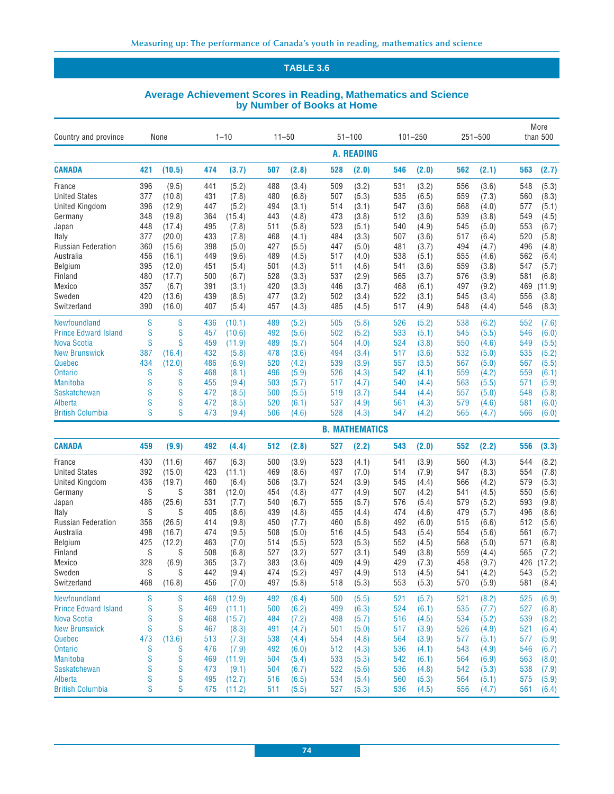| Country and province        |     | None   |     | $1 - 10$ | $11 - 50$ |       |     | $51 - 100$            |     | $101 - 250$ |     | $251 - 500$ |     | More<br>than 500 |
|-----------------------------|-----|--------|-----|----------|-----------|-------|-----|-----------------------|-----|-------------|-----|-------------|-----|------------------|
|                             |     |        |     |          |           |       |     | A. READING            |     |             |     |             |     |                  |
| <b>CANADA</b>               | 421 | (10.5) | 474 | (3.7)    | 507       | (2.8) | 528 | (2.0)                 | 546 | (2.0)       | 562 | (2.1)       | 563 | (2.7)            |
| France                      | 396 | (9.5)  | 441 | (5.2)    | 488       | (3.4) | 509 | (3.2)                 | 531 | (3.2)       | 556 | (3.6)       | 548 | (5.3)            |
| <b>United States</b>        | 377 | (10.8) | 431 | (7.8)    | 480       | (6.8) | 507 | (5.3)                 | 535 | (6.5)       | 559 | (7.3)       | 560 | (8.3)            |
| United Kingdom              | 396 | (12.9) | 447 | (5.2)    | 494       | (3.1) | 514 | (3.1)                 | 547 | (3.6)       | 568 | (4.0)       | 577 | (5.1)            |
| Germany                     | 348 | (19.8) | 364 | (15.4)   | 443       | (4.8) | 473 | (3.8)                 | 512 | (3.6)       | 539 | (3.8)       | 549 | (4.5)            |
| Japan                       | 448 | (17.4) | 495 | (7.8)    | 511       | (5.8) | 523 | (5.1)                 | 540 | (4.9)       | 545 | (5.0)       | 553 | (6.7)            |
| Italy                       | 377 | (20.0) | 433 | (7.8)    | 468       | (4.1) | 484 | (3.3)                 | 507 | (3.6)       | 517 | (6.4)       | 520 | (5.8)            |
| <b>Russian Federation</b>   | 360 | (15.6) | 398 | (5.0)    | 427       | (5.5) | 447 | (5.0)                 | 481 | (3.7)       | 494 | (4.7)       | 496 | (4.8)            |
| Australia                   | 456 | (16.1) | 449 | (9.6)    | 489       | (4.5) | 517 | (4.0)                 | 538 | (5.1)       | 555 | (4.6)       | 562 | (6.4)            |
| Belgium                     | 395 | (12.0) | 451 | (5.4)    | 501       | (4.3) | 511 | (4.6)                 | 541 | (3.6)       | 559 | (3.8)       | 547 | (5.7)            |
| Finland                     | 480 | (17.7) | 500 | (6.7)    | 528       | (3.3) | 537 | (2.9)                 | 565 | (3.7)       | 576 | (3.9)       | 581 | (6.8)            |
| Mexico                      | 357 | (6.7)  | 391 | (3.1)    | 420       | (3.3) | 446 | (3.7)                 | 468 | (6.1)       | 497 | (9.2)       | 469 | (11.9)           |
| Sweden                      | 420 | (13.6) | 439 | (8.5)    | 477       | (3.2) | 502 | (3.4)                 | 522 | (3.1)       | 545 | (3.4)       | 556 | (3.8)            |
| Switzerland                 | 390 | (16.0) | 407 | (5.4)    | 457       | (4.3) | 485 | (4.5)                 | 517 | (4.9)       | 548 | (4.4)       | 546 | (8.3)            |
|                             |     |        |     |          |           |       |     |                       |     |             |     |             |     |                  |
| <b>Newfoundland</b>         | S   | S      | 436 | (10.1)   | 489       | (5.2) | 505 | (5.8)                 | 526 | (5.2)       | 538 | (6.2)       | 552 | (7.6)            |
| <b>Prince Edward Island</b> | S   | S      | 457 | (10.6)   | 492       | (5.6) | 502 | (5.2)                 | 533 | (5.1)       | 545 | (5.5)       | 546 | (6.0)            |
| <b>Nova Scotia</b>          | S   | S      | 459 | (11.9)   | 489       | (5.7) | 504 | (4.0)                 | 524 | (3.8)       | 550 | (4.6)       | 549 | (5.5)            |
| <b>New Brunswick</b>        | 387 | (16.4) | 432 | (5.8)    | 478       | (3.6) | 494 | (3.4)                 | 517 | (3.6)       | 532 | (5.0)       | 535 | (5.2)            |
| Quebec                      | 434 | (12.0) | 486 | (6.9)    | 520       | (4.2) | 539 | (3.9)                 | 557 | (3.5)       | 567 | (5.0)       | 567 | (5.5)            |
| <b>Ontario</b>              | S   | S      | 468 | (8.1)    | 496       | (5.9) | 526 | (4.3)                 | 542 | (4.1)       | 559 | (4.2)       | 559 | (6.1)            |
| <b>Manitoba</b>             | S   | S      | 455 | (9.4)    | 503       | (5.7) | 517 | (4.7)                 | 540 | (4.4)       | 563 | (5.5)       | 571 | (5.9)            |
| <b>Saskatchewan</b>         | S   | S      | 472 | (8.5)    | 500       | (5.5) | 519 | (3.7)                 | 544 | (4.4)       | 557 | (5.0)       | 548 | (5.8)            |
| Alberta                     | S   | S      | 472 | (8.5)    | 520       | (6.1) | 537 | (4.9)                 | 561 | (4.3)       | 579 | (4.6)       | 581 | (6.0)            |
| <b>British Columbia</b>     | S   | S      | 473 | (9.4)    | 506       | (4.6) | 528 | (4.3)                 | 547 | (4.2)       | 565 | (4.7)       | 566 | (6.0)            |
|                             |     |        |     |          |           |       |     | <b>B. MATHEMATICS</b> |     |             |     |             |     |                  |
| <b>CANADA</b>               | 459 | (9.9)  | 492 | (4.4)    | 512       | (2.8) | 527 | (2.2)                 | 543 | (2.0)       | 552 | (2.2)       | 556 | (3.3)            |
| France                      | 430 | (11.6) | 467 | (6.3)    | 500       | (3.9) | 523 | (4.1)                 | 541 | (3.9)       | 560 | (4.3)       | 544 | (8.2)            |
| <b>United States</b>        | 392 | (15.0) | 423 | (11.1)   | 469       | (8.6) | 497 | (7.0)                 | 514 | (7.9)       | 547 | (8.3)       | 554 | (7.8)            |
| United Kingdom              | 436 | (19.7) | 460 | (6.4)    | 506       | (3.7) | 524 | (3.9)                 | 545 | (4.4)       | 566 | (4.2)       | 579 | (5.3)            |
| Germany                     | S   | S      | 381 | (12.0)   | 454       | (4.8) | 477 | (4.9)                 | 507 | (4.2)       | 541 | (4.5)       | 550 | (5.6)            |
| Japan                       | 486 | (25.6) | 531 | (7.7)    | 540       | (6.7) | 555 | (5.7)                 | 576 | (5.4)       | 579 | (5.2)       | 593 | (9.8)            |
| Italy                       | S   | S      | 405 | (8.6)    | 439       | (4.8) | 455 | (4.4)                 | 474 | (4.6)       | 479 | (5.7)       | 496 | (8.6)            |
| <b>Russian Federation</b>   | 356 | (26.5) | 414 | (9.8)    | 450       | (7.7) | 460 | (5.8)                 | 492 | (6.0)       | 515 | (6.6)       | 512 | (5.6)            |
| Australia                   | 498 | (16.7) | 474 | (9.5)    | 508       | (5.0) | 516 | (4.5)                 | 543 | (5.4)       | 554 | (5.6)       | 561 | (6.7)            |
| Belgium                     | 425 | (12.2) | 463 | (7.0)    | 514       | (5.5) | 523 | (5.3)                 | 552 | (4.5)       | 568 | (5.0)       | 571 | (6.8)            |
| Finland                     | S   | S      | 508 | (6.8)    | 527       | (3.2) | 527 | (3.1)                 | 549 | (3.8)       | 559 | (4.4)       | 565 | (7.2)            |
| Mexico                      | 328 | (6.9)  | 365 | (3.7)    | 383       | (3.6) | 409 | (4.9)                 | 429 | (7.3)       | 458 | (9.7)       |     | 426 (17.2)       |
| Sweden                      | S   | S      | 442 | (9.4)    | 474       | (5.2) | 497 | (4.9)                 | 513 | (4.5)       | 541 | (4.2)       | 543 | (5.2)            |
| Switzerland                 | 468 | (16.8) | 456 | (7.0)    | 497       | (5.8) | 518 | (5.3)                 | 553 | (5.3)       | 570 | (5.9)       | 581 | (8.4)            |
| <b>Newfoundland</b>         | S   | S      | 468 | (12.9)   | 492       | (6.4) | 500 | (5.5)                 | 521 | (5.7)       | 521 | (8.2)       | 525 | (6.9)            |
| <b>Prince Edward Island</b> | S   | S      | 469 | (11.1)   | 500       | (6.2) | 499 | (6.3)                 | 524 | (6.1)       | 535 | (7.7)       | 527 | (6.8)            |
| <b>Nova Scotia</b>          | S   | S      | 468 | (15.7)   | 484       | (7.2) | 498 | (5.7)                 | 516 | (4.5)       | 534 | (5.2)       | 539 | (8.2)            |
| <b>New Brunswick</b>        | S   | S      | 467 | (8.3)    | 491       | (4.7) | 501 | (5.0)                 | 517 | (3.9)       | 526 | (4.9)       | 521 | (6.4)            |
| Quebec                      | 473 | (13.6) | 513 | (7.3)    | 538       | (4.4) | 554 | (4.8)                 | 564 | (3.9)       | 577 | (5.1)       | 577 | (5.9)            |
| <b>Ontario</b>              | S   | S      | 476 | (7.9)    | 492       | (6.0) | 512 | (4.3)                 | 536 | (4.1)       | 543 | (4.9)       | 546 | (6.7)            |
| <b>Manitoba</b>             | S   | S      | 469 | (11.9)   | 504       | (5.4) | 533 | (5.3)                 | 542 | (6.1)       | 564 | (6.9)       | 563 | (8.0)            |
| Saskatchewan                | S   | S      | 473 | (9.1)    | 504       | (6.7) | 522 | (5.6)                 | 536 | (4.8)       | 542 | (5.3)       | 538 | (7.9)            |
| Alberta                     | S   | S      | 495 | (12.7)   | 516       | (6.5) | 534 | (5.4)                 | 560 | (5.3)       | 564 | (5.1)       | 575 | (5.9)            |
| <b>British Columbia</b>     | S   | S      | 475 | (11.2)   | 511       | (5.5) | 527 | (5.3)                 | 536 | (4.5)       | 556 | (4.7)       | 561 | (6.4)            |

#### **Average Achievement Scores in Reading, Mathematics and Science by Number of Books at Home**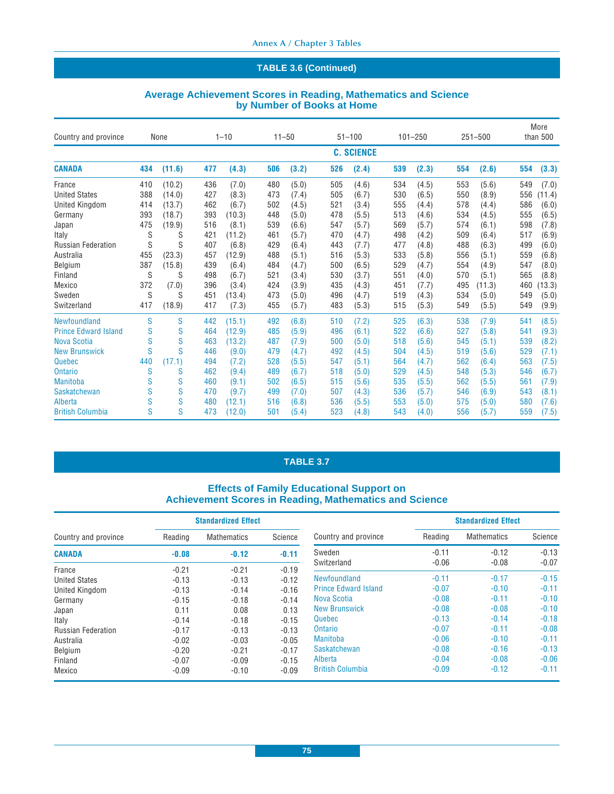## **TABLE 3.6 (Continued)**

| Country and province        |     | None   |     | $1 - 10$ | $11 - 50$ |       |     | $51 - 100$        |     | $101 - 250$ |     | $251 - 500$ |     | More<br>than $500$ |
|-----------------------------|-----|--------|-----|----------|-----------|-------|-----|-------------------|-----|-------------|-----|-------------|-----|--------------------|
|                             |     |        |     |          |           |       |     | <b>C. SCIENCE</b> |     |             |     |             |     |                    |
| <b>CANADA</b>               | 434 | (11.6) | 477 | (4.3)    | 506       | (3.2) | 526 | (2.4)             | 539 | (2.3)       | 554 | (2.6)       | 554 | (3.3)              |
| France                      | 410 | (10.2) | 436 | (7.0)    | 480       | (5.0) | 505 | (4.6)             | 534 | (4.5)       | 553 | (5.6)       | 549 | (7.0)              |
| <b>United States</b>        | 388 | (14.0) | 427 | (8.3)    | 473       | (7.4) | 505 | (6.7)             | 530 | (6.5)       | 550 | (8.9)       | 556 | (11.4)             |
| United Kingdom              | 414 | (13.7) | 462 | (6.7)    | 502       | (4.5) | 521 | (3.4)             | 555 | (4.4)       | 578 | (4.4)       | 586 | (6.0)              |
| Germany                     | 393 | (18.7) | 393 | (10.3)   | 448       | (5.0) | 478 | (5.5)             | 513 | (4.6)       | 534 | (4.5)       | 555 | (6.5)              |
| Japan                       | 475 | (19.9) | 516 | (8.1)    | 539       | (6.6) | 547 | (5.7)             | 569 | (5.7)       | 574 | (6.1)       | 598 | (7.8)              |
| Italy                       | S   | S      | 421 | (11.2)   | 461       | (5.7) | 470 | (4.7)             | 498 | (4.2)       | 509 | (6.4)       | 517 | (6.9)              |
| <b>Russian Federation</b>   | S   | S      | 407 | (6.8)    | 429       | (6.4) | 443 | (7.7)             | 477 | (4.8)       | 488 | (6.3)       | 499 | (6.0)              |
| Australia                   | 455 | (23.3) | 457 | (12.9)   | 488       | (5.1) | 516 | (5.3)             | 533 | (5.8)       | 556 | (5.1)       | 559 | (6.8)              |
| Belgium                     | 387 | (15.8) | 439 | (6.4)    | 484       | (4.7) | 500 | (6.5)             | 529 | (4.7)       | 554 | (4.9)       | 547 | (8.0)              |
| Finland                     | S   | S      | 498 | (6.7)    | 521       | (3.4) | 530 | (3.7)             | 551 | (4.0)       | 570 | (5.1)       | 565 | (8.8)              |
| Mexico                      | 372 | (7.0)  | 396 | (3.4)    | 424       | (3.9) | 435 | (4.3)             | 451 | (7.7)       | 495 | (11.3)      | 460 | (13.3)             |
| Sweden                      | S   | S      | 451 | (13.4)   | 473       | (5.0) | 496 | (4.7)             | 519 | (4.3)       | 534 | (5.0)       | 549 | (5.0)              |
| Switzerland                 | 417 | (18.9) | 417 | (7.3)    | 455       | (5.7) | 483 | (5.3)             | 515 | (5.3)       | 549 | (5.5)       | 549 | (9.9)              |
| Newfoundland                | S   | S      | 442 | (15.1)   | 492       | (6.8) | 510 | (7.2)             | 525 | (6.3)       | 538 | (7.9)       | 541 | (8.5)              |
| <b>Prince Edward Island</b> | S   | S      | 464 | (12.9)   | 485       | (5.9) | 496 | (6.1)             | 522 | (6.6)       | 527 | (5.8)       | 541 | (9.3)              |
| <b>Nova Scotia</b>          | S   | S      | 463 | (13.2)   | 487       | (7.9) | 500 | (5.0)             | 518 | (5.6)       | 545 | (5.1)       | 539 | (8.2)              |
| <b>New Brunswick</b>        | S   | S      | 446 | (9.0)    | 479       | (4.7) | 492 | (4.5)             | 504 | (4.5)       | 519 | (5.6)       | 529 | (7.1)              |
| Quebec                      | 440 | (17.1) | 494 | (7.2)    | 528       | (5.5) | 547 | (5.1)             | 564 | (4.7)       | 562 | (6.4)       | 563 | (7.5)              |
| <b>Ontario</b>              | S   | S      | 462 | (9.4)    | 489       | (6.7) | 518 | (5.0)             | 529 | (4.5)       | 548 | (5.3)       | 546 | (6.7)              |
| <b>Manitoba</b>             | S   | S      | 460 | (9.1)    | 502       | (6.5) | 515 | (5.6)             | 535 | (5.5)       | 562 | (5.5)       | 561 | (7.9)              |
| Saskatchewan                | S   | S      | 470 | (9.7)    | 499       | (7.0) | 507 | (4.3)             | 536 | (5.7)       | 546 | (6.9)       | 543 | (8.1)              |
| Alberta                     | S   | S      | 480 | (12.1)   | 516       | (6.8) | 536 | (5.5)             | 553 | (5.0)       | 575 | (5.0)       | 580 | (7.6)              |
| <b>British Columbia</b>     | S   | S      | 473 | (12.0)   | 501       | (5.4) | 523 | (4.8)             | 543 | (4.0)       | 556 | (5.7)       | 559 | (7.5)              |

#### **Average Achievement Scores in Reading, Mathematics and Science by Number of Books at Home**

## **TABLE 3.7**

#### **Effects of Family Educational Support on Achievement Scores in Reading, Mathematics and Science**

|                                                                  |         | <b>Standardized Effect</b> |         |                             | <b>Standardized Effect</b> |                    |                    |  |  |  |  |  |
|------------------------------------------------------------------|---------|----------------------------|---------|-----------------------------|----------------------------|--------------------|--------------------|--|--|--|--|--|
| Science<br><b>Mathematics</b><br>Country and province<br>Reading |         | Country and province       | Reading | <b>Mathematics</b>          | Science                    |                    |                    |  |  |  |  |  |
| <b>CANADA</b>                                                    | $-0.08$ | $-0.12$                    | $-0.11$ | Sweden<br>Switzerland       | $-0.11$<br>$-0.06$         | $-0.12$<br>$-0.08$ | $-0.13$<br>$-0.07$ |  |  |  |  |  |
| France                                                           | $-0.21$ | $-0.21$                    | $-0.19$ |                             |                            |                    |                    |  |  |  |  |  |
| <b>United States</b>                                             | $-0.13$ | $-0.13$                    | $-0.12$ | <b>Newfoundland</b>         | $-0.11$                    | $-0.17$            | $-0.15$            |  |  |  |  |  |
| <b>United Kingdom</b>                                            | $-0.13$ | $-0.14$                    | $-0.16$ | <b>Prince Edward Island</b> | $-0.07$                    | $-0.10$            | $-0.11$            |  |  |  |  |  |
| Germany                                                          | $-0.15$ | $-0.18$                    | $-0.14$ | Nova Scotia                 | $-0.08$                    | $-0.11$            | $-0.10$            |  |  |  |  |  |
| Japan                                                            | 0.11    | 0.08                       | 0.13    | <b>New Brunswick</b>        | $-0.08$                    | $-0.08$            | $-0.10$            |  |  |  |  |  |
| Italy                                                            | $-0.14$ | $-0.18$                    | $-0.15$ | Quebec                      | $-0.13$                    | $-0.14$            | $-0.18$            |  |  |  |  |  |
| <b>Russian Federation</b>                                        | $-0.17$ | $-0.13$                    | $-0.13$ | Ontario                     | $-0.07$                    | $-0.11$            | $-0.08$            |  |  |  |  |  |
| Australia                                                        | $-0.02$ | $-0.03$                    | $-0.05$ | <b>Manitoba</b>             | $-0.06$                    | $-0.10$            | $-0.11$            |  |  |  |  |  |
| Belgium                                                          | $-0.20$ | $-0.21$                    | $-0.17$ | <b>Saskatchewan</b>         | $-0.08$                    | $-0.16$            | $-0.13$            |  |  |  |  |  |
| Finland                                                          | $-0.07$ | $-0.09$                    | $-0.15$ | Alberta                     | $-0.04$                    | $-0.08$            | $-0.06$            |  |  |  |  |  |
| Mexico                                                           | $-0.09$ | $-0.10$                    | $-0.09$ | <b>British Columbia</b>     | $-0.09$                    | $-0.12$            | $-0.11$            |  |  |  |  |  |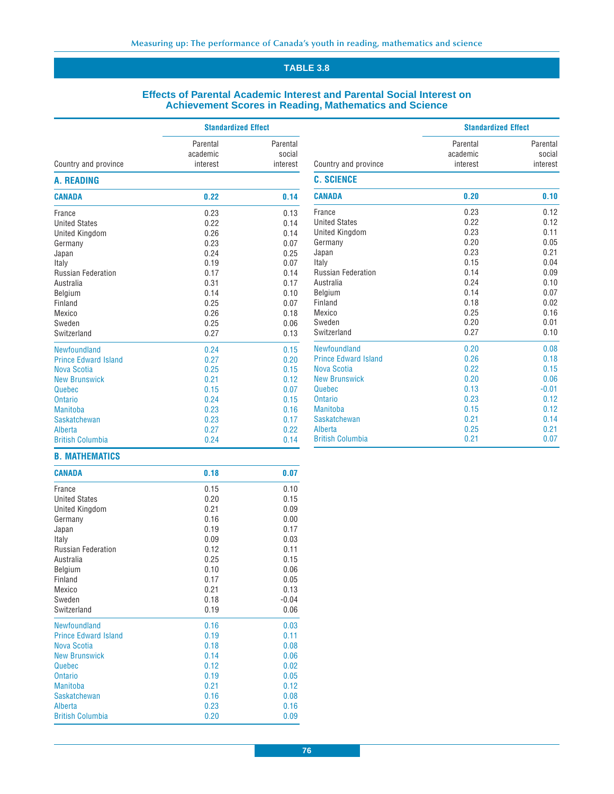#### **Effects of Parental Academic Interest and Parental Social Interest on Achievement Scores in Reading, Mathematics and Science**

|                             | <b>Standardized Effect</b> |          |  |  |  |  |  |  |
|-----------------------------|----------------------------|----------|--|--|--|--|--|--|
|                             | Parental                   | Parental |  |  |  |  |  |  |
|                             | academic                   | social   |  |  |  |  |  |  |
| Country and province        | interest                   | interest |  |  |  |  |  |  |
| A. READING                  |                            |          |  |  |  |  |  |  |
| <b>CANADA</b>               | 0.22                       | 0.14     |  |  |  |  |  |  |
| France                      | 0.23                       | 0.13     |  |  |  |  |  |  |
| <b>United States</b>        | 0.22                       | 0.14     |  |  |  |  |  |  |
| <b>United Kingdom</b>       | 0.26                       | 0.14     |  |  |  |  |  |  |
| Germany                     | 0.23                       | 0.07     |  |  |  |  |  |  |
| Japan                       | 0.24                       | 0.25     |  |  |  |  |  |  |
| Italy                       | 0.19                       | 0.07     |  |  |  |  |  |  |
| <b>Russian Federation</b>   | 0.17                       | 0.14     |  |  |  |  |  |  |
| Australia                   | 0.31                       | 0.17     |  |  |  |  |  |  |
| Belgium                     | 0.14                       | 0.10     |  |  |  |  |  |  |
| Finland                     | 0.25                       | 0.07     |  |  |  |  |  |  |
| Mexico                      | 0.26                       | 0.18     |  |  |  |  |  |  |
| Sweden                      | 0.25                       | 0.06     |  |  |  |  |  |  |
| Switzerland                 | 0.27                       | 0.13     |  |  |  |  |  |  |
| Newfoundland                | 0.24                       | 0.15     |  |  |  |  |  |  |
| <b>Prince Edward Island</b> | 0.27                       | 0.20     |  |  |  |  |  |  |
| Nova Scotia                 | 0.25                       | 0.15     |  |  |  |  |  |  |
| <b>New Brunswick</b>        | 0.21                       | 0.12     |  |  |  |  |  |  |
| Quebec                      | 0.15                       | 0.07     |  |  |  |  |  |  |
| <b>Ontario</b>              | 0.24                       | 0.15     |  |  |  |  |  |  |
| <b>Manitoba</b>             | 0.23                       | 0.16     |  |  |  |  |  |  |
| <b>Saskatchewan</b>         | 0.23                       | 0.17     |  |  |  |  |  |  |
| <b>Alberta</b>              | 0.27                       | 0.22     |  |  |  |  |  |  |
| <b>British Columbia</b>     | 0.24                       | 0.14     |  |  |  |  |  |  |

|                             | <b>Standardized Effect</b> |          |  |  |  |  |  |  |
|-----------------------------|----------------------------|----------|--|--|--|--|--|--|
|                             | Parental                   | Parental |  |  |  |  |  |  |
|                             | academic                   | social   |  |  |  |  |  |  |
| Country and province        | interest                   | interest |  |  |  |  |  |  |
| <b>C. SCIENCE</b>           |                            |          |  |  |  |  |  |  |
| <b>CANADA</b>               | 0.20                       | 0.10     |  |  |  |  |  |  |
| France                      | 0.23                       | 0.12     |  |  |  |  |  |  |
| <b>United States</b>        | 0.22                       | 0.12     |  |  |  |  |  |  |
| United Kingdom              | 0.23                       | 0.11     |  |  |  |  |  |  |
| Germany                     | 0.20                       | 0.05     |  |  |  |  |  |  |
| Japan                       | 0.23                       | 0.21     |  |  |  |  |  |  |
| Italy                       | 0.15                       | 0.04     |  |  |  |  |  |  |
| <b>Russian Federation</b>   | 0.14                       | 0.09     |  |  |  |  |  |  |
| Australia                   | 0.24                       | 0.10     |  |  |  |  |  |  |
| Belgium                     | 0.14                       | 0.07     |  |  |  |  |  |  |
| Finland                     | 0.18                       | 0.02     |  |  |  |  |  |  |
| Mexico                      | 0.25                       | 0.16     |  |  |  |  |  |  |
| Sweden                      | 0.20                       | 0.01     |  |  |  |  |  |  |
| Switzerland                 | 0.27                       | 0.10     |  |  |  |  |  |  |
| Newfoundland                | 0.20                       | 0.08     |  |  |  |  |  |  |
| <b>Prince Edward Island</b> | 0.26                       | 0.18     |  |  |  |  |  |  |
| Nova Scotia                 | 0.22                       | 0.15     |  |  |  |  |  |  |
| <b>New Brunswick</b>        | 0.20                       | 0.06     |  |  |  |  |  |  |
| Quebec                      | 0.13                       | $-0.01$  |  |  |  |  |  |  |
| Ontario                     | 0.23                       | 0.12     |  |  |  |  |  |  |
| <b>Manitoba</b>             | 0.15                       | 0.12     |  |  |  |  |  |  |
| <b>Saskatchewan</b>         | 0.21                       | 0.14     |  |  |  |  |  |  |
| Alberta                     | 0.25                       | 0.21     |  |  |  |  |  |  |
| <b>British Columbia</b>     | 0.21                       | 0.07     |  |  |  |  |  |  |

#### **B. MATHEMATICS**

| <b>CANADA</b>               | 0.18 | 0.07    |
|-----------------------------|------|---------|
| France                      | 0.15 | 0.10    |
| <b>United States</b>        | 0.20 | 0.15    |
| United Kingdom              | 0.21 | 0.09    |
| Germany                     | 0.16 | 0.00    |
| Japan                       | 0.19 | 0.17    |
| Italy                       | 0.09 | 0.03    |
| <b>Russian Federation</b>   | 0.12 | 0.11    |
| Australia                   | 0.25 | 0.15    |
| Belgium                     | 0.10 | 0.06    |
| Finland                     | 0.17 | 0.05    |
| Mexico                      | 0.21 | 0.13    |
| Sweden                      | 0.18 | $-0.04$ |
| Switzerland                 | 0.19 | 0.06    |
| Newfoundland                | 0.16 | 0.03    |
| <b>Prince Edward Island</b> | 0.19 | 0.11    |
| <b>Nova Scotia</b>          | 0.18 | 0.08    |
| <b>New Brunswick</b>        | 0.14 | 0.06    |
| Quebec                      | 0.12 | 0.02    |
| Ontario                     | 0.19 | 0.05    |
| <b>Manitoba</b>             | 0.21 | 0.12    |
| <b>Saskatchewan</b>         | 0.16 | 0.08    |
| Alberta                     | 0.23 | 0.16    |
| <b>British Columbia</b>     | 0.20 | 0.09    |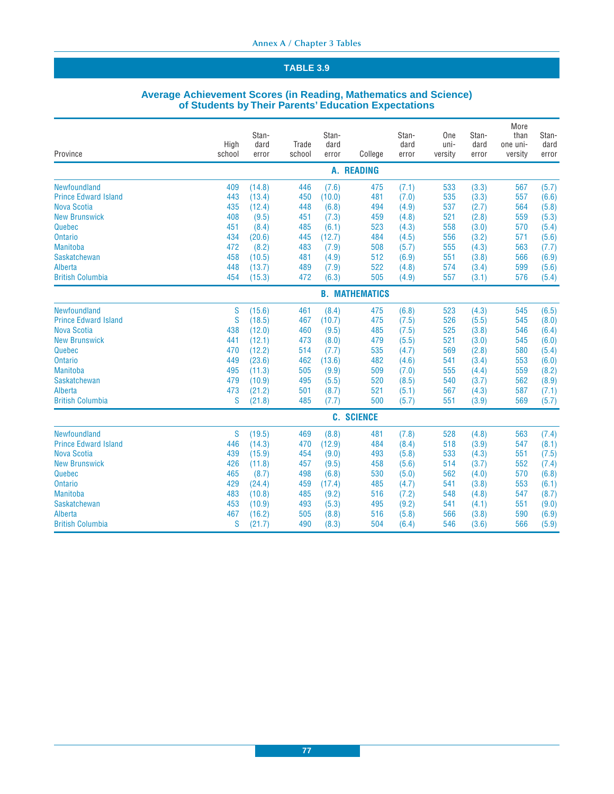#### **Average Achievement Scores (in Reading, Mathematics and Science) of Students by Their Parents' Education Expectations**

| Province                    | Stan-<br>dard<br>High<br>Trade<br>school<br>school<br>error |        | Stan-<br>dard<br>error | College | Stan-<br>dard<br>error | One<br>uni-<br>versity | Stan-<br>dard<br>error | More<br>than<br>one uni-<br>versity | Stan-<br>dard<br>error |       |  |  |  |  |  |
|-----------------------------|-------------------------------------------------------------|--------|------------------------|---------|------------------------|------------------------|------------------------|-------------------------------------|------------------------|-------|--|--|--|--|--|
|                             |                                                             |        |                        |         | A. READING             |                        |                        |                                     |                        |       |  |  |  |  |  |
| Newfoundland                | 409                                                         | (14.8) | 446                    | (7.6)   | 475                    | (7.1)                  | 533                    | (3.3)                               | 567                    | (5.7) |  |  |  |  |  |
| <b>Prince Edward Island</b> | 443                                                         | (13.4) | 450                    | (10.0)  | 481                    | (7.0)                  | 535                    | (3.3)                               | 557                    | (6.6) |  |  |  |  |  |
| <b>Nova Scotia</b>          | 435                                                         | (12.4) | 448                    | (6.8)   | 494                    | (4.9)                  | 537                    | (2.7)                               | 564                    | (5.8) |  |  |  |  |  |
| <b>New Brunswick</b>        | 408                                                         | (9.5)  | 451                    | (7.3)   | 459                    | (4.8)                  | 521                    | (2.8)                               | 559                    | (5.3) |  |  |  |  |  |
| Quebec                      | 451                                                         | (8.4)  | 485                    | (6.1)   | 523                    | (4.3)                  | 558                    | (3.0)                               | 570                    | (5.4) |  |  |  |  |  |
| <b>Ontario</b>              | 434                                                         | (20.6) | 445                    | (12.7)  | 484                    | (4.5)                  | 556                    | (3.2)                               | 571                    | (5.6) |  |  |  |  |  |
| <b>Manitoba</b>             | 472                                                         | (8.2)  | 483                    | (7.9)   | 508                    | (5.7)                  | 555                    | (4.3)                               | 563                    | (7.7) |  |  |  |  |  |
| <b>Saskatchewan</b>         | 458                                                         | (10.5) | 481                    | (4.9)   | 512                    | (6.9)                  | 551                    | (3.8)                               | 566                    | (6.9) |  |  |  |  |  |
| Alberta                     | 448                                                         | (13.7) | 489                    | (7.9)   | 522                    | (4.8)                  | 574                    | (3.4)                               | 599                    | (5.6) |  |  |  |  |  |
| <b>British Columbia</b>     | 454                                                         | (15.3) | 472                    | (6.3)   | 505                    | (4.9)                  | 557                    | (3.1)                               | 576                    | (5.4) |  |  |  |  |  |
|                             | <b>B. MATHEMATICS</b>                                       |        |                        |         |                        |                        |                        |                                     |                        |       |  |  |  |  |  |
| Newfoundland                | S                                                           | (15.6) | 461                    | (8.4)   | 475                    | (6.8)                  | 523                    | (4.3)                               | 545                    | (6.5) |  |  |  |  |  |
| <b>Prince Edward Island</b> | S                                                           | (18.5) | 467                    | (10.7)  | 475                    | (7.5)                  | 526                    | (5.5)                               | 545                    | (8.0) |  |  |  |  |  |
| <b>Nova Scotia</b>          | 438                                                         | (12.0) | 460                    | (9.5)   | 485                    | (7.5)                  | 525                    | (3.8)                               | 546                    | (6.4) |  |  |  |  |  |
| <b>New Brunswick</b>        | 441                                                         | (12.1) | 473                    | (8.0)   | 479                    | (5.5)                  | 521                    | (3.0)                               | 545                    | (6.0) |  |  |  |  |  |
| Quebec                      | 470                                                         | (12.2) | 514                    | (7.7)   | 535                    | (4.7)                  | 569                    | (2.8)                               | 580                    | (5.4) |  |  |  |  |  |
| <b>Ontario</b>              | 449                                                         | (23.6) | 462                    | (13.6)  | 482                    | (4.6)                  | 541                    | (3.4)                               | 553                    | (6.0) |  |  |  |  |  |
| <b>Manitoba</b>             | 495                                                         | (11.3) | 505                    | (9.9)   | 509                    | (7.0)                  | 555                    | (4.4)                               | 559                    | (8.2) |  |  |  |  |  |
| Saskatchewan                | 479                                                         | (10.9) | 495                    | (5.5)   | 520                    | (8.5)                  | 540                    | (3.7)                               | 562                    | (8.9) |  |  |  |  |  |
| Alberta                     | 473                                                         | (21.2) | 501                    | (8.7)   | 521                    | (5.1)                  | 567                    | (4.3)                               | 587                    | (7.1) |  |  |  |  |  |
| <b>British Columbia</b>     | S                                                           | (21.8) | 485                    | (7.7)   | 500                    | (5.7)                  | 551                    | (3.9)                               | 569                    | (5.7) |  |  |  |  |  |
|                             |                                                             |        |                        |         | <b>C. SCIENCE</b>      |                        |                        |                                     |                        |       |  |  |  |  |  |
| Newfoundland                | S                                                           | (19.5) | 469                    | (8.8)   | 481                    | (7.8)                  | 528                    | (4.8)                               | 563                    | (7.4) |  |  |  |  |  |
| <b>Prince Edward Island</b> | 446                                                         | (14.3) | 470                    | (12.9)  | 484                    | (8.4)                  | 518                    | (3.9)                               | 547                    | (8.1) |  |  |  |  |  |
| <b>Nova Scotia</b>          | 439                                                         | (15.9) | 454                    | (9.0)   | 493                    | (5.8)                  | 533                    | (4.3)                               | 551                    | (7.5) |  |  |  |  |  |
| <b>New Brunswick</b>        | 426                                                         | (11.8) | 457                    | (9.5)   | 458                    | (5.6)                  | 514                    | (3.7)                               | 552                    | (7.4) |  |  |  |  |  |
| Quebec                      | 465                                                         | (8.7)  | 498                    | (6.8)   | 530                    | (5.0)                  | 562                    | (4.0)                               | 570                    | (6.8) |  |  |  |  |  |
| <b>Ontario</b>              | 429                                                         | (24.4) | 459                    | (17.4)  | 485                    | (4.7)                  | 541                    | (3.8)                               | 553                    | (6.1) |  |  |  |  |  |
| <b>Manitoba</b>             | 483                                                         | (10.8) | 485                    | (9.2)   | 516                    | (7.2)                  | 548                    | (4.8)                               | 547                    | (8.7) |  |  |  |  |  |
| Saskatchewan                | 453                                                         | (10.9) | 493                    | (5.3)   | 495                    | (9.2)                  | 541                    | (4.1)                               | 551                    | (9.0) |  |  |  |  |  |
| Alberta                     | 467                                                         | (16.2) | 505                    | (8.8)   | 516                    | (5.8)                  | 566                    | (3.8)                               | 590                    | (6.9) |  |  |  |  |  |
| <b>British Columbia</b>     | S                                                           | (21.7) | 490                    | (8.3)   | 504                    | (6.4)                  | 546                    | (3.6)                               | 566                    | (5.9) |  |  |  |  |  |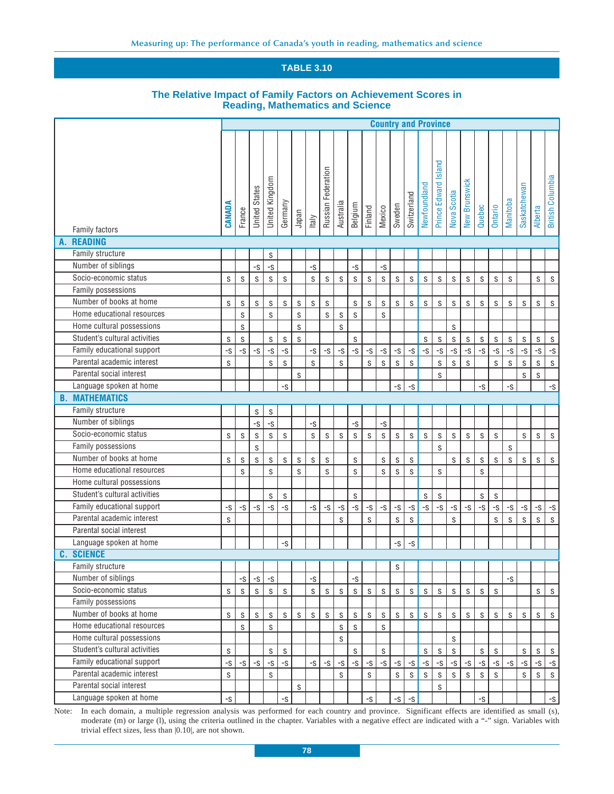## **The Relative Impact of Family Factors on Achievement Scores in Reading, Mathematics and Science**

|                                        | <b>Country and Province</b> |                            |                      |                            |                            |             |                            |                            |                            |               |                            |             |             |                            |                            |                            |                            |               |             |             |              |              |                |                            |
|----------------------------------------|-----------------------------|----------------------------|----------------------|----------------------------|----------------------------|-------------|----------------------------|----------------------------|----------------------------|---------------|----------------------------|-------------|-------------|----------------------------|----------------------------|----------------------------|----------------------------|---------------|-------------|-------------|--------------|--------------|----------------|----------------------------|
|                                        |                             |                            |                      |                            |                            |             |                            |                            |                            |               |                            |             |             |                            |                            |                            |                            |               |             |             |              |              |                |                            |
|                                        |                             |                            | <b>United States</b> | United Kingdom             |                            |             |                            | Russian Federation         |                            |               |                            |             |             | Switzerland                | Newfoundland               | Island<br>Prince Edward    | Nova Scotia                | New Brunswick |             |             |              | Saskatchewan |                | <b>British Columbia</b>    |
|                                        | CANADA                      |                            |                      |                            |                            |             |                            |                            |                            |               |                            |             |             |                            |                            |                            |                            |               |             |             | Manitoba     |              |                |                            |
|                                        |                             | France                     |                      |                            | Germany                    | Japan       | Italy                      |                            | Australia                  | Belgium       | Finland                    | Mexico      | Sweden      |                            |                            |                            |                            |               | Quebec      | Ontario     |              |              | <b>Alberta</b> |                            |
| Family factors<br><b>READING</b><br>А. |                             |                            |                      |                            |                            |             |                            |                            |                            |               |                            |             |             |                            |                            |                            |                            |               |             |             |              |              |                |                            |
| Family structure                       |                             |                            |                      |                            |                            |             |                            |                            |                            |               |                            |             |             |                            |                            |                            |                            |               |             |             |              |              |                |                            |
| Number of siblings                     |                             |                            | $-S$                 | S<br>$-S$                  |                            |             | $-S$                       |                            |                            | $-S$          |                            | $-S$        |             |                            |                            |                            |                            |               |             |             |              |              |                |                            |
| Socio-economic status                  |                             |                            | S                    | S                          |                            |             | S                          |                            | S                          | S             | S                          |             |             |                            |                            |                            |                            |               |             |             | S            |              |                |                            |
| Family possessions                     | S                           | S                          |                      |                            | S                          |             |                            | S                          |                            |               |                            | S           | S           | $\mathbb S$                | S                          | S                          | S                          | S             | S           | S           |              |              | S              | $\mathsf S$                |
| Number of books at home                |                             |                            |                      |                            |                            |             |                            |                            |                            |               |                            |             |             |                            |                            |                            |                            |               |             |             |              |              |                |                            |
| Home educational resources             | S                           | S                          | S                    | ${\mathbb S}$              | $\mathsf S$                | S           | S                          | ${\sf S}$                  |                            | S             | S                          | S           | S           | $\mathbb S$                | S                          | S                          | S                          | S             | S           | S           | S            | S            | S              | $\mathsf S$                |
| Home cultural possessions              |                             | S                          |                      | $\mathsf S$                |                            | $\mathsf S$ |                            | S                          | $\mathsf S$                | $\mathsf S$   |                            | S           |             |                            |                            |                            |                            |               |             |             |              |              |                |                            |
| Student's cultural activities          |                             | S                          |                      |                            |                            | $\mathsf S$ |                            |                            | $\mathsf S$                |               |                            |             |             |                            |                            |                            | S                          |               |             |             |              |              |                |                            |
| Family educational support             | S                           | S                          |                      | S                          | S                          | S           |                            |                            |                            | $\mathsf S$   |                            |             |             |                            | S                          | S                          | S                          | S<br>$-S$     | S<br>$-S$   | S           | $\mathsf{S}$ | S            | S              | S                          |
| Parental academic interest             | -S                          | $\textnormal{\texttt{-S}}$ | $-S$                 | $\textnormal{\texttt{-S}}$ | $-S$                       |             | $\textnormal{\texttt{-S}}$ | $\textnormal{\texttt{-S}}$ | $-S$                       | $-S$          | $\textnormal{\texttt{-S}}$ | $-S$        | $-S$        | $-S$                       | $\textnormal{\texttt{-S}}$ | $-S$                       | $-S$                       |               |             | $-$ S       | $-$ S        | $-S$         | $-S$           | $-S$                       |
| Parental social interest               | S                           |                            |                      | S                          | $\mathsf S$                |             | S                          |                            | $\mathsf S$                |               | S                          | S           | S           | $\mathsf S$                |                            | $\mathbb S$                | S                          | S             |             | S           | $\mathsf S$  | $\mathsf S$  | S              | S                          |
| Language spoken at home                |                             |                            |                      |                            |                            | S           |                            |                            |                            |               |                            |             |             |                            |                            | S                          |                            |               |             |             |              | S            | S              |                            |
| <b>MATHEMATICS</b><br>В.               |                             |                            |                      |                            | -S                         |             |                            |                            |                            |               |                            |             | -S          | -S                         |                            |                            |                            |               | -S          |             | $-S$         |              |                | $\textnormal{\texttt{-S}}$ |
| Family structure                       |                             |                            |                      |                            |                            |             |                            |                            |                            |               |                            |             |             |                            |                            |                            |                            |               |             |             |              |              |                |                            |
| Number of siblings                     |                             |                            | S                    | S                          |                            |             |                            |                            |                            |               |                            |             |             |                            |                            |                            |                            |               |             |             |              |              |                |                            |
| Socio-economic status                  |                             |                            | -S                   | $-S$                       |                            |             | $-S$                       |                            |                            | $-S$          |                            | $-S$        |             |                            |                            |                            |                            |               |             |             |              |              |                |                            |
| Family possessions                     | S                           | S                          | S                    | ${\sf S}$                  | $\mathsf S$                |             | $\mathsf S$                | S                          | $\mathbb S$                | S             | S                          | $\mathsf S$ | S           | $\mathbb S$                | $\mathbb S$                | S                          | ${\sf S}$                  | S             | S           | S           |              | S            | S              | ${\sf S}$                  |
| Number of books at home                |                             |                            | S                    |                            |                            |             |                            |                            |                            |               |                            |             |             |                            |                            | S                          |                            |               |             |             | $\mathsf{s}$ |              |                |                            |
| Home educational resources             | S                           | S                          | $\mathsf S$          | S                          | S                          | S           | S                          | S                          |                            | S             |                            | S           | S           | $\mathsf S$                |                            |                            | ${\sf S}$                  | S             | S           | S           | $\mathsf S$  | S            | S              | S                          |
| Home cultural possessions              |                             | S                          |                      | $\mathsf S$                |                            | $\mathsf S$ |                            | $\mathsf S$                |                            | $\mathsf S$   |                            | S           | S           | $\mathsf S$                |                            | S                          |                            |               | $\mathsf S$ |             |              |              |                |                            |
| Student's cultural activities          |                             |                            |                      |                            |                            |             |                            |                            |                            |               |                            |             |             |                            |                            |                            |                            |               |             |             |              |              |                |                            |
| Family educational support             |                             |                            |                      | S                          | S                          |             |                            |                            |                            | $\mathsf S$   |                            |             |             |                            | S                          | S                          |                            |               | $\mathbb S$ | S           |              |              |                |                            |
| Parental academic interest             | -S                          | $-S$                       | $-S$                 | $\textnormal{\texttt{-S}}$ | $\textnormal{\texttt{-S}}$ |             | $\textnormal{\texttt{-S}}$ | $-S$                       | $-S$                       | $\texttt{-S}$ | $-S$                       | $-S$        | $-S$        | $-S$                       | $-S$                       | $\textnormal{\texttt{-S}}$ | $-S$                       | $-S$          | $-S$        | $-S$        | $-S$         | $-S$         | $-S$           | $-S$                       |
| Parental social interest               | S                           |                            |                      |                            |                            |             |                            |                            | $\mathsf S$                |               | $\mathsf S$                |             | S           | $\mathsf S$                |                            |                            | S                          |               |             | $\mathsf S$ | $\mathsf S$  | $\mathsf S$  | S              | ${\sf S}$                  |
| Language spoken at home                |                             |                            |                      |                            | -S                         |             |                            |                            |                            |               |                            |             | -S          | $-S$                       |                            |                            |                            |               |             |             |              |              |                |                            |
| <b>C. SCIENCE</b>                      |                             |                            |                      |                            |                            |             |                            |                            |                            |               |                            |             |             |                            |                            |                            |                            |               |             |             |              |              |                |                            |
| Family structure                       |                             |                            |                      |                            |                            |             |                            |                            |                            |               |                            |             |             |                            |                            |                            |                            |               |             |             |              |              |                |                            |
| Number of siblings                     |                             | $-S$                       | $\frac{-S}{2}$       | $-S$                       |                            |             | -S                         |                            |                            | $-S$          |                            |             | S           |                            |                            |                            |                            |               |             |             | $-S$         |              |                |                            |
| Socio-economic status                  | S                           | S                          | $\mathsf S$          | $\mathsf S$                | $\mathsf S$                |             | $\mathsf S$                | S                          | $\mathsf S$                | $\mathsf S$   | $\mathsf S$                | S           | S           | $\mathsf S$                | $\mathsf S$                | $\mathsf S$                | $\mathsf S$                | $\mathsf S$   | $\mathsf S$ | $\mathsf S$ |              |              | S              | S                          |
| Family possessions                     |                             |                            |                      |                            |                            |             |                            |                            |                            |               |                            |             |             |                            |                            |                            |                            |               |             |             |              |              |                |                            |
| Number of books at home                | S                           | S                          | S                    | S                          | S                          | S           | S                          | S                          | $\mathsf S$                | $\mathsf S$   | S                          | S           | S           | $\mathbb S$                | $\mathsf S$                | $\mathbb S$                | S                          | S             | S           | S           | $\mathsf S$  | S            | S              | S                          |
| Home educational resources             |                             | S                          |                      | $\mathsf S$                |                            |             |                            |                            | S                          | S             |                            | $\mathsf S$ |             |                            |                            |                            |                            |               |             |             |              |              |                |                            |
| Home cultural possessions              |                             |                            |                      |                            |                            |             |                            |                            | $\mathsf{s}$               |               |                            |             |             |                            |                            |                            | S                          |               |             |             |              |              |                |                            |
| Student's cultural activities          | S                           |                            |                      | $\mathsf S$                | S                          |             |                            |                            |                            | S             |                            | S           |             |                            | S                          | S                          | $\mathsf S$                |               | S           | S           |              | S            | S              | S                          |
| Family educational support             | $-S$                        | $-S$                       | $-S$                 | -S                         | $-S$                       |             | -S                         | $\texttt{-S}$              | $\textnormal{\texttt{-S}}$ | $-S$          | $\textnormal{\texttt{-S}}$ | -S          | -S          | $\textnormal{\texttt{-S}}$ | $\textnormal{\texttt{-S}}$ | $\textnormal{\texttt{-S}}$ | $\textnormal{\texttt{-S}}$ | $-S$          | $-S$        | $-S$        | $-S$         | $-S$         | $-S$           | $-S$                       |
| Parental academic interest             | $\mathsf S$                 |                            |                      | S                          |                            |             |                            |                            | $\mathsf S$                |               | $\mathsf S$                |             | $\mathsf S$ | $\mathsf S$                | $\mathsf s$                | $\mathsf S$                | $\mathsf{s}$               | $\mathsf S$   | $\mathsf S$ | S           |              | $\mathsf S$  | $\mathbb S$    | $\mathsf S$                |
| Parental social interest               |                             |                            |                      |                            |                            | S           |                            |                            |                            |               |                            |             |             |                            |                            | $\mathsf S$                |                            |               |             |             |              |              |                |                            |
| Language spoken at home                | $-S$                        |                            |                      |                            | $-S$                       |             |                            |                            |                            |               | $-S$                       |             | -S          | $-S$                       |                            |                            |                            |               | $-S$        |             |              |              |                | $\textnormal{\texttt{-S}}$ |

Note: In each domain, a multiple regression analysis was performed for each country and province. Significant effects are identified as small (s), moderate (m) or large (l), using the criteria outlined in the chapter. Variables with a negative effect are indicated with a "-" sign. Variables with trivial effect sizes, less than |0.10|, are not shown.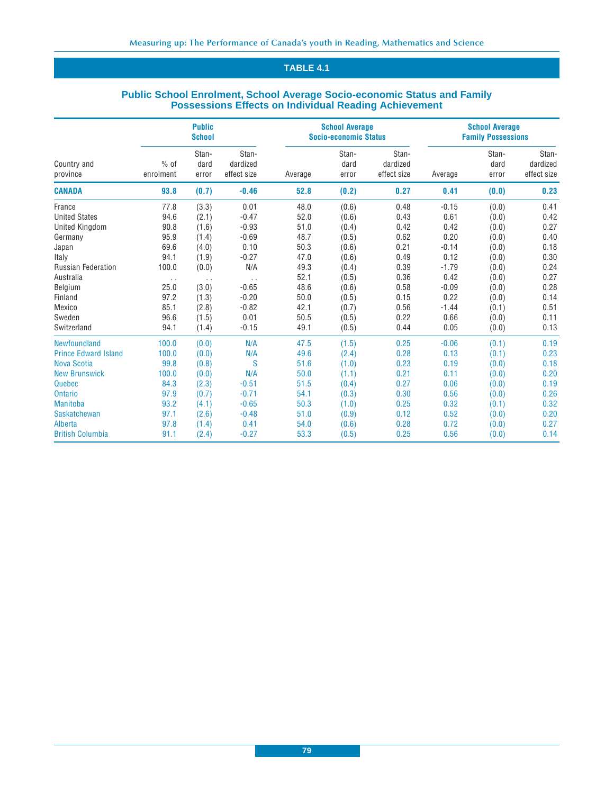#### **Public School Enrolment, School Average Socio-economic Status and Family Possessions Effects on Individual Reading Achievement**

|                                                                                                                                                                                                              |                                                                                                                       | <b>Public</b><br><b>School</b>                                                                                                   |                                                                                                                                  |                                                                                                      | <b>School Average</b><br><b>Socio-economic Status</b>                                                             |                                                                                                      | <b>School Average</b><br><b>Family Possessions</b>                                                                  |                                                                                                                   |                                                                                                      |  |  |  |  |
|--------------------------------------------------------------------------------------------------------------------------------------------------------------------------------------------------------------|-----------------------------------------------------------------------------------------------------------------------|----------------------------------------------------------------------------------------------------------------------------------|----------------------------------------------------------------------------------------------------------------------------------|------------------------------------------------------------------------------------------------------|-------------------------------------------------------------------------------------------------------------------|------------------------------------------------------------------------------------------------------|---------------------------------------------------------------------------------------------------------------------|-------------------------------------------------------------------------------------------------------------------|------------------------------------------------------------------------------------------------------|--|--|--|--|
| Country and<br>province                                                                                                                                                                                      | $%$ of<br>enrolment                                                                                                   | Stan-<br>dard<br>error                                                                                                           | Stan-<br>dardized<br>effect size                                                                                                 | Average                                                                                              | Stan-<br>dard<br>error                                                                                            | Stan-<br>dardized<br>effect size                                                                     | Average                                                                                                             | Stan-<br>dard<br>error                                                                                            | Stan-<br>dardized<br>effect size                                                                     |  |  |  |  |
| <b>CANADA</b>                                                                                                                                                                                                | 93.8                                                                                                                  | (0.7)                                                                                                                            | $-0.46$                                                                                                                          | 52.8                                                                                                 | (0.2)                                                                                                             | 0.27                                                                                                 | 0.41                                                                                                                | (0.0)                                                                                                             | 0.23                                                                                                 |  |  |  |  |
| France<br><b>United States</b><br><b>United Kingdom</b><br>Germany<br>Japan<br>Italy<br><b>Russian Federation</b><br>Australia<br>Belgium<br>Finland<br>Mexico<br>Sweden<br>Switzerland                      | 77.8<br>94.6<br>90.8<br>95.9<br>69.6<br>94.1<br>100.0<br>$\ddot{\phantom{0}}$<br>25.0<br>97.2<br>85.1<br>96.6<br>94.1 | (3.3)<br>(2.1)<br>(1.6)<br>(1.4)<br>(4.0)<br>(1.9)<br>(0.0)<br>$\ddot{\phantom{0}}$<br>(3.0)<br>(1.3)<br>(2.8)<br>(1.5)<br>(1.4) | 0.01<br>$-0.47$<br>$-0.93$<br>$-0.69$<br>0.10<br>$-0.27$<br>N/A<br>$\ddotsc$<br>$-0.65$<br>$-0.20$<br>$-0.82$<br>0.01<br>$-0.15$ | 48.0<br>52.0<br>51.0<br>48.7<br>50.3<br>47.0<br>49.3<br>52.1<br>48.6<br>50.0<br>42.1<br>50.5<br>49.1 | (0.6)<br>(0.6)<br>(0.4)<br>(0.5)<br>(0.6)<br>(0.6)<br>(0.4)<br>(0.5)<br>(0.6)<br>(0.5)<br>(0.7)<br>(0.5)<br>(0.5) | 0.48<br>0.43<br>0.42<br>0.62<br>0.21<br>0.49<br>0.39<br>0.36<br>0.58<br>0.15<br>0.56<br>0.22<br>0.44 | $-0.15$<br>0.61<br>0.42<br>0.20<br>$-0.14$<br>0.12<br>$-1.79$<br>0.42<br>$-0.09$<br>0.22<br>$-1.44$<br>0.66<br>0.05 | (0.0)<br>(0.0)<br>(0.0)<br>(0.0)<br>(0.0)<br>(0.0)<br>(0.0)<br>(0.0)<br>(0.0)<br>(0.0)<br>(0.1)<br>(0.0)<br>(0.0) | 0.41<br>0.42<br>0.27<br>0.40<br>0.18<br>0.30<br>0.24<br>0.27<br>0.28<br>0.14<br>0.51<br>0.11<br>0.13 |  |  |  |  |
| <b>Newfoundland</b><br><b>Prince Edward Island</b><br><b>Nova Scotia</b><br><b>New Brunswick</b><br>Quebec<br><b>Ontario</b><br><b>Manitoba</b><br><b>Saskatchewan</b><br>Alberta<br><b>British Columbia</b> | 100.0<br>100.0<br>99.8<br>100.0<br>84.3<br>97.9<br>93.2<br>97.1<br>97.8<br>91.1                                       | (0.0)<br>(0.0)<br>(0.8)<br>(0.0)<br>(2.3)<br>(0.7)<br>(4.1)<br>(2.6)<br>(1.4)<br>(2.4)                                           | N/A<br>N/A<br>S<br>N/A<br>$-0.51$<br>$-0.71$<br>$-0.65$<br>$-0.48$<br>0.41<br>$-0.27$                                            | 47.5<br>49.6<br>51.6<br>50.0<br>51.5<br>54.1<br>50.3<br>51.0<br>54.0<br>53.3                         | (1.5)<br>(2.4)<br>(1.0)<br>(1.1)<br>(0.4)<br>(0.3)<br>(1.0)<br>(0.9)<br>(0.6)<br>(0.5)                            | 0.25<br>0.28<br>0.23<br>0.21<br>0.27<br>0.30<br>0.25<br>0.12<br>0.28<br>0.25                         | $-0.06$<br>0.13<br>0.19<br>0.11<br>0.06<br>0.56<br>0.32<br>0.52<br>0.72<br>0.56                                     | (0.1)<br>(0.1)<br>(0.0)<br>(0.0)<br>(0.0)<br>(0.0)<br>(0.1)<br>(0.0)<br>(0.0)<br>(0.0)                            | 0.19<br>0.23<br>0.18<br>0.20<br>0.19<br>0.26<br>0.32<br>0.20<br>0.27<br>0.14                         |  |  |  |  |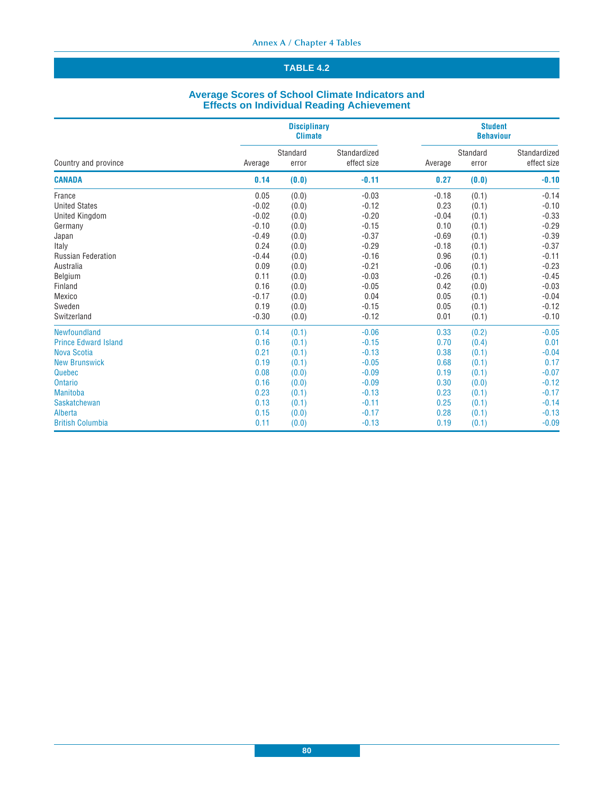#### **Average Scores of School Climate Indicators and Effects on Individual Reading Achievement**

|                             |         | <b>Disciplinary</b><br><b>Climate</b> |                             |         | <b>Student</b><br><b>Behaviour</b> |                             |  |  |  |  |  |  |
|-----------------------------|---------|---------------------------------------|-----------------------------|---------|------------------------------------|-----------------------------|--|--|--|--|--|--|
| Country and province        | Average | Standard<br>error                     | Standardized<br>effect size | Average | Standard<br>error                  | Standardized<br>effect size |  |  |  |  |  |  |
| <b>CANADA</b>               | 0.14    | (0.0)                                 | $-0.11$                     | 0.27    | (0.0)                              | $-0.10$                     |  |  |  |  |  |  |
| France                      | 0.05    | (0.0)                                 | $-0.03$                     | $-0.18$ | (0.1)                              | $-0.14$                     |  |  |  |  |  |  |
| <b>United States</b>        | $-0.02$ | (0.0)                                 | $-0.12$                     | 0.23    | (0.1)                              | $-0.10$                     |  |  |  |  |  |  |
| <b>United Kingdom</b>       | $-0.02$ | (0.0)                                 | $-0.20$                     | $-0.04$ | (0.1)                              | $-0.33$                     |  |  |  |  |  |  |
| Germany                     | $-0.10$ | (0.0)                                 | $-0.15$                     | 0.10    | (0.1)                              | $-0.29$                     |  |  |  |  |  |  |
| Japan                       | $-0.49$ | (0.0)                                 | $-0.37$                     | $-0.69$ | (0.1)                              | $-0.39$                     |  |  |  |  |  |  |
| Italy                       | 0.24    | (0.0)                                 | $-0.29$                     | $-0.18$ | (0.1)                              | $-0.37$                     |  |  |  |  |  |  |
| <b>Russian Federation</b>   | $-0.44$ | (0.0)                                 | $-0.16$                     | 0.96    | (0.1)                              | $-0.11$                     |  |  |  |  |  |  |
| Australia                   | 0.09    | (0.0)                                 | $-0.21$                     | $-0.06$ | (0.1)                              | $-0.23$                     |  |  |  |  |  |  |
| Belgium                     | 0.11    | (0.0)                                 | $-0.03$                     | $-0.26$ | (0.1)                              | $-0.45$                     |  |  |  |  |  |  |
| Finland                     | 0.16    | (0.0)                                 | $-0.05$                     | 0.42    | (0.0)                              | $-0.03$                     |  |  |  |  |  |  |
| Mexico                      | $-0.17$ | (0.0)                                 | 0.04                        | 0.05    | (0.1)                              | $-0.04$                     |  |  |  |  |  |  |
| Sweden                      | 0.19    | (0.0)                                 | $-0.15$                     | 0.05    | (0.1)                              | $-0.12$                     |  |  |  |  |  |  |
| Switzerland                 | $-0.30$ | (0.0)                                 | $-0.12$                     | 0.01    | (0.1)                              | $-0.10$                     |  |  |  |  |  |  |
| Newfoundland                | 0.14    | (0.1)                                 | $-0.06$                     | 0.33    | (0.2)                              | $-0.05$                     |  |  |  |  |  |  |
| <b>Prince Edward Island</b> | 0.16    | (0.1)                                 | $-0.15$                     | 0.70    | (0.4)                              | 0.01                        |  |  |  |  |  |  |
| <b>Nova Scotia</b>          | 0.21    | (0.1)                                 | $-0.13$                     | 0.38    | (0.1)                              | $-0.04$                     |  |  |  |  |  |  |
| <b>New Brunswick</b>        | 0.19    | (0.1)                                 | $-0.05$                     | 0.68    | (0.1)                              | 0.17                        |  |  |  |  |  |  |
| Quebec                      | 0.08    | (0.0)                                 | $-0.09$                     | 0.19    | (0.1)                              | $-0.07$                     |  |  |  |  |  |  |
| <b>Ontario</b>              | 0.16    | (0.0)                                 | $-0.09$                     | 0.30    | (0.0)                              | $-0.12$                     |  |  |  |  |  |  |
| <b>Manitoba</b>             | 0.23    | (0.1)                                 | $-0.13$                     | 0.23    | (0.1)                              | $-0.17$                     |  |  |  |  |  |  |
| <b>Saskatchewan</b>         | 0.13    | (0.1)                                 | $-0.11$                     | 0.25    | (0.1)                              | $-0.14$                     |  |  |  |  |  |  |
| Alberta                     | 0.15    | (0.0)                                 | $-0.17$                     | 0.28    | (0.1)                              | $-0.13$                     |  |  |  |  |  |  |
| <b>British Columbia</b>     | 0.11    | (0.0)                                 | $-0.13$                     | 0.19    | (0.1)                              | $-0.09$                     |  |  |  |  |  |  |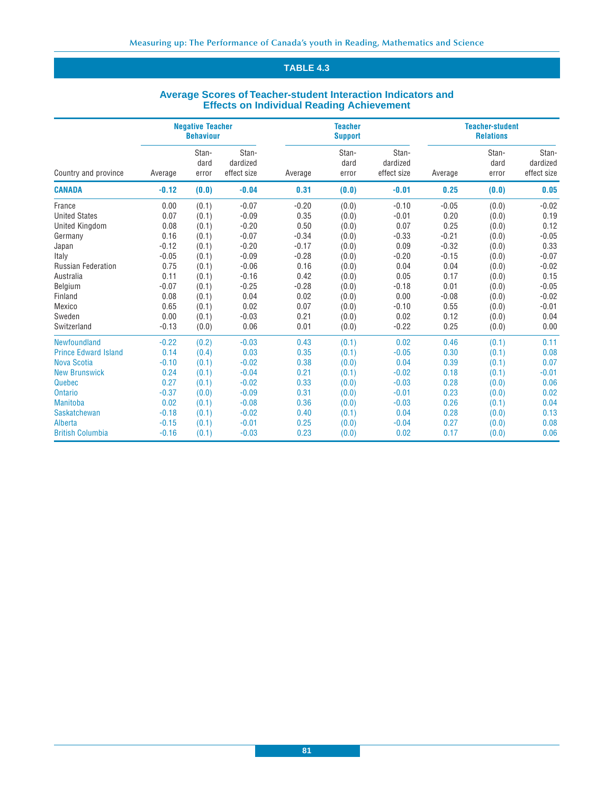| Country and province        |         | <b>Negative Teacher</b><br><b>Behaviour</b> |                                  |         | <b>Teacher</b><br><b>Support</b> |                                  | <b>Teacher-student</b><br><b>Relations</b> |                        |                                  |  |  |  |  |
|-----------------------------|---------|---------------------------------------------|----------------------------------|---------|----------------------------------|----------------------------------|--------------------------------------------|------------------------|----------------------------------|--|--|--|--|
|                             | Average | Stan-<br>dard<br>error                      | Stan-<br>dardized<br>effect size | Average | Stan-<br>dard<br>error           | Stan-<br>dardized<br>effect size | Average                                    | Stan-<br>dard<br>error | Stan-<br>dardized<br>effect size |  |  |  |  |
| <b>CANADA</b>               | $-0.12$ | (0.0)                                       | $-0.04$                          | 0.31    | (0.0)                            | $-0.01$                          | 0.25                                       | (0.0)                  | 0.05                             |  |  |  |  |
| France                      | 0.00    | (0.1)                                       | $-0.07$                          | $-0.20$ | (0.0)                            | $-0.10$                          | $-0.05$                                    | (0.0)                  | $-0.02$                          |  |  |  |  |
| <b>United States</b>        | 0.07    | (0.1)                                       | $-0.09$                          | 0.35    | (0.0)                            | $-0.01$                          | 0.20                                       | (0.0)                  | 0.19                             |  |  |  |  |
| United Kingdom              | 0.08    | (0.1)                                       | $-0.20$                          | 0.50    | (0.0)                            | 0.07                             | 0.25                                       | (0.0)                  | 0.12                             |  |  |  |  |
| Germany                     | 0.16    | (0.1)                                       | $-0.07$                          | $-0.34$ | (0.0)                            | $-0.33$                          | $-0.21$                                    | (0.0)                  | $-0.05$                          |  |  |  |  |
| Japan                       | $-0.12$ | (0.1)                                       | $-0.20$                          | $-0.17$ | (0.0)                            | 0.09                             | $-0.32$                                    | (0.0)                  | 0.33                             |  |  |  |  |
| Italy                       | $-0.05$ | (0.1)                                       | $-0.09$                          | $-0.28$ | (0.0)                            | $-0.20$                          | $-0.15$                                    | (0.0)                  | $-0.07$                          |  |  |  |  |
| <b>Russian Federation</b>   | 0.75    | (0.1)                                       | $-0.06$                          | 0.16    | (0.0)                            | 0.04                             | 0.04                                       | (0.0)                  | $-0.02$                          |  |  |  |  |
| Australia                   | 0.11    | (0.1)                                       | $-0.16$                          | 0.42    | (0.0)                            | 0.05                             | 0.17                                       | (0.0)                  | 0.15                             |  |  |  |  |
| Belgium                     | $-0.07$ | (0.1)                                       | $-0.25$                          | $-0.28$ | (0.0)                            | $-0.18$                          | 0.01                                       | (0.0)                  | $-0.05$                          |  |  |  |  |
| Finland                     | 0.08    | (0.1)                                       | 0.04                             | 0.02    | (0.0)                            | 0.00                             | $-0.08$                                    | (0.0)                  | $-0.02$                          |  |  |  |  |
| Mexico                      | 0.65    | (0.1)                                       | 0.02                             | 0.07    | (0.0)                            | $-0.10$                          | 0.55                                       | (0.0)                  | $-0.01$                          |  |  |  |  |
| Sweden                      | 0.00    | (0.1)                                       | $-0.03$                          | 0.21    | (0.0)                            | 0.02                             | 0.12                                       | (0.0)                  | 0.04                             |  |  |  |  |
| Switzerland                 | $-0.13$ | (0.0)                                       | 0.06                             | 0.01    | (0.0)                            | $-0.22$                          | 0.25                                       | (0.0)                  | 0.00                             |  |  |  |  |
| <b>Newfoundland</b>         | $-0.22$ | (0.2)                                       | $-0.03$                          | 0.43    | (0.1)                            | 0.02                             | 0.46                                       | (0.1)                  | 0.11                             |  |  |  |  |
| <b>Prince Edward Island</b> | 0.14    | (0.4)                                       | 0.03                             | 0.35    | (0.1)                            | $-0.05$                          | 0.30                                       | (0.1)                  | 0.08                             |  |  |  |  |
| <b>Nova Scotia</b>          | $-0.10$ | (0.1)                                       | $-0.02$                          | 0.38    | (0.0)                            | 0.04                             | 0.39                                       | (0.1)                  | 0.07                             |  |  |  |  |
| <b>New Brunswick</b>        | 0.24    | (0.1)                                       | $-0.04$                          | 0.21    | (0.1)                            | $-0.02$                          | 0.18                                       | (0.1)                  | $-0.01$                          |  |  |  |  |
| Quebec                      | 0.27    | (0.1)                                       | $-0.02$                          | 0.33    | (0.0)                            | $-0.03$                          | 0.28                                       | (0.0)                  | 0.06                             |  |  |  |  |
| <b>Ontario</b>              | $-0.37$ | (0.0)                                       | $-0.09$                          | 0.31    | (0.0)                            | $-0.01$                          | 0.23                                       | (0.0)                  | 0.02                             |  |  |  |  |
| <b>Manitoba</b>             | 0.02    | (0.1)                                       | $-0.08$                          | 0.36    | (0.0)                            | $-0.03$                          | 0.26                                       | (0.1)                  | 0.04                             |  |  |  |  |
| <b>Saskatchewan</b>         | $-0.18$ | (0.1)                                       | $-0.02$                          | 0.40    | (0.1)                            | 0.04                             | 0.28                                       | (0.0)                  | 0.13                             |  |  |  |  |
| <b>Alberta</b>              | $-0.15$ | (0.1)                                       | $-0.01$                          | 0.25    | (0.0)                            | $-0.04$                          | 0.27                                       | (0.0)                  | 0.08                             |  |  |  |  |
| <b>British Columbia</b>     | $-0.16$ | (0.1)                                       | $-0.03$                          | 0.23    | (0.0)                            | 0.02                             | 0.17                                       | (0.0)                  | 0.06                             |  |  |  |  |

#### **Average Scores of Teacher-student Interaction Indicators and Effects on Individual Reading Achievement**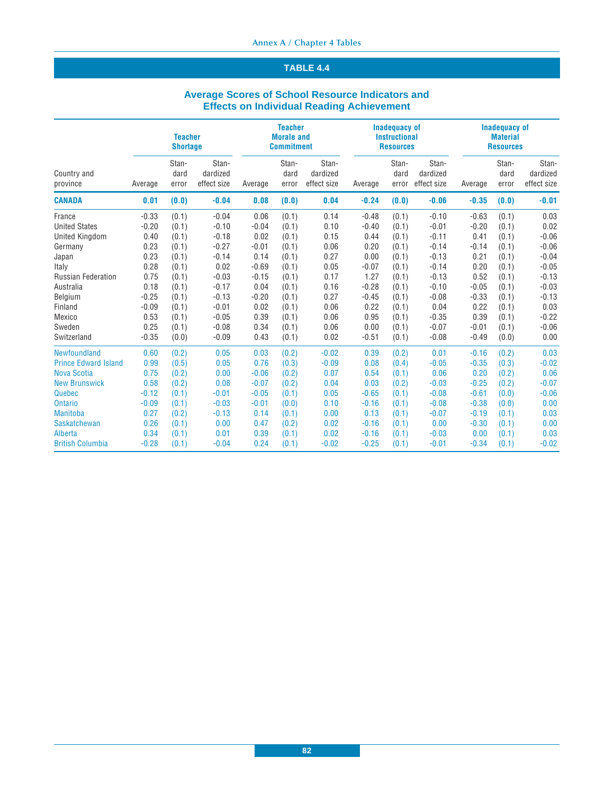#### **Average Scores of School Resource Indicators and Effects on Individual Reading Achievement**

|                                                                                                                                                                                                       |                                                                                                                     | <b>Teacher</b><br><b>Shortage</b>                                                                                 |                                                                                                                                          |                                                                                                                     | <b>Teacher</b><br><b>Morale and</b><br><b>Commitment</b>                                                          |                                                                                                      |                                                                                                                        | <b>Inadequacy of</b><br><b>Instructional</b><br><b>Resources</b>                                                  |                                                                                                                                          | <b>Inadequacy of</b><br><b>Material</b><br><b>Resources</b>                                                               |                                                                                                                   |                                                                                                                                 |  |  |  |
|-------------------------------------------------------------------------------------------------------------------------------------------------------------------------------------------------------|---------------------------------------------------------------------------------------------------------------------|-------------------------------------------------------------------------------------------------------------------|------------------------------------------------------------------------------------------------------------------------------------------|---------------------------------------------------------------------------------------------------------------------|-------------------------------------------------------------------------------------------------------------------|------------------------------------------------------------------------------------------------------|------------------------------------------------------------------------------------------------------------------------|-------------------------------------------------------------------------------------------------------------------|------------------------------------------------------------------------------------------------------------------------------------------|---------------------------------------------------------------------------------------------------------------------------|-------------------------------------------------------------------------------------------------------------------|---------------------------------------------------------------------------------------------------------------------------------|--|--|--|
| Country and<br>province                                                                                                                                                                               | Average                                                                                                             | Stan-<br>dard<br>error                                                                                            | Stan-<br>dardized<br>effect size                                                                                                         | Average                                                                                                             | Stan-<br>dard<br>error                                                                                            | Stan-<br>dardized<br>effect size                                                                     | Average                                                                                                                | Stan-<br>dard<br>error                                                                                            | Stan-<br>dardized<br>effect size                                                                                                         | Average                                                                                                                   | Stan-<br>dard<br>error                                                                                            | Stan-<br>dardized<br>effect size                                                                                                |  |  |  |
| <b>CANADA</b>                                                                                                                                                                                         | 0.01                                                                                                                | (0.0)                                                                                                             | $-0.04$                                                                                                                                  | 0.08                                                                                                                | (0.0)                                                                                                             | 0.04                                                                                                 | $-0.24$                                                                                                                | (0.0)                                                                                                             | $-0.06$                                                                                                                                  | $-0.35$                                                                                                                   | (0.0)                                                                                                             | $-0.01$                                                                                                                         |  |  |  |
| France<br><b>United States</b><br><b>United Kingdom</b><br>Germany<br>Japan<br>Italy<br><b>Russian Federation</b><br>Australia<br>Belgium<br>Finland<br>Mexico<br>Sweden<br>Switzerland               | $-0.33$<br>$-0.20$<br>0.40<br>0.23<br>0.23<br>0.28<br>0.75<br>0.18<br>$-0.25$<br>$-0.09$<br>0.53<br>0.25<br>$-0.35$ | (0.1)<br>(0.1)<br>(0.1)<br>(0.1)<br>(0.1)<br>(0.1)<br>(0.1)<br>(0.1)<br>(0.1)<br>(0.1)<br>(0.1)<br>(0.1)<br>(0.0) | $-0.04$<br>$-0.10$<br>$-0.18$<br>$-0.27$<br>$-0.14$<br>0.02<br>$-0.03$<br>$-0.17$<br>$-0.13$<br>$-0.01$<br>$-0.05$<br>$-0.08$<br>$-0.09$ | 0.06<br>$-0.04$<br>0.02<br>$-0.01$<br>0.14<br>$-0.69$<br>$-0.15$<br>0.04<br>$-0.20$<br>0.02<br>0.39<br>0.34<br>0.43 | (0.1)<br>(0.1)<br>(0.1)<br>(0.1)<br>(0.1)<br>(0.1)<br>(0.1)<br>(0.1)<br>(0.1)<br>(0.1)<br>(0.1)<br>(0.1)<br>(0.1) | 0.14<br>0.10<br>0.15<br>0.06<br>0.27<br>0.05<br>0.17<br>0.16<br>0.27<br>0.06<br>0.06<br>0.06<br>0.02 | $-0.48$<br>$-0.40$<br>0.44<br>0.20<br>0.00<br>$-0.07$<br>1.27<br>$-0.28$<br>$-0.45$<br>0.22<br>0.95<br>0.00<br>$-0.51$ | (0.1)<br>(0.1)<br>(0.1)<br>(0.1)<br>(0.1)<br>(0.1)<br>(0.1)<br>(0.1)<br>(0.1)<br>(0.1)<br>(0.1)<br>(0.1)<br>(0.1) | $-0.10$<br>$-0.01$<br>$-0.11$<br>$-0.14$<br>$-0.13$<br>$-0.14$<br>$-0.13$<br>$-0.10$<br>$-0.08$<br>0.04<br>$-0.35$<br>$-0.07$<br>$-0.08$ | $-0.63$<br>$-0.20$<br>0.41<br>$-0.14$<br>0.21<br>0.20<br>0.52<br>$-0.05$<br>$-0.33$<br>0.22<br>0.39<br>$-0.01$<br>$-0.49$ | (0.1)<br>(0.1)<br>(0.1)<br>(0.1)<br>(0.1)<br>(0.1)<br>(0.1)<br>(0.1)<br>(0.1)<br>(0.1)<br>(0.1)<br>(0.1)<br>(0.0) | 0.03<br>0.02<br>$-0.06$<br>$-0.06$<br>$-0.04$<br>$-0.05$<br>$-0.13$<br>$-0.03$<br>$-0.13$<br>0.03<br>$-0.22$<br>$-0.06$<br>0.00 |  |  |  |
| Newfoundland<br><b>Prince Edward Island</b><br><b>Nova Scotia</b><br><b>New Brunswick</b><br>Quebec<br><b>Ontario</b><br><b>Manitoba</b><br><b>Saskatchewan</b><br>Alberta<br><b>British Columbia</b> | 0.60<br>0.99<br>0.75<br>0.58<br>$-0.12$<br>$-0.09$<br>0.27<br>0.26<br>0.34<br>$-0.28$                               | (0.2)<br>(0.5)<br>(0.2)<br>(0.2)<br>(0.1)<br>(0.1)<br>(0.2)<br>(0.1)<br>(0.1)<br>(0.1)                            | 0.05<br>0.05<br>0.00<br>0.08<br>$-0.01$<br>$-0.03$<br>$-0.13$<br>0.00<br>0.01<br>$-0.04$                                                 | 0.03<br>0.76<br>$-0.06$<br>$-0.07$<br>$-0.05$<br>$-0.01$<br>0.14<br>0.47<br>0.39<br>0.24                            | (0.2)<br>(0.3)<br>(0.2)<br>(0.2)<br>(0.1)<br>(0.0)<br>(0.1)<br>(0.2)<br>(0.1)<br>(0.1)                            | $-0.02$<br>$-0.09$<br>0.07<br>0.04<br>0.05<br>0.10<br>0.00<br>0.02<br>0.02<br>$-0.02$                | 0.39<br>0.08<br>0.54<br>0.03<br>$-0.65$<br>$-0.16$<br>0.13<br>$-0.16$<br>$-0.16$<br>$-0.25$                            | (0.2)<br>(0.4)<br>(0.1)<br>(0.2)<br>(0.1)<br>(0.1)<br>(0.1)<br>(0.1)<br>(0.1)<br>(0.1)                            | 0.01<br>$-0.05$<br>0.06<br>$-0.03$<br>$-0.08$<br>$-0.08$<br>$-0.07$<br>0.00<br>$-0.03$<br>$-0.01$                                        | $-0.16$<br>$-0.35$<br>0.20<br>$-0.25$<br>$-0.61$<br>$-0.38$<br>$-0.19$<br>$-0.30$<br>0.00<br>$-0.34$                      | (0.2)<br>(0.3)<br>(0.2)<br>(0.2)<br>(0.0)<br>(0.0)<br>(0.1)<br>(0.1)<br>(0.1)<br>(0.1)                            | 0.03<br>$-0.02$<br>0.06<br>$-0.07$<br>$-0.06$<br>0.00<br>0.03<br>0.00<br>0.03<br>$-0.02$                                        |  |  |  |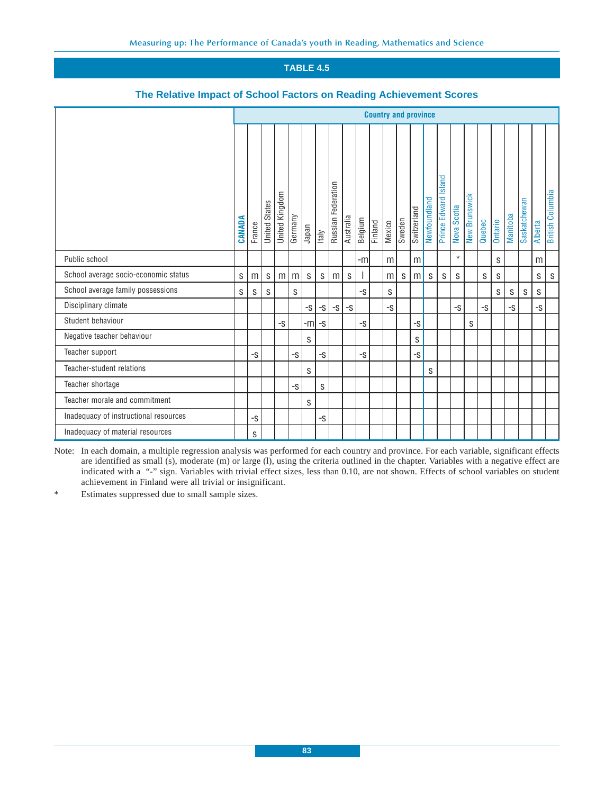|                                       | <b>Country and province</b> |        |                      |                |         |       |       |                    |           |         |         |        |        |             |              |                      |             |               |        |         |          |                     |         |                         |
|---------------------------------------|-----------------------------|--------|----------------------|----------------|---------|-------|-------|--------------------|-----------|---------|---------|--------|--------|-------------|--------------|----------------------|-------------|---------------|--------|---------|----------|---------------------|---------|-------------------------|
|                                       | <b>CANADA</b>               | France | <b>United States</b> | United Kingdom | Germany | Japan | Italy | Russian Federation | Australia | Belgium | Finland | Mexico | Sweden | Switzerland | Newfoundland | Prince Edward Island | Nova Scotia | New Brunswick | Quebec | Ontario | Manitoba | <b>Saskatchewan</b> | Alberta | <b>British Columbia</b> |
| Public school                         |                             |        |                      |                |         |       |       |                    |           | $-m$    |         | m      |        | m           |              |                      | $\star$     |               |        | S       |          |                     | m       |                         |
| School average socio-economic status  | S                           | m      | S                    | m <sub>l</sub> | m       | S     | S     | m                  | S         |         |         | m      | S      | m           | S            | S                    | S           |               | S      | S       |          |                     | S       | S                       |
| School average family possessions     | S                           | S      | S                    |                | S       |       |       |                    |           | $-S$    |         | S      |        |             |              |                      |             |               |        | S       | S        | S                   | S       |                         |
| Disciplinary climate                  |                             |        |                      |                |         | $-S$  | $-S$  | $-S$               | $-S$      |         |         | $-S$   |        |             |              |                      | $-S$        |               | $-S$   |         | $-S$     |                     | $-S$    |                         |
| Student behaviour                     |                             |        |                      | $-S$           |         | -ml   | $-S$  |                    |           | -S      |         |        |        | -S          |              |                      |             | S             |        |         |          |                     |         |                         |
| Negative teacher behaviour            |                             |        |                      |                |         | S     |       |                    |           |         |         |        |        | S           |              |                      |             |               |        |         |          |                     |         |                         |
| Teacher support                       |                             | -S     |                      |                | $-S$    |       | $-S$  |                    |           | $-S$    |         |        |        | $-S$        |              |                      |             |               |        |         |          |                     |         |                         |
| Teacher-student relations             |                             |        |                      |                |         | S     |       |                    |           |         |         |        |        |             | ${\sf S}$    |                      |             |               |        |         |          |                     |         |                         |
| Teacher shortage                      |                             |        |                      |                | $-S$    |       | S     |                    |           |         |         |        |        |             |              |                      |             |               |        |         |          |                     |         |                         |
| Teacher morale and commitment         |                             |        |                      |                |         | S     |       |                    |           |         |         |        |        |             |              |                      |             |               |        |         |          |                     |         |                         |
| Inadequacy of instructional resources |                             | -S     |                      |                |         |       | -S    |                    |           |         |         |        |        |             |              |                      |             |               |        |         |          |                     |         |                         |
| Inadequacy of material resources      |                             | S      |                      |                |         |       |       |                    |           |         |         |        |        |             |              |                      |             |               |        |         |          |                     |         |                         |

#### **The Relative Impact of School Factors on Reading Achievement Scores**

Note: In each domain, a multiple regression analysis was performed for each country and province. For each variable, significant effects are identified as small (s), moderate (m) or large (l), using the criteria outlined in the chapter. Variables with a negative effect are indicated with a "-" sign. Variables with trivial effect sizes, less than 0.10, are not shown. Effects of school variables on student achievement in Finland were all trivial or insignificant.

\* Estimates suppressed due to small sample sizes.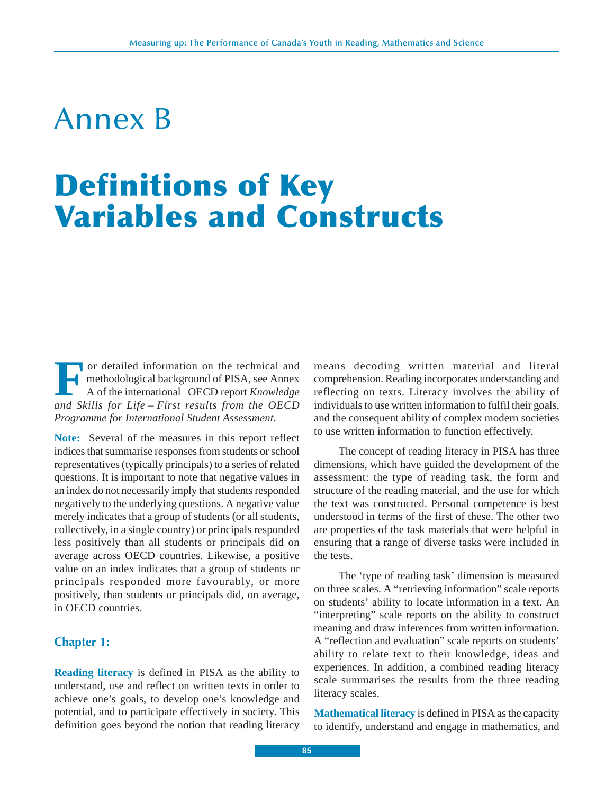## Annex B

# **Definitions of Key Variables and Constructs**

**For** detailed information on the technical and methodological background of PISA, see Annex A of the international OECD report *Knowledge and Skills for Life – First results from the OECD Programme for International Student Assessment.*

**Note:** Several of the measures in this report reflect indices that summarise responses from students or school representatives (typically principals) to a series of related questions. It is important to note that negative values in an index do not necessarily imply that students responded negatively to the underlying questions. A negative value merely indicates that a group of students (or all students, collectively, in a single country) or principals responded less positively than all students or principals did on average across OECD countries. Likewise, a positive value on an index indicates that a group of students or principals responded more favourably, or more positively, than students or principals did, on average, in OECD countries.

## **Chapter 1:**

**Reading literacy** is defined in PISA as the ability to understand, use and reflect on written texts in order to achieve one's goals, to develop one's knowledge and potential, and to participate effectively in society. This definition goes beyond the notion that reading literacy

means decoding written material and literal comprehension. Reading incorporates understanding and reflecting on texts. Literacy involves the ability of individuals to use written information to fulfil their goals, and the consequent ability of complex modern societies to use written information to function effectively.

The concept of reading literacy in PISA has three dimensions, which have guided the development of the assessment: the type of reading task, the form and structure of the reading material, and the use for which the text was constructed. Personal competence is best understood in terms of the first of these. The other two are properties of the task materials that were helpful in ensuring that a range of diverse tasks were included in the tests.

The 'type of reading task' dimension is measured on three scales. A "retrieving information" scale reports on students' ability to locate information in a text. An "interpreting" scale reports on the ability to construct meaning and draw inferences from written information. A "reflection and evaluation" scale reports on students' ability to relate text to their knowledge, ideas and experiences. In addition, a combined reading literacy scale summarises the results from the three reading literacy scales.

**Mathematical literacy** is defined in PISA as the capacity to identify, understand and engage in mathematics, and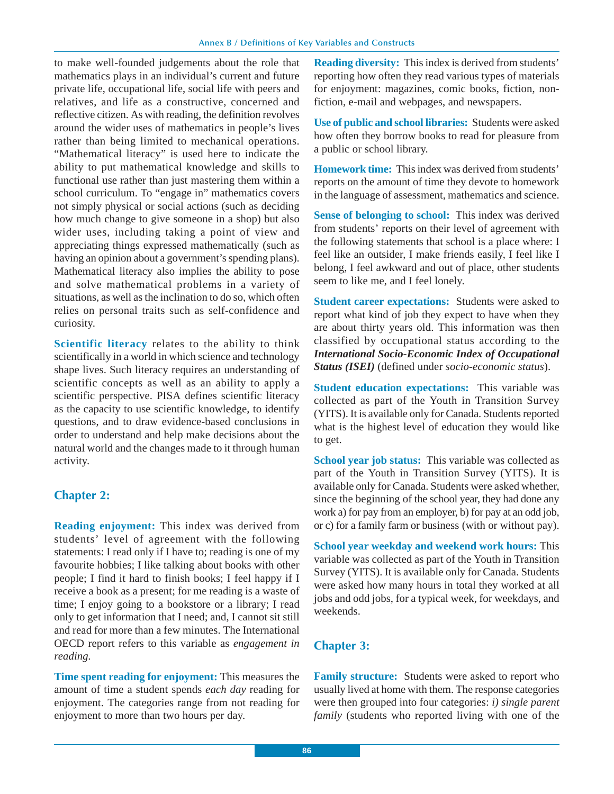to make well-founded judgements about the role that mathematics plays in an individual's current and future private life, occupational life, social life with peers and relatives, and life as a constructive, concerned and reflective citizen. As with reading, the definition revolves around the wider uses of mathematics in people's lives rather than being limited to mechanical operations. "Mathematical literacy" is used here to indicate the ability to put mathematical knowledge and skills to functional use rather than just mastering them within a school curriculum. To "engage in" mathematics covers not simply physical or social actions (such as deciding how much change to give someone in a shop) but also wider uses, including taking a point of view and appreciating things expressed mathematically (such as having an opinion about a government's spending plans). Mathematical literacy also implies the ability to pose and solve mathematical problems in a variety of situations, as well as the inclination to do so, which often relies on personal traits such as self-confidence and curiosity.

**Scientific literacy** relates to the ability to think scientifically in a world in which science and technology shape lives. Such literacy requires an understanding of scientific concepts as well as an ability to apply a scientific perspective. PISA defines scientific literacy as the capacity to use scientific knowledge, to identify questions, and to draw evidence-based conclusions in order to understand and help make decisions about the natural world and the changes made to it through human activity.

## **Chapter 2:**

**Reading enjoyment:** This index was derived from students' level of agreement with the following statements: I read only if I have to; reading is one of my favourite hobbies; I like talking about books with other people; I find it hard to finish books; I feel happy if I receive a book as a present; for me reading is a waste of time; I enjoy going to a bookstore or a library; I read only to get information that I need; and, I cannot sit still and read for more than a few minutes. The International OECD report refers to this variable as *engagement in reading.*

**Time spent reading for enjoyment:** This measures the amount of time a student spends *each day* reading for enjoyment. The categories range from not reading for enjoyment to more than two hours per day.

**Reading diversity:** This index is derived from students' reporting how often they read various types of materials for enjoyment: magazines, comic books, fiction, nonfiction, e-mail and webpages, and newspapers.

**Use of public and school libraries:** Students were asked how often they borrow books to read for pleasure from a public or school library.

**Homework time:** This index was derived from students' reports on the amount of time they devote to homework in the language of assessment, mathematics and science.

**Sense of belonging to school:** This index was derived from students' reports on their level of agreement with the following statements that school is a place where: I feel like an outsider, I make friends easily, I feel like I belong, I feel awkward and out of place, other students seem to like me, and I feel lonely.

**Student career expectations:** Students were asked to report what kind of job they expect to have when they are about thirty years old. This information was then classified by occupational status according to the *International Socio-Economic Index of Occupational Status (ISEI)* (defined under *socio-economic status*).

**Student education expectations:** This variable was collected as part of the Youth in Transition Survey (YITS). It is available only for Canada. Students reported what is the highest level of education they would like to get.

**School year job status:** This variable was collected as part of the Youth in Transition Survey (YITS). It is available only for Canada. Students were asked whether, since the beginning of the school year, they had done any work a) for pay from an employer, b) for pay at an odd job, or c) for a family farm or business (with or without pay).

**School year weekday and weekend work hours:** This variable was collected as part of the Youth in Transition Survey (YITS). It is available only for Canada. Students were asked how many hours in total they worked at all jobs and odd jobs, for a typical week, for weekdays, and weekends.

## **Chapter 3:**

**Family structure:** Students were asked to report who usually lived at home with them. The response categories were then grouped into four categories: *i) single parent family* (students who reported living with one of the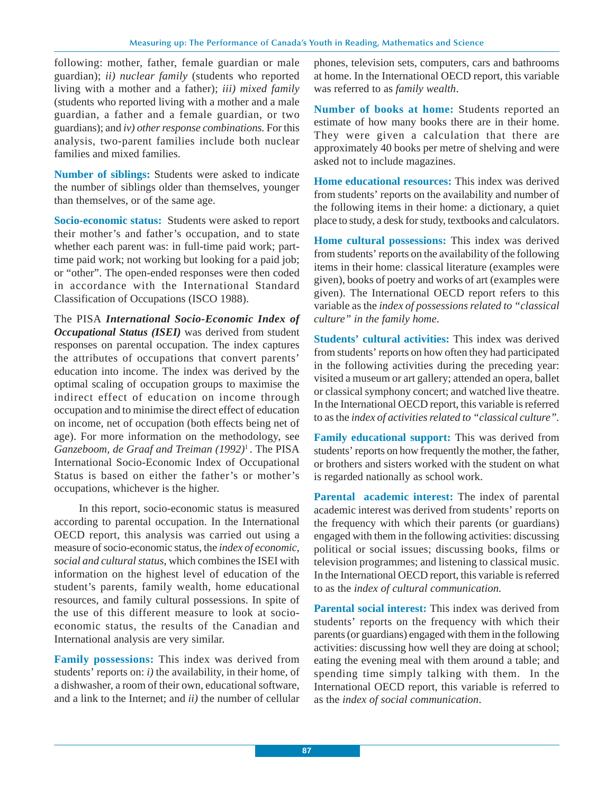following: mother, father, female guardian or male guardian); *ii) nuclear family* (students who reported living with a mother and a father); *iii) mixed family* (students who reported living with a mother and a male guardian, a father and a female guardian, or two guardians); and *iv) other response combinations.* For this analysis, two-parent families include both nuclear families and mixed families.

**Number of siblings:** Students were asked to indicate the number of siblings older than themselves, younger than themselves, or of the same age.

**Socio-economic status:** Students were asked to report their mother's and father's occupation, and to state whether each parent was: in full-time paid work; parttime paid work; not working but looking for a paid job; or "other". The open-ended responses were then coded in accordance with the International Standard Classification of Occupations (ISCO 1988).

The PISA *International Socio-Economic Index of Occupational Status (ISEI)* was derived from student responses on parental occupation. The index captures the attributes of occupations that convert parents' education into income. The index was derived by the optimal scaling of occupation groups to maximise the indirect effect of education on income through occupation and to minimise the direct effect of education on income, net of occupation (both effects being net of age). For more information on the methodology, see *Ganzeboom, de Graaf and Treiman (1992)*<sup>1</sup> . The PISA International Socio-Economic Index of Occupational Status is based on either the father's or mother's occupations, whichever is the higher.

In this report, socio-economic status is measured according to parental occupation. In the International OECD report, this analysis was carried out using a measure of socio-economic status, the *index of economic, social and cultural status*, which combines the ISEI with information on the highest level of education of the student's parents, family wealth, home educational resources, and family cultural possessions. In spite of the use of this different measure to look at socioeconomic status, the results of the Canadian and International analysis are very similar.

**Family possessions:** This index was derived from students' reports on: *i)* the availability, in their home, of a dishwasher, a room of their own, educational software, and a link to the Internet; and *ii)* the number of cellular

phones, television sets, computers, cars and bathrooms at home. In the International OECD report, this variable was referred to as *family wealth*.

**Number of books at home:** Students reported an estimate of how many books there are in their home. They were given a calculation that there are approximately 40 books per metre of shelving and were asked not to include magazines.

**Home educational resources:** This index was derived from students' reports on the availability and number of the following items in their home: a dictionary, a quiet place to study, a desk for study, textbooks and calculators.

**Home cultural possessions:** This index was derived from students' reports on the availability of the following items in their home: classical literature (examples were given), books of poetry and works of art (examples were given). The International OECD report refers to this variable as the *index of possessions related to "classical culture" in the family home*.

**Students' cultural activities:** This index was derived from students' reports on how often they had participated in the following activities during the preceding year: visited a museum or art gallery; attended an opera, ballet or classical symphony concert; and watched live theatre. In the International OECD report, this variable is referred to as the *index of activities related to "classical culture".*

**Family educational support:** This was derived from students' reports on how frequently the mother, the father, or brothers and sisters worked with the student on what is regarded nationally as school work.

**Parental academic interest:** The index of parental academic interest was derived from students' reports on the frequency with which their parents (or guardians) engaged with them in the following activities: discussing political or social issues; discussing books, films or television programmes; and listening to classical music. In the International OECD report, this variable is referred to as the *index of cultural communication.*

**Parental social interest:** This index was derived from students' reports on the frequency with which their parents (or guardians) engaged with them in the following activities: discussing how well they are doing at school; eating the evening meal with them around a table; and spending time simply talking with them. In the International OECD report, this variable is referred to as the *index of social communication*.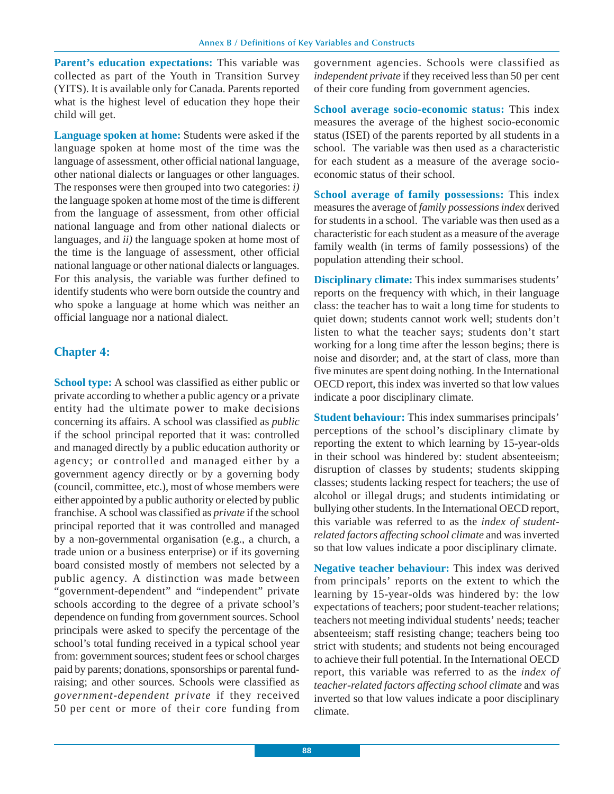**Parent's education expectations:** This variable was collected as part of the Youth in Transition Survey (YITS). It is available only for Canada. Parents reported what is the highest level of education they hope their child will get.

**Language spoken at home:** Students were asked if the language spoken at home most of the time was the language of assessment, other official national language, other national dialects or languages or other languages. The responses were then grouped into two categories: *i)* the language spoken at home most of the time is different from the language of assessment, from other official national language and from other national dialects or languages, and *ii)* the language spoken at home most of the time is the language of assessment, other official national language or other national dialects or languages. For this analysis, the variable was further defined to identify students who were born outside the country and who spoke a language at home which was neither an official language nor a national dialect.

## **Chapter 4:**

**School type:** A school was classified as either public or private according to whether a public agency or a private entity had the ultimate power to make decisions concerning its affairs. A school was classified as *public* if the school principal reported that it was: controlled and managed directly by a public education authority or agency; or controlled and managed either by a government agency directly or by a governing body (council, committee, etc.), most of whose members were either appointed by a public authority or elected by public franchise. A school was classified as *private* if the school principal reported that it was controlled and managed by a non-governmental organisation (e.g., a church, a trade union or a business enterprise) or if its governing board consisted mostly of members not selected by a public agency. A distinction was made between "government-dependent" and "independent" private schools according to the degree of a private school's dependence on funding from government sources. School principals were asked to specify the percentage of the school's total funding received in a typical school year from: government sources; student fees or school charges paid by parents; donations, sponsorships or parental fundraising; and other sources. Schools were classified as *government-dependent private* if they received 50 per cent or more of their core funding from government agencies. Schools were classified as *independent private* if they received less than 50 per cent of their core funding from government agencies.

**School average socio-economic status:** This index measures the average of the highest socio-economic status (ISEI) of the parents reported by all students in a school. The variable was then used as a characteristic for each student as a measure of the average socioeconomic status of their school.

**School average of family possessions:** This index measures the average of *family possessions index* derived for students in a school. The variable was then used as a characteristic for each student as a measure of the average family wealth (in terms of family possessions) of the population attending their school.

**Disciplinary climate:** This index summarises students' reports on the frequency with which, in their language class: the teacher has to wait a long time for students to quiet down; students cannot work well; students don't listen to what the teacher says; students don't start working for a long time after the lesson begins; there is noise and disorder; and, at the start of class, more than five minutes are spent doing nothing. In the International OECD report, this index was inverted so that low values indicate a poor disciplinary climate.

**Student behaviour:** This index summarises principals' perceptions of the school's disciplinary climate by reporting the extent to which learning by 15-year-olds in their school was hindered by: student absenteeism; disruption of classes by students; students skipping classes; students lacking respect for teachers; the use of alcohol or illegal drugs; and students intimidating or bullying other students. In the International OECD report, this variable was referred to as the *index of studentrelated factors affecting school climate* and was inverted so that low values indicate a poor disciplinary climate.

**Negative teacher behaviour:** This index was derived from principals' reports on the extent to which the learning by 15-year-olds was hindered by: the low expectations of teachers; poor student-teacher relations; teachers not meeting individual students' needs; teacher absenteeism; staff resisting change; teachers being too strict with students; and students not being encouraged to achieve their full potential. In the International OECD report, this variable was referred to as the *index of teacher-related factors affecting school climate* and was inverted so that low values indicate a poor disciplinary climate.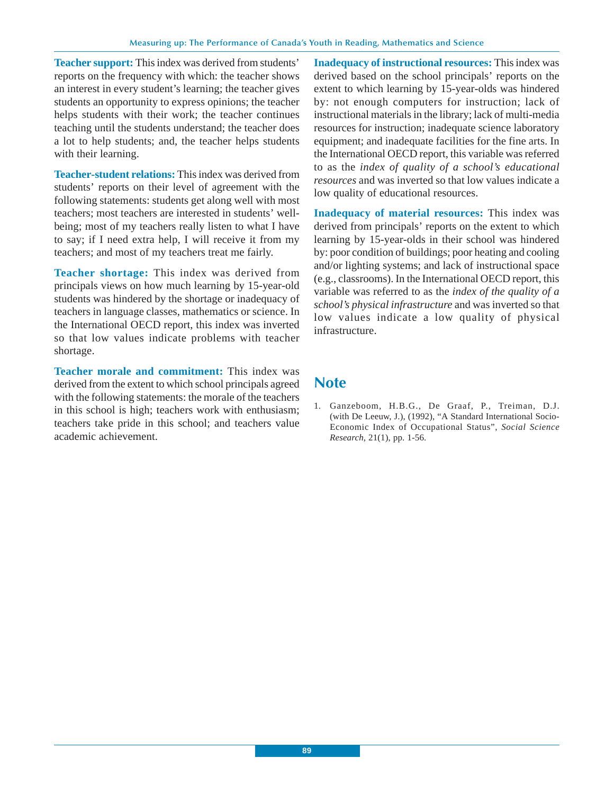**Teacher support:** This index was derived from students' reports on the frequency with which: the teacher shows an interest in every student's learning; the teacher gives students an opportunity to express opinions; the teacher helps students with their work; the teacher continues teaching until the students understand; the teacher does a lot to help students; and, the teacher helps students with their learning.

**Teacher-student relations:** This index was derived from students' reports on their level of agreement with the following statements: students get along well with most teachers; most teachers are interested in students' wellbeing; most of my teachers really listen to what I have to say; if I need extra help, I will receive it from my teachers; and most of my teachers treat me fairly.

**Teacher shortage:** This index was derived from principals views on how much learning by 15-year-old students was hindered by the shortage or inadequacy of teachers in language classes, mathematics or science. In the International OECD report, this index was inverted so that low values indicate problems with teacher shortage.

**Teacher morale and commitment:** This index was derived from the extent to which school principals agreed with the following statements: the morale of the teachers in this school is high; teachers work with enthusiasm; teachers take pride in this school; and teachers value academic achievement.

**Inadequacy of instructional resources:** This index was derived based on the school principals' reports on the extent to which learning by 15-year-olds was hindered by: not enough computers for instruction; lack of instructional materials in the library; lack of multi-media resources for instruction; inadequate science laboratory equipment; and inadequate facilities for the fine arts. In the International OECD report, this variable was referred to as the *index of quality of a school's educational resources* and was inverted so that low values indicate a low quality of educational resources.

**Inadequacy of material resources:** This index was derived from principals' reports on the extent to which learning by 15-year-olds in their school was hindered by: poor condition of buildings; poor heating and cooling and/or lighting systems; and lack of instructional space (e.g., classrooms). In the International OECD report, this variable was referred to as the *index of the quality of a school's physical infrastructure* and was inverted so that low values indicate a low quality of physical infrastructure.

## **Note**

1. Ganzeboom, H.B.G., De Graaf, P., Treiman, D.J. (with De Leeuw, J.), (1992), "A Standard International Socio-Economic Index of Occupational Status", *Social Science Research*, 21(1), pp. 1-56.